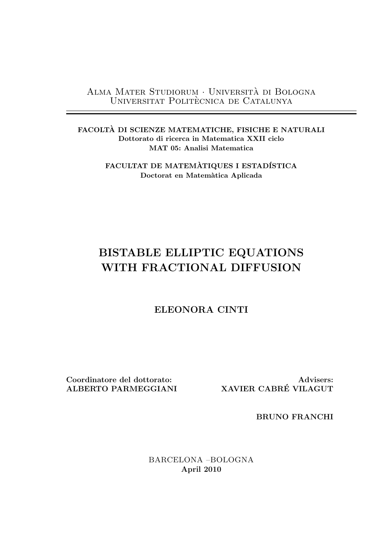Alma Mater Studiorum *·* Universita di Bologna ` UNIVERSITAT POLITÈCNICA DE CATALUNYA

**FACOLTA DI SCIENZE MATEMATICHE, FISICHE E NATURALI ` Dottorato di ricerca in Matematica XXII ciclo MAT 05: Analisi Matematica**

> **FACULTAT DE MATEMÀTIQUES I ESTADÍSTICA Doctorat en Matem`atica Aplicada**

### **BISTABLE ELLIPTIC EQUATIONS WITH FRACTIONAL DIFFUSION**

### **ELEONORA CINTI**

**Coordinatore del dottorato: ALBERTO PARMEGGIANI**

**Advisers: XAVIER CABRE VILAGUT ´**

**BRUNO FRANCHI**

BARCELONA –BOLOGNA **April 2010**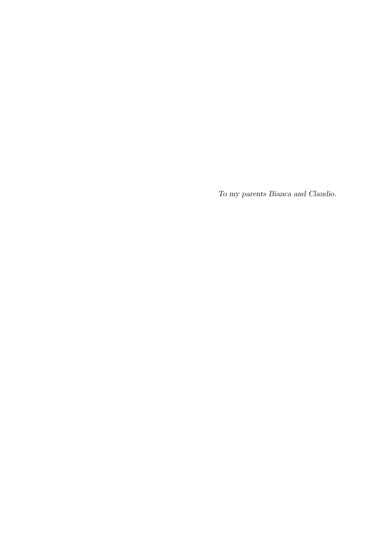*To my parents Bianca and Claudio.*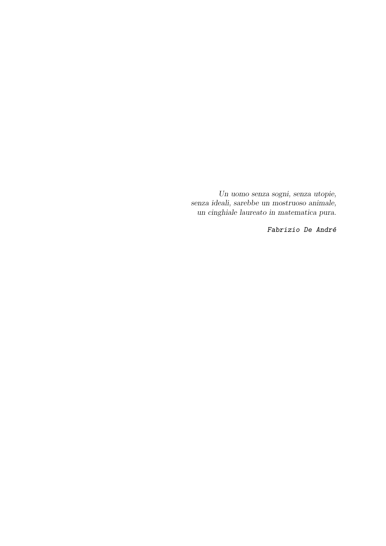*Un uomo senza sogni, senza utopie, senza ideali, sarebbe un mostruoso animale, un cinghiale laureato in matematica pura.*

*Fabrizio De Andr´e*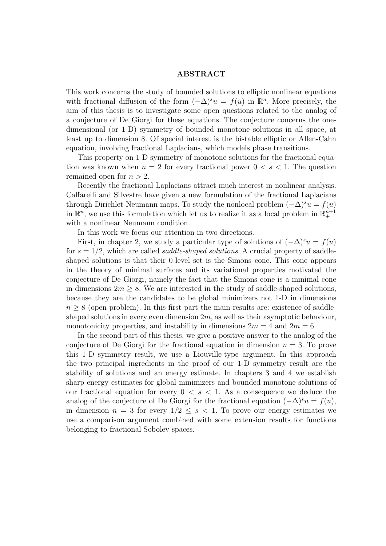#### **ABSTRACT**

This work concerns the study of bounded solutions to elliptic nonlinear equations with fractional diffusion of the form  $(-\Delta)^s u = f(u)$  in  $\mathbb{R}^n$ . More precisely, the aim of this thesis is to investigate some open questions related to the analog of a conjecture of De Giorgi for these equations. The conjecture concerns the onedimensional (or 1-D) symmetry of bounded monotone solutions in all space, at least up to dimension 8. Of special interest is the bistable elliptic or Allen-Cahn equation, involving fractional Laplacians, which models phase transitions.

This property on 1-D symmetry of monotone solutions for the fractional equation was known when  $n = 2$  for every fractional power  $0 \lt s \lt 1$ . The question remained open for *n >* 2.

Recently the fractional Laplacians attract much interest in nonlinear analysis. Caffarelli and Silvestre have given a new formulation of the fractional Laplacians through Dirichlet-Neumann maps. To study the nonlocal problem  $(-\Delta)^s u = f(u)$ in  $\mathbb{R}^n$ , we use this formulation which let us to realize it as a local problem in  $\mathbb{R}^{n+1}_+$ with a nonlinear Neumann condition.

In this work we focus our attention in two directions.

First, in chapter 2, we study a particular type of solutions of  $(-\Delta)^s u = f(u)$ for  $s = 1/2$ , which are called *saddle-shaped solutions*. A crucial property of saddleshaped solutions is that their 0-level set is the Simons cone. This cone appears in the theory of minimal surfaces and its variational properties motivated the conjecture of De Giorgi, namely the fact that the Simons cone is a minimal cone in dimensions  $2m \geq 8$ . We are interested in the study of saddle-shaped solutions, because they are the candidates to be global minimizers not 1-D in dimensions *n* ≥ 8 (open problem). In this first part the main results are: existence of saddleshaped solutions in every even dimension 2*m*, as well as their asymptotic behaviour, monotonicity properties, and instability in dimensions  $2m = 4$  and  $2m = 6$ .

In the second part of this thesis, we give a positive answer to the analog of the conjecture of De Giorgi for the fractional equation in dimension  $n = 3$ . To prove this 1-D symmetry result, we use a Liouville-type argument. In this approach the two principal ingredients in the proof of our 1-D symmetry result are the stability of solutions and an energy estimate. In chapters 3 and 4 we establish sharp energy estimates for global minimizers and bounded monotone solutions of our fractional equation for every  $0 \leq s \leq 1$ . As a consequence we deduce the analog of the conjecture of De Giorgi for the fractional equation  $(-\Delta)^s u = f(u)$ , in dimension  $n = 3$  for every  $1/2 \leq s < 1$ . To prove our energy estimates we use a comparison argument combined with some extension results for functions belonging to fractional Sobolev spaces.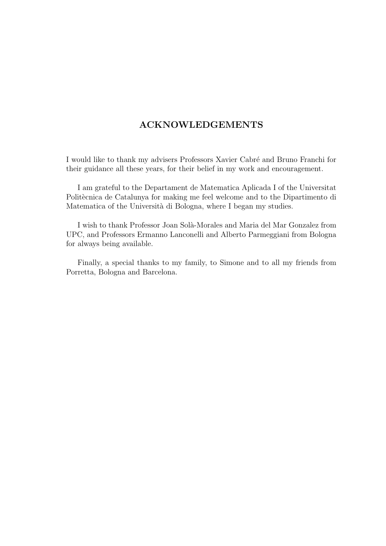#### **ACKNOWLEDGEMENTS**

I would like to thank my advisers Professors Xavier Cabré and Bruno Franchi for their guidance all these years, for their belief in my work and encouragement.

I am grateful to the Departament de Matematica Aplicada I of the Universitat Politècnica de Catalunya for making me feel welcome and to the Dipartimento di Matematica of the Università di Bologna, where I began my studies.

I wish to thank Professor Joan Solà-Morales and Maria del Mar Gonzalez from UPC, and Professors Ermanno Lanconelli and Alberto Parmeggiani from Bologna for always being available.

Finally, a special thanks to my family, to Simone and to all my friends from Porretta, Bologna and Barcelona.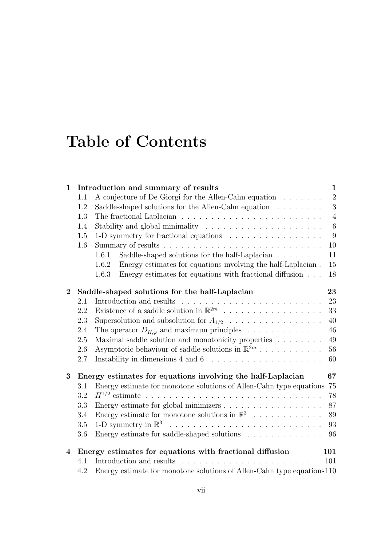# **Table of Contents**

| $\mathbf{1}$   |     | Introduction and summary of results                                                | $\mathbf{1}$   |
|----------------|-----|------------------------------------------------------------------------------------|----------------|
|                | 1.1 | A conjecture of De Giorgi for the Allen-Cahn equation                              | $\overline{2}$ |
|                | 1.2 | Saddle-shaped solutions for the Allen-Cahn equation $\dots \dots$                  | $\sqrt{3}$     |
|                | 1.3 | The fractional Laplacian $\ldots \ldots \ldots \ldots \ldots \ldots \ldots \ldots$ | $\overline{4}$ |
|                | 1.4 |                                                                                    | $\,6\,$        |
|                | 1.5 | 1-D symmetry for fractional equations                                              | 9              |
|                | 1.6 |                                                                                    | 10             |
|                |     | Saddle-shaped solutions for the half-Laplacian<br>1.6.1                            | 11             |
|                |     | Energy estimates for equations involving the half-Laplacian.<br>1.6.2              | 15             |
|                |     | Energy estimates for equations with fractional diffusion<br>1.6.3                  | 18             |
| $\overline{2}$ |     | Saddle-shaped solutions for the half-Laplacian                                     | 23             |
|                | 2.1 |                                                                                    | 23             |
|                | 2.2 | Existence of a saddle solution in $\mathbb{R}^{2m}$                                | 33             |
|                | 2.3 | Supersolution and subsolution for $A_{1/2}$                                        | 40             |
|                | 2.4 | The operator $D_{H,\varphi}$ and maximum principles                                | 46             |
|                | 2.5 | Maximal saddle solution and monotonicity properties                                | 49             |
|                | 2.6 | Asymptotic behaviour of saddle solutions in $\mathbb{R}^{2m}$                      | 56             |
|                | 2.7 |                                                                                    | 60             |
| 3              |     | Energy estimates for equations involving the half-Laplacian                        | 67             |
|                | 3.1 | Energy estimate for monotone solutions of Allen-Cahn type equations                | 75             |
|                | 3.2 |                                                                                    | 78             |
|                | 3.3 |                                                                                    | 87             |
|                | 3.4 | Energy estimate for monotone solutions in $\mathbb{R}^3$                           | 89             |
|                | 3.5 |                                                                                    | 93             |
|                | 3.6 | Energy estimate for saddle-shaped solutions                                        | 96             |
| $\overline{4}$ |     | Energy estimates for equations with fractional diffusion                           | 101            |
|                | 4.1 | Introduction and results                                                           | 101            |
|                | 4.2 | Energy estimate for monotone solutions of Allen-Cahn type equations 110            |                |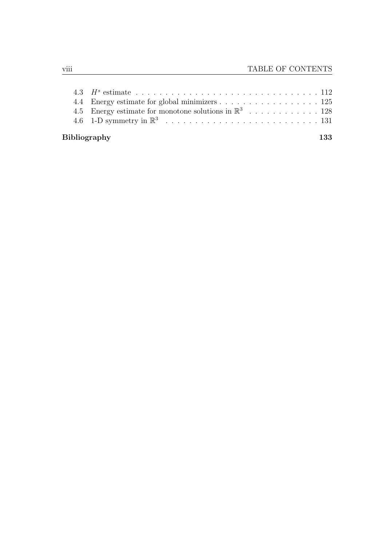|                            | 4.4 Energy estimate for global minimizers 125                    |  |  |  |  |
|----------------------------|------------------------------------------------------------------|--|--|--|--|
|                            | 4.5 Energy estimate for monotone solutions in $\mathbb{R}^3$ 128 |  |  |  |  |
|                            |                                                                  |  |  |  |  |
| <b>Bibliography</b><br>133 |                                                                  |  |  |  |  |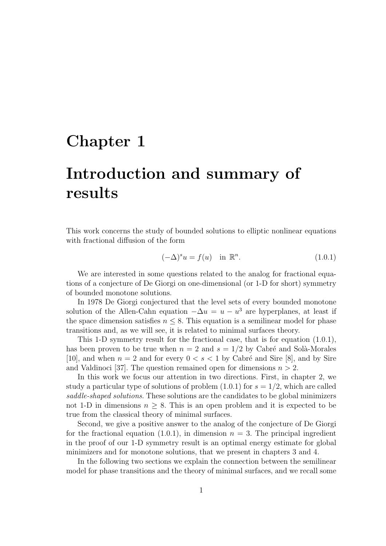## **Chapter 1**

# **Introduction and summary of results**

This work concerns the study of bounded solutions to elliptic nonlinear equations with fractional diffusion of the form

$$
(-\Delta)^s u = f(u) \quad \text{in } \mathbb{R}^n. \tag{1.0.1}
$$

We are interested in some questions related to the analog for fractional equations of a conjecture of De Giorgi on one-dimensional (or 1-D for short) symmetry of bounded monotone solutions.

In 1978 De Giorgi conjectured that the level sets of every bounded monotone solution of the Allen-Cahn equation  $-\Delta u = u - u^3$  are hyperplanes, at least if the space dimension satisfies  $n \leq 8$ . This equation is a semilinear model for phase transitions and, as we will see, it is related to minimal surfaces theory.

This 1-D symmetry result for the fractional case, that is for equation (1.0.1), has been proven to be true when  $n = 2$  and  $s = 1/2$  by Cabré and Solà-Morales [10], and when  $n = 2$  and for every  $0 < s < 1$  by Cabré and Sire [8], and by Sire and Valdinoci [37]. The question remained open for dimensions  $n > 2$ .

In this work we focus our attention in two directions. First, in chapter 2, we study a particular type of solutions of problem  $(1.0.1)$  for  $s = 1/2$ , which are called *saddle-shaped solutions*. These solutions are the candidates to be global minimizers not 1-D in dimensions  $n \geq 8$ . This is an open problem and it is expected to be true from the classical theory of minimal surfaces.

Second, we give a positive answer to the analog of the conjecture of De Giorgi for the fractional equation  $(1.0.1)$ , in dimension  $n = 3$ . The principal ingredient in the proof of our 1-D symmetry result is an optimal energy estimate for global minimizers and for monotone solutions, that we present in chapters 3 and 4.

In the following two sections we explain the connection between the semilinear model for phase transitions and the theory of minimal surfaces, and we recall some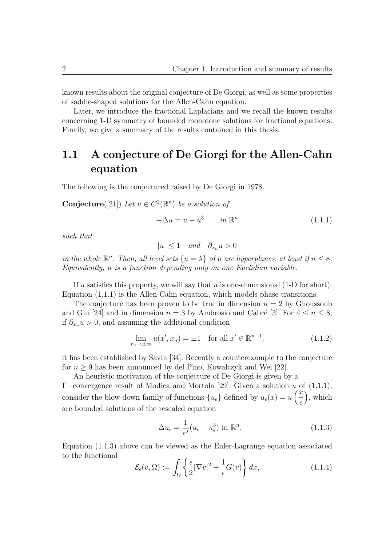known results about the original conjecture of De Giorgi, as well as some properties of saddle-shaped solutions for the Allen-Cahn equation.

Later, we introduce the fractional Laplacians and we recall the known results concerning 1-D symmetry of bounded monotone solutions for fractional equations. Finally, we give a summary of the results contained in this thesis.

### **1.1 A conjecture of De Giorgi for the Allen-Cahn equation**

The following is the conjectured raised by De Giorgi in 1978.

**Conjecture**([21]) *Let*  $u \in C^2(\mathbb{R}^n)$  *be a solution of* 

$$
-\Delta u = u - u^3 \qquad in \mathbb{R}^n \tag{1.1.1}
$$

*such that*

$$
|u| \le 1 \quad and \quad \partial_{x_n} u > 0
$$

*in the whole*  $\mathbb{R}^n$ *. Then, all level sets*  $\{u = \lambda\}$  *of u are hyperplanes, at least if*  $n \leq 8$ *. Equivalently, u is a function depending only on one Euclidian variable.*

If *u* satisfies this property, we will say that *u* is one-dimensional (1-D for short). Equation (1.1.1) is the Allen-Cahn equation, which models phase transitions.

The conjecture has been proven to be true in dimension  $n = 2$  by Ghoussoub and Gui [24] and in dimension  $n = 3$  by Ambrosio and Cabré [3]. For  $4 \leq n \leq 8$ , if  $\partial_{x_n} u > 0$ , and assuming the additional condition

$$
\lim_{x_n \to \pm \infty} u(x', x_n) = \pm 1 \quad \text{for all } x' \in \mathbb{R}^{n-1},\tag{1.1.2}
$$

it has been established by Savin [34]. Recently a counterexample to the conjecture for  $n \geq 9$  has been announced by del Pino, Kowalczyk and Wei [22].

An heuristic motivation of the conjecture of De Giorgi is given by a Γ*−*convergence result of Modica and Mortola [29]. Given a solution *u* of (1.1.1), consider the blow-down family of functions  $\{u_{\epsilon}\}\$  defined by  $u_{\epsilon}(x) = u\left(\frac{x}{\epsilon}\right)$  $\epsilon$  $\sum_{n=1}^{\infty}$ are bounded solutions of the rescaled equation

$$
-\Delta u_{\epsilon} = \frac{1}{\epsilon^2} (u_{\epsilon} - u_{\epsilon}^3) \text{ in } \mathbb{R}^n.
$$
 (1.1.3)

Equation (1.1.3) above can be viewed as the Euler-Lagrange equation associated to the functional

$$
\mathcal{E}_{\epsilon}(v,\Omega) := \int_{\Omega} \left\{ \frac{\epsilon}{2} |\nabla v|^2 + \frac{1}{\epsilon} G(v) \right\} dx, \tag{1.1.4}
$$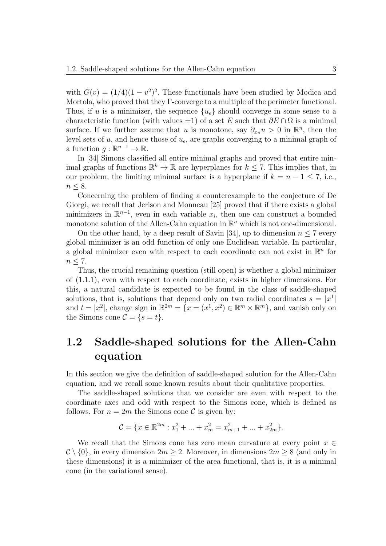with  $G(v) = (1/4)(1 - v^2)^2$ . These functionals have been studied by Modica and Mortola, who proved that they Γ-converge to a multiple of the perimeter functional. Thus, if *u* is a minimizer, the sequence  $\{u_{\epsilon}\}\$  should converge in some sense to a characteristic function (with values  $\pm 1$ ) of a set *E* such that  $\partial E \cap \Omega$  is a minimal surface. If we further assume that *u* is monotone, say  $\partial_{x_n} u > 0$  in  $\mathbb{R}^n$ , then the level sets of  $u$ , and hence those of  $u<sub>\epsilon</sub>$ , are graphs converging to a minimal graph of a function  $g: \mathbb{R}^{n-1} \to \mathbb{R}$ .

In [34] Simons classified all entire minimal graphs and proved that entire minimal graphs of functions  $\mathbb{R}^k \to \mathbb{R}$  are hyperplanes for  $k \leq 7$ . This implies that, in our problem, the limiting minimal surface is a hyperplane if  $k = n - 1 \leq 7$ , i.e., *n* ≤ 8.

Concerning the problem of finding a counterexample to the conjecture of De Giorgi, we recall that Jerison and Monneau [25] proved that if there exists a global minimizers in  $\mathbb{R}^{n-1}$ , even in each variable  $x_i$ , then one can construct a bounded monotone solution of the Allen-Cahn equation in  $\mathbb{R}^n$  which is not one-dimensional.

On the other hand, by a deep result of Savin [34], up to dimension  $n \leq 7$  every global minimizer is an odd function of only one Euclidean variable. In particular, a global minimizer even with respect to each coordinate can not exist in  $\mathbb{R}^n$  for *n ≤* 7.

Thus, the crucial remaining question (still open) is whether a global minimizer of (1.1.1), even with respect to each coordinate, exists in higher dimensions. For this, a natural candidate is expected to be found in the class of saddle-shaped solutions, that is, solutions that depend only on two radial coordinates  $s = |x^1|$ and  $t = |x^2|$ , change sign in  $\mathbb{R}^{2m} = \{x = (x^1, x^2) \in \mathbb{R}^m \times \mathbb{R}^m\}$ , and vanish only on the Simons cone  $\mathcal{C} = \{s = t\}.$ 

### **1.2 Saddle-shaped solutions for the Allen-Cahn equation**

In this section we give the definition of saddle-shaped solution for the Allen-Cahn equation, and we recall some known results about their qualitative properties.

The saddle-shaped solutions that we consider are even with respect to the coordinate axes and odd with respect to the Simons cone, which is defined as follows. For  $n = 2m$  the Simons cone C is given by:

$$
\mathcal{C} = \{x \in \mathbb{R}^{2m} : x_1^2 + \dots + x_m^2 = x_{m+1}^2 + \dots + x_{2m}^2\}.
$$

We recall that the Simons cone has zero mean curvature at every point *x ∈*  $C \setminus \{0\}$ , in every dimension  $2m \geq 2$ . Moreover, in dimensions  $2m \geq 8$  (and only in these dimensions) it is a minimizer of the area functional, that is, it is a minimal cone (in the variational sense).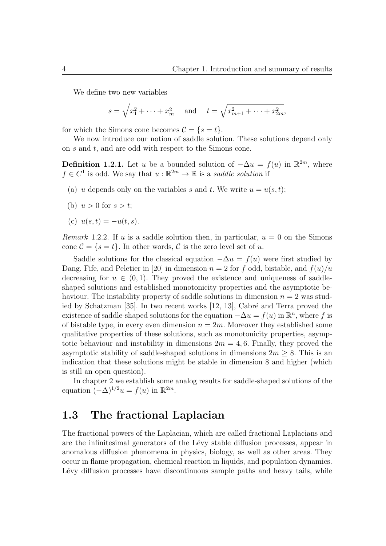We define two new variables

$$
s = \sqrt{x_1^2 + \dots + x_m^2}
$$
 and  $t = \sqrt{x_{m+1}^2 + \dots + x_{2m}^2}$ ,

for which the Simons cone becomes  $\mathcal{C} = \{s = t\}.$ 

We now introduce our notion of saddle solution. These solutions depend only on *s* and *t*, and are odd with respect to the Simons cone.

**Definition 1.2.1.** Let *u* be a bounded solution of  $-\Delta u = f(u)$  in  $\mathbb{R}^{2m}$ , where  $f \in C^1$  is odd. We say that  $u : \mathbb{R}^{2m} \to \mathbb{R}$  is a *saddle solution* if

- (a) *u* depends only on the variables *s* and *t*. We write  $u = u(s, t)$ ;
- (b)  $u > 0$  for  $s > t$ ;
- (c)  $u(s,t) = -u(t,s)$ .

*Remark* 1.2.2. If *u* is a saddle solution then, in particular,  $u = 0$  on the Simons cone  $\mathcal{C} = \{s = t\}$ . In other words,  $\mathcal{C}$  is the zero level set of *u*.

Saddle solutions for the classical equation  $-\Delta u = f(u)$  were first studied by Dang, Fife, and Peletier in [20] in dimension  $n = 2$  for f odd, bistable, and  $f(u)/u$ decreasing for  $u \in (0,1)$ . They proved the existence and uniqueness of saddleshaped solutions and established monotonicity properties and the asymptotic behaviour. The instability property of saddle solutions in dimension *n* = 2 was studied by Schatzman  $[35]$ . In two recent works  $[12, 13]$ , Cabré and Terra proved the existence of saddle-shaped solutions for the equation  $-\Delta u = f(u)$  in  $\mathbb{R}^n$ , where f is of bistable type, in every even dimension  $n = 2m$ . Moreover they established some qualitative properties of these solutions, such as monotonicity properties, asymptotic behaviour and instability in dimensions  $2m = 4, 6$ . Finally, they proved the asymptotic stability of saddle-shaped solutions in dimensions  $2m \geq 8$ . This is an indication that these solutions might be stable in dimension 8 and higher (which is still an open question).

In chapter 2 we establish some analog results for saddle-shaped solutions of the equation  $(-\Delta)^{1/2}u = f(u)$  in  $\mathbb{R}^{2m}$ .

#### **1.3 The fractional Laplacian**

The fractional powers of the Laplacian, which are called fractional Laplacians and are the infinitesimal generators of the Lévy stable diffusion processes, appear in anomalous diffusion phenomena in physics, biology, as well as other areas. They occur in flame propagation, chemical reaction in liquids, and population dynamics. Lévy diffusion processes have discontinuous sample paths and heavy tails, while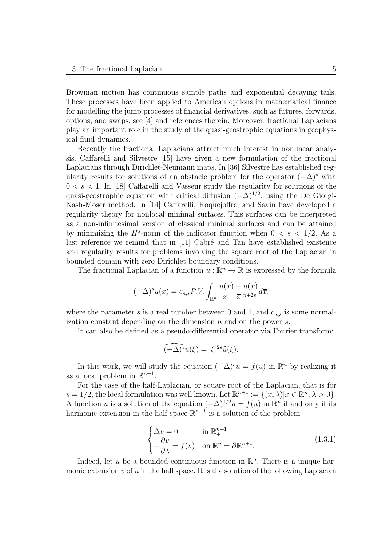Brownian motion has continuous sample paths and exponential decaying tails. These processes have been applied to American options in mathematical finance for modelling the jump processes of financial derivatives, such as futures, forwards, options, and swaps; see [4] and references therein. Moreover, fractional Laplacians play an important role in the study of the quasi-geostrophic equations in geophysical fluid dynamics.

Recently the fractional Laplacians attract much interest in nonlinear analysis. Caffarelli and Silvestre [15] have given a new formulation of the fractional Laplacians through Dirichlet-Neumann maps. In [36] Silvestre has established regularity results for solutions of an obstacle problem for the operator  $(-\Delta)^s$  with  $0 < s < 1$ . In [18] Caffarelli and Vasseur study the regularity for solutions of the quasi-geostrophic equation with critical diffusion (*−*∆)<sup>1</sup>*/*<sup>2</sup> , using the De Giorgi-Nash-Moser method. In [14] Caffarelli, Roquejoffre, and Savin have developed a regularity theory for nonlocal minimal surfaces. This surfaces can be interpreted as a non-infinitesimal version of classical minimal surfaces and can be attained by minimizing the  $H^s$ -norm of the indicator function when  $0 < s < 1/2$ . As a last reference we remind that in  $[11]$  Cabré and Tan have established existence and regularity results for problems involving the square root of the Laplacian in bounded domain with zero Dirichlet boundary conditions.

The fractional Laplacian of a function  $u : \mathbb{R}^n \to \mathbb{R}$  is expressed by the formula

$$
(-\Delta)^{s} u(x) = c_{n,s} P.V. \int_{\mathbb{R}^n} \frac{u(x) - u(\overline{x})}{|x - \overline{x}|^{n+2s}} d\overline{x},
$$

where the parameter  $s$  is a real number between 0 and 1, and  $c_{n,s}$  is some normalization constant depending on the dimension *n* and on the power *s*.

It can also be defined as a pseudo-differential operator via Fourier transform:

$$
\widehat{(-\Delta)^s}u(\xi)=|\xi|^{2s}\widehat{u}(\xi).
$$

In this work, we will study the equation  $(-\Delta)^s u = f(u)$  in  $\mathbb{R}^n$  by realizing it as a local problem in  $\mathbb{R}^{n+1}_+$ .

For the case of the half-Laplacian, or square root of the Laplacian, that is for  $s = 1/2$ , the local formulation was well known. Let  $\mathbb{R}^{n+1}_{+} := \{(x, \lambda) | x \in \mathbb{R}^{n}, \lambda > 0\}$ . A function *u* is a solution of the equation  $(-\Delta)^{1/2}u = f(u)$  in  $\mathbb{R}^n$  if and only if its harmonic extension in the half-space  $\mathbb{R}^{n+1}_+$  is a solution of the problem

$$
\begin{cases}\n\Delta v = 0 & \text{in } \mathbb{R}^{n+1}_+, \\
-\frac{\partial v}{\partial \lambda} = f(v) & \text{on } \mathbb{R}^n = \partial \mathbb{R}^{n+1}_+.\n\end{cases}
$$
\n(1.3.1)

Indeed, let  $u$  be a bounded continuous function in  $\mathbb{R}^n$ . There is a unique harmonic extension  $v$  of  $u$  in the half space. It is the solution of the following Laplacian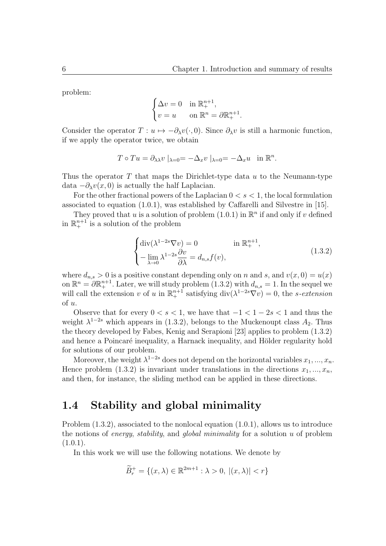problem:

$$
\begin{cases} \Delta v = 0 & \text{in } \mathbb{R}^{n+1}_+, \\ v = u & \text{on } \mathbb{R}^n = \partial \mathbb{R}^{n+1}_+.\end{cases}
$$

Consider the operator  $T: u \mapsto -\partial_{\lambda}v(\cdot, 0)$ . Since  $\partial_{\lambda}v$  is still a harmonic function, if we apply the operator twice, we obtain

$$
T \circ Tu = \partial_{\lambda\lambda} v \mid_{\lambda=0} = -\Delta_x v \mid_{\lambda=0} = -\Delta_x u \quad \text{in } \mathbb{R}^n.
$$

Thus the operator *T* that maps the Dirichlet-type data *u* to the Neumann-type data  $-\partial_\lambda v(x,0)$  is actually the half Laplacian.

For the other fractional powers of the Laplacian  $0 < s < 1$ , the local formulation associated to equation (1.0.1), was established by Caffarelli and Silvestre in [15].

They proved that *u* is a solution of problem  $(1.0.1)$  in  $\mathbb{R}^n$  if and only if *v* defined in  $\mathbb{R}^{n+1}_+$  is a solution of the problem

$$
\begin{cases} \operatorname{div}(\lambda^{1-2s}\nabla v) = 0 & \text{in } \mathbb{R}^{n+1}_{+}, \\ -\lim_{\lambda \to 0} \lambda^{1-2s} \frac{\partial v}{\partial \lambda} = d_{n,s} f(v), \end{cases}
$$
 (1.3.2)

where  $d_{n,s} > 0$  is a positive constant depending only on *n* and *s*, and  $v(x, 0) = u(x)$ on  $\mathbb{R}^n = \partial \mathbb{R}^{n+1}_+$ . Later, we will study problem (1.3.2) with  $d_{n,s} = 1$ . In the sequel we will call the extension *v* of *u* in  $\mathbb{R}^{n+1}$  satisfying div $(\lambda^{1-2s}\nabla v) = 0$ , the *s*-extension of *u*.

Observe that for every  $0 < s < 1$ , we have that  $-1 < 1 - 2s < 1$  and thus the weight  $\lambda^{1-2s}$  which appears in (1.3.2), belongs to the Muckenoupt class  $A_2$ . Thus the theory developed by Fabes, Kenig and Serapioni [23] applies to problem (1.3.2) and hence a Poincaré inequality, a Harnack inequality, and Hölder regularity hold for solutions of our problem.

Moreover, the weight  $\lambda^{1-2s}$  does not depend on the horizontal variables  $x_1, ..., x_n$ . Hence problem  $(1.3.2)$  is invariant under translations in the directions  $x_1, ..., x_n$ , and then, for instance, the sliding method can be applied in these directions.

#### **1.4 Stability and global minimality**

Problem (1.3.2), associated to the nonlocal equation (1.0.1), allows us to introduce the notions of *energy*, *stability*, and *global minimality* for a solution *u* of problem  $(1.0.1).$ 

In this work we will use the following notations. We denote by

$$
\widetilde{B}_r^+ = \{(x, \lambda) \in \mathbb{R}^{2m+1} : \lambda > 0, \ |(x, \lambda)| < r\}
$$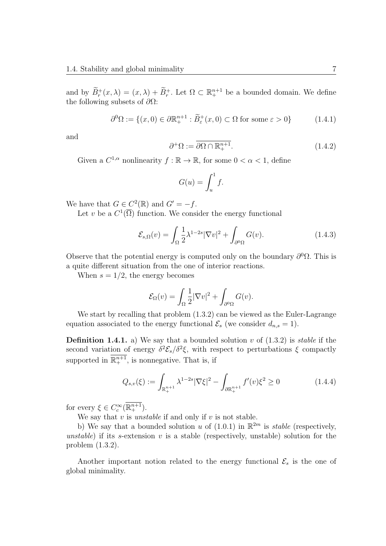and by  $\widetilde{B}_r^+(x,\lambda) = (x,\lambda) + \widetilde{B}_r^+$ . Let  $\Omega \subset \mathbb{R}^{n+1}_+$  be a bounded domain. We define the following subsets of *∂*Ω:

$$
\partial^0 \Omega := \{ (x, 0) \in \partial \mathbb{R}^{n+1}_+ : \widetilde{B}^+_{\varepsilon}(x, 0) \subset \Omega \text{ for some } \varepsilon > 0 \}
$$
 (1.4.1)

and

$$
\partial^+ \Omega := \overline{\partial \Omega \cap \mathbb{R}^{n+1}_+}. \tag{1.4.2}
$$

Given a  $C^{1,\alpha}$  nonlinearity  $f : \mathbb{R} \to \mathbb{R}$ , for some  $0 < \alpha < 1$ , define

$$
G(u) = \int_u^1 f.
$$

We have that  $G \in C^2(\mathbb{R})$  and  $G' = -f$ .

Let *v* be a  $C^1(\overline{\Omega})$  function. We consider the energy functional

$$
\mathcal{E}_{s,\Omega}(v) = \int_{\Omega} \frac{1}{2} \lambda^{1-2s} |\nabla v|^2 + \int_{\partial^0 \Omega} G(v). \tag{1.4.3}
$$

Observe that the potential energy is computed only on the boundary  $\partial^0 \Omega$ . This is a quite different situation from the one of interior reactions.

When  $s = 1/2$ , the energy becomes

$$
\mathcal{E}_{\Omega}(v) = \int_{\Omega} \frac{1}{2} |\nabla v|^2 + \int_{\partial^0 \Omega} G(v).
$$

We start by recalling that problem (1*.*3*.*2) can be viewed as the Euler-Lagrange equation associated to the energy functional  $\mathcal{E}_s$  (we consider  $d_{n,s} = 1$ ).

**Definition 1.4.1.** a) We say that a bounded solution *v* of (1.3.2) is *stable* if the second variation of energy  $\delta^2 \mathcal{E}_s / \delta^2 \xi$ , with respect to perturbations  $\xi$  compactly supported in  $\mathbb{R}^{n+1}_+$ , is nonnegative. That is, if

$$
Q_{s,v}(\xi) := \int_{\mathbb{R}^{n+1}_+} \lambda^{1-2s} |\nabla \xi|^2 - \int_{\partial \mathbb{R}^{n+1}_+} f'(v) \xi^2 \ge 0 \tag{1.4.4}
$$

for every  $\xi \in C_c^{\infty}(\mathbb{R}^{n+1}_+).$ 

We say that  $v$  is *unstable* if and only if  $v$  is not stable.

b) We say that a bounded solution *u* of  $(1.0.1)$  in  $\mathbb{R}^{2m}$  is *stable* (respectively, *unstable*) if its *s*-extension *v* is a stable (respectively, unstable) solution for the problem (1.3.2).

Another important notion related to the energy functional  $\mathcal{E}_s$  is the one of global minimality.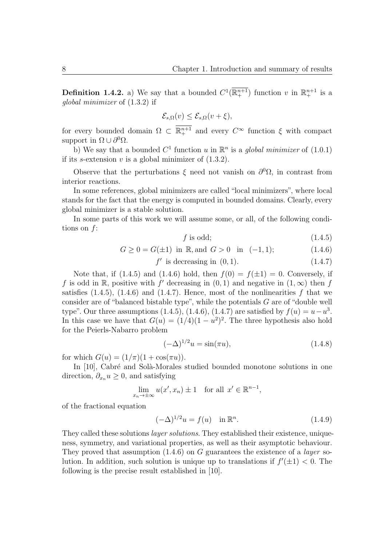**Definition 1.4.2.** a) We say that a bounded  $C^1(\mathbb{R}^{n+1}_+)$  function *v* in  $\mathbb{R}^{n+1}_+$  is a *global minimizer* of (1*.*3*.*2) if

$$
\mathcal{E}_{s,\Omega}(v) \le \mathcal{E}_{s,\Omega}(v+\xi),
$$

for every bounded domain  $\Omega \subset \mathbb{R}^{n+1}$  and every  $C^{\infty}$  function  $\xi$  with compact support in  $\Omega \cup \partial^0 \Omega$ .

b) We say that a bounded  $C^1$  function *u* in  $\mathbb{R}^n$  is a *global minimizer* of  $(1.0.1)$ if its *s*-extension  $v$  is a global minimizer of  $(1.3.2)$ .

Observe that the perturbations  $\xi$  need not vanish on  $\partial^0\Omega$ , in contrast from interior reactions.

In some references, global minimizers are called "local minimizers", where local stands for the fact that the energy is computed in bounded domains. Clearly, every global minimizer is a stable solution.

In some parts of this work we will assume some, or all, of the following conditions on *f*:

$$
f \text{ is odd};\tag{1.4.5}
$$

$$
G \ge 0 = G(\pm 1) \text{ in } \mathbb{R}, \text{and } G > 0 \text{ in } (-1, 1); \tag{1.4.6}
$$

$$
f' \text{ is decreasing in } (0,1). \tag{1.4.7}
$$

Note that, if  $(1.4.5)$  and  $(1.4.6)$  hold, then  $f(0) = f(\pm 1) = 0$ . Conversely, if *f* is odd in R, positive with *f*<sup> $\prime$ </sup> decreasing in  $(0,1)$  and negative in  $(1,\infty)$  then *f* satisfies  $(1.4.5)$ ,  $(1.4.6)$  and  $(1.4.7)$ . Hence, most of the nonlinearities f that we consider are of "balanced bistable type", while the potentials *G* are of "double well type". Our three assumptions  $(1.4.5), (1.4.6), (1.4.7)$  are satisfied by  $f(u) = u - u^3$ . In this case we have that  $G(u) = (1/4)(1 - u^2)^2$ . The three hypothesis also hold for the Peierls-Nabarro problem

$$
(-\Delta)^{1/2}u = \sin(\pi u), \tag{1.4.8}
$$

for which  $G(u) = (1/\pi)(1 + \cos(\pi u)).$ 

In [10], Cabré and Solà-Morales studied bounded monotone solutions in one direction,  $\partial_{x_n} u \geq 0$ , and satisfying

$$
\lim_{x_n \to \pm \infty} u(x', x_n) \pm 1 \quad \text{for all } x' \in \mathbb{R}^{n-1},
$$

of the fractional equation

$$
(-\Delta)^{1/2}u = f(u) \quad \text{in } \mathbb{R}^n. \tag{1.4.9}
$$

They called these solutions *layer solutions*. They established their existence, uniqueness, symmetry, and variational properties, as well as their asymptotic behaviour. They proved that assumption (1.4.6) on *G* guarantees the existence of a *layer* solution. In addition, such solution is unique up to translations if  $f'(\pm 1) < 0$ . The following is the precise result established in [10].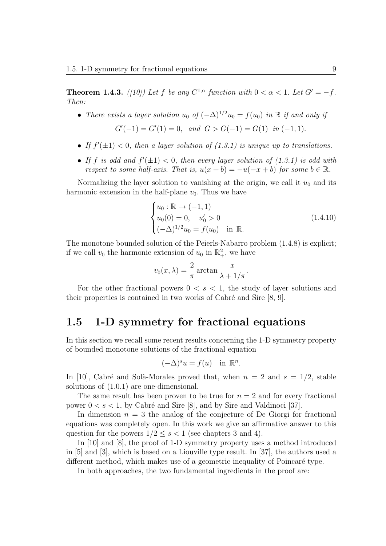**Theorem 1.4.3.** *([10])* Let *f* be any  $C^{1,\alpha}$  function with  $0 < \alpha < 1$ . Let  $G' = -f$ . *Then:*

• *There exists a layer solution*  $u_0$  *of*  $(-\Delta)^{1/2}u_0 = f(u_0)$  *in* R *if and only if* 

$$
G'(-1) = G'(1) = 0, and G > G(-1) = G(1) in (-1, 1).
$$

- If  $f'(\pm 1) < 0$ , then a layer solution of  $(1.3.1)$  is unique up to translations.
- If *f* is odd and  $f'(\pm 1) < 0$ , then every layer solution of (1.3.1) is odd with *respect to some half-axis. That is,*  $u(x + b) = -u(-x + b)$  *for some*  $b \in \mathbb{R}$ *.*

Normalizing the layer solution to vanishing at the origin, we call it  $u_0$  and its harmonic extension in the half-plane  $v_0$ . Thus we have

$$
\begin{cases}\nu_0: \mathbb{R} \to (-1,1) \\
u_0(0) = 0, \quad u'_0 > 0 \\
(-\Delta)^{1/2}u_0 = f(u_0) \quad \text{in } \mathbb{R}.\n\end{cases}
$$
\n(1.4.10)

The monotone bounded solution of the Peierls-Nabarro problem (1.4.8) is explicit; if we call  $v_0$  the harmonic extension of  $u_0$  in  $\mathbb{R}^2_+$ , we have

$$
v_0(x,\lambda) = \frac{2}{\pi} \arctan \frac{x}{\lambda + 1/\pi}.
$$

For the other fractional powers  $0 < s < 1$ , the study of layer solutions and their properties is contained in two works of Cabré and Sire  $[8, 9]$ .

### **1.5 1-D symmetry for fractional equations**

In this section we recall some recent results concerning the 1-D symmetry property of bounded monotone solutions of the fractional equation

$$
(-\Delta)^s u = f(u) \quad \text{in } \mathbb{R}^n.
$$

In [10], Cabré and Solà-Morales proved that, when  $n = 2$  and  $s = 1/2$ , stable solutions of (1.0.1) are one-dimensional.

The same result has been proven to be true for  $n = 2$  and for every fractional power  $0 < s < 1$ , by Cabré and Sire [8], and by Sire and Valdinoci [37].

In dimension  $n = 3$  the analog of the conjecture of De Giorgi for fractional equations was completely open. In this work we give an affirmative answer to this question for the powers  $1/2 \leq s < 1$  (see chapters 3 and 4).

In [10] and [8], the proof of 1-D symmetry property uses a method introduced in [5] and [3], which is based on a Liouville type result. In [37], the authors used a different method, which makes use of a geometric inequality of Poincaré type.

In both approaches, the two fundamental ingredients in the proof are: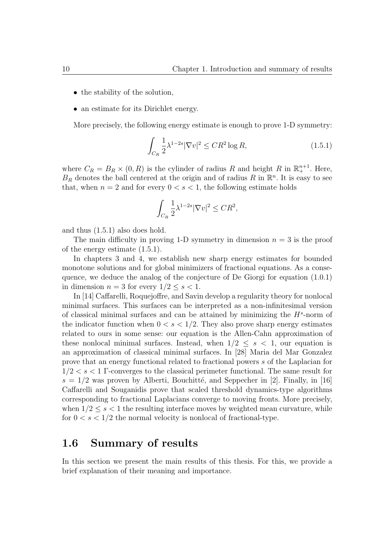- the stability of the solution,
- an estimate for its Dirichlet energy.

More precisely, the following energy estimate is enough to prove 1-D symmetry:

$$
\int_{C_R} \frac{1}{2} \lambda^{1-2s} |\nabla v|^2 \le C R^2 \log R,\tag{1.5.1}
$$

where  $C_R = B_R \times (0, R)$  is the cylinder of radius R and height R in  $\mathbb{R}^{n+1}_+$ . Here,  $B_R$  denotes the ball centered at the origin and of radius  $R$  in  $\mathbb{R}^n$ . It is easy to see that, when  $n = 2$  and for every  $0 \lt s \lt 1$ , the following estimate holds

$$
\int_{C_R} \frac{1}{2} \lambda^{1-2s} |\nabla v|^2 \leq C R^2,
$$

and thus (1.5.1) also does hold.

The main difficulty in proving 1-D symmetry in dimension  $n = 3$  is the proof of the energy estimate (1.5.1).

In chapters 3 and 4, we establish new sharp energy estimates for bounded monotone solutions and for global minimizers of fractional equations. As a consequence, we deduce the analog of the conjecture of De Giorgi for equation (1.0.1) in dimension  $n = 3$  for every  $1/2 \leq s < 1$ .

In [14] Caffarelli, Roquejoffre, and Savin develop a regularity theory for nonlocal minimal surfaces. This surfaces can be interpreted as a non-infinitesimal version of classical minimal surfaces and can be attained by minimizing the *H<sup>s</sup>* -norm of the indicator function when  $0 < s < 1/2$ . They also prove sharp energy estimates related to ours in some sense: our equation is the Allen-Cahn approximation of these nonlocal minimal surfaces. Instead, when  $1/2 \leq s \leq 1$ , our equation is an approximation of classical minimal surfaces. In [28] Maria del Mar Gonzalez prove that an energy functional related to fractional powers *s* of the Laplacian for 1*/*2 *< s <* 1 Γ-converges to the classical perimeter functional. The same result for  $s = 1/2$  was proven by Alberti, Bouchitté, and Seppecher in [2]. Finally, in [16] Caffarelli and Souganidis prove that scaled threshold dynamics-type algorithms corresponding to fractional Laplacians converge to moving fronts. More precisely, when  $1/2 \leq s \leq 1$  the resulting interface moves by weighted mean curvature, while for  $0 < s < 1/2$  the normal velocity is nonlocal of fractional-type.

#### **1.6 Summary of results**

In this section we present the main results of this thesis. For this, we provide a brief explanation of their meaning and importance.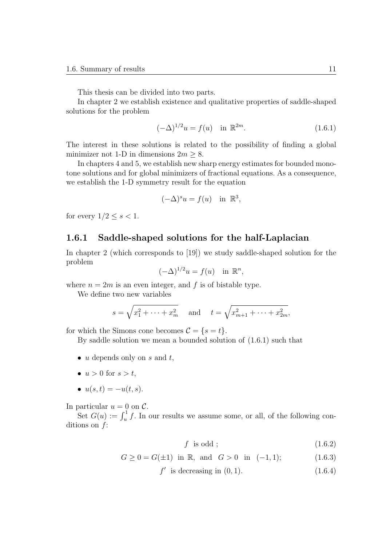This thesis can be divided into two parts.

In chapter 2 we establish existence and qualitative properties of saddle-shaped solutions for the problem

$$
(-\Delta)^{1/2}u = f(u) \quad \text{in } \mathbb{R}^{2m}.
$$
 (1.6.1)

The interest in these solutions is related to the possibility of finding a global minimizer not 1-D in dimensions  $2m \geq 8$ .

In chapters 4 and 5, we establish new sharp energy estimates for bounded monotone solutions and for global minimizers of fractional equations. As a consequence, we establish the 1-D symmetry result for the equation

$$
(-\Delta)^s u = f(u) \quad \text{in } \mathbb{R}^3,
$$

for every  $1/2 \leq s < 1$ .

#### **1.6.1 Saddle-shaped solutions for the half-Laplacian**

In chapter 2 (which corresponds to [19]) we study saddle-shaped solution for the problem

$$
(-\Delta)^{1/2}u = f(u) \text{ in } \mathbb{R}^n,
$$

where  $n = 2m$  is an even integer, and f is of bistable type.

We define two new variables

$$
s = \sqrt{x_1^2 + \dots + x_m^2}
$$
 and  $t = \sqrt{x_{m+1}^2 + \dots + x_{2m}^2}$ ,

for which the Simons cone becomes  $\mathcal{C} = \{s = t\}.$ 

By saddle solution we mean a bounded solution of (1.6.1) such that

- *• u* depends only on *s* and *t*,
- $u > 0$  for  $s > t$ ,
- $u(s,t) = -u(t,s)$ .

In particular  $u = 0$  on  $\mathcal{C}$ .

Set  $G(u) := \int_u^1 f$ . In our results we assume some, or all, of the following conditions on *f*:

$$
f \text{ is odd}; \qquad (1.6.2)
$$

 $G > 0 = G(\pm 1)$  in R, and  $G > 0$  in  $(-1, 1)$ ; (1.6.3)

 $f'$  is decreasing in  $(0, 1)$ *.* (1.6.4)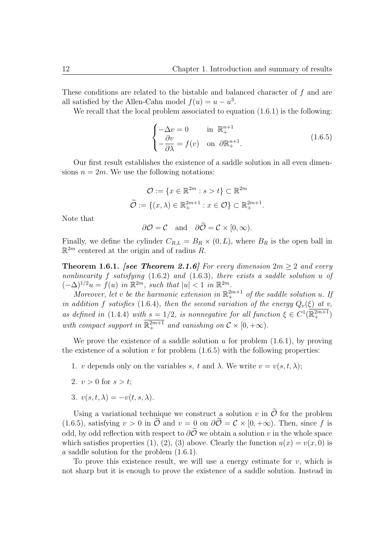These conditions are related to the bistable and balanced character of *f* and are all satisfied by the Allen-Cahn model  $f(u) = u - u^3$ .

We recall that the local problem associated to equation  $(1.6.1)$  is the following:

$$
\begin{cases}\n-\Delta v = 0 & \text{in } \mathbb{R}^{n+1}_+ \\
-\frac{\partial v}{\partial \lambda} = f(v) & \text{on } \partial \mathbb{R}^{n+1}_+.\n\end{cases}
$$
\n(1.6.5)

Our first result establishes the existence of a saddle solution in all even dimensions  $n = 2m$ . We use the following notations:

$$
\mathcal{O} := \{ x \in \mathbb{R}^{2m} : s > t \} \subset \mathbb{R}^{2m}
$$

$$
\widetilde{\mathcal{O}} := \{ (x, \lambda) \in \mathbb{R}^{2m+1}_+ : x \in \mathcal{O} \} \subset \mathbb{R}^{2m+1}_+.
$$

Note that

$$
\partial \mathcal{O} = \mathcal{C}
$$
 and  $\partial \mathcal{O} = \mathcal{C} \times [0, \infty)$ .

Finally, we define the cylinder  $C_{R,L} = B_R \times (0, L)$ , where  $B_R$  is the open ball in R <sup>2</sup>*<sup>m</sup>* centered at the origin and of radius *R*.

**Theorem 1.6.1.** *[see Theorem 2.1.6] For every dimension*  $2m \geq 2$  *and every nonlinearity f satisfying* (1.6.2) *and* (1.6.3)*, there exists a saddle solution u of*  $(-\Delta)^{1/2}u = f(u)$  *in*  $\mathbb{R}^{2m}$ *, such that*  $|u| < 1$  *in*  $\mathbb{R}^{2m}$ *.* 

*Moreover, let v be the harmonic extension in*  $\mathbb{R}^{2m+1}$  *of the saddle solution u. If in addition f satisfies* (1.6.4)*, then the second variation of the energy*  $Q_v(\xi)$  *at v, as defined in* (1.4.4) *with*  $s = 1/2$ *, is nonnegative for all function*  $\xi \in C^1(\mathbb{R}^{2m+1}_+)$ with compact support in  $\mathbb{R}^{2m+1}$  and vanishing on  $\mathcal{C} \times [0, +\infty)$ .

We prove the existence of a saddle solution *u* for problem (1.6.1), by proving the existence of a solution  $v$  for problem  $(1.6.5)$  with the following properties:

- 1. *v* depends only on the variables *s*, *t* and  $\lambda$ . We write  $v = v(s, t, \lambda)$ ;
- 2.  $v > 0$  for  $s > t$ ;
- 3.  $v(s,t,\lambda) = -v(t,s,\lambda)$ .

Using a variational technique we construct a solution  $v$  in  $\tilde{\mathcal{O}}$  for the problem (1.6.5), satisfying  $v > 0$  in  $\tilde{\mathcal{O}}$  and  $v = 0$  on  $\partial \tilde{\mathcal{O}} = \mathcal{C} \times [0, +\infty)$ . Then, since f is odd, by odd reflection with respect to  $\partial \tilde{\mathcal{O}}$  we obtain a solution *v* in the whole space which satisfies properties (1), (2), (3) above. Clearly the function  $u(x) = v(x, 0)$  is a saddle solution for the problem (1.6.1).

To prove this existence result, we will use a energy estimate for *v*, which is not sharp but it is enough to prove the existence of a saddle solution. Instead in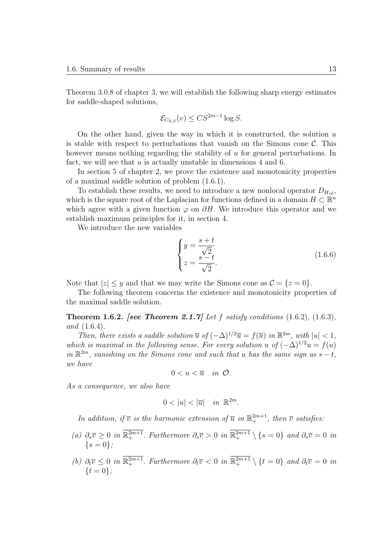Theorem 3.0.8 of chapter 3, we will establish the following sharp energy estimates for saddle-shaped solutions,

$$
\mathcal{E}_{C_{S,S}}(v) \leq C S^{2m-1} \log S.
$$

On the other hand, given the way in which it is constructed, the solution *u* is stable with respect to perturbations that vanish on the Simons cone  $\mathcal{C}$ . This however means nothing regarding the stability of *u* for general perturbations. In fact, we will see that *u* is actually unstable in dimensions 4 and 6.

In section 5 of chapter 2, we prove the existence and monotonicity properties of a maximal saddle solution of problem (1.6.1).

To establish these results, we need to introduce a new nonlocal operator  $D_{H,\varphi}$ , which is the square root of the Laplacian for functions defined in a domain  $H \subset \mathbb{R}^n$ which agree with a given function  $\varphi$  on  $\partial H$ . We introduce this operator and we establish maximum principles for it, in section 4.

We introduce the new variables

$$
\begin{cases}\n y = \frac{s+t}{\sqrt{2}} \\
 z = \frac{s-t}{\sqrt{2}}.\n \end{cases}
$$
\n(1.6.6)

Note that  $|z| \leq y$  and that we may write the Simons cone as  $\mathcal{C} = \{z = 0\}.$ 

The following theorem concerns the existence and monotonicity properties of the maximal saddle solution.

**Theorem 1.6.2.** *[see Theorem 2.1.7] Let f satisfy conditions* (1.6.2)*,* (1.6.3)*, and* (1.6.4)*.*

*Then, there exists a saddle solution*  $\overline{u}$  *of*  $(-\Delta)^{1/2}\overline{u} = f(\overline{u})$  *in*  $\mathbb{R}^{2m}$ *, with*  $|u| < 1$ *, which is maximal in the following sense. For every solution u* of  $(-\Delta)^{1/2}u = f(u)$  $in \mathbb{R}^{2m}$ , vanishing on the Simons cone and such that *u* has the same sign as  $s - t$ , *we have*

$$
0
$$

*As a consequence, we also have*

$$
0 < |u| < |\overline{u}| \quad in \ \mathbb{R}^{2m}.
$$

*In addition, if*  $\overline{v}$  *is the harmonic extension of*  $\overline{u}$  *in*  $\mathbb{R}^{2m+1}$ *, then*  $\overline{v}$  *satisfies:* 

- (a)  $\partial_s \overline{v} \geq 0$  in  $\mathbb{R}^{2m+1}_+$ . Furthermore  $\partial_s \overline{v} > 0$  in  $\mathbb{R}^{2m+1}_+ \setminus \{s = 0\}$  and  $\partial_s \overline{v} = 0$  in *{s* = 0*};*
- (b)  $\partial_t \overline{v} \leq 0$  in  $\mathbb{R}^{2m+1}_+$ . Furthermore  $\partial_t \overline{v} < 0$  in  $\mathbb{R}^{2m+1}_+ \setminus \{t = 0\}$  and  $\partial_t \overline{v} = 0$  in *{t* = 0*};*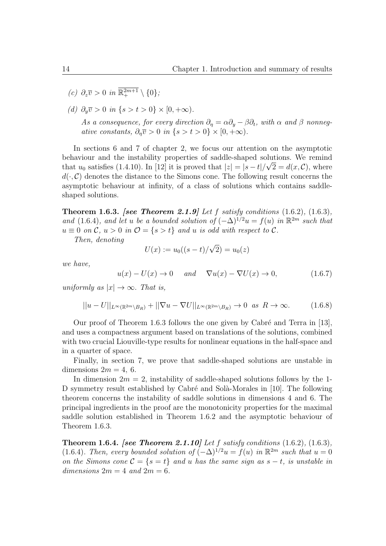- *(c)*  $\partial_z \overline{v} > 0$  *in*  $\mathbb{R}^{2m+1}_+ \setminus \{0\}$ *;*
- *(d)*  $\partial_y \overline{v} > 0$  *in* {*s* > *t* > 0} × [0, +∞).

*As a consequence, for every direction*  $\partial_{\eta} = \alpha \partial_{y} - \beta \partial_{t}$ , with  $\alpha$  and  $\beta$  nonneg*ative constants,*  $\partial_n \overline{v} > 0$  *in*  $\{s > t > 0\} \times [0, +\infty)$ .

In sections 6 and 7 of chapter 2, we focus our attention on the asymptotic behaviour and the instability properties of saddle-shaped solutions. We remind *√* that  $u_0$  satisfies (1.4.10). In [12] it is proved that  $|z| = |s - t|/\sqrt{2} = d(x, C)$ , where  $d(\cdot, \mathcal{C})$  denotes the distance to the Simons cone. The following result concerns the asymptotic behaviour at infinity, of a class of solutions which contains saddleshaped solutions.

**Theorem 1.6.3.** *[see Theorem 2.1.9] Let f satisfy conditions* (1.6.2)*,* (1.6.3)*, and* (1.6.4)*, and let u be a bounded solution of*  $(-\Delta)^{1/2}u = f(u)$  *in*  $\mathbb{R}^{2m}$  *such that*  $u \equiv 0$  *on*  $C$ *,*  $u > 0$  *in*  $\mathcal{O} = \{s > t\}$  *and u is odd with respect to C.* 

*Then, denoting*

$$
U(x) := u_0((s-t)/\sqrt{2}) = u_0(z)
$$

*we have,*

$$
u(x) - U(x) \to 0 \quad and \quad \nabla u(x) - \nabla U(x) \to 0,
$$
\n(1.6.7)

*uniformly as*  $|x| \to \infty$ *. That is,* 

$$
||u - U||_{L^{\infty}(\mathbb{R}^{2m} \setminus B_R)} + ||\nabla u - \nabla U||_{L^{\infty}(\mathbb{R}^{2m} \setminus B_R)} \to 0 \text{ as } R \to \infty.
$$
 (1.6.8)

Our proof of Theorem 1.6.3 follows the one given by Cabré and Terra in  $[13]$ , and uses a compactness argument based on translations of the solutions, combined with two crucial Liouville-type results for nonlinear equations in the half-space and in a quarter of space.

Finally, in section 7, we prove that saddle-shaped solutions are unstable in dimensions  $2m = 4, 6$ .

In dimension  $2m = 2$ , instability of saddle-shaped solutions follows by the 1-D symmetry result established by Cabré and Solà-Morales in [10]. The following theorem concerns the instability of saddle solutions in dimensions 4 and 6. The principal ingredients in the proof are the monotonicity properties for the maximal saddle solution established in Theorem 1.6.2 and the asymptotic behaviour of Theorem 1.6.3.

**Theorem 1.6.4.** *[see Theorem 2.1.10] Let f satisfy conditions* (1.6.2)*,* (1.6.3)*,* (1.6.4)*. Then, every bounded solution of*  $(-\Delta)^{1/2}u = f(u)$  *in*  $\mathbb{R}^{2m}$  *such that*  $u = 0$ *on the Simons cone*  $C = \{s = t\}$  *and u has the same sign as*  $s - t$ *, is unstable in*  $dimensions$   $2m = 4$  and  $2m = 6$ .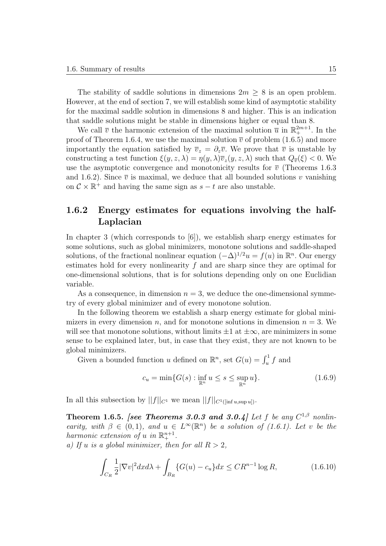The stability of saddle solutions in dimensions  $2m \geq 8$  is an open problem. However, at the end of section 7, we will establish some kind of asymptotic stability for the maximal saddle solution in dimensions 8 and higher. This is an indication that saddle solutions might be stable in dimensions higher or equal than 8.

We call  $\bar{v}$  the harmonic extension of the maximal solution  $\bar{u}$  in  $\mathbb{R}^{2m+1}_+$ . In the proof of Theorem 1.6.4, we use the maximal solution  $\bar{v}$  of problem (1.6.5) and more importantly the equation satisfied by  $\overline{v}_z = \partial_z \overline{v}$ . We prove that  $\overline{v}$  is unstable by constructing a test function  $\xi(y, z, \lambda) = \eta(y, \lambda)\overline{v}_z(y, z, \lambda)$  such that  $Q_{\overline{v}}(\xi) < 0$ . We use the asymptotic convergence and monotonicity results for  $\bar{v}$  (Theorems 1.6.3) and 1.6.2). Since  $\overline{v}$  is maximal, we deduce that all bounded solutions *v* vanishing on  $C \times \mathbb{R}^+$  and having the same sign as  $s - t$  are also unstable.

#### **1.6.2 Energy estimates for equations involving the half-Laplacian**

In chapter 3 (which corresponds to [6]), we establish sharp energy estimates for some solutions, such as global minimizers, monotone solutions and saddle-shaped solutions, of the fractional nonlinear equation  $(-\Delta)^{1/2}u = f(u)$  in  $\mathbb{R}^n$ . Our energy estimates hold for every nonlinearity *f* and are sharp since they are optimal for one-dimensional solutions, that is for solutions depending only on one Euclidian variable.

As a consequence, in dimension  $n = 3$ , we deduce the one-dimensional symmetry of every global minimizer and of every monotone solution.

In the following theorem we establish a sharp energy estimate for global minimizers in every dimension *n*, and for monotone solutions in dimension  $n = 3$ . We will see that monotone solutions, without limits  $\pm 1$  at  $\pm \infty$ , are minimizers in some sense to be explained later, but, in case that they exist, they are not known to be global minimizers.

Given a bounded function *u* defined on  $\mathbb{R}^n$ , set  $G(u) = \int_u^1 f$  and

$$
c_u = \min\{G(s) : \inf_{\mathbb{R}^n} u \le s \le \sup_{\mathbb{R}^n} u\}.
$$
\n(1.6.9)

In all this subsection by  $||f||_{C^1}$  we mean  $||f||_{C^1(\text{inf } u, \text{sup } u)}$ .

**Theorem 1.6.5.** *[see Theorems 3.0.3 and 3.0.4] Let f be any*  $C^{1,\beta}$  *nonlinearity, with*  $\beta \in (0,1)$ *, and*  $u \in L^{\infty}(\mathbb{R}^n)$  *be a solution of (1.6.1). Let v be the harmonic extension of u in*  $\mathbb{R}^{n+1}_+$ .

*a)* If *u is a global minimizer, then for all*  $R > 2$ ,

$$
\int_{C_R} \frac{1}{2} |\nabla v|^2 dx d\lambda + \int_{B_R} \{ G(u) - c_u \} dx \le C R^{n-1} \log R,
$$
\n(1.6.10)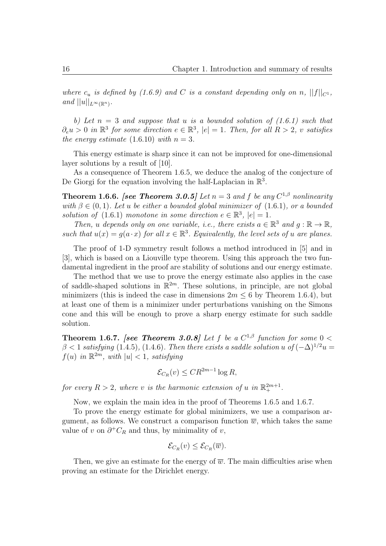*where*  $c_u$  *is defined by* (1.6.9) and *C is a constant depending only on n*,  $||f||_{C^1}$ ,  $and$   $||u||_{L^{\infty}(\mathbb{R}^n)}$ .

*b) Let n* = 3 *and suppose that u is a bounded solution of (1.6.1) such that*  $\partial_e u > 0$  *in*  $\mathbb{R}^3$  *for some direction*  $e \in \mathbb{R}^3$ ,  $|e| = 1$ *. Then, for all*  $R > 2$ *, v satisfies the energy estimate*  $(1.6.10)$  *with*  $n = 3$ *.* 

This energy estimate is sharp since it can not be improved for one-dimensional layer solutions by a result of [10].

As a consequence of Theorem 1.6.5, we deduce the analog of the conjecture of De Giorgi for the equation involving the half-Laplacian in  $\mathbb{R}^3$ .

**Theorem 1.6.6.** *[see Theorem 3.0.5] Let*  $n = 3$  *and*  $f$  *be any*  $C^{1,\beta}$  *nonlinearity with*  $\beta \in (0,1)$ *. Let u be either a bounded global minimizer of* (1.6.1)*, or a bounded solution of*  $(1.6.1)$  *monotone in some direction*  $e \in \mathbb{R}^3$ ,  $|e| = 1$ *.* 

*Then, u depends* only on one variable, *i.e., there exists*  $a \in \mathbb{R}^3$  *and*  $g : \mathbb{R} \to \mathbb{R}$ *, such that*  $u(x) = g(a \cdot x)$  *for all*  $x \in \mathbb{R}^3$ *. Equivalently, the level sets of u are planes.* 

The proof of 1-D symmetry result follows a method introduced in [5] and in [3], which is based on a Liouville type theorem. Using this approach the two fundamental ingredient in the proof are stability of solutions and our energy estimate.

The method that we use to prove the energy estimate also applies in the case of saddle-shaped solutions in R <sup>2</sup>*<sup>m</sup>.* These solutions, in principle, are not global minimizers (this is indeed the case in dimensions  $2m \leq 6$  by Theorem 1.6.4), but at least one of them is a minimizer under perturbations vanishing on the Simons cone and this will be enough to prove a sharp energy estimate for such saddle solution.

**Theorem 1.6.7.** *[see Theorem 3.0.8] Let*  $f$  *be a*  $C^{1,\beta}$  *function for some*  $0 <$  $\beta$  < 1 *satisfying* (1.4.5)*,* (1.4.6)*. Then there exists a saddle solution u of*  $(-\Delta)^{1/2}u$  $f(u)$  *in*  $\mathbb{R}^{2m}$ *, with*  $|u| < 1$ *, satisfying* 

$$
\mathcal{E}_{C_R}(v) \leq C R^{2m-1} \log R,
$$

*for every*  $R > 2$ , where *v is the harmonic extension of u in*  $\mathbb{R}^{2m+1}_+$ .

Now, we explain the main idea in the proof of Theorems 1.6.5 and 1.6.7.

To prove the energy estimate for global minimizers, we use a comparison argument, as follows. We construct a comparison function  $\overline{w}$ , which takes the same value of *v* on  $\partial^+ C_R$  and thus, by minimality of *v*,

$$
\mathcal{E}_{C_R}(v) \leq \mathcal{E}_{C_R}(\overline{w}).
$$

Then, we give an estimate for the energy of  $\overline{w}$ . The main difficulties arise when proving an estimate for the Dirichlet energy.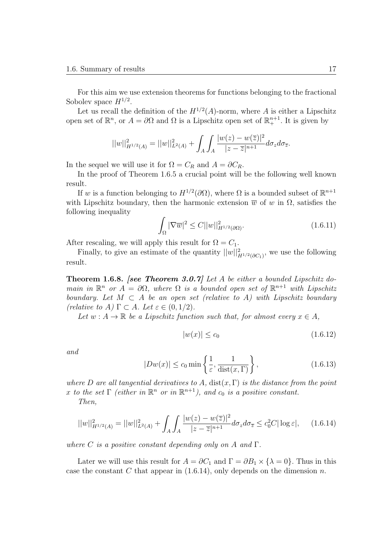For this aim we use extension theorems for functions belonging to the fractional Sobolev space *H*<sup>1</sup>*/*<sup>2</sup> .

Let us recall the definition of the  $H^{1/2}(A)$ -norm, where A is either a Lipschitz open set of  $\mathbb{R}^n$ , or  $A = \partial\Omega$  and  $\Omega$  is a Lipschitz open set of  $\mathbb{R}^{n+1}_+$ . It is given by

$$
||w||_{H^{1/2}(A)}^2 = ||w||_{L^2(A)}^2 + \int_A \int_A \frac{|w(z) - w(\overline{z})|^2}{|z - \overline{z}|^{n+1}} d\sigma_z d\sigma_{\overline{z}}.
$$

In the sequel we will use it for  $\Omega = C_R$  and  $A = \partial C_R$ .

In the proof of Theorem 1.6.5 a crucial point will be the following well known result.

If *w* is a function belonging to  $H^{1/2}(\partial\Omega)$ , where  $\Omega$  is a bounded subset of  $\mathbb{R}^{n+1}$ with Lipschitz boundary, then the harmonic extension  $\overline{w}$  of *w* in  $\Omega$ , satisfies the following inequality

$$
\int_{\Omega} |\nabla \overline{w}|^2 \le C ||w||_{H^{1/2}(\partial \Omega)}^2.
$$
\n(1.6.11)

After rescaling, we will apply this result for  $\Omega = C_1$ .

Finally, to give an estimate of the quantity  $||w||_{H^{1/2}(\partial C_1)}^2$ , we use the following result.

**Theorem 1.6.8.** *[see Theorem 3.0.7] Let A be either a bounded Lipschitz domain in*  $\mathbb{R}^n$  *or*  $A = \partial \Omega$ *, where*  $\Omega$  *is a bounded open set of*  $\mathbb{R}^{n+1}$  *with Lipschitz boundary. Let*  $M \subset A$  *be an open set (relative to*  $A$ *) with Lipschitz boundary (relative to A)*  $\Gamma \subset A$ *. Let*  $\varepsilon \in (0,1/2)$ *.* 

*Let*  $w : A \to \mathbb{R}$  *be a Lipschitz function such that, for almost every*  $x \in A$ ,

$$
|w(x)| \le c_0 \tag{1.6.12}
$$

*and*

$$
|Dw(x)| \le c_0 \min\left\{\frac{1}{\varepsilon}, \frac{1}{\text{dist}(x, \Gamma)}\right\},\tag{1.6.13}
$$

*where D* are all tangential derivatives to A,  $dist(x, \Gamma)$  is the distance from the point *x to the set*  $\Gamma$  *(either in*  $\mathbb{R}^n$  *or in*  $\mathbb{R}^{n+1}$ *), and c*<sub>0</sub> *is a positive constant.* 

*Then,*

$$
||w||_{H^{1/2}(A)}^2 = ||w||_{L^2(A)}^2 + \int_A \int_A \frac{|w(z) - w(\overline{z})|^2}{|z - \overline{z}|^{n+1}} d\sigma_z d\sigma_{\overline{z}} \le c_0^2 C |\log \varepsilon|, \quad (1.6.14)
$$

*where C is a positive constant depending only on A and* Γ*.*

Later we will use this result for  $A = \partial C_1$  and  $\Gamma = \partial B_1 \times \{\lambda = 0\}$ . Thus in this case the constant  $C$  that appear in  $(1.6.14)$ , only depends on the dimension  $n$ .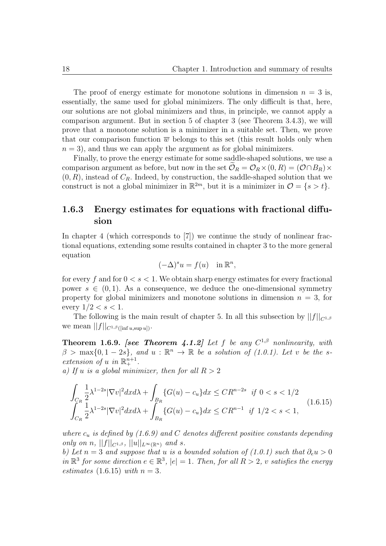The proof of energy estimate for monotone solutions in dimension  $n = 3$  is, essentially, the same used for global minimizers. The only difficult is that, here, our solutions are not global minimizers and thus, in principle, we cannot apply a comparison argument. But in section 5 of chapter 3 (see Theorem 3.4.3), we will prove that a monotone solution is a minimizer in a suitable set. Then, we prove that our comparison function  $\overline{w}$  belongs to this set (this result holds only when  $n = 3$ , and thus we can apply the argument as for global minimizers.

Finally, to prove the energy estimate for some saddle-shaped solutions, we use a comparison argument as before, but now in the set  $\mathcal{O}_R = \mathcal{O}_R \times (0, R) = (\mathcal{O} \cap B_R) \times$  $(0, R)$ , instead of  $C_R$ . Indeed, by construction, the saddle-shaped solution that we construct is not a global minimizer in  $\mathbb{R}^{2m}$ , but it is a minimizer in  $\mathcal{O} = \{s > t\}$ .

#### **1.6.3 Energy estimates for equations with fractional diffusion**

In chapter 4 (which corresponds to [7]) we continue the study of nonlinear fractional equations, extending some results contained in chapter 3 to the more general equation

$$
(-\Delta)^s u = f(u) \quad \text{in } \mathbb{R}^n,
$$

for every *f* and for 0 *< s <* 1. We obtain sharp energy estimates for every fractional power  $s \in (0,1)$ . As a consequence, we deduce the one-dimensional symmetry property for global minimizers and monotone solutions in dimension  $n = 3$ , for every  $1/2 < s < 1$ .

The following is the main result of chapter 5. In all this subsection by  $||f||_{C^{1,\beta}}$ we mean  $||f||_{C^{1,\beta}(\text{inf } u, \text{sup } u)}$ .

**Theorem 1.6.9.** *[see Theorem 4.1.2] Let f be any C* <sup>1</sup>*,β nonlinearity, with*  $\beta$  > max $\{0, 1-2s\}$ , and  $u : \mathbb{R}^n \to \mathbb{R}$  *be a solution of (1.0.1). Let v be the sextension of u in*  $\mathbb{R}^{n+1}_+$ *.* 

*a)* If *u is a global minimizer, then for all*  $R > 2$ 

$$
\int_{C_R} \frac{1}{2} \lambda^{1-2s} |\nabla v|^2 dx d\lambda + \int_{B_R} \{G(u) - c_u\} dx \leq C R^{n-2s} \quad \text{if } 0 < s < 1/2
$$
\n
$$
\int_{C_R} \frac{1}{2} \lambda^{1-2s} |\nabla v|^2 dx d\lambda + \int_{B_R} \{G(u) - c_u\} dx \leq C R^{n-1} \quad \text{if } 1/2 < s < 1,
$$
\n
$$
(1.6.15)
$$

*where c<sup>u</sup> is defined by (1.6.9) and C denotes different positive constants depending only on n*,  $||f||_{C^{1,\beta}}$ ,  $||u||_{L^{\infty}(\mathbb{R}^n)}$  *and s.* 

*b)* Let  $n = 3$  and suppose that *u is a bounded solution of (1.0.1) such that*  $\partial_e u > 0$  $in \mathbb{R}^3$  *for some direction*  $e \in \mathbb{R}^3$ ,  $|e| = 1$ *. Then, for all*  $R > 2$ *, v satisfies the energy estimates* (1.6.15) *with*  $n = 3$ .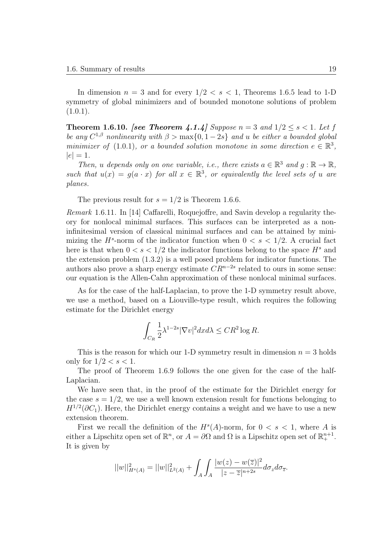In dimension  $n = 3$  and for every  $1/2 < s < 1$ , Theorems 1.6.5 lead to 1-D symmetry of global minimizers and of bounded monotone solutions of problem  $(1.0.1).$ 

**Theorem 1.6.10.** *[see Theorem 4.1.4] Suppose*  $n = 3$  *and*  $1/2 \le s < 1$ *. Let f be any*  $C^{1,\beta}$  *nonlinearity with*  $\beta > \max\{0, 1-2s\}$  *and u be either a bounded global minimizer of* (1.0.1)*, or a bounded solution monotone in some direction*  $e \in \mathbb{R}^3$ *,*  $|e| = 1$ .

*Then, u depends* only on one variable, *i.e., there exists*  $a \in \mathbb{R}^3$  *and*  $g : \mathbb{R} \to \mathbb{R}$ *, such that*  $u(x) = g(a \cdot x)$  *for all*  $x \in \mathbb{R}^3$ , *or equivalently the level sets of u are planes.*

The previous result for  $s = 1/2$  is Theorem 1.6.6.

*Remark* 1.6.11*.* In [14] Caffarelli, Roquejoffre, and Savin develop a regularity theory for nonlocal minimal surfaces. This surfaces can be interpreted as a noninfinitesimal version of classical minimal surfaces and can be attained by minimizing the  $H^s$ -norm of the indicator function when  $0 < s < 1/2$ . A crucial fact here is that when  $0 < s < 1/2$  the indicator functions belong to the space  $H^s$  and the extension problem (1.3.2) is a well posed problem for indicator functions. The authors also prove a sharp energy estimate  $CR^{n-2s}$  related to ours in some sense: our equation is the Allen-Cahn approximation of these nonlocal minimal surfaces.

As for the case of the half-Laplacian, to prove the 1-D symmetry result above, we use a method, based on a Liouville-type result, which requires the following estimate for the Dirichlet energy

$$
\int_{C_R} \frac{1}{2} \lambda^{1-2s} |\nabla v|^2 dx d\lambda \leq C R^2 \log R.
$$

This is the reason for which our 1-D symmetry result in dimension  $n = 3$  holds only for  $1/2 < s < 1$ .

The proof of Theorem 1.6.9 follows the one given for the case of the half-Laplacian.

We have seen that, in the proof of the estimate for the Dirichlet energy for the case  $s = 1/2$ , we use a well known extension result for functions belonging to  $H^{1/2}(\partial C_1)$ . Here, the Dirichlet energy contains a weight and we have to use a new extension theorem.

First we recall the definition of the  $H^s(A)$ -norm, for  $0 < s < 1$ , where A is either a Lipschitz open set of  $\mathbb{R}^n$ , or  $A = \partial\Omega$  and  $\Omega$  is a Lipschitz open set of  $\mathbb{R}^{n+1}_+$ . It is given by

$$
||w||_{H^{s}(A)}^{2} = ||w||_{L^{2}(A)}^{2} + \int_{A} \int_{A} \frac{|w(z) - w(\overline{z})|^{2}}{|z - \overline{z}|^{n+2s}} d\sigma_{z} d\sigma_{\overline{z}}.
$$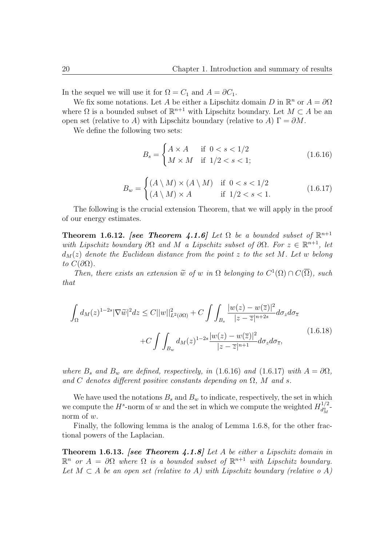In the sequel we will use it for  $\Omega = C_1$  and  $A = \partial C_1$ .

We fix some notations. Let *A* be either a Lipschitz domain *D* in  $\mathbb{R}^n$  or  $A = \partial\Omega$ where  $\Omega$  is a bounded subset of  $\mathbb{R}^{n+1}$  with Lipschitz boundary. Let  $M \subset A$  be an open set (relative to *A*) with Lipschitz boundary (relative to *A*)  $\Gamma = \partial M$ .

We define the following two sets:

$$
B_s = \begin{cases} A \times A & \text{if } 0 < s < 1/2 \\ M \times M & \text{if } 1/2 < s < 1; \end{cases}
$$
 (1.6.16)

$$
B_w = \begin{cases} (A \setminus M) \times (A \setminus M) & \text{if } 0 < s < 1/2 \\ (A \setminus M) \times A & \text{if } 1/2 < s < 1. \end{cases} \tag{1.6.17}
$$

The following is the crucial extension Theorem, that we will apply in the proof of our energy estimates.

**Theorem 1.6.12.** *[see Theorem 4.1.6] Let*  $\Omega$  *be a bounded subset of*  $\mathbb{R}^{n+1}$ *with Lipschitz boundary*  $\partial \Omega$  *and*  $M$  *a Lipschitz subset of*  $\partial \Omega$ *. For*  $z \in \mathbb{R}^{n+1}$ *, let*  $d_M(z)$  *denote the Euclidean distance from the point z to the set M. Let w belong to*  $C(\partial\Omega)$ *.* 

*Then, there exists an extension*  $\widetilde{w}$  *of w in*  $\Omega$  *belonging to*  $C^1(\Omega) \cap C(\overline{\Omega})$ *, such that*

$$
\int_{\Omega} d_{M}(z)^{1-2s} |\nabla \widetilde{w}|^{2} dz \leq C ||w||_{L^{2}(\partial \Omega)}^{2} + C \int \int_{B_{s}} \frac{|w(z) - w(\overline{z})|^{2}}{|z - \overline{z}|^{n+2s}} d\sigma_{z} d\sigma_{\overline{z}} + C \int \int_{B_{w}} d_{M}(z)^{1-2s} \frac{|w(z) - w(\overline{z})|^{2}}{|z - \overline{z}|^{n+1}} d\sigma_{z} d\sigma_{\overline{z}},
$$
\n(1.6.18)

*where*  $B_s$  *and*  $B_w$  *are defined, respectively, in* (1.6.16) *and* (1.6.17) *with*  $A = \partial \Omega$ *,* and *C* denotes different positive constants depending on  $\Omega$ , *M* and *s*.

We have used the notations  $B_s$  and  $B_w$  to indicate, respectively, the set in which we compute the  $H^s$ -norm of *w* and the set in which we compute the weighted  $H_{d^a}^{1/2}$  $\frac{d^{a}_{M}}{d^{a}_{M}}$ norm of *w*.

Finally, the following lemma is the analog of Lemma 1.6.8, for the other fractional powers of the Laplacian.

**Theorem 1.6.13.** *[see Theorem 4.1.8] Let A be either a Lipschitz domain in*  $\mathbb{R}^n$  *or*  $A = \partial \Omega$  *where*  $\Omega$  *is a bounded subset of*  $\mathbb{R}^{n+1}$  *with Lipschitz boundary.* Let  $M \subset A$  be an open set (relative to  $A$ ) with Lipschitz boundary (relative o  $A$ )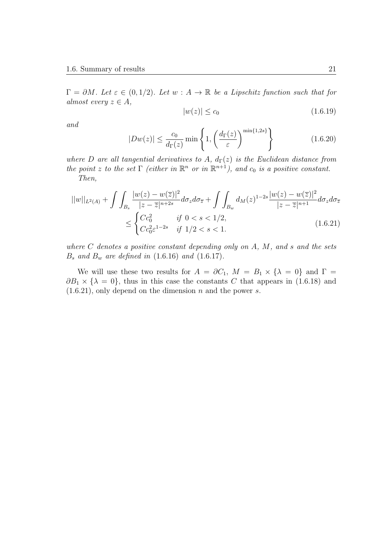$\Gamma = \partial M$ *. Let*  $\varepsilon \in (0, 1/2)$ *. Let*  $w : A \to \mathbb{R}$  *be a Lipschitz function such that for almost every*  $z \in A$ *,* 

$$
|w(z)| \le c_0 \tag{1.6.19}
$$

*and*

$$
|Dw(z)| \le \frac{c_0}{d_{\Gamma}(z)} \min\left\{1, \left(\frac{d_{\Gamma}(z)}{\varepsilon}\right)^{\min\{1, 2s\}}\right\} \tag{1.6.20}
$$

*where D* are all tangential derivatives to *A*,  $d_{\Gamma}(z)$  *is the Euclidean distance from the point z to the set*  $\Gamma$  *(either in*  $\mathbb{R}^n$  *or in*  $\mathbb{R}^{n+1}$ *), and*  $c_0$  *is a positive constant. Then,*

$$
||w||_{L^{2}(A)} + \int \int_{B_{s}} \frac{|w(z) - w(\overline{z})|^{2}}{|z - \overline{z}|^{n+2s}} d\sigma_{z} d\sigma_{\overline{z}} + \int \int_{B_{w}} d_{M}(z)^{1-2s} \frac{|w(z) - w(\overline{z})|^{2}}{|z - \overline{z}|^{n+1}} d\sigma_{z} d\sigma_{\overline{z}} \le \begin{cases} Cc_{0}^{2} & \text{if } 0 < s < 1/2, \\ Cc_{0}^{2} \varepsilon^{1-2s} & \text{if } 1/2 < s < 1. \end{cases}
$$
\n(1.6.21)

*where C denotes a positive constant depending only on A, M, and s and the sets B<sup>s</sup> and B<sup>w</sup> are defined in* (1.6.16) *and* (1.6.17)*.*

We will use these two results for  $A = \partial C_1$ ,  $M = B_1 \times \{\lambda = 0\}$  and  $\Gamma =$  $\partial B_1 \times {\lambda = 0}$ , thus in this case the constants *C* that appears in (1.6.18) and (1.6.21), only depend on the dimension *n* and the power *s*.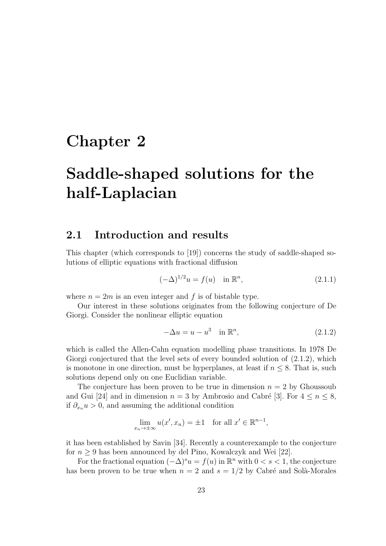## **Chapter 2**

# **Saddle-shaped solutions for the half-Laplacian**

### **2.1 Introduction and results**

This chapter (which corresponds to [19]) concerns the study of saddle-shaped solutions of elliptic equations with fractional diffusion

$$
(-\Delta)^{1/2}u = f(u) \quad \text{in } \mathbb{R}^n,
$$
\n(2.1.1)

where  $n = 2m$  is an even integer and f is of bistable type.

Our interest in these solutions originates from the following conjecture of De Giorgi. Consider the nonlinear elliptic equation

$$
-\Delta u = u - u^3 \quad \text{in } \mathbb{R}^n,
$$
\n(2.1.2)

which is called the Allen-Cahn equation modelling phase transitions. In 1978 De Giorgi conjectured that the level sets of every bounded solution of  $(2.1.2)$ , which is monotone in one direction, must be hyperplanes, at least if  $n \leq 8$ . That is, such solutions depend only on one Euclidian variable.

The conjecture has been proven to be true in dimension  $n = 2$  by Ghoussoub and Gui [24] and in dimension  $n = 3$  by Ambrosio and Cabré [3]. For  $4 \le n \le 8$ , if  $\partial_{x_n} u > 0$ , and assuming the additional condition

$$
\lim_{x_n \to \pm \infty} u(x', x_n) = \pm 1 \quad \text{for all } x' \in \mathbb{R}^{n-1},
$$

it has been established by Savin [34]. Recently a counterexample to the conjecture for  $n \geq 9$  has been announced by del Pino, Kowalczyk and Wei [22].

For the fractional equation  $(-\Delta)^s u = f(u)$  in  $\mathbb{R}^n$  with  $0 < s < 1$ , the conjecture has been proven to be true when  $n = 2$  and  $s = 1/2$  by Cabré and Solà-Morales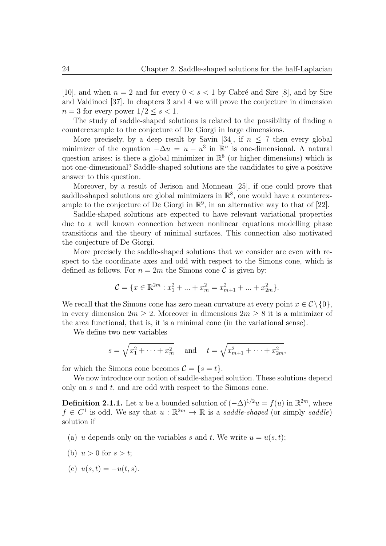[10], and when  $n = 2$  and for every  $0 \lt s \lt 1$  by Cabré and Sire [8], and by Sire and Valdinoci [37]. In chapters 3 and 4 we will prove the conjecture in dimension  $n = 3$  for every power  $1/2 \leq s \leq 1$ .

The study of saddle-shaped solutions is related to the possibility of finding a counterexample to the conjecture of De Giorgi in large dimensions.

More precisely, by a deep result by Savin [34], if  $n \leq 7$  then every global minimizer of the equation  $-\Delta u = u - u^3$  in  $\mathbb{R}^n$  is one-dimensional. A natural question arises: is there a global minimizer in  $\mathbb{R}^8$  (or higher dimensions) which is not one-dimensional? Saddle-shaped solutions are the candidates to give a positive answer to this question.

Moreover, by a result of Jerison and Monneau [25], if one could prove that saddle-shaped solutions are global minimizers in  $\mathbb{R}^8$ , one would have a counterexample to the conjecture of De Giorgi in  $\mathbb{R}^9$ , in an alternative way to that of [22].

Saddle-shaped solutions are expected to have relevant variational properties due to a well known connection between nonlinear equations modelling phase transitions and the theory of minimal surfaces. This connection also motivated the conjecture of De Giorgi.

More precisely the saddle-shaped solutions that we consider are even with respect to the coordinate axes and odd with respect to the Simons cone, which is defined as follows. For  $n = 2m$  the Simons cone C is given by:

$$
\mathcal{C}=\{x\in\mathbb{R}^{2m}: x_1^2+\ldots+x_m^2=x_{m+1}^2+\ldots+x_{2m}^2\}.
$$

We recall that the Simons cone has zero mean curvature at every point  $x \in C \setminus \{0\}$ , in every dimension  $2m \geq 2$ . Moreover in dimensions  $2m \geq 8$  it is a minimizer of the area functional, that is, it is a minimal cone (in the variational sense).

We define two new variables

$$
s = \sqrt{x_1^2 + \dots + x_m^2}
$$
 and  $t = \sqrt{x_{m+1}^2 + \dots + x_{2m}^2}$ ,

for which the Simons cone becomes  $C = \{s = t\}.$ 

We now introduce our notion of saddle-shaped solution. These solutions depend only on *s* and *t*, and are odd with respect to the Simons cone.

**Definition 2.1.1.** Let *u* be a bounded solution of  $(-\Delta)^{1/2}u = f(u)$  in  $\mathbb{R}^{2m}$ , where  $f \in C^1$  is odd. We say that  $u : \mathbb{R}^{2m} \to \mathbb{R}$  is a *saddle-shaped* (or simply *saddle*) solution if

- (a) *u* depends only on the variables *s* and *t*. We write  $u = u(s, t)$ ;
- (b)  $u > 0$  for  $s > t$ ;
- (c)  $u(s,t) = -u(t,s)$ .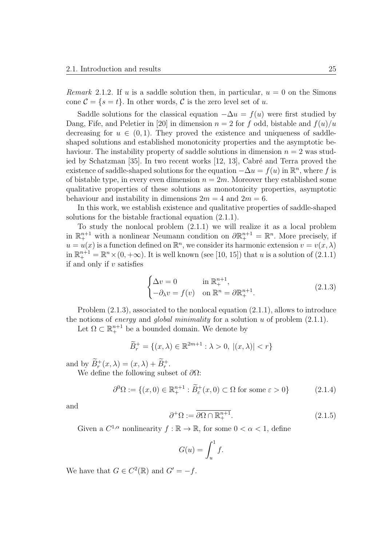*Remark* 2.1.2. If *u* is a saddle solution then, in particular,  $u = 0$  on the Simons cone  $\mathcal{C} = \{s = t\}$ . In other words,  $\mathcal{C}$  is the zero level set of *u*.

Saddle solutions for the classical equation  $-\Delta u = f(u)$  were first studied by Dang, Fife, and Peletier in [20] in dimension  $n = 2$  for f odd, bistable and  $f(u)/u$ decreasing for  $u \in (0,1)$ . They proved the existence and uniqueness of saddleshaped solutions and established monotonicity properties and the asymptotic behaviour. The instability property of saddle solutions in dimension  $n = 2$  was studied by Schatzman  $[35]$ . In two recent works  $[12, 13]$ , Cabré and Terra proved the existence of saddle-shaped solutions for the equation  $-\Delta u = f(u)$  in  $\mathbb{R}^n$ , where *f* is of bistable type, in every even dimension  $n = 2m$ . Moreover they established some qualitative properties of these solutions as monotonicity properties, asymptotic behaviour and instability in dimensions  $2m = 4$  and  $2m = 6$ .

In this work, we establish existence and qualitative properties of saddle-shaped solutions for the bistable fractional equation (2.1.1).

To study the nonlocal problem (2.1.1) we will realize it as a local problem in  $\mathbb{R}^{n+1}_+$  with a nonlinear Neumann condition on  $\partial \mathbb{R}^{n+1}_+ = \mathbb{R}^n$ . More precisely, if  $u = u(x)$  is a function defined on  $\mathbb{R}^n$ , we consider its harmonic extension  $v = v(x, \lambda)$ in  $\mathbb{R}^{n+1}_+ = \mathbb{R}^n \times (0, +\infty)$ . It is well known (see [10, 15]) that *u* is a solution of (2.1.1) if and only if *v* satisfies

$$
\begin{cases} \Delta v = 0 & \text{in } \mathbb{R}^{n+1}_+, \\ -\partial_{\lambda} v = f(v) & \text{on } \mathbb{R}^n = \partial \mathbb{R}^{n+1}_+. \end{cases}
$$
 (2.1.3)

Problem (2.1.3), associated to the nonlocal equation (2.1.1), allows to introduce the notions of *energy* and *global minimality* for a solution *u* of problem (2.1.1).

Let  $\Omega \subset \mathbb{R}^{n+1}_+$  be a bounded domain. We denote by

$$
\widetilde{B}_r^+ = \{(x,\lambda) \in \mathbb{R}^{2m+1} : \lambda > 0, \ |(x,\lambda)| < r\}
$$

and by  $B_r^+(x, \lambda) = (x, \lambda) + B_r^+$ .

We define the following subset of *∂*Ω:

$$
\partial^0 \Omega := \{ (x, 0) \in \mathbb{R}^{n+1}_+ : \widetilde{B}^+_{\varepsilon}(x, 0) \subset \Omega \text{ for some } \varepsilon > 0 \}
$$
 (2.1.4)

and

$$
\partial^+ \Omega := \overline{\partial \Omega \cap \mathbb{R}^{n+1}_+}. \tag{2.1.5}
$$

Given a  $C^{1,\alpha}$  nonlinearity  $f : \mathbb{R} \to \mathbb{R}$ , for some  $0 < \alpha < 1$ , define

$$
G(u) = \int_u^1 f.
$$

We have that  $G \in C^2(\mathbb{R})$  and  $G' = -f$ .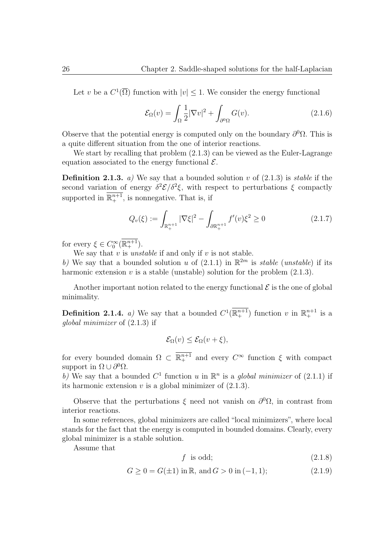Let *v* be a  $C^1(\overline{\Omega})$  function with  $|v| \leq 1$ . We consider the energy functional

$$
\mathcal{E}_{\Omega}(v) = \int_{\Omega} \frac{1}{2} |\nabla v|^2 + \int_{\partial^0 \Omega} G(v). \tag{2.1.6}
$$

Observe that the potential energy is computed only on the boundary  $\partial^0 \Omega$ . This is a quite different situation from the one of interior reactions.

We start by recalling that problem (2*.*1*.*3) can be viewed as the Euler-Lagrange equation associated to the energy functional  $\mathcal{E}$ .

**Definition 2.1.3.** *a)* We say that a bounded solution  $v$  of  $(2.1.3)$  is *stable* if the second variation of energy  $\delta^2 \mathcal{E}/\delta^2 \xi$ , with respect to perturbations  $\xi$  compactly supported in  $\mathbb{R}^{n+1}_+$ , is nonnegative. That is, if

$$
Q_v(\xi) := \int_{\mathbb{R}^{n+1}_+} |\nabla \xi|^2 - \int_{\partial \mathbb{R}^{n+1}_+} f'(v)\xi^2 \ge 0 \tag{2.1.7}
$$

for every  $\xi \in C_0^{\infty}(\mathbb{R}^{n+1}_+).$ 

We say that  $v$  is *unstable* if and only if  $v$  is not stable.

b) We say that a bounded solution *u* of  $(2.1.1)$  in  $\mathbb{R}^{2m}$  is *stable* (*unstable*) if its harmonic extension  $v$  is a stable (unstable) solution for the problem  $(2.1.3)$ .

Another important notion related to the energy functional  $\mathcal E$  is the one of global minimality.

**Definition 2.1.4.** *a*) We say that a bounded  $C^1(\mathbb{R}^{n+1}_+)$  function *v* in  $\mathbb{R}^{n+1}_+$  is a *global minimizer* of (2*.*1*.*3) if

$$
\mathcal{E}_{\Omega}(v) \leq \mathcal{E}_{\Omega}(v+\xi),
$$

for every bounded domain  $\Omega \subset \mathbb{R}^{n+1}$  and every  $C^{\infty}$  function  $\xi$  with compact support in  $\Omega \cup \partial^0 \Omega$ .

b) We say that a bounded  $C^1$  function *u* in  $\mathbb{R}^n$  is a *global minimizer* of (2.1.1) if its harmonic extension  $v$  is a global minimizer of  $(2.1.3)$ .

Observe that the perturbations  $\xi$  need not vanish on  $\partial^0\Omega$ , in contrast from interior reactions.

In some references, global minimizers are called "local minimizers", where local stands for the fact that the energy is computed in bounded domains. Clearly, every global minimizer is a stable solution.

Assume that

$$
f \text{ is odd};\tag{2.1.8}
$$

$$
G \ge 0 = G(\pm 1) \text{ in } \mathbb{R}, \text{ and } G > 0 \text{ in } (-1, 1); \tag{2.1.9}
$$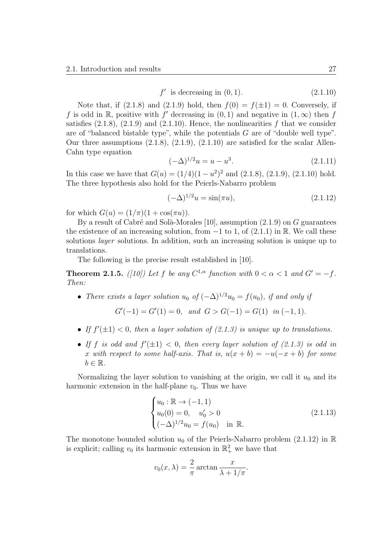$$
f' \text{ is decreasing in } (0, 1). \tag{2.1.10}
$$

Note that, if  $(2.1.8)$  and  $(2.1.9)$  hold, then  $f(0) = f(\pm 1) = 0$ . Conversely, if *f* is odd in R, positive with *f*<sup> $\prime$ </sup> decreasing in  $(0,1)$  and negative in  $(1,\infty)$  then *f* satisfies  $(2.1.8)$ ,  $(2.1.9)$  and  $(2.1.10)$ . Hence, the nonlinearities  $f$  that we consider are of "balanced bistable type", while the potentials *G* are of "double well type". Our three assumptions  $(2.1.8), (2.1.9), (2.1.10)$  are satisfied for the scalar Allen-Cahn type equation

$$
(-\Delta)^{1/2}u = u - u^3. \tag{2.1.11}
$$

In this case we have that  $G(u) = (1/4)(1 - u^2)^2$  and  $(2.1.8)$ ,  $(2.1.9)$ ,  $(2.1.10)$  hold. The three hypothesis also hold for the Peierls-Nabarro problem

$$
(-\Delta)^{1/2}u = \sin(\pi u), \tag{2.1.12}
$$

for which  $G(u) = (1/\pi)(1 + \cos(\pi u)).$ 

By a result of Cabré and Solà-Morales [10], assumption (2.1.9) on *G* guarantees the existence of an increasing solution, from  $-1$  to 1, of  $(2.1.1)$  in R. We call these solutions *layer* solutions. In addition, such an increasing solution is unique up to translations.

The following is the precise result established in [10].

**Theorem 2.1.5.** *([10])* Let *f* be any  $C^{1,\alpha}$  function with  $0 < \alpha < 1$  and  $G' = -f$ . *Then:*

• *There exists a layer solution*  $u_0$  *of*  $(-\Delta)^{1/2}u_0 = f(u_0)$ *, if and only if* 

$$
G'(-1) = G'(1) = 0, and G > G(-1) = G(1) in (-1, 1).
$$

- If  $f'(\pm 1) < 0$ , then a layer solution of  $(2.1.3)$  is unique up to translations.
- If *f* is odd and  $f'(\pm 1) < 0$ , then every layer solution of  $(2.1.3)$  is odd in *x with respect to some half-axis. That is,*  $u(x + b) = -u(-x + b)$  *for some*  $b \in \mathbb{R}$ .

Normalizing the layer solution to vanishing at the origin, we call it  $u_0$  and its harmonic extension in the half-plane  $v_0$ . Thus we have

$$
\begin{cases}\nu_0: \mathbb{R} \to (-1,1) \\
u_0(0) = 0, \quad u'_0 > 0 \\
(-\Delta)^{1/2}u_0 = f(u_0) \quad \text{in } \mathbb{R}.\n\end{cases}
$$
\n(2.1.13)

The monotone bounded solution  $u_0$  of the Peierls-Nabarro problem (2.1.12) in  $\mathbb R$ is explicit; calling  $v_0$  its harmonic extension in  $\mathbb{R}^2_+$  we have that

$$
v_0(x, \lambda) = \frac{2}{\pi} \arctan \frac{x}{\lambda + 1/\pi}.
$$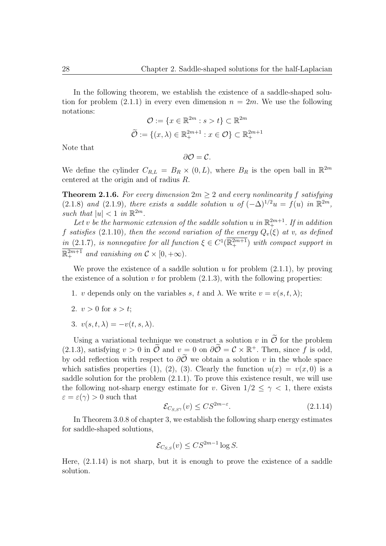In the following theorem, we establish the existence of a saddle-shaped solution for problem  $(2.1.1)$  in every even dimension  $n = 2m$ . We use the following notations:

$$
\mathcal{O} := \{x \in \mathbb{R}^{2m} : s > t\} \subset \mathbb{R}^{2m}
$$

$$
\widetilde{\mathcal{O}} := \{(x, \lambda) \in \mathbb{R}^{2m+1}_+ : x \in \mathcal{O}\} \subset \mathbb{R}^{2m+1}_+
$$

Note that

 $∂*O* = C$ *.* 

We define the cylinder  $C_{R,L} = B_R \times (0, L)$ , where  $B_R$  is the open ball in  $\mathbb{R}^{2m}$ centered at the origin and of radius *R*.

**Theorem 2.1.6.** For every dimension  $2m \geq 2$  and every nonlinearity f satisfying (2.1.8) and (2.1.9), there exists a saddle solution *u* of  $(-\Delta)^{1/2}u = f(u)$  in  $\mathbb{R}^{2m}$ , such that  $|u| < 1$  in  $\mathbb{R}^{2m}$ .

Let *v* be the harmonic extension of the saddle solution *u* in  $\mathbb{R}^{2m+1}_+$ . If in addition *f* satisfies (2.1.10), then the second variation of the energy  $Q_v(\xi)$  at v, as defined *in* (2.1.7)*, is nonnegative for all function*  $\xi \in C^1(\mathbb{R}^{2m+1})$  *with compact support in*  $\mathbb{R}^{2m+1}$  and vanishing on  $\mathcal{C} \times [0, +\infty)$ .

We prove the existence of a saddle solution  $u$  for problem  $(2.1.1)$ , by proving the existence of a solution  $v$  for problem  $(2.1.3)$ , with the following properties:

- 1. *v* depends only on the variables *s*, *t* and  $\lambda$ . We write  $v = v(s, t, \lambda)$ ;
- 2.  $v > 0$  for  $s > t$ ;
- 3.  $v(s,t,\lambda) = -v(t,s,\lambda).$

Using a variational technique we construct a solution *v* in  $\tilde{\mathcal{O}}$  for the problem (2.1.3), satisfying  $v > 0$  in  $\tilde{\mathcal{O}}$  and  $v = 0$  on  $\partial \tilde{\mathcal{O}} = \mathcal{C} \times \mathbb{R}^+$ . Then, since f is odd, by odd reflection with respect to  $\partial \tilde{\mathcal{O}}$  we obtain a solution *v* in the whole space which satisfies properties (1), (2), (3). Clearly the function  $u(x) = v(x, 0)$  is a saddle solution for the problem (2.1.1). To prove this existence result, we will use the following not-sharp energy estimate for *v*. Given  $1/2 \leq \gamma < 1$ , there exists  $\varepsilon = \varepsilon(\gamma) > 0$  such that

$$
\mathcal{E}_{C_{S,S}(\mathcal{V})}(\mathbf{v}) \leq C S^{2m-\varepsilon}.\tag{2.1.14}
$$

In Theorem 3.0.8 of chapter 3, we establish the following sharp energy estimates for saddle-shaped solutions,

$$
\mathcal{E}_{C_{S,S}}(v) \leq C S^{2m-1} \log S.
$$

Here, (2.1.14) is not sharp, but it is enough to prove the existence of a saddle solution.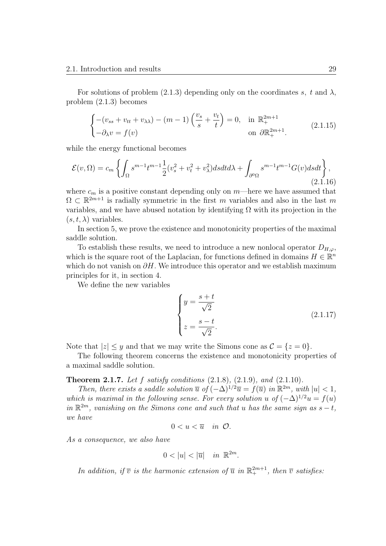For solutions of problem (2.1.3) depending only on the coordinates  $s, t$  and  $\lambda$ , problem (2.1.3) becomes

$$
\begin{cases}\n-(v_{ss} + v_{tt} + v_{\lambda\lambda}) - (m-1) \left(\frac{v_s}{s} + \frac{v_t}{t}\right) = 0, & \text{in } \mathbb{R}_+^{2m+1} \\
-\partial_{\lambda} v = f(v) & \text{on } \partial \mathbb{R}_+^{2m+1}.\n\end{cases}
$$
\n(2.1.15)

while the energy functional becomes

$$
\mathcal{E}(v,\Omega) = c_m \left\{ \int_{\Omega} s^{m-1} t^{m-1} \frac{1}{2} (v_s^2 + v_t^2 + v_\lambda^2) ds dt d\lambda + \int_{\partial^0 \Omega} s^{m-1} t^{m-1} G(v) ds dt \right\},\tag{2.1.16}
$$

where  $c_m$  is a positive constant depending only on  $m$ —here we have assumed that  $\Omega \subset \mathbb{R}^{2m+1}$  is radially symmetric in the first *m* variables and also in the last *m* variables, and we have abused notation by identifying  $\Omega$  with its projection in the  $(s, t, \lambda)$  variables.

In section 5, we prove the existence and monotonicity properties of the maximal saddle solution.

To establish these results, we need to introduce a new nonlocal operator  $D_{H,\varphi}$ , which is the square root of the Laplacian, for functions defined in domains  $H \in \mathbb{R}^n$ which do not vanish on *∂H*. We introduce this operator and we establish maximum principles for it, in section 4.

We define the new variables

$$
\begin{cases}\n y = \frac{s+t}{\sqrt{2}} \\
 z = \frac{s-t}{\sqrt{2}}.\n \end{cases}
$$
\n(2.1.17)

Note that  $|z| \leq y$  and that we may write the Simons cone as  $\mathcal{C} = \{z = 0\}.$ 

The following theorem concerns the existence and monotonicity properties of a maximal saddle solution.

**Theorem 2.1.7.** *Let f satisfy conditions* (2.1.8)*,* (2.1.9)*, and* (2.1.10)*.*

*Then, there exists a saddle solution*  $\overline{u}$  *of*  $(-\Delta)^{1/2}\overline{u} = f(\overline{u})$  *in*  $\mathbb{R}^{2m}$ *, with*  $|u| < 1$ *, which is maximal in the following sense. For every solution <i>u* of  $(-\Delta)^{1/2}u = f(u)$  $in \mathbb{R}^{2m}$ , vanishing on the Simons cone and such that *u* has the same sign as  $s - t$ , *we have*

$$
0
$$

*As a consequence, we also have*

$$
0 < |u| < |\overline{u}| \quad in \ \mathbb{R}^{2m}.
$$

*In addition, if*  $\overline{v}$  *is the harmonic extension of*  $\overline{u}$  *in*  $\mathbb{R}^{2m+1}$ *, then*  $\overline{v}$  *satisfies:*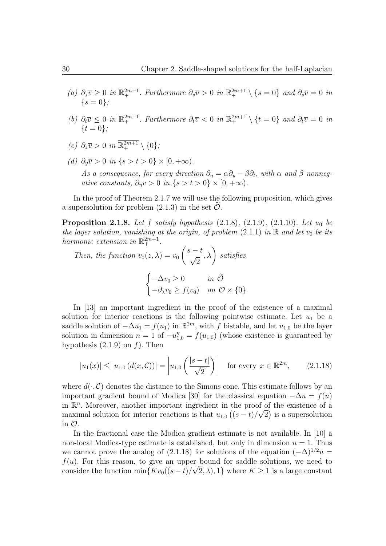- (a)  $\partial_s \overline{v} \geq 0$  in  $\mathbb{R}^{2m+1}_+$ . Furthermore  $\partial_s \overline{v} > 0$  in  $\mathbb{R}^{2m+1}_+ \setminus \{s = 0\}$  and  $\partial_s \overline{v} = 0$  in  ${s = 0}$
- (b)  $\partial_t \overline{v} \leq 0$  in  $\mathbb{R}^{2m+1}_+$ . Furthermore  $\partial_t \overline{v} < 0$  in  $\mathbb{R}^{2m+1}_+ \setminus \{t = 0\}$  and  $\partial_t \overline{v} = 0$  in *{t* = 0*};*
- *(c)*  $\partial_z \overline{v} > 0$  *in*  $\mathbb{R}^{2m+1}_+ \setminus \{0\}$ *;*
- *(d)*  $\partial_{\nu} \overline{v} > 0$  *in* {*s* > *t* > 0} × [0, +∞).

*As a consequence, for every direction*  $\partial_{\eta} = \alpha \partial_{y} - \beta \partial_{t}$ , with  $\alpha$  and  $\beta$  nonneg*ative constants,*  $\partial_n \overline{v} > 0$  *in*  $\{s > t > 0\} \times [0, +\infty)$ .

In the proof of Theorem 2.1.7 we will use the following proposition, which gives a supersolution for problem  $(2.1.3)$  in the set  $\mathcal{O}$ .

**Proposition 2.1.8.** *Let f satisfy hypothesis* (2.1.8)*,* (2.1.9)*,* (2.1.10)*. Let u*<sup>0</sup> *be the layer solution, vanishing at the origin, of problem*  $(2.1.1)$  *in*  $\mathbb{R}$  *and let*  $v_0$  *be its harmonic extension in*  $\mathbb{R}^{2m+1}_+$ .

Then, the function 
$$
v_0(z, \lambda) = v_0 \left( \frac{s - t}{\sqrt{2}}, \lambda \right)
$$
 satisfies  

$$
\begin{cases} -\Delta v_0 \ge 0 & \text{in } \widetilde{\mathcal{O}} \\ -\partial_\lambda v_0 \ge f(v_0) & \text{on } \mathcal{O} \times \{0\}. \end{cases}
$$

In [13] an important ingredient in the proof of the existence of a maximal solution for interior reactions is the following pointwise estimate. Let  $u_1$  be a saddle solution of  $-\Delta u_1 = f(u_1)$  in  $\mathbb{R}^{2m}$ , with *f* bistable, and let  $u_{1,0}$  be the layer solution in dimension  $n = 1$  of  $-u''_{1,0} = f(u_{1,0})$  (whose existence is guaranteed by hypothesis (2.1.9) on *f*). Then

$$
|u_1(x)| \le |u_{1,0}(d(x,\mathcal{C}))| = \left| u_{1,0}\left(\frac{|s-t|}{\sqrt{2}}\right) \right| \quad \text{for every } x \in \mathbb{R}^{2m}, \qquad (2.1.18)
$$

where  $d(\cdot, \mathcal{C})$  denotes the distance to the Simons cone. This estimate follows by an important gradient bound of Modica [30] for the classical equation  $-\Delta u = f(u)$ in  $\mathbb{R}^n$ . Moreover, another important ingredient in the proof of the existence of a maximal solution for interior reactions is that  $u_{1,0}$  ( $(s-t)/\sqrt{2}$ ) is a supersolution in *O*.

In the fractional case the Modica gradient estimate is not available. In [10] a non-local Modica-type estimate is established, but only in dimension  $n = 1$ . Thus we cannot prove the analog of (2.1.18) for solutions of the equation  $(-\Delta)^{1/2}u$ *f*(*u*). For this reason, to give an upper bound for saddle solutions, we need to consider the function  $\min\{Kv_0((s-t)/\sqrt{2},\lambda),1\}$  where  $K\geq 1$  is a large constant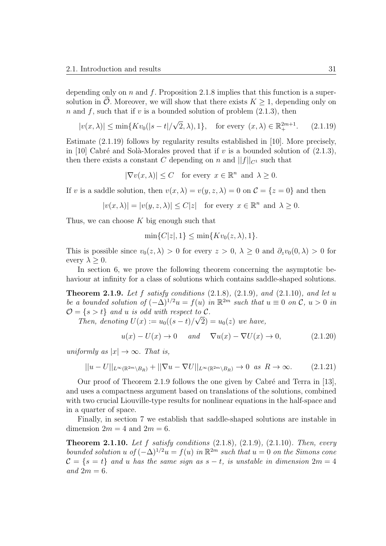depending only on *n* and *f*. Proposition 2.1.8 implies that this function is a supersolution in  $\mathcal O$ . Moreover, we will show that there exists  $K \geq 1$ , depending only on *n* and *f*, such that if *v* is a bounded solution of problem (2.1.3), then

$$
|v(x, \lambda)| \le \min\{Kv_0(|s-t|/\sqrt{2}, \lambda), 1\}, \text{ for every } (x, \lambda) \in \mathbb{R}^{2m+1}_+.
$$
 (2.1.19)

Estimate (2.1.19) follows by regularity results established in [10]. More precisely, in [10] Cabré and Solà-Morales proved that if  $v$  is a bounded solution of  $(2.1.3)$ , then there exists a constant *C* depending on *n* and  $||f||_{C^1}$  such that

$$
|\nabla v(x,\lambda)| \le C \quad \text{for every } x \in \mathbb{R}^n \text{ and } \lambda \ge 0.
$$

If *v* is a saddle solution, then  $v(x, \lambda) = v(y, z, \lambda) = 0$  on  $\mathcal{C} = \{z = 0\}$  and then

$$
|v(x,\lambda)| = |v(y,z,\lambda)| \le C|z| \quad \text{for every } x \in \mathbb{R}^n \text{ and } \lambda \ge 0.
$$

Thus, we can choose *K* big enough such that

 $\min\{C|z|, 1\} \leq \min\{Kv_0(z, \lambda), 1\}.$ 

This is possible since  $v_0(z, \lambda) > 0$  for every  $z > 0$ ,  $\lambda \geq 0$  and  $\partial_z v_0(0, \lambda) > 0$  for every  $\lambda \geq 0$ .

In section 6, we prove the following theorem concerning the asymptotic behaviour at infinity for a class of solutions which contains saddle-shaped solutions.

**Theorem 2.1.9.** *Let f satisfy conditions* (2.1.8)*,* (2.1.9)*, and* (2.1.10)*, and let u be a bounded solution of*  $(-\Delta)^{1/2}u = f(u)$  *in*  $\mathbb{R}^{2m}$  *such that*  $u \equiv 0$  *on*  $\mathcal{C}, u > 0$  *in*  $\mathcal{O} = \{s > t\}$  *and u is odd with respect to*  $\mathcal{C}$ *.* 

*Then, denoting*  $U(x) := u_0((s-t)/\sqrt{2}) = u_0(z)$  *we have,* 

$$
u(x) - U(x) \to 0 \quad and \quad \nabla u(x) - \nabla U(x) \to 0,\tag{2.1.20}
$$

*uniformly as*  $|x| \to \infty$ *. That is,* 

$$
||u - U||_{L^{\infty}(\mathbb{R}^{2m} \setminus B_R)} + ||\nabla u - \nabla U||_{L^{\infty}(\mathbb{R}^{2m} \setminus B_R)} \to 0 \text{ as } R \to \infty.
$$
 (2.1.21)

Our proof of Theorem 2.1.9 follows the one given by Cabré and Terra in  $[13]$ , and uses a compactness argument based on translations of the solutions, combined with two crucial Liouville-type results for nonlinear equations in the half-space and in a quarter of space.

Finally, in section 7 we establish that saddle-shaped solutions are instable in dimension  $2m = 4$  and  $2m = 6$ .

**Theorem 2.1.10.** *Let f satisfy conditions* (2.1.8)*,* (2.1.9)*,* (2.1.10)*. Then, every bounded solution u of*  $(-\Delta)^{1/2}u = f(u)$  *in*  $\mathbb{R}^{2m}$  *such that*  $u = 0$  *on the Simons cone*  $\mathcal{C} = \{s = t\}$  *and u has the same sign as*  $s - t$ *, is unstable in dimension*  $2m = 4$  $and 2m = 6.$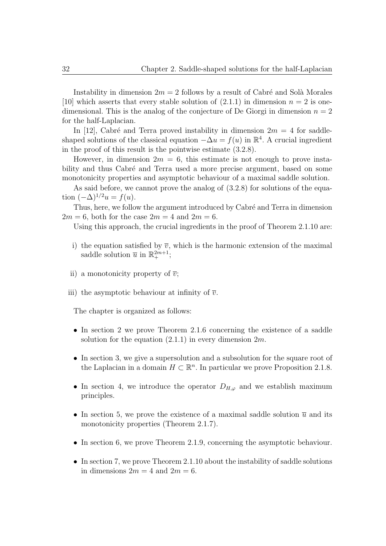Instability in dimension  $2m = 2$  follows by a result of Cabré and Solà Morales [10] which asserts that every stable solution of  $(2.1.1)$  in dimension  $n = 2$  is onedimensional. This is the analog of the conjecture of De Giorgi in dimension  $n = 2$ for the half-Laplacian.

In [12], Cabré and Terra proved instability in dimension  $2m = 4$  for saddleshaped solutions of the classical equation  $-\Delta u = f(u)$  in  $\mathbb{R}^4$ . A crucial ingredient in the proof of this result is the pointwise estimate (3.2.8).

However, in dimension  $2m = 6$ , this estimate is not enough to prove instability and thus Cabré and Terra used a more precise argument, based on some monotonicity properties and asymptotic behaviour of a maximal saddle solution.

As said before, we cannot prove the analog of (3.2.8) for solutions of the equation  $(-\Delta)^{1/2}u = f(u)$ .

Thus, here, we follow the argument introduced by Cabré and Terra in dimension  $2m = 6$ , both for the case  $2m = 4$  and  $2m = 6$ .

Using this approach, the crucial ingredients in the proof of Theorem 2.1.10 are:

- i) the equation satisfied by  $\overline{v}$ , which is the harmonic extension of the maximal saddle solution  $\overline{u}$  in  $\mathbb{R}^{2m+1}_{+}$ ;
- ii) a monotonicity property of  $\overline{v}$ ;
- iii) the asymptotic behaviour at infinity of  $\overline{v}$ .

The chapter is organized as follows:

- In section 2 we prove Theorem 2.1.6 concerning the existence of a saddle solution for the equation (2.1.1) in every dimension 2*m*.
- In section 3, we give a supersolution and a subsolution for the square root of the Laplacian in a domain  $H \subset \mathbb{R}^n$ . In particular we prove Proposition 2.1.8.
- *•* In section 4, we introduce the operator *DH,ϕ* and we establish maximum principles.
- In section 5, we prove the existence of a maximal saddle solution  $\bar{u}$  and its monotonicity properties (Theorem 2.1.7).
- In section 6, we prove Theorem 2.1.9, concerning the asymptotic behaviour.
- In section 7, we prove Theorem 2.1.10 about the instability of saddle solutions in dimensions  $2m = 4$  and  $2m = 6$ .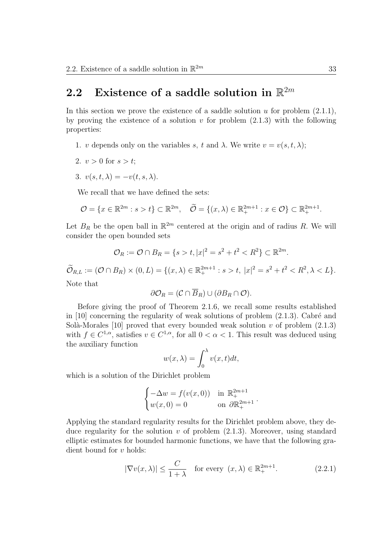# 2.2 Existence of a saddle solution in  $\mathbb{R}^{2m}$

In this section we prove the existence of a saddle solution  $u$  for problem  $(2.1.1)$ , by proving the existence of a solution  $v$  for problem  $(2.1.3)$  with the following properties:

1. *v* depends only on the variables *s*, *t* and  $\lambda$ . We write  $v = v(s, t, \lambda)$ ;

2. 
$$
v > 0
$$
 for  $s > t$ ;

3.  $v(s,t,\lambda) = -v(t,s,\lambda).$ 

We recall that we have defined the sets:

$$
\mathcal{O} = \{x \in \mathbb{R}^{2m} : s > t\} \subset \mathbb{R}^{2m}, \quad \widetilde{\mathcal{O}} = \{(x, \lambda) \in \mathbb{R}^{2m+1}_+ : x \in \mathcal{O}\} \subset \mathbb{R}^{2m+1}_+.
$$

Let  $B_R$  be the open ball in  $\mathbb{R}^{2m}$  centered at the origin and of radius R. We will consider the open bounded sets

$$
\mathcal{O}_R := \mathcal{O} \cap B_R = \{ s > t, |x|^2 = s^2 + t^2 < R^2 \} \subset \mathbb{R}^{2m}.
$$

 $\widetilde{\mathcal{O}}_{R,L} := (\mathcal{O} \cap B_R) \times (0,L) = \{(x,\lambda) \in \mathbb{R}^{2m+1}_+ : s > t, |x|^2 = s^2 + t^2 < R^2, \lambda < L\}.$ 

Note that

$$
\partial \mathcal{O}_R = (\mathcal{C} \cap \overline{B}_R) \cup (\partial B_R \cap \mathcal{O}).
$$

Before giving the proof of Theorem 2.1.6, we recall some results established in [10] concerning the regularity of weak solutions of problem  $(2.1.3)$ . Cabré and Solà-Morales [10] proved that every bounded weak solution  $v$  of problem  $(2.1.3)$ with  $f \in C^{1,\alpha}$ , satisfies  $v \in C^{1,\alpha}$ , for all  $0 < \alpha < 1$ . This result was deduced using the auxiliary function

$$
w(x,\lambda) = \int_0^\lambda v(x,t)dt,
$$

which is a solution of the Dirichlet problem

$$
\begin{cases}\n-\Delta w = f(v(x,0)) & \text{in } \mathbb{R}_+^{2m+1} \\
w(x,0) = 0 & \text{on } \partial \mathbb{R}_+^{2m+1}\n\end{cases}
$$

Applying the standard regularity results for the Dirichlet problem above, they deduce regularity for the solution  $v$  of problem  $(2.1.3)$ . Moreover, using standard elliptic estimates for bounded harmonic functions, we have that the following gradient bound for *v* holds:

$$
|\nabla v(x,\lambda)| \le \frac{C}{1+\lambda} \quad \text{for every } (x,\lambda) \in \mathbb{R}_+^{2m+1}.
$$
 (2.2.1)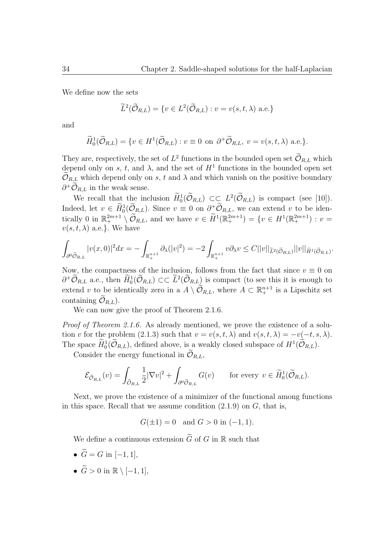We define now the sets

$$
\widetilde{L}^2(\widetilde{\mathcal{O}}_{R,L}) = \{ v \in L^2(\widetilde{\mathcal{O}}_{R,L}) : v = v(s,t,\lambda) \text{ a.e.} \}
$$

and

$$
\widetilde{H}_0^1(\widetilde{\mathcal{O}}_{R,L}) = \{ v \in H^1(\widetilde{\mathcal{O}}_{R,L}) : v \equiv 0 \text{ on } \partial^+ \widetilde{\mathcal{O}}_{R,L}, v = v(s, t, \lambda) \text{ a.e.} \}.
$$

They are, respectively, the set of  $L^2$  functions in the bounded open set  $\mathcal{O}_{R,L}$  which depend only on *s*, *t*, and  $\lambda$ , and the set of  $H<sup>1</sup>$  functions in the bounded open set  $\mathcal{O}_{R,L}$  which depend only on *s*, *t* and  $\lambda$  and which vanish on the positive boundary  $\partial^+ \tilde{\mathcal{O}}_{R,L}$  in the weak sense.

We recall that the inclusion  $H_0^1(\mathcal{O}_{R,L}) \subset \subset L^2(\mathcal{O}_{R,L})$  is compact (see [10]). Indeed, let  $v \in H_0^1(\mathcal{O}_{R,L})$ . Since  $v \equiv 0$  on  $\partial^+\mathcal{O}_{R,L}$ , we can extend *v* to be iden- $\text{trically } 0 \text{ in } \mathbb{R}^{2m+1} \setminus \mathcal{O}_{R,L}, \text{ and we have } v \in \tilde{H}^1(\mathbb{R}^{2m+1}_+) = \{v \in H^1(\mathbb{R}^{2m+1}_+) : v = 0\}$  $v(s, t, \lambda)$  a.e.<sup>}</sup>. We have

$$
\int_{\partial^0 \widetilde{\mathcal{O}}_{R,L}} |v(x,0)|^2 dx = -\int_{\mathbb{R}^{n+1}_+} \partial_{\lambda} (|v|^2) = -2 \int_{\mathbb{R}^{n+1}_+} v \partial_{\lambda} v \leq C ||v||_{\widetilde{L}^2(\widetilde{\mathcal{O}}_{R,L})} ||v||_{\widetilde{H}^1(\widetilde{\mathcal{O}}_{R,L})}.
$$

Now, the compactness of the inclusion, follows from the fact that since  $v \equiv 0$  on  $\partial^+ \mathcal{O}_{R,L}$  a.e., then  $H_0^1(\mathcal{O}_{R,L})$  ⊂*⊂*  $L^2(\mathcal{O}_{R,L})$  is compact (to see this it is enough to extend *v* to be identically zero in a  $A \setminus \mathcal{O}_{R,L}$ , where  $A \subset \mathbb{R}^{n+1}_+$  is a Lipschitz set containing  $\mathcal{O}_{R,L}$ ).

We can now give the proof of Theorem 2.1.6.

*Proof of Theorem 2.1.6.* As already mentioned, we prove the existence of a solution *v* for the problem (2.1.3) such that  $v = v(s, t, \lambda)$  and  $v(s, t, \lambda) = -v(-t, s, \lambda)$ . The space  $H_0^1(\mathcal{O}_{R,L})$ , defined above, is a weakly closed subspace of  $H^1(\mathcal{O}_{R,L})$ .

Consider the energy functional in  $\mathcal{O}_{R,L}$ ,

$$
\mathcal{E}_{\widetilde{\mathcal{O}}_{R,L}}(v) = \int_{\widetilde{\mathcal{O}}_{R,L}} \frac{1}{2} |\nabla v|^2 + \int_{\partial^0 \widetilde{\mathcal{O}}_{R,L}} G(v) \quad \text{for every } v \in \widetilde{H}_0^1(\widetilde{\mathcal{O}}_{R,L}).
$$

Next, we prove the existence of a minimizer of the functional among functions in this space. Recall that we assume condition (2.1.9) on *G*, that is,

$$
G(\pm 1) = 0
$$
 and  $G > 0$  in  $(-1, 1)$ .

We define a continuous extension  $\tilde{G}$  of *G* in  $\mathbb R$  such that

- $\tilde{G} = G$  in [−1, 1],
- $\widetilde{G} > 0$  in  $\mathbb{R} \setminus [-1, 1],$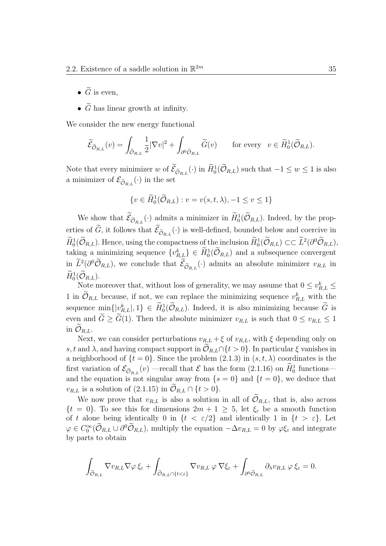- $\widetilde{G}$  is even.
- $\tilde{G}$  has linear growth at infinity.

We consider the new energy functional

$$
\widetilde{\mathcal{E}}_{\widetilde{\mathcal{O}}_{R,L}}(v) = \int_{\widetilde{\mathcal{O}}_{R,L}} \frac{1}{2} |\nabla v|^2 + \int_{\partial^0 \widetilde{\mathcal{O}}_{R,L}} \widetilde{G}(v) \quad \text{for every} \quad v \in \widetilde{H}_0^1(\widetilde{\mathcal{O}}_{R,L}).
$$

Note that every minimizer *w* of  $\tilde{\mathcal{E}}_{\tilde{\mathcal{O}}_{R,L}}(\cdot)$  in  $\tilde{H}_0^1(\tilde{\mathcal{O}}_{R,L})$  such that  $-1 \leq w \leq 1$  is also a minimizer of  $\mathcal{E}_{\tilde{\mathcal{O}}_{R,L}}(\cdot)$  in the set

$$
\{v \in \widetilde{H}_0^1(\widetilde{\mathcal{O}}_{R,L}): v = v(s, t, \lambda), -1 \le v \le 1\}
$$

We show that  $\mathcal{E}_{\tilde{\mathcal{O}}_{R,L}}(\cdot)$  admits a minimizer in  $H_0^1(\mathcal{O}_{R,L})$ . Indeed, by the properties of *G*, it follows that  $\mathcal{E}_{\tilde{O}_{R,L}}(\cdot)$  is well-defined, bounded below and coercive in  $H_0^1(\mathcal{O}_{R,L})$ . Hence, using the compactness of the inclusion  $H_0^1(\mathcal{O}_{R,L}) \subset\subset L^2(\partial^0 \mathcal{O}_{R,L}),$ taking a minimizing sequence  $\{v_{R,L}^k\} \in H_0^1(\mathcal{O}_{R,L})$  and a subsequence convergent in  $L^2(\partial^0 O_{R,L})$ , we conclude that  $\mathcal{E}_{\tilde{O}_{R,L}}(\cdot)$  admits an absolute minimizer  $v_{R,L}$  in  $H_0^1(\mathcal{O}_{R,L})$ .

Note moreover that, without loss of generality, we may assume that  $0 \le v_{R,L}^k \le$ 1 in  $\mathcal{O}_{R,L}$  because, if not, we can replace the minimizing sequence  $v_{R,L}^k$  with the sequence  $\min\{|v_{R,L}^k|, 1\} \in H_0^1(\mathcal{O}_{R,L})$ . Indeed, it is also minimizing because  $\tilde{G}$  is even and  $\widetilde{G} \geq \widetilde{G}(1)$ . Then the absolute minimizer  $v_{R,L}$  is such that  $0 \leq v_{R,L} \leq 1$ in  $\mathcal{O}_{R,L}$ .

Next, we can consider perturbations  $v_{R,L} + \xi$  of  $v_{R,L}$ , with  $\xi$  depending only on *s, t* and  $\lambda$ , and having compact support in  $\mathcal{O}_{R,L} \cap \{t > 0\}$ . In particular  $\xi$  vanishes in a neighborhood of  $\{t = 0\}$ . Since the problem  $(2.1.3)$  in  $(s, t, \lambda)$  coordinates is the first variation of  $\mathcal{E}_{\tilde{\mathcal{O}}_{R,L}}(v)$  —recall that  $\mathcal{E}$  has the form (2.1.16) on  $H_0^1$  functions and the equation is not singular away from  $\{s = 0\}$  and  $\{t = 0\}$ , we deduce that  $v_{R,L}$  is a solution of (2.1.15) in  $\widetilde{\mathcal{O}}_{R,L} \cap \{t > 0\}.$ 

We now prove that  $v_{R,L}$  is also a solution in all of  $\mathcal{O}_{R,L}$ , that is, also across  ${t = 0}$ . To see this for dimensions  $2m + 1 \geq 5$ , let  $\xi_{\varepsilon}$  be a smooth function of *t* alone being identically 0 in  $\{t < \varepsilon/2\}$  and identically 1 in  $\{t > \varepsilon\}$ . Let  $\varphi \in C_0^{\infty}(\mathcal{O}_{R,L} \cup \partial^0 \mathcal{O}_{R,L})$ , multiply the equation  $-\Delta v_{R,L} = 0$  by  $\varphi \xi_{\varepsilon}$  and integrate by parts to obtain

$$
\int_{\widetilde{\mathcal{O}}_{R,L}}\nabla v_{R,L}\nabla\varphi\,\xi_{\varepsilon}+\int_{\widetilde{\mathcal{O}}_{R,L}\cap\{t<\varepsilon\}}\nabla v_{R,L}\,\varphi\,\nabla\xi_{\varepsilon}+\int_{\partial^0\widetilde{\mathcal{O}}_{R,L}}\partial_{\lambda}v_{R,L}\,\varphi\,\xi_{\varepsilon}=0.
$$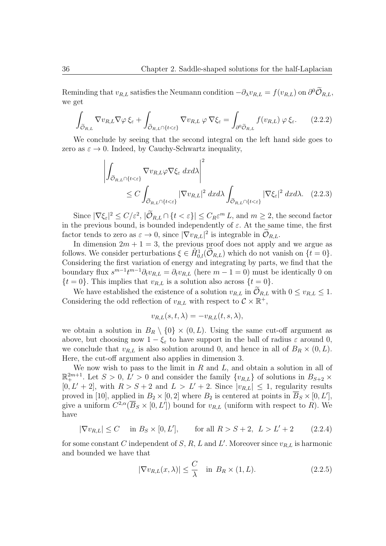Reminding that  $v_{R,L}$  satisfies the Neumann condition  $-\partial_\lambda v_{R,L} = f(v_{R,L})$  on  $\partial^0 \tilde{\mathcal{O}}_{R,L}$ , we get

$$
\int_{\tilde{\mathcal{O}}_{R,L}} \nabla v_{R,L} \nabla \varphi \, \xi_{\varepsilon} + \int_{\tilde{\mathcal{O}}_{R,L} \cap \{t < \varepsilon\}} \nabla v_{R,L} \, \varphi \, \nabla \xi_{\varepsilon} = \int_{\partial^0 \tilde{\mathcal{O}}_{R,L}} f(v_{R,L}) \, \varphi \, \xi_{\varepsilon}.\tag{2.2.2}
$$

We conclude by seeing that the second integral on the left hand side goes to zero as  $\varepsilon \to 0$ . Indeed, by Cauchy-Schwartz inequality,

$$
\left| \int_{\tilde{\mathcal{O}}_{R,L} \cap \{t < \varepsilon\}} \nabla v_{R,L} \varphi \nabla \xi_{\varepsilon} \, dx \, dx \right|^{2} \leq C \int_{\tilde{\mathcal{O}}_{R,L} \cap \{t < \varepsilon\}} |\nabla v_{R,L}|^{2} \, dx \, dx \int_{\tilde{\mathcal{O}}_{R,L} \cap \{t < \varepsilon\}} |\nabla \xi_{\varepsilon}|^{2} \, dx \, dx. \tag{2.2.3}
$$

 $|\nabla \xi_{\varepsilon}|^2 \le C/\varepsilon^2$ ,  $|\mathcal{O}_{R,L} \cap {\{t < \varepsilon\}}| \le C_R \varepsilon^m L$ , and  $m \ge 2$ , the second factor in the previous bound, is bounded independently of  $\varepsilon$ . At the same time, the first factor tends to zero as  $\varepsilon \to 0$ , since  $|\nabla v_{R,L}|^2$  is integrable in  $\mathcal{O}_{R,L}$ .

In dimension  $2m + 1 = 3$ , the previous proof does not apply and we argue as follows. We consider perturbations  $\xi \in \tilde{H}_{0,l}^1(\tilde{O}_{R,L})$  which do not vanish on  $\{t=0\}$ . Considering the first variation of energy and integrating by parts, we find that the boundary flux  $s^{m-1}t^{m-1}\partial_t v_{R,L} = \partial_t v_{R,L}$  (here  $m-1=0$ ) must be identically 0 on  ${t = 0}$ . This implies that  $v_{R,L}$  is a solution also across  ${t = 0}$ .

We have established the existence of a solution  $v_{R,L}$  in  $\mathcal{O}_{R,L}$  with  $0 \le v_{R,L} \le 1$ . Considering the odd reflection of  $v_{R,L}$  with respect to  $\mathcal{C} \times \mathbb{R}^+$ ,

$$
v_{R,L}(s,t,\lambda) = -v_{R,L}(t,s,\lambda),
$$

we obtain a solution in  $B_R \setminus \{0\} \times (0, L)$ . Using the same cut-off argument as above, but choosing now  $1 - \xi_{\varepsilon}$  to have support in the ball of radius  $\varepsilon$  around 0, we conclude that  $v_{R,L}$  is also solution around 0, and hence in all of  $B_R \times (0, L)$ . Here, the cut-off argument also applies in dimension 3.

We now wish to pass to the limit in *R* and *L*, and obtain a solution in all of  $\mathbb{R}^{2m+1}_+$ . Let  $S > 0$ ,  $L' > 0$  and consider the family  $\{v_{R,L}\}\$  of solutions in  $B_{S+2} \times$  $[0, L' + 2]$ , with  $R > S + 2$  and  $L > L' + 2$ . Since  $|v_{R,L}| \leq 1$ , regularity results proved in [10], applied in  $B_2 \times [0, 2]$  where  $B_2$  is centered at points in  $\overline{B}_S \times [0, L']$ , give a uniform  $C^{2,\alpha}(\overline{B}_S \times [0,L'])$  bound for  $v_{R,L}$  (uniform with respect to R). We have

$$
|\nabla v_{R,L}| \le C \quad \text{in } B_S \times [0, L'], \qquad \text{for all } R > S+2, \ L > L' + 2 \tag{2.2.4}
$$

for some constant *C* independent of *S*, *R*, *L* and *L'*. Moreover since  $v_{R,L}$  is harmonic and bounded we have that

$$
|\nabla v_{R,L}(x,\lambda)| \le \frac{C}{\lambda} \quad \text{in } B_R \times (1,L). \tag{2.2.5}
$$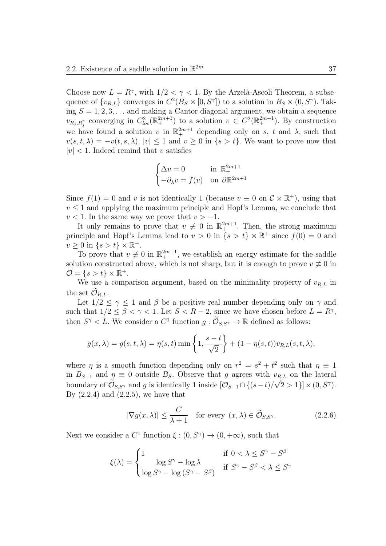Choose now  $L = R^{\gamma}$ , with  $1/2 < \gamma < 1$ . By the Arzelà-Ascoli Theorem, a subsequence of  $\{v_{R,L}\}$  converges in  $C^2(\overline{B}_S\times[0,S^{\gamma}])$  to a solution in  $B_S\times(0,S^{\gamma})$ . Taking  $S = 1, 2, 3, \ldots$  and making a Cantor diagonal argument, we obtain a sequence  $v_{R_j,R_j}$  converging in  $C_{loc}^2(\mathbb{R}^{2m+1}_+)$  to a solution  $v \in C^2(\mathbb{R}^{2m+1}_+)$ . By construction we have found a solution *v* in  $\mathbb{R}^{2m+1}$  depending only on *s*, *t* and  $\lambda$ , such that  $v(s, t, \lambda) = -v(t, s, \lambda), |v| \leq 1$  and  $v \geq 0$  in  $\{s > t\}$ . We want to prove now that  $|v|$  < 1. Indeed remind that *v* satisfies

$$
\begin{cases} \Delta v = 0 & \text{in } \mathbb{R}^{2m+1}_+ \\ -\partial_{\lambda} v = f(v) & \text{on } \partial \mathbb{R}^{2m+1} \end{cases}
$$

Since  $f(1) = 0$  and *v* is not identically 1 (because  $v \equiv 0$  on  $\mathcal{C} \times \mathbb{R}^+$ ), using that  $v \leq 1$  and applying the maximum principle and Hopf's Lemma, we conclude that  $v < 1$ . In the same way we prove that  $v > -1$ .

It only remains to prove that  $v \neq 0$  in  $\mathbb{R}^{2m+1}$ . Then, the strong maximum principle and Hopf's Lemma lead to  $v > 0$  in  $\{s > t\} \times \mathbb{R}^+$  since  $f(0) = 0$  and  $v \geq 0$  in  $\{s > t\} \times \mathbb{R}^+$ .

To prove that  $v \neq 0$  in  $\mathbb{R}^{2m+1}_+$ , we establish an energy estimate for the saddle solution constructed above, which is not sharp, but it is enough to prove  $v \neq 0$  in  $\mathcal{O} = \{s > t\} \times \mathbb{R}^+.$ 

We use a comparison argument, based on the minimality property of  $v_{R,L}$  in the set  $\mathcal{O}_{R,L}$ .

Let  $1/2 \leq \gamma \leq 1$  and  $\beta$  be a positive real number depending only on  $\gamma$  and such that  $1/2 \leq \beta < \gamma < 1$ . Let  $S < R-2$ , since we have chosen before  $L = R^{\gamma}$ , then  $S^{\gamma} < L$ . We consider a  $C^1$  function  $g : \tilde{\mathcal{O}}_{S,S^{\gamma}} \to \mathbb{R}$  defined as follows:

$$
g(x,\lambda) = g(s,t,\lambda) = \eta(s,t) \min\left\{1, \frac{s-t}{\sqrt{2}}\right\} + (1-\eta(s,t))v_{R,L}(s,t,\lambda),
$$

where *η* is a smooth function depending only on  $r^2 = s^2 + t^2$  such that  $\eta \equiv 1$ in  $B_{S-1}$  and  $\eta \equiv 0$  outside  $B_S$ . Observe that *g* agrees with  $v_{R,L}$  on the lateral boundary of  $\mathcal{O}_{S,S^{\gamma}}$  and *g* is identically 1 inside  $[\mathcal{O}_{S-1} \cap \{(s-t)/\sqrt{2} > 1\}] \times (0, S^{\gamma})$ . By  $(2.2.4)$  and  $(2.2.5)$ , we have that

$$
|\nabla g(x,\lambda)| \le \frac{C}{\lambda+1} \quad \text{for every } (x,\lambda) \in \widetilde{\mathcal{O}}_{S,S^{\gamma}}.
$$
 (2.2.6)

Next we consider a  $C^1$  function  $\xi : (0, S^{\gamma}) \to (0, +\infty)$ , such that

$$
\xi(\lambda) = \begin{cases} 1 & \text{if } 0 < \lambda \le S^{\gamma} - S^{\beta} \\ \frac{\log S^{\gamma} - \log \lambda}{\log S^{\gamma} - \log (S^{\gamma} - S^{\beta})} & \text{if } S^{\gamma} - S^{\beta} < \lambda \le S^{\gamma} \end{cases}
$$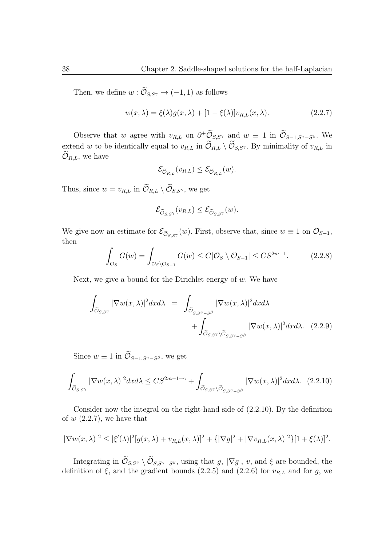Then, we define  $w : \widetilde{\mathcal{O}}_{S,S^{\gamma}} \to (-1,1)$  as follows

$$
w(x,\lambda) = \xi(\lambda)g(x,\lambda) + [1 - \xi(\lambda)]v_{R,L}(x,\lambda).
$$
\n(2.2.7)

Observe that *w* agree with  $v_{R,L}$  on  $\partial^+\mathcal{O}_{S,S}$ <sup>*γ*</sup> and  $w \equiv 1$  in  $\mathcal{O}_{S-1,S^{\gamma}-S^{\beta}}$ . We extend *w* to be identically equal to  $v_{R,L}$  in  $\widetilde{\mathcal{O}}_{R,L} \setminus \widetilde{\mathcal{O}}_{S,S}$ *,* By minimality of  $v_{R,L}$  in  $\mathcal{O}_{R,L}$ , we have

$$
\mathcal{E}_{\widetilde{\mathcal{O}}_{R,L}}(v_{R,L}) \leq \mathcal{E}_{\widetilde{\mathcal{O}}_{R,L}}(w).
$$

Thus, since  $w = v_{R,L}$  in  $\widetilde{\mathcal{O}}_{R,L} \setminus \widetilde{\mathcal{O}}_{S,S^{\gamma}},$  we get

$$
\mathcal{E}_{\widetilde{\mathcal{O}}_{S,S^{\gamma}}}(v_{R,L}) \leq \mathcal{E}_{\widetilde{\mathcal{O}}_{S,S^{\gamma}}}(w).
$$

We give now an estimate for  $\mathcal{E}_{\tilde{\mathcal{O}}_{S,S}^{\gamma}}(w)$ . First, observe that, since  $w \equiv 1$  on  $\mathcal{O}_{S-1}$ , then

$$
\int_{\mathcal{O}_S} G(w) = \int_{\mathcal{O}_S \backslash \mathcal{O}_{S-1}} G(w) \le C|\mathcal{O}_S \backslash \mathcal{O}_{S-1}| \le CS^{2m-1}.
$$
 (2.2.8)

Next, we give a bound for the Dirichlet energy of *w*. We have

$$
\int_{\widetilde{\mathcal{O}}_{S,S^{\gamma}}} |\nabla w(x,\lambda)|^2 dx d\lambda = \int_{\widetilde{\mathcal{O}}_{S,S^{\gamma}-S^{\beta}}} |\nabla w(x,\lambda)|^2 dx d\lambda \n+ \int_{\widetilde{\mathcal{O}}_{S,S^{\gamma}}\backslash\widetilde{\mathcal{O}}_{S,S^{\gamma}-S^{\beta}}} |\nabla w(x,\lambda)|^2 dx d\lambda. (2.2.9)
$$

Since  $w \equiv 1$  in  $\mathcal{O}_{S-1,S^{\gamma}-S^{\beta}}$ , we get

$$
\int_{\widetilde{\mathcal{O}}_{S,S^{\gamma}}} |\nabla w(x,\lambda)|^2 dx d\lambda \leq CS^{2m-1+\gamma} + \int_{\widetilde{\mathcal{O}}_{S,S^{\gamma}}\backslash \widetilde{\mathcal{O}}_{S,S^{\gamma}-S^{\beta}}} |\nabla w(x,\lambda)|^2 dx d\lambda. \tag{2.2.10}
$$

Consider now the integral on the right-hand side of (2.2.10). By the definition of *w* (2.2.7), we have that

$$
|\nabla w(x,\lambda)|^2 \leq |\xi'(\lambda)|^2 [g(x,\lambda) + v_{R,L}(x,\lambda)]^2 + \{|\nabla g|^2 + |\nabla v_{R,L}(x,\lambda)|^2\} [1 + \xi(\lambda)]^2.
$$

Integrating in  $\mathcal{O}_{S,S^{\gamma}} \setminus \mathcal{O}_{S,S^{\gamma}-S^{\beta}}$ , using that *g*,  $|\nabla g|$ , *v*, and  $\xi$  are bounded, the definition of  $\xi$ , and the gradient bounds (2.2.5) and (2.2.6) for  $v_{R,L}$  and for *g*, we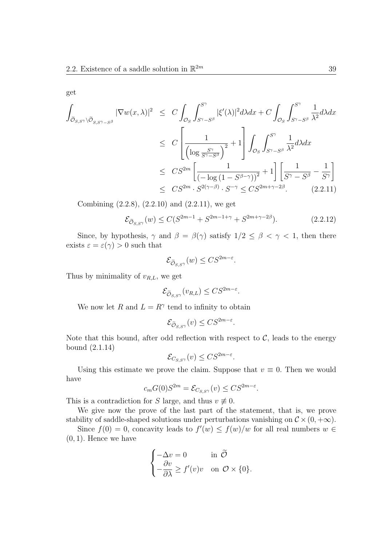get

$$
\int_{\tilde{\mathcal{O}}_{S,S}\gamma\backslash\tilde{\mathcal{O}}_{S,S}\gamma-S^{\beta}} |\nabla w(x,\lambda)|^{2} \leq C \int_{\mathcal{O}_{S}} \int_{S^{\gamma}-S^{\beta}}^{S^{\gamma}} |\xi'(\lambda)|^{2} d\lambda dx + C \int_{\mathcal{O}_{S}} \int_{S^{\gamma}-S^{\beta}}^{S^{\gamma}} \frac{1}{\lambda^{2}} d\lambda dx
$$
\n
$$
\leq C \left[ \frac{1}{\left(\log \frac{S^{\gamma}}{S^{\gamma}-S^{\beta}}\right)^{2}} + 1 \right] \int_{\mathcal{O}_{S}} \int_{S^{\gamma}-S^{\beta}}^{S^{\gamma}} \frac{1}{\lambda^{2}} d\lambda dx
$$
\n
$$
\leq C S^{2m} \left[ \frac{1}{\left(-\log\left(1-S^{\beta-\gamma}\right)\right)^{2}} + 1 \right] \left[ \frac{1}{S^{\gamma}-S^{\beta}} - \frac{1}{S^{\gamma}} \right]
$$
\n
$$
\leq C S^{2m} \cdot S^{2(\gamma-\beta)} \cdot S^{-\gamma} \leq C S^{2m+\gamma-2\beta}.
$$
\n(2.2.11)

Combining (2.2.8), (2.2.10) and (2.2.11), we get

$$
\mathcal{E}_{\widetilde{\mathcal{O}}_{S,S^{\gamma}}}(w) \le C(S^{2m-1} + S^{2m-1+\gamma} + S^{2m+\gamma-2\beta}).\tag{2.2.12}
$$

Since, by hypothesis,  $\gamma$  and  $\beta = \beta(\gamma)$  satisfy  $1/2 \leq \beta < \gamma < 1$ , then there exists  $\varepsilon = \varepsilon(\gamma) > 0$  such that

$$
\mathcal{E}_{\widetilde{\mathcal{O}}_{S,S^{\gamma}}}(w) \leq C S^{2m-\varepsilon}.
$$

Thus by minimality of *vR,L*, we get

$$
\mathcal{E}_{\widetilde{\mathcal{O}}_{S,S^{\gamma}}}(v_{R,L}) \leq C S^{2m-\varepsilon}.
$$

We now let *R* and  $L = R^{\gamma}$  tend to infinity to obtain

$$
\mathcal{E}_{\widetilde{\mathcal{O}}_{S,S^{\gamma}}}(v) \leq C S^{2m-\varepsilon}.
$$

Note that this bound, after odd reflection with respect to  $C$ , leads to the energy bound (2.1.14)

$$
\mathcal{E}_{C_{S,S^{\gamma}}}(v) \leq CS^{2m-\varepsilon}.
$$

Using this estimate we prove the claim. Suppose that  $v \equiv 0$ . Then we would have

$$
c_m G(0)S^{2m} = \mathcal{E}_{C_{S,S}(\gamma)}(v) \leq C S^{2m-\varepsilon}.
$$

This is a contradiction for *S* large, and thus  $v \neq 0$ .

We give now the prove of the last part of the statement, that is, we prove stability of saddle-shaped solutions under perturbations vanishing on  $\mathcal{C} \times (0, +\infty)$ .

Since  $f(0) = 0$ , concavity leads to  $f'(w) \leq f(w)/w$  for all real numbers  $w \in$ (0*,* 1). Hence we have

$$
\begin{cases}\n-\Delta v = 0 & \text{in } \widetilde{\mathcal{O}} \\
-\frac{\partial v}{\partial \lambda} \ge f'(v)v & \text{on } \mathcal{O} \times \{0\}.\n\end{cases}
$$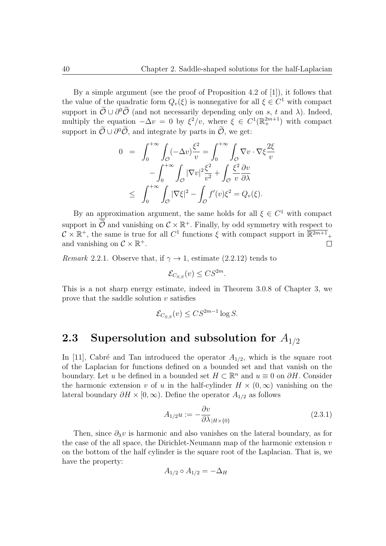By a simple argument (see the proof of Proposition 4.2 of [1]), it follows that the value of the quadratic form  $Q_v(\xi)$  is nonnegative for all  $\xi \in C^1$  with compact support in  $\mathcal{O} \cup \partial^0 \mathcal{O}$  (and not necessarily depending only on *s*, *t* and  $\lambda$ ). Indeed, multiply the equation  $-\Delta v = 0$  by  $\xi^2/v$ , where  $\xi \in C^1(\mathbb{R}^{2m+1}_+)$  with compact support in  $\mathcal{O} \cup \partial^0 \mathcal{O}$ , and integrate by parts in  $\mathcal{O}$ , we get:

$$
0 = \int_0^{+\infty} \int_{\mathcal{O}} (-\Delta v) \frac{\xi^2}{v} = \int_0^{+\infty} \int_{\mathcal{O}} \nabla v \cdot \nabla \xi \frac{2\xi}{v}
$$

$$
- \int_0^{+\infty} \int_{\mathcal{O}} |\nabla v|^2 \frac{\xi^2}{v^2} + \int_{\mathcal{O}} \frac{\xi^2}{v} \frac{\partial v}{\partial \lambda}
$$

$$
\leq \int_0^{+\infty} \int_{\mathcal{O}} |\nabla \xi|^2 - \int_{\mathcal{O}} f'(v) \xi^2 = Q_v(\xi).
$$

By an approximation argument, the same holds for all  $\xi \in C^1$  with compact support in  $\mathcal{O}$  and vanishing on  $\mathcal{C} \times \mathbb{R}^+$ . Finally, by odd symmetry with respect to  $\mathcal{C} \times \mathbb{R}^+$ , the same is true for all  $C^1$  functions  $\xi$  with compact support in  $\overline{\mathbb{R}^{2m+1}}_+$ and vanishing on  $C \times \mathbb{R}^+$ .  $\Box$ 

*Remark* 2.2.1. Observe that, if  $\gamma \rightarrow 1$ , estimate (2.2.12) tends to

$$
\mathcal{E}_{C_{S,S}}(v) \leq C S^{2m}.
$$

This is a not sharp energy estimate, indeed in Theorem 3.0.8 of Chapter 3, we prove that the saddle solution *v* satisfies

$$
\mathcal{E}_{C_{S,S}}(v) \leq C S^{2m-1} \log S.
$$

## **2.3 Supersolution and subsolution for** *A*1*/*<sup>2</sup>

In [11], Cabré and Tan introduced the operator  $A_{1/2}$ , which is the square root of the Laplacian for functions defined on a bounded set and that vanish on the boundary. Let *u* be defined in a bounded set  $H \subset \mathbb{R}^n$  and  $u \equiv 0$  on  $\partial H$ . Consider the harmonic extension *v* of *u* in the half-cylinder  $H \times (0, \infty)$  vanishing on the lateral boundary  $\partial H \times [0, \infty)$ . Define the operator  $A_{1/2}$  as follows

$$
A_{1/2}u := -\frac{\partial v}{\partial \lambda_{|H \times \{0\}}} \tag{2.3.1}
$$

Then, since  $\partial_{\lambda}v$  is harmonic and also vanishes on the lateral boundary, as for the case of the all space, the Dirichlet-Neumann map of the harmonic extension *v* on the bottom of the half cylinder is the square root of the Laplacian. That is, we have the property:

$$
A_{1/2} \circ A_{1/2} = -\Delta_H
$$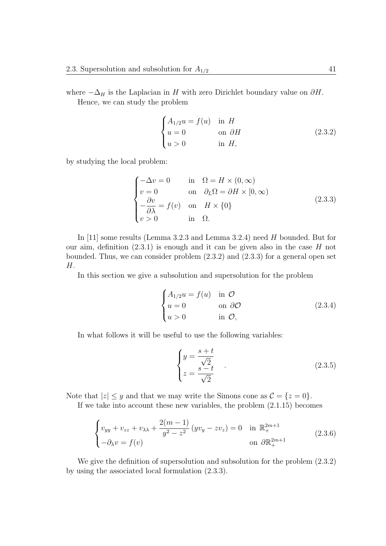where  $-\Delta_H$  is the Laplacian in *H* with zero Dirichlet boundary value on  $\partial H$ . Hence, we can study the problem

$$
\begin{cases}\nA_{1/2}u = f(u) & \text{in } H \\
u = 0 & \text{on } \partial H \\
u > 0 & \text{in } H,\n\end{cases}
$$
\n(2.3.2)

by studying the local problem:

$$
\begin{cases}\n-\Delta v = 0 & \text{in } \Omega = H \times (0, \infty) \\
v = 0 & \text{on } \partial_L \Omega = \partial H \times [0, \infty) \\
-\frac{\partial v}{\partial \lambda} = f(v) & \text{on } H \times \{0\} \\
v > 0 & \text{in } \Omega.\n\end{cases}
$$
\n(2.3.3)

In [11] some results (Lemma 3.2.3 and Lemma 3.2.4) need *H* bounded. But for our aim, definition (2.3.1) is enough and it can be given also in the case *H* not bounded. Thus, we can consider problem (2.3.2) and (2.3.3) for a general open set *H*.

In this section we give a subsolution and supersolution for the problem

$$
\begin{cases}\nA_{1/2}u = f(u) & \text{in } \mathcal{O} \\
u = 0 & \text{on } \partial\mathcal{O} \\
u > 0 & \text{in } \mathcal{O},\n\end{cases}
$$
\n(2.3.4)

In what follows it will be useful to use the following variables:

$$
\begin{cases}\ny = \frac{s+t}{\sqrt{2}} \\
z = \frac{s-t}{\sqrt{2}}\n\end{cases} \tag{2.3.5}
$$

Note that  $|z| \leq y$  and that we may write the Simons cone as  $\mathcal{C} = \{z = 0\}.$ 

If we take into account these new variables, the problem (2*.*1*.*15) becomes

$$
\begin{cases}\nv_{yy} + v_{zz} + v_{\lambda\lambda} + \frac{2(m-1)}{y^2 - z^2} (yv_y - zv_z) = 0 & \text{in } \mathbb{R}_+^{2m+1} \\
-\partial_\lambda v = f(v) & \text{on } \partial \mathbb{R}_+^{2m+1}\n\end{cases}
$$
\n(2.3.6)

We give the definition of supersolution and subsolution for the problem (2.3.2) by using the associated local formulation (2.3.3).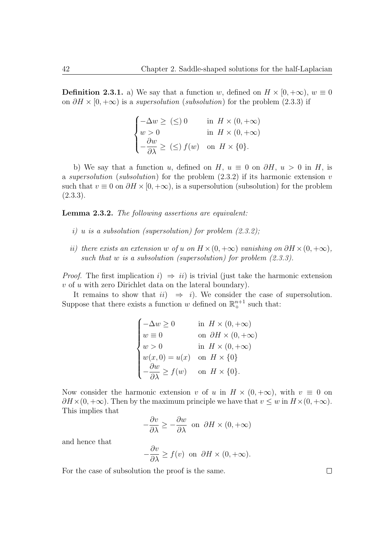**Definition 2.3.1.** a) We say that a function *w*, defined on  $H \times [0, +\infty)$ ,  $w \equiv 0$ on  $\partial H \times [0, +\infty)$  is a *supersolution* (*subsolution*) for the problem (2.3.3) if

$$
\begin{cases}\n-\Delta w \ge (\le) 0 & \text{in } H \times (0, +\infty) \\
w > 0 & \text{in } H \times (0, +\infty) \\
-\frac{\partial w}{\partial \lambda} \ge (\le) f(w) & \text{on } H \times \{0\}.\n\end{cases}
$$

b) We say that a function *u*, defined on *H*,  $u \equiv 0$  on  $\partial H$ ,  $u > 0$  in *H*, is a *supersolution* (*subsolution*) for the problem (2.3.2) if its harmonic extension *v* such that  $v \equiv 0$  on  $\partial H \times [0, +\infty)$ , is a supersolution (subsolution) for the problem  $(2.3.3).$ 

**Lemma 2.3.2.** *The following assertions are equivalent:*

- *i) u is a subsolution (supersolution) for problem (2.3.2);*
- *ii*) *there exists an extension w of u on*  $H \times (0, +\infty)$  *vanishing on*  $\partial H \times (0, +\infty)$ *, such that w is a subsolution (supersolution) for problem (2.3.3).*

*Proof.* The first implication  $i$ )  $\Rightarrow ii$  is trivial (just take the harmonic extension *v* of *u* with zero Dirichlet data on the lateral boundary).

It remains to show that  $ii) \Rightarrow i$ . We consider the case of supersolution. Suppose that there exists a function *w* defined on  $\mathbb{R}^{n+1}_+$  such that:

$$
\begin{cases}\n-\Delta w \ge 0 & \text{in } H \times (0, +\infty) \\
w \equiv 0 & \text{on } \partial H \times (0, +\infty) \\
w > 0 & \text{in } H \times (0, +\infty) \\
w(x, 0) = u(x) & \text{on } H \times \{0\} \\
-\frac{\partial w}{\partial \lambda} \ge f(w) & \text{on } H \times \{0\}.\n\end{cases}
$$

Now consider the harmonic extension *v* of *u* in  $H \times (0, +\infty)$ , with  $v \equiv 0$  on  $\partial H \times (0, +\infty)$ . Then by the maximum principle we have that  $v \leq w$  in  $H \times (0, +\infty)$ . This implies that

$$
-\frac{\partial v}{\partial \lambda} \ge -\frac{\partial w}{\partial \lambda} \text{ on } \partial H \times (0, +\infty)
$$

and hence that

$$
-\frac{\partial v}{\partial \lambda} \ge f(v) \text{ on } \partial H \times (0, +\infty).
$$

For the case of subsolution the proof is the same.

 $\Box$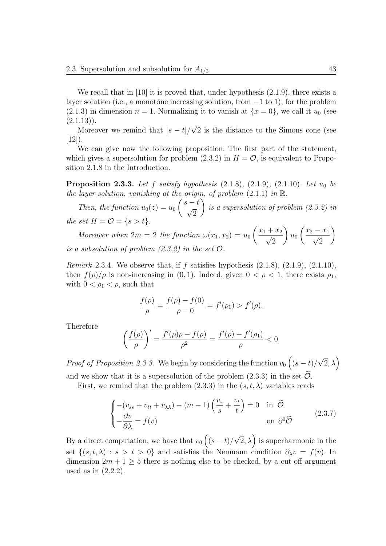We recall that in [10] it is proved that, under hypothesis  $(2.1.9)$ , there exists a layer solution (i.e., a monotone increasing solution, from *−*1 to 1), for the problem  $(2.1.3)$  in dimension  $n = 1$ . Normalizing it to vanish at  $\{x = 0\}$ , we call it  $u_0$  (see  $(2.1.13)$ . *√*

Moreover we remind that  $|s-t|/$ 2 is the distance to the Simons cone (see  $[12]$ ).

We can give now the following proposition. The first part of the statement, which gives a supersolution for problem  $(2.3.2)$  in  $H = \mathcal{O}$ , is equivalent to Proposition 2.1.8 in the Introduction.

**Proposition 2.3.3.** Let  $f$  satisfy hypothesis  $(2.1.8)$ ,  $(2.1.9)$ ,  $(2.1.10)$ *. Let*  $u_0$  *be the layer solution, vanishing at the origin, of problem* (2.1.1) *in* R*.*

*Then, the function*  $u_0(z) = u_0$  *s − t √*  $\overline{2}$ Ñ *is a supersolution of problem (2.3.2) in the set*  $H = \mathcal{O} = \{s > t\}.$ 

*Moreover when*  $2m = 2$  *the function*  $\omega(x_1, x_2) = u_0$  $\frac{x_1 + x_2}{\sqrt{2}}$  $\overline{2}$  $\setminus$ *u*0  $\frac{x_2 - x_1}{\sqrt{2}}$ 2  $\setminus$ *is a subsolution of problem*  $(2.3.2)$  *in the set*  $\mathcal{O}$ *.* 

*Remark* 2.3.4*.* We observe that, if *f* satisfies hypothesis (2.1.8), (2.1.9), (2.1.10), then  $f(\rho)/\rho$  is non-increasing in (0, 1). Indeed, given  $0 < \rho < 1$ , there exists  $\rho_1$ , with  $0 < \rho_1 < \rho$ , such that

$$
\frac{f(\rho)}{\rho} = \frac{f(\rho) - f(0)}{\rho - 0} = f'(\rho_1) > f'(\rho).
$$

Therefore

$$
\left(\frac{f(\rho)}{\rho}\right)' = \frac{f'(\rho)\rho - f(\rho)}{\rho^2} = \frac{f'(\rho) - f'(\rho_1)}{\rho} < 0.
$$

*Proof of Proposition 2.3.3.* We begin by considering the function  $v_0$   $((s-t)/$  $\sqrt{2}, \lambda$ and we show that it is a supersolution of the problem  $(2.3.3)$  in the set  $\mathcal{O}$ .

First, we remind that the problem  $(2.3.3)$  in the  $(s, t, \lambda)$  variables reads

$$
\begin{cases}\n-(v_{ss} + v_{tt} + v_{\lambda\lambda}) - (m - 1) \left(\frac{v_s}{s} + \frac{v_t}{t}\right) = 0 & \text{in } \tilde{\mathcal{O}} \\
-\frac{\partial v}{\partial \lambda} = f(v) & \text{on } \partial^0 \tilde{\mathcal{O}}\n\end{cases}
$$
\n(2.3.7)

By a direct computation, we have that  $v_0 \left( (s - t) \right)$  $\left(\sqrt{2}, \lambda\right)$  is superharmonic in the set  $\{(s, t, \lambda) : s > t > 0\}$  and satisfies the Neumann condition  $\partial_{\lambda} v = f(v)$ . In dimension  $2m + 1 \geq 5$  there is nothing else to be checked, by a cut-off argument used as in (2.2.2).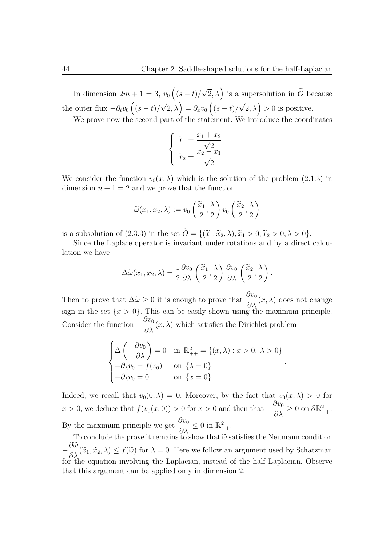In dimension  $2m + 1 = 3$ ,  $v_0 \left( (s - t) / 2 \right)$  $\sqrt{2}$ ,  $\lambda$ ) is a supersolution in  $\widetilde{\mathcal{O}}$  because the outer flux  $-\partial_t v_0 \left( (s - t) \right)$  $\sqrt{2}$ ,  $\lambda$ ) =  $\partial_x v_0$   $\left($  (*s − t*)/  $\sqrt{2}$ ,  $\lambda$ ) > 0 is positive.

We prove now the second part of the statement. We introduce the coordinates

$$
\begin{cases} \tilde{x}_1 = \frac{x_1 + x_2}{\sqrt{2}} \\ \tilde{x}_2 = \frac{x_2 - x_1}{\sqrt{2}} \end{cases}
$$

We consider the function  $v_0(x, \lambda)$  which is the solution of the problem (2.1.3) in dimension  $n + 1 = 2$  and we prove that the function

$$
\widetilde{\omega}(x_1, x_2, \lambda) := v_0\left(\frac{\widetilde{x}_1}{2}, \frac{\lambda}{2}\right) v_0\left(\frac{\widetilde{x}_2}{2}, \frac{\lambda}{2}\right)
$$

is a subsolution of  $(2.3.3)$  in the set  $\widetilde{O} = \{(\widetilde{x}_1, \widetilde{x}_2, \lambda), \widetilde{x}_1 > 0, \widetilde{x}_2 > 0, \lambda > 0\}.$ 

Since the Laplace operator is invariant under rotations and by a direct calculation we have

$$
\Delta \widetilde{\omega}(x_1, x_2, \lambda) = \frac{1}{2} \frac{\partial v_0}{\partial \lambda} \left( \frac{\widetilde{x}_1}{2}, \frac{\lambda}{2} \right) \frac{\partial v_0}{\partial \lambda} \left( \frac{\widetilde{x}_2}{2}, \frac{\lambda}{2} \right).
$$

Then to prove that  $\Delta \tilde{\omega} \geq 0$  it is enough to prove that  $\frac{\partial v_0}{\partial \lambda}(x, \lambda)$  does not change sign in the set  $\{x > 0\}$ . This can be easily shown using the maximum principle. Consider the function  $-\frac{\partial v_0}{\partial \lambda}$  $\frac{\partial^2 u}{\partial \lambda}(x,\lambda)$  which satisfies the Dirichlet problem

$$
\begin{cases}\n\Delta \left(-\frac{\partial v_0}{\partial \lambda}\right) = 0 & \text{in } \mathbb{R}^2_{++} = \{(x, \lambda) : x > 0, \ \lambda > 0\} \\
-\partial_{\lambda} v_0 = f(v_0) & \text{on } \{\lambda = 0\} \\
-\partial_{\lambda} v_0 = 0 & \text{on } \{x = 0\}\n\end{cases}
$$

*.*

Indeed, we recall that  $v_0(0, \lambda) = 0$ . Moreover, by the fact that  $v_0(x, \lambda) > 0$  for  $x > 0$ , we deduce that  $f(v_0(x, 0)) > 0$  for  $x > 0$  and then that  $-$ *∂v*<sup>0</sup>  $\frac{\partial v_0}{\partial \lambda} \geq 0$  on  $\partial \mathbb{R}^2_{++}$ . By the maximum principle we get  $\frac{\partial v_0}{\partial \lambda}$  $\frac{\partial v_0}{\partial \lambda} \leq 0$  in  $\mathbb{R}^2_{++}$ .

To conclude the prove it remains to show that  $\widetilde{\omega}$  satisfies the Neumann condition *− ∂ω*e  $\frac{\partial}{\partial \lambda}(\tilde{x}_1, \tilde{x}_2, \lambda) \leq f(\tilde{\omega})$  for  $\lambda = 0$ . Here we follow an argument used by Schatzman  $\lambda$ for the equation involving the Laplacian, instead of the half Laplacian. Observe that this argument can be applied only in dimension 2.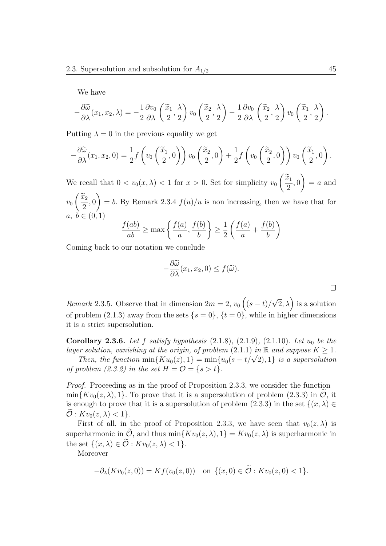We have

$$
-\frac{\partial \widetilde{\omega}}{\partial \lambda}(x_1, x_2, \lambda) = -\frac{1}{2}\frac{\partial v_0}{\partial \lambda}\left(\frac{\widetilde{x}_1}{2}, \frac{\lambda}{2}\right)v_0\left(\frac{\widetilde{x}_2}{2}, \frac{\lambda}{2}\right) - \frac{1}{2}\frac{\partial v_0}{\partial \lambda}\left(\frac{\widetilde{x}_2}{2}, \frac{\lambda}{2}\right)v_0\left(\frac{\widetilde{x}_1}{2}, \frac{\lambda}{2}\right).
$$

Putting  $\lambda = 0$  in the previous equality we get

$$
-\frac{\partial \widetilde{\omega}}{\partial \lambda}(x_1, x_2, 0) = \frac{1}{2} f\left(v_0\left(\frac{\widetilde{x}_1}{2}, 0\right)\right) v_0\left(\frac{\widetilde{x}_2}{2}, 0\right) + \frac{1}{2} f\left(v_0\left(\frac{\widetilde{x}_2}{2}, 0\right)\right) v_0\left(\frac{\widetilde{x}_1}{2}, 0\right).
$$

We recall that  $0 < v_0(x, \lambda) < 1$  for  $x > 0$ . Set for simplicity  $v_0$  $\left(\frac{\widetilde{x}_1}{2}\right)$ 2 *,* 0  $= a$  and *v*0  $\left(\frac{\widetilde{x}_2}{2}\right)$ 2 *,* 0  $\setminus$  $= b$ . By Remark 2.3.4  $f(u)/u$  is non increasing, then we have that for *a*, *b* ∈  $(0, 1)$ 

$$
\frac{f(ab)}{ab} \ge \max\left\{\frac{f(a)}{a}, \frac{f(b)}{b}\right\} \ge \frac{1}{2}\left(\frac{f(a)}{a} + \frac{f(b)}{b}\right)
$$

Coming back to our notation we conclude

$$
-\frac{\partial \widetilde{\omega}}{\partial \lambda}(x_1, x_2, 0) \le f(\widetilde{\omega}).
$$

*Remark* 2.3.5*.* Observe that in dimension  $2m = 2$ ,  $v_0 \left( (s - t) /$  $\sqrt{2}$ ,  $\lambda$ ) is a solution of problem (2.1.3) away from the sets  $\{s = 0\}$ ,  $\{t = 0\}$ , while in higher dimensions it is a strict supersolution.

**Corollary 2.3.6.** *Let f satisfy hypothesis* (2.1.8)*,* (2.1.9)*,* (2.1.10)*. Let u*<sup>0</sup> *be the layer solution, vanishing at the origin, of problem* (2.1.1) *in*  $\mathbb{R}$  *and suppose*  $K \geq 1$ *.* 

*Then, the function*  $\min\{Ku_0(z), 1\} = \min\{u_0(s - t/\sqrt{2}), 1\}$  *is a supersolution of problem (2.3.2) in the set*  $H = \mathcal{O} = \{s > t\}.$ 

*Proof.* Proceeding as in the proof of Proposition 2.3.3, we consider the function  $\min\{Kv_0(z,\lambda),1\}$ . To prove that it is a supersolution of problem (2.3.3) in *O*, it is enough to prove that it is a supersolution of problem  $(2.3.3)$  in the set  $\{(x, \lambda) \in$  $\widetilde{\mathcal{O}}: Kv_0(z,\lambda) < 1$ .

First of all, in the proof of Proposition 2.3.3, we have seen that  $v_0(z, \lambda)$  is superharmonic in  $\tilde{\mathcal{O}}$ , and thus min $\{Kv_0(z,\lambda),1\} = Kv_0(z,\lambda)$  is superharmonic in the set  $\{(x, \lambda) \in \tilde{\mathcal{O}} : Kv_0(z, \lambda) < 1\}.$ 

Moreover

$$
-\partial_{\lambda}(Kv_0(z,0)) = Kf(v_0(z,0)) \text{ on } \{(x,0) \in \mathcal{O} : Kv_0(z,0) < 1\}.
$$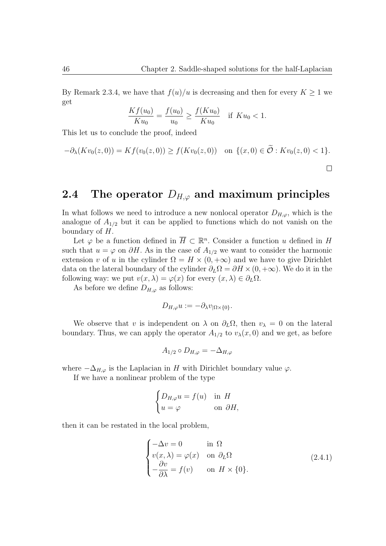By Remark 2.3.4, we have that  $f(u)/u$  is decreasing and then for every  $K \geq 1$  we get

$$
\frac{Kf(u_0)}{Ku_0} = \frac{f(u_0)}{u_0} \ge \frac{f(Ku_0)}{Ku_0} \quad \text{if } Ku_0 < 1.
$$

This let us to conclude the proof, indeed

$$
-\partial_{\lambda}(Kv_0(z,0)) = Kf(v_0(z,0)) \ge f(Kv_0(z,0)) \quad \text{on } \{(x,0) \in \mathcal{O} : Kv_0(z,0) < 1\}.
$$

### **2.4 The operator** *DH,ϕ* **and maximum principles**

In what follows we need to introduce a new nonlocal operator  $D_{H,\varphi}$ , which is the analogue of  $A_{1/2}$  but it can be applied to functions which do not vanish on the boundary of *H*.

Let  $\varphi$  be a function defined in  $\overline{H} \subset \mathbb{R}^n$ . Consider a function *u* defined in *H* such that  $u = \varphi$  on  $\partial H$ . As in the case of  $A_{1/2}$  we want to consider the harmonic extension *v* of *u* in the cylinder  $\Omega = H \times (0, +\infty)$  and we have to give Dirichlet data on the lateral boundary of the cylinder  $\partial_L\Omega = \partial H \times (0, +\infty)$ . We do it in the following way: we put  $v(x, \lambda) = \varphi(x)$  for every  $(x, \lambda) \in \partial_L \Omega$ .

As before we define  $D_{H,\varphi}$  as follows:

$$
D_{H,\varphi}u:=-\partial_{\lambda}v_{|\Omega\times\{0\}}.
$$

We observe that *v* is independent on  $\lambda$  on  $\partial_L\Omega$ , then  $v_\lambda = 0$  on the lateral boundary. Thus, we can apply the operator  $A_{1/2}$  to  $v_{\lambda}(x,0)$  and we get, as before

$$
A_{1/2} \circ D_{H,\varphi} = -\Delta_{H,\varphi}
$$

where  $-\Delta_{H,\varphi}$  is the Laplacian in *H* with Dirichlet boundary value  $\varphi$ .

If we have a nonlinear problem of the type

$$
\begin{cases} D_{H,\varphi}u = f(u) & \text{in } H \\ u = \varphi & \text{on } \partial H, \end{cases}
$$

then it can be restated in the local problem,

$$
\begin{cases}\n-\Delta v = 0 & \text{in } \Omega \\
v(x, \lambda) = \varphi(x) & \text{on } \partial_L \Omega \\
-\frac{\partial v}{\partial \lambda} = f(v) & \text{on } H \times \{0\}.\n\end{cases}
$$
\n(2.4.1)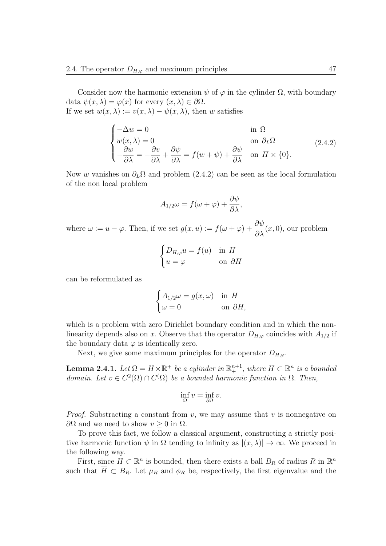Consider now the harmonic extension  $\psi$  of  $\varphi$  in the cylinder  $\Omega$ , with boundary data  $\psi(x, \lambda) = \varphi(x)$  for every  $(x, \lambda) \in \partial \Omega$ . If we set  $w(x, \lambda) := v(x, \lambda) - \psi(x, \lambda)$ , then *w* satisfies

$$
\begin{cases}\n-\Delta w = 0 & \text{in } \Omega \\
w(x, \lambda) = 0 & \text{on } \partial_L \Omega \\
-\frac{\partial w}{\partial \lambda} = -\frac{\partial v}{\partial \lambda} + \frac{\partial \psi}{\partial \lambda} = f(w + \psi) + \frac{\partial \psi}{\partial \lambda} & \text{on } H \times \{0\}.\n\end{cases}
$$
\n(2.4.2)

Now *w* vanishes on  $\partial_L\Omega$  and problem (2.4.2) can be seen as the local formulation of the non local problem

$$
A_{1/2}\omega = f(\omega + \varphi) + \frac{\partial \psi}{\partial \lambda},
$$

where  $\omega := u - \varphi$ . Then, if we set  $g(x, u) := f(\omega + \varphi) + \frac{\partial \psi}{\partial \lambda}(x, 0)$ , our problem

$$
\begin{cases} D_{H,\varphi}u = f(u) & \text{in } H \\ u = \varphi & \text{on } \partial H \end{cases}
$$

can be reformulated as

$$
\begin{cases} A_{1/2}\omega = g(x,\omega) & \text{in } H \\ \omega = 0 & \text{on } \partial H, \end{cases}
$$

which is a problem with zero Dirichlet boundary condition and in which the nonlinearity depends also on *x*. Observe that the operator  $D_{H,\varphi}$  coincides with  $A_{1/2}$  if the boundary data  $\varphi$  is identically zero.

Next, we give some maximum principles for the operator  $D_{H,\varphi}$ .

**Lemma 2.4.1.** *Let*  $\Omega = H \times \mathbb{R}^+$  *be a cylinder in*  $\mathbb{R}^{n+1}_+$ *, where*  $H \subset \mathbb{R}^n$  *is a bounded domain.* Let  $v \in C^2(\Omega) \cap C(\overline{\Omega})$  be a bounded harmonic function in  $\Omega$ . Then,

$$
\inf_{\Omega} v = \inf_{\partial \Omega} v.
$$

*Proof.* Substracting a constant from *v*, we may assume that *v* is nonnegative on *∂*Ω and we need to show  $v$  *>* 0 in Ω.

To prove this fact, we follow a classical argument, constructing a strictly positive harmonic function  $\psi$  in  $\Omega$  tending to infinity as  $|(x, \lambda)| \to \infty$ . We proceed in the following way.

First, since  $H \subset \mathbb{R}^n$  is bounded, then there exists a ball  $B_R$  of radius  $R$  in  $\mathbb{R}^n$ such that  $\overline{H} \subset B_R$ . Let  $\mu_R$  and  $\phi_R$  be, respectively, the first eigenvalue and the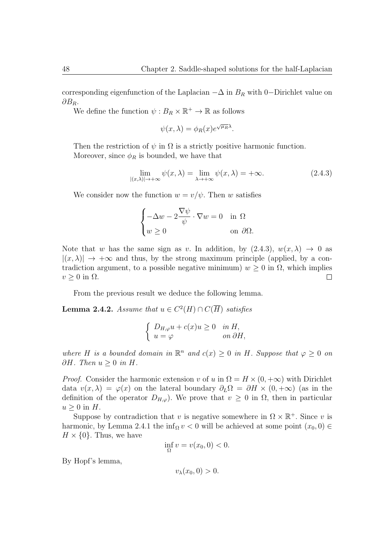corresponding eigenfunction of the Laplacian *−*∆ in *B<sup>R</sup>* with 0*−*Dirichlet value on *∂BR*.

We define the function  $\psi : B_R \times \mathbb{R}^+ \to \mathbb{R}$  as follows

$$
\psi(x,\lambda) = \phi_R(x)e^{\sqrt{\mu_R}\lambda}.
$$

Then the restriction of  $\psi$  in  $\Omega$  is a strictly positive harmonic function. Moreover, since  $\phi_R$  is bounded, we have that

$$
\lim_{|(x,\lambda)| \to +\infty} \psi(x,\lambda) = \lim_{\lambda \to +\infty} \psi(x,\lambda) = +\infty.
$$
 (2.4.3)

We consider now the function  $w = v/\psi$ . Then *w* satisfies

$$
\begin{cases}\n-\Delta w - 2\frac{\nabla \psi}{\psi} \cdot \nabla w = 0 & \text{in } \Omega \\
w \ge 0 & \text{on } \partial \Omega.\n\end{cases}
$$

Note that *w* has the same sign as *v*. In addition, by  $(2.4.3), w(x, \lambda) \rightarrow 0$  as  $|(x, \lambda)| \rightarrow +\infty$  and thus, by the strong maximum principle (applied, by a contradiction argument, to a possible negative minimum)  $w \geq 0$  in  $\Omega$ , which implies  $\Box$  $v \geq 0$  in  $\Omega$ .

From the previous result we deduce the following lemma.

**Lemma 2.4.2.** *Assume that*  $u \in C^2(H) \cap C(\overline{H})$  *satisfies* 

$$
\begin{cases} D_{H,\varphi}u + c(x)u \ge 0 & \text{in } H, \\ u = \varphi & \text{on } \partial H, \end{cases}
$$

*where H is a bounded domain in*  $\mathbb{R}^n$  *and*  $c(x) \geq 0$  *in H. Suppose that*  $\varphi \geq 0$  *on*  $∂H$ *. Then*  $u ≥ 0$  *in*  $H$ *.* 

*Proof.* Consider the harmonic extension *v* of *u* in  $\Omega = H \times (0, +\infty)$  with Dirichlet data  $v(x, \lambda) = \varphi(x)$  on the lateral boundary  $\partial_L \Omega = \partial H \times (0, +\infty)$  (as in the definition of the operator  $D_{H,\varphi}$ ). We prove that  $v \geq 0$  in  $\Omega$ , then in particular  $u \geq 0$  in *H*.

Suppose by contradiction that *v* is negative somewhere in  $\Omega \times \mathbb{R}^+$ . Since *v* is harmonic, by Lemma 2.4.1 the inf<sub>Ω</sub>  $v < 0$  will be achieved at some point  $(x_0, 0) \in$  $H \times \{0\}$ . Thus, we have

$$
\inf_{\Omega} v = v(x_0, 0) < 0.
$$

By Hopf's lemma,

 $v_{\lambda}(x_0, 0) > 0.$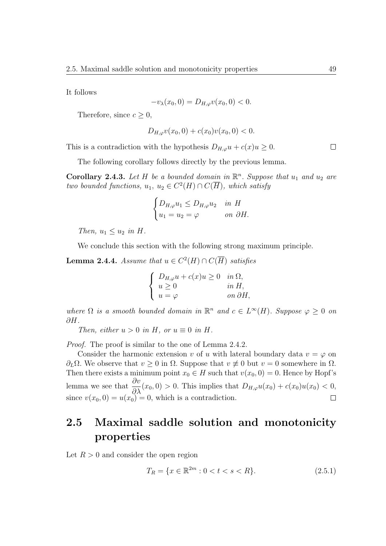It follows

$$
-v_{\lambda}(x_0,0) = D_{H,\varphi}v(x_0,0) < 0.
$$

Therefore, since  $c \geq 0$ ,

$$
D_{H,\varphi}v(x_0,0) + c(x_0)v(x_0,0) < 0.
$$

This is a contradiction with the hypothesis  $D_{H,\varphi}u + c(x)u \geq 0$ .

The following corollary follows directly by the previous lemma.

**Corollary 2.4.3.** Let  $H$  be a bounded domain in  $\mathbb{R}^n$ . Suppose that  $u_1$  and  $u_2$  are *two bounded functions,*  $u_1, u_2 \in C^2(H) \cap C(\overline{H})$ *, which satisfy* 

$$
\begin{cases} D_{H,\varphi}u_1 \leq D_{H,\varphi}u_2 & \text{in } H\\ u_1 = u_2 = \varphi & \text{on } \partial H. \end{cases}
$$

*Then,*  $u_1 \leq u_2$  *in H*.

We conclude this section with the following strong maximum principle.

**Lemma 2.4.4.** *Assume that*  $u \in C^2(H) \cap C(\overline{H})$  *satisfies* 

$$
\begin{cases}\nD_{H,\varphi}u + c(x)u \ge 0 & \text{in } \Omega, \\
u \ge 0 & \text{in } H, \\
u = \varphi & \text{on } \partial H,\n\end{cases}
$$

*where*  $\Omega$  *is a smooth bounded domain in*  $\mathbb{R}^n$  *and*  $c \in L^\infty(H)$ *. Suppose*  $\varphi \geq 0$  *on ∂H.*

*Then, either*  $u > 0$  *in*  $H$ *, or*  $u \equiv 0$  *in*  $H$ *.* 

*Proof.* The proof is similar to the one of Lemma 2.4.2.

Consider the harmonic extension *v* of *u* with lateral boundary data  $v = \varphi$  on *∂*<sup>*L*Ω. We observe that *v* ≥ 0 in Ω. Suppose that *v*  $\neq$  0 but *v* = 0 somewhere in Ω.</sup> Then there exists a minimum point  $x_0 \in H$  such that  $v(x_0, 0) = 0$ . Hence by Hopf's lemma we see that  $\frac{\partial v}{\partial \lambda}$  $\frac{\partial^2}{\partial \lambda}(x_0, 0) > 0$ . This implies that  $D_{H,\varphi}u(x_0) + c(x_0)u(x_0) < 0$ , since  $v(x_0, 0) = u(x_0) = 0$ , which is a contradiction.

## **2.5 Maximal saddle solution and monotonicity properties**

Let  $R > 0$  and consider the open region

$$
T_R = \{ x \in \mathbb{R}^{2m} : 0 < t < s < R \}. \tag{2.5.1}
$$

 $\Box$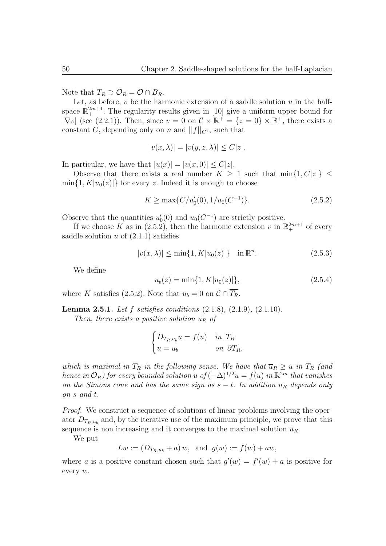Note that  $T_R \supset \mathcal{O}_R = \mathcal{O} \cap B_R$ .

Let, as before, *v* be the harmonic extension of a saddle solution *u* in the halfspace  $\mathbb{R}^{2m+1}_+$ . The regularity results given in [10] give a uniform upper bound for  $|\nabla v|$  (see (2.2.1)). Then, since  $v = 0$  on  $\mathcal{C} \times \mathbb{R}^+ = \{z = 0\} \times \mathbb{R}^+$ , there exists a constant *C*, depending only on *n* and  $||f||_{C^1}$ , such that

$$
|v(x,\lambda)| = |v(y,z,\lambda)| \le C|z|.
$$

In particular, we have that  $|u(x)| = |v(x, 0)| \leq C|z|$ .

Observe that there exists a real number  $K \geq 1$  such that  $\min\{1, C|z|\} \leq$  $\min\{1, K|u_0(z)|\}$  for every *z*. Indeed it is enough to choose

$$
K \ge \max\{C/u_0'(0), 1/u_0(C^{-1})\}.
$$
\n(2.5.2)

Observe that the quantities  $u'_0(0)$  and  $u_0(C^{-1})$  are strictly positive.

If we choose K as in (2.5.2), then the harmonic extension  $v$  in  $\mathbb{R}^{2m+1}_+$  of every saddle solution  $u$  of  $(2.1.1)$  satisfies

$$
|v(x,\lambda)| \le \min\{1, K|u_0(z)|\} \quad \text{in } \mathbb{R}^n. \tag{2.5.3}
$$

We define

$$
u_b(z) = \min\{1, K|u_0(z)|\},\tag{2.5.4}
$$

where *K* satisfies (2.5.2). Note that  $u_b = 0$  on  $C \cap \overline{T_R}$ .

**Lemma 2.5.1.** *Let f satisfies conditions* (2.1.8)*,* (2.1.9)*,* (2.1.10)*.*

*Then, there exists a positive solution*  $\overline{u}_R$  *of* 

$$
\begin{cases}\nD_{T_R, u_b} u = f(u) & \text{in } T_R \\
u = u_b & \text{on } \partial T_R.\n\end{cases}
$$

*which is maximal in*  $T_R$  *in the following sense. We have that*  $\overline{u}_R \geq u$  *in*  $T_R$  (and *hence in*  $\mathcal{O}_R$ *)* for every bounded solution *u* of  $(-\Delta)^{1/2}u = f(u)$  *in*  $\mathbb{R}^{2m}$  *that vanishes on the Simons cone and has the same sign as*  $s - t$ *. In addition*  $\overline{u}_R$  *depends only on s and t.*

*Proof.* We construct a sequence of solutions of linear problems involving the operator  $D_{T_R,u_b}$  and, by the iterative use of the maximum principle, we prove that this sequence is non increasing and it converges to the maximal solution  $\overline{u}_R$ .

We put

$$
Lw := (D_{T_R, u_b} + a) w
$$
, and  $g(w) := f(w) + aw$ ,

where *a* is a positive constant chosen such that  $g'(w) = f'(w) + a$  is positive for every *w*.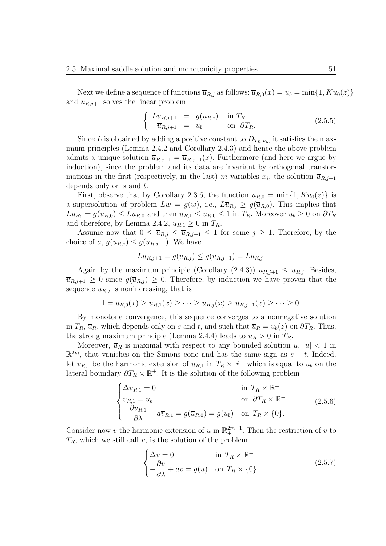Next we define a sequence of functions  $\overline{u}_{R,j}$  as follows:  $\overline{u}_{R,0}(x) = u_b = \min\{1, Ku_0(z)\}\$ and  $\overline{u}_{R,j+1}$  solves the linear problem

$$
\begin{cases}\nL\overline{u}_{R,j+1} = g(\overline{u}_{R,j}) & \text{in } T_R \\
\overline{u}_{R,j+1} = u_b & \text{on } \partial T_R.\n\end{cases} \tag{2.5.5}
$$

Since *L* is obtained by adding a positive constant to  $D_{T_R, u_b}$ , it satisfies the maximum principles (Lemma 2.4.2 and Corollary 2.4.3) and hence the above problem admits a unique solution  $\overline{u}_{R,j+1} = \overline{u}_{R,j+1}(x)$ . Furthermore (and here we argue by induction), since the problem and its data are invariant by orthogonal transformations in the first (respectively, in the last) *m* variables  $x_i$ , the solution  $\overline{u}_{R,j+1}$ depends only on *s* and *t*.

First, observe that by Corollary 2.3.6, the function  $\overline{u}_{R,0} = \min\{1, K u_0(z)\}\$ is a supersolution of problem  $Lw = g(w)$ , i.e.,  $L\overline{u}_{R_0} \geq g(\overline{u}_{R,0})$ . This implies that  $L\overline{u}_{R_1} = g(\overline{u}_{R,0}) \leq L\overline{u}_{R,0}$  and then  $\overline{u}_{R,1} \leq \overline{u}_{R,0} \leq 1$  in  $T_R$ . Moreover  $u_b \geq 0$  on  $\partial T_R$ and therefore, by Lemma 2.4.2,  $\overline{u}_{R,1} \geq 0$  in  $T_R$ .

Assume now that  $0 \le \overline{u}_{R,j} \le \overline{u}_{R,j-1} \le 1$  for some  $j \ge 1$ . Therefore, by the choice of *a*,  $g(\overline{u}_{R,j}) \leq g(\overline{u}_{R,j-1})$ . We have

$$
L\overline{u}_{R,j+1} = g(\overline{u}_{R,j}) \le g(\overline{u}_{R,j-1}) = L\overline{u}_{R,j}.
$$

Again by the maximum principle (Corollary (2.4.3))  $\overline{u}_{R,j+1} \leq \overline{u}_{R,j}$ . Besides,  $\overline{u}_{R,j+1} \geq 0$  since  $g(\overline{u}_{R,j}) \geq 0$ . Therefore, by induction we have proven that the sequence  $\overline{u}_{R,j}$  is nonincreasing, that is

$$
1 = \overline{u}_{R,0}(x) \ge \overline{u}_{R,1}(x) \ge \cdots \ge \overline{u}_{R,j}(x) \ge \overline{u}_{R,j+1}(x) \ge \cdots \ge 0.
$$

By monotone convergence, this sequence converges to a nonnegative solution in  $T_R$ ,  $\overline{u}_R$ , which depends only on *s* and *t*, and such that  $\overline{u}_R = u_b(z)$  on  $\partial T_R$ . Thus, the strong maximum principle (Lemma 2.4.4) leads to  $\overline{u}_R > 0$  in  $T_R$ .

Moreover,  $\overline{u}_R$  is maximal with respect to any bounded solution *u*,  $|u| < 1$  in  $\mathbb{R}^{2m}$ , that vanishes on the Simons cone and has the same sign as  $s - t$ . Indeed, let  $\overline{v}_{R,1}$  be the harmonic extension of  $\overline{u}_{R,1}$  in  $T_R \times \mathbb{R}^+$  which is equal to  $u_b$  on the lateral boundary  $\partial T_R \times \mathbb{R}^+$ . It is the solution of the following problem

$$
\begin{cases}\n\Delta \overline{v}_{R,1} = 0 & \text{in } T_R \times \mathbb{R}^+ \\
\overline{v}_{R,1} = u_b & \text{on } \partial T_R \times \mathbb{R}^+ \\
-\frac{\partial \overline{v}_{R,1}}{\partial \lambda} + a \overline{v}_{R,1} = g(\overline{u}_{R,0}) = g(u_b) & \text{on } T_R \times \{0\}.\n\end{cases}
$$
\n(2.5.6)

Consider now *v* the harmonic extension of *u* in  $\mathbb{R}^{2m+1}_+$ . Then the restriction of *v* to  $T_R$ , which we still call *v*, is the solution of the problem

$$
\begin{cases} \Delta v = 0 & \text{in } T_R \times \mathbb{R}^+ \\ -\frac{\partial v}{\partial \lambda} + av = g(u) & \text{on } T_R \times \{0\}. \end{cases}
$$
 (2.5.7)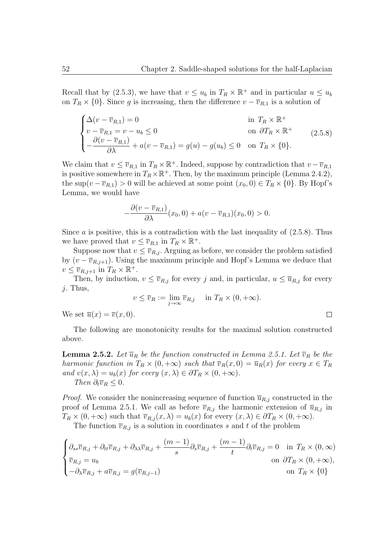Recall that by (2.5.3), we have that  $v \leq u_b$  in  $T_R \times \mathbb{R}^+$  and in particular  $u \leq u_b$ on  $T_R \times \{0\}$ . Since *g* is increasing, then the difference  $v - \overline{v}_{R,1}$  is a solution of

$$
\begin{cases}\n\Delta(v - \overline{v}_{R,1}) = 0 & \text{in } T_R \times \mathbb{R}^+ \\
v - \overline{v}_{R,1} = v - u_b \le 0 & \text{on } \partial T_R \times \mathbb{R}^+ \\
-\frac{\partial(v - \overline{v}_{R,1})}{\partial \lambda} + a(v - \overline{v}_{R,1}) = g(u) - g(u_b) \le 0 & \text{on } T_R \times \{0\}.\n\end{cases}
$$
\n(2.5.8)

We claim that  $v \leq \overline{v}_{R,1}$  in  $T_R \times \mathbb{R}^+$ . Indeed, suppose by contradiction that  $v - \overline{v}_{R,1}$ is positive somewhere in  $T_R \times \mathbb{R}^+$ . Then, by the maximum principle (Lemma 2.4.2), the sup $(v - \overline{v}_{R,1}) > 0$  will be achieved at some point  $(x_0, 0) \in T_R \times \{0\}$ . By Hopf's Lemma, we would have

$$
-\frac{\partial(v-\overline{v}_{R,1})}{\partial\lambda}(x_0,0)+a(v-\overline{v}_{R,1})(x_0,0)>0.
$$

Since *a* is positive, this is a contradiction with the last inequality of  $(2.5.8)$ . Thus we have proved that  $v \leq \overline{v}_{R,1}$  in  $T_R \times \mathbb{R}^+$ .

Suppose now that  $v \leq \overline{v}_{R,j}$ . Arguing as before, we consider the problem satisfied by  $(v - \overline{v}_{R,j+1})$ . Using the maximum principle and Hopf's Lemma we deduce that  $v \leq \overline{v}_{R,j+1}$  in  $T_R \times \mathbb{R}^+$ .

Then, by induction,  $v \leq \overline{v}_{R,j}$  for every *j* and, in particular,  $u \leq \overline{u}_{R,j}$  for every *j*. Thus,

$$
v \leq \overline{v}_R := \lim_{j \to \infty} \overline{v}_{R,j} \quad \text{in } T_R \times (0, +\infty).
$$

 $\Box$ 

We set  $\overline{u}(x) = \overline{v}(x, 0)$ .

The following are monotonicity results for the maximal solution constructed above.

**Lemma 2.5.2.** Let  $\overline{u}_R$  be the function constructed in Lemma 2.5.1. Let  $\overline{v}_R$  be the *harmonic function in*  $T_R \times (0, +\infty)$  *such that*  $\overline{v}_R(x, 0) = \overline{u}_R(x)$  *for every*  $x \in T_R$ *and*  $v(x, \lambda) = u_b(x)$  *for every*  $(x, \lambda) \in \partial T_R \times (0, +\infty)$ . *Then*  $\partial_t \overline{v}_R \leq 0$ .

*Proof.* We consider the nonincreasing sequence of function  $\overline{u}_{R,j}$  constructed in the proof of Lemma 2.5.1. We call as before  $\overline{v}_{R,j}$  the harmonic extension of  $\overline{u}_{R,j}$  in  $T_R \times (0, +\infty)$  such that  $\overline{v}_{R,j}(x, \lambda) = u_b(x)$  for every  $(x, \lambda) \in \partial T_R \times (0, +\infty)$ .

The function  $\overline{v}_{R,j}$  is a solution in coordinates *s* and *t* of the problem

$$
\begin{cases} \partial_{ss}\overline{v}_{R,j} + \partial_{tt}\overline{v}_{R,j} + \partial_{\lambda\lambda}\overline{v}_{R,j} + \frac{(m-1)}{s}\partial_{s}\overline{v}_{R,j} + \frac{(m-1)}{t}\partial_{t}\overline{v}_{R,j} = 0 & \text{in } T_{R} \times (0, \infty) \\ \overline{v}_{R,j} = u_{b} & \text{on } \partial T_{R} \times (0, +\infty), \\ -\partial_{\lambda}\overline{v}_{R,j} + a\overline{v}_{R,j} = g(\overline{v}_{R,j-1}) & \text{on } T_{R} \times \{0\} \end{cases}
$$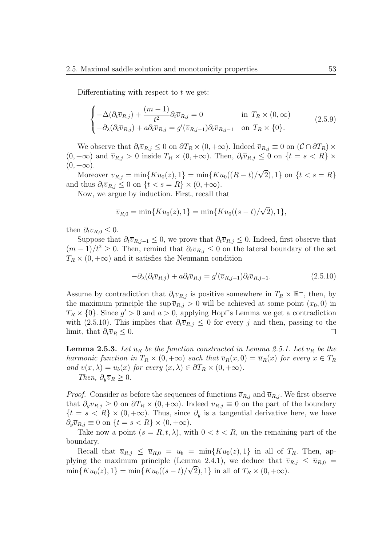Differentiating with respect to *t* we get:

$$
\begin{cases}\n-\Delta(\partial_t \overline{v}_{R,j}) + \frac{(m-1)}{t^2} \partial_t \overline{v}_{R,j} = 0 & \text{in } T_R \times (0, \infty) \\
-\partial_{\lambda}(\partial_t \overline{v}_{R,j}) + a \partial_t \overline{v}_{R,j} = g'(\overline{v}_{R,j-1}) \partial_t \overline{v}_{R,j-1} & \text{on } T_R \times \{0\}.\n\end{cases}
$$
\n(2.5.9)

We observe that  $\partial_t \overline{v}_{R,j} \leq 0$  on  $\partial T_R \times (0, +\infty)$ . Indeed  $\overline{v}_{R,j} \equiv 0$  on  $(\mathcal{C} \cap \partial T_R) \times$  $(0, +\infty)$  and  $\overline{v}_{R,j} > 0$  inside  $T_R \times (0, +\infty)$ . Then,  $\partial_t \overline{v}_{R,j} \leq 0$  on  $\{t = s < R\} \times$  $(0, +\infty).$ *√*

 $M$ oreover  $\bar{v}_{R,j} = \min\{Ku_0(z), 1\} = \min\{Ku_0((R - t))/\}$ 2)*,* 1*}* on *{t < s* = *R}* and thus  $\partial_t \overline{v}_{R,j} \leq 0$  on  $\{t < s = R\} \times (0, +\infty)$ .

Now, we argue by induction. First, recall that

$$
\overline{v}_{R,0} = \min\{Ku_0(z), 1\} = \min\{Ku_0((s-t)/\sqrt{2}), 1\},\
$$

then  $\partial_t \overline{v}_{R,0} \leq 0$ .

Suppose that  $\partial_t \overline{v}_{R,j-1} \leq 0$ , we prove that  $\partial_t \overline{v}_{R,j} \leq 0$ . Indeed, first observe that  $(m-1)/t^2 \geq 0$ . Then, remind that  $\partial_t \overline{v}_{R,j} \leq 0$  on the lateral boundary of the set  $T_R \times (0, +\infty)$  and it satisfies the Neumann condition

$$
-\partial_{\lambda}(\partial_t \overline{v}_{R,j}) + a\partial_t \overline{v}_{R,j} = g'(\overline{v}_{R,j-1})\partial_t \overline{v}_{R,j-1}.
$$
\n(2.5.10)

Assume by contradiction that  $\partial_t \overline{v}_{R,j}$  is positive somewhere in  $T_R \times \mathbb{R}^+$ , then, by the maximum principle the sup  $\overline{v}_{R,j} > 0$  will be achieved at some point  $(x_0, 0)$  in  $T_R \times \{0\}$ . Since  $g' > 0$  and  $a > 0$ , applying Hopf's Lemma we get a contradiction with (2.5.10). This implies that  $\partial_t \overline{v}_{R,j} \leq 0$  for every *j* and then, passing to the limit, that  $\partial_t \overline{v}_R \leq 0$ .  $\Box$ 

**Lemma 2.5.3.** Let  $\overline{u}_R$  be the function constructed in Lemma 2.5.1. Let  $\overline{v}_R$  be the *harmonic function in*  $T_R \times (0, +\infty)$  *such that*  $\overline{v}_R(x, 0) = \overline{u}_R(x)$  *for every*  $x \in T_R$ *and*  $v(x, \lambda) = u_b(x)$  *for every*  $(x, \lambda) \in \partial T_R \times (0, +\infty)$ *. Then,*  $\partial_y \overline{v}_R \geq 0$ *.* 

*Proof.* Consider as before the sequences of functions  $\overline{v}_{R,j}$  and  $\overline{u}_{R,j}$ . We first observe that  $\partial_y \overline{v}_{R,j} \geq 0$  on  $\partial T_R \times (0, +\infty)$ . Indeed  $\overline{v}_{R,j} \equiv 0$  on the part of the boundary  ${t = s < R} \times (0, +\infty)$ . Thus, since  $\partial_y$  is a tangential derivative here, we have  $\partial_y \overline{v}_{R,j} \equiv 0$  on  $\{t = s < R\} \times (0, +\infty)$ .

Take now a point  $(s = R, t, \lambda)$ , with  $0 < t < R$ , on the remaining part of the boundary.

Recall that  $\overline{u}_{R,j} \leq \overline{u}_{R,0} = u_b = \min\{Ku_0(z), 1\}$  in all of  $T_R$ . Then, applying the maximum principle (Lemma 2.4.1), we deduce that  $\overline{v}_{R,j} \leq \overline{u}_{R,0} =$  $\min\{Ku_0(z), 1\} = \min\{Ku_0((s-t)/\sqrt{2}), 1\}$  in all of  $T_R \times (0, +\infty)$ .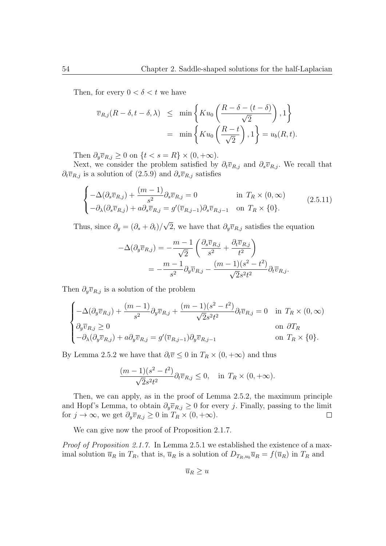Then, for every  $0 < \delta < t$  we have

$$
\overline{v}_{R,j}(R-\delta, t-\delta, \lambda) \leq \min \left\{ Ku_0\left(\frac{R-\delta-(t-\delta)}{\sqrt{2}}\right), 1 \right\}
$$

$$
= \min \left\{ Ku_0\left(\frac{R-t}{\sqrt{2}}\right), 1 \right\} = u_b(R, t).
$$

Then  $\partial_y \overline{v}_{R,j} \geq 0$  on  $\{t < s = R\} \times (0, +\infty)$ .

Next, we consider the problem satisfied by  $\partial_t \overline{v}_{R,j}$  and  $\partial_s \overline{v}_{R,j}$ . We recall that  $\partial_t \overline{v}_{R,j}$  is a solution of (2.5.9) and  $\partial_s \overline{v}_{R,j}$  satisfies

$$
\begin{cases}\n-\Delta(\partial_s \overline{v}_{R,j}) + \frac{(m-1)}{s^2} \partial_s \overline{v}_{R,j} = 0 & \text{in } T_R \times (0, \infty) \\
-\partial_\lambda(\partial_s \overline{v}_{R,j}) + a \partial_s \overline{v}_{R,j} = g'(\overline{v}_{R,j-1}) \partial_s \overline{v}_{R,j-1} & \text{on } T_R \times \{0\}.\n\end{cases}
$$
\n(2.5.11)

Thus, since  $\partial_y = (\partial_s + \partial_t)$ / *√* 2, we have that  $\partial_y \overline{v}_{R,j}$  satisfies the equation

$$
-\Delta(\partial_y \overline{v}_{R,j}) = -\frac{m-1}{\sqrt{2}} \left( \frac{\partial_s \overline{v}_{R,j}}{s^2} + \frac{\partial_t \overline{v}_{R,j}}{t^2} \right)
$$
  
= 
$$
-\frac{m-1}{s^2} \partial_y \overline{v}_{R,j} - \frac{(m-1)(s^2 - t^2)}{\sqrt{2}s^2 t^2} \partial_t \overline{v}_{R,j}.
$$

Then  $\partial_y \overline{v}_{R,j}$  is a solution of the problem

$$
\begin{cases}\n-\Delta(\partial_y \overline{v}_{R,j}) + \frac{(m-1)}{s^2} \partial_y \overline{v}_{R,j} + \frac{(m-1)(s^2 - t^2)}{\sqrt{2}s^2 t^2} \partial_t \overline{v}_{R,j} = 0 & \text{in } T_R \times (0, \infty) \\
\partial_y \overline{v}_{R,j} \ge 0 & \text{on } \partial T_R \\
-\partial_\lambda(\partial_y \overline{v}_{R,j}) + a \partial_y \overline{v}_{R,j} = g'(\overline{v}_{R,j-1}) \partial_y \overline{v}_{R,j-1} & \text{on } T_R \times \{0\}.\n\end{cases}
$$

By Lemma 2.5.2 we have that  $\partial_t \overline{v} \leq 0$  in  $T_R \times (0, +\infty)$  and thus

$$
\frac{(m-1)(s^2-t^2)}{\sqrt{2}s^2t^2}\partial_t\overline{v}_{R,j} \le 0, \text{ in } T_R \times (0,+\infty).
$$

Then, we can apply, as in the proof of Lemma 2.5.2, the maximum principle and Hopf's Lemma, to obtain  $\partial_y \overline{v}_{R,j} \geq 0$  for every *j*. Finally, passing to the limit for  $j \to \infty$ , we get  $\partial_y \overline{v}_{R,j} \geq 0$  in  $T_R \times (0, +\infty)$ .  $\Box$ 

We can give now the proof of Proposition 2.1.7.

*Proof of Proposition 2.1.7.* In Lemma 2.5.1 we established the existence of a maximal solution  $\overline{u}_R$  in  $T_R$ , that is,  $\overline{u}_R$  is a solution of  $D_{T_R,u_b}\overline{u}_R = f(\overline{u}_R)$  in  $T_R$  and

$$
\overline{u}_R \geq u
$$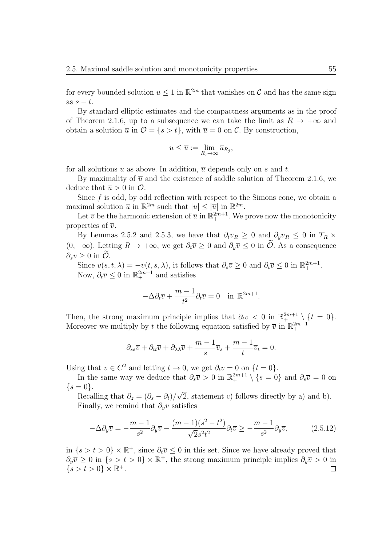for every bounded solution  $u \leq 1$  in  $\mathbb{R}^{2m}$  that vanishes on  $\mathcal C$  and has the same sign as  $s - t$ .

By standard elliptic estimates and the compactness arguments as in the proof of Theorem 2.1.6, up to a subsequence we can take the limit as  $R \to +\infty$  and obtain a solution  $\overline{u}$  in  $\mathcal{O} = \{s > t\}$ , with  $\overline{u} = 0$  on  $\mathcal{C}$ . By construction,

$$
u \leq \overline{u} := \lim_{R_j \to \infty} \overline{u}_{R_j},
$$

for all solutions  $u$  as above. In addition,  $\overline{u}$  depends only on  $s$  and  $t$ .

By maximality of  $\bar{u}$  and the existence of saddle solution of Theorem 2.1.6, we deduce that  $\overline{u} > 0$  in  $\mathcal{O}$ .

Since f is odd, by odd reflection with respect to the Simons cone, we obtain a maximal solution  $\overline{u}$  in  $\mathbb{R}^{2m}$  such that  $|u| \leq |\overline{u}|$  in  $\mathbb{R}^{2m}$ .

Let  $\bar{v}$  be the harmonic extension of  $\bar{u}$  in  $\mathbb{R}^{2m+1}_+$ . We prove now the monotonicity properties of  $\overline{v}$ .

By Lemmas 2.5.2 and 2.5.3, we have that  $\partial_t \overline{v}_R \geq 0$  and  $\partial_y \overline{v}_R \leq 0$  in  $T_R \times$  $(0, +\infty)$ . Letting  $R \to +\infty$ , we get  $\partial_t \overline{v} > 0$  and  $\partial_{\overline{v}} \overline{v} \leq 0$  in  $\overline{\mathcal{O}}$ . As a consequence  $\partial_z \overline{v}$  > 0 in  $\widetilde{O}$ .

Since  $v(s, t, \lambda) = -v(t, s, \lambda)$ , it follows that  $\partial_s \overline{v} \geq 0$  and  $\partial_t \overline{v} \leq 0$  in  $\mathbb{R}^{2m+1}_+$ . Now,  $\partial_t \overline{v} \leq 0$  in  $\mathbb{R}^{2m+1}_+$  and satisfies

$$
-\Delta \partial_t \overline{v} + \frac{m-1}{t^2} \partial_t \overline{v} = 0 \quad \text{in } \mathbb{R}_+^{2m+1}.
$$

Then, the strong maximum principle implies that  $\partial_t \overline{v} < 0$  in  $\mathbb{R}^{2m+1} \setminus \{t = 0\}$ *.* Moreover we multiply by *t* the following equation satisfied by  $\overline{v}$  in  $\mathbb{R}^{2m+1}_+$ 

$$
\partial_{ss}\overline{v} + \partial_{tt}\overline{v} + \partial_{\lambda\lambda}\overline{v} + \frac{m-1}{s}\overline{v}_s + \frac{m-1}{t}\overline{v}_t = 0.
$$

Using that  $\overline{v} \in C^2$  and letting  $t \to 0$ , we get  $\partial_t \overline{v} = 0$  on  $\{t = 0\}$ .

In the same way we deduce that  $\partial_s \overline{v} > 0$  in  $\mathbb{R}^{2m+1}_+ \setminus \{s = 0\}$  and  $\partial_s \overline{v} = 0$  on  $\{s = 0\}.$ *√*

Recalling that  $\partial_z = (\partial_s - \partial_t)$ / 2, statement c) follows directly by a) and b). Finally, we remind that  $\partial_y \overline{v}$  satisfies

$$
-\Delta\partial_y \overline{v} = -\frac{m-1}{s^2} \partial_y \overline{v} - \frac{(m-1)(s^2 - t^2)}{\sqrt{2}s^2 t^2} \partial_t \overline{v} \ge -\frac{m-1}{s^2} \partial_y \overline{v},\tag{2.5.12}
$$

in  $\{s > t > 0\} \times \mathbb{R}^+$ , since  $\partial_t \overline{v} \leq 0$  in this set. Since we have already proved that  $\partial_y \overline{v} \geq 0$  in  $\{s > t > 0\} \times \mathbb{R}^+$ , the strong maximum principle implies  $\partial_y \overline{v} > 0$  in  $\{s > t > 0\} \times \mathbb{R}^+.$  $\Box$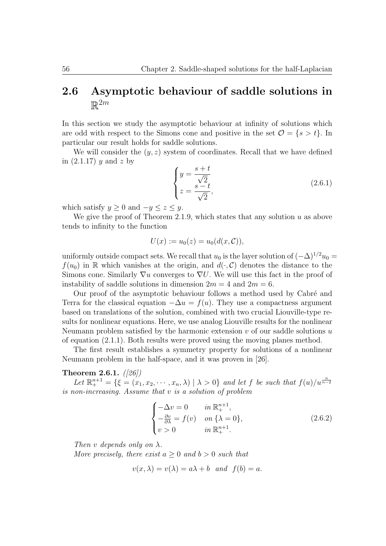# **2.6 Asymptotic behaviour of saddle solutions in**  $\mathbb{R}^{2m}$

In this section we study the asymptotic behaviour at infinity of solutions which are odd with respect to the Simons cone and positive in the set  $\mathcal{O} = \{s > t\}$ . In particular our result holds for saddle solutions.

We will consider the  $(y, z)$  system of coordinates. Recall that we have defined in (2.1.17) *y* and *z* by

$$
\begin{cases}\ny = \frac{s+t}{\sqrt{2}} \\
z = \frac{s-t}{\sqrt{2}},\n\end{cases}
$$
\n(2.6.1)

which satisfy  $y \geq 0$  and  $-y \leq z \leq y$ .

We give the proof of Theorem 2.1.9, which states that any solution *u* as above tends to infinity to the function

$$
U(x) := u_0(z) = u_0(d(x, \mathcal{C})),
$$

uniformly outside compact sets. We recall that  $u_0$  is the layer solution of  $(-\Delta)^{1/2}u_0 =$  $f(u_0)$  in R which vanishes at the origin, and  $d(\cdot, \mathcal{C})$  denotes the distance to the Simons cone. Similarly *∇u* converges to *∇U*. We will use this fact in the proof of instability of saddle solutions in dimension  $2m = 4$  and  $2m = 6$ .

Our proof of the asymptotic behaviour follows a method used by Cabré and Terra for the classical equation  $-\Delta u = f(u)$ . They use a compactness argument based on translations of the solution, combined with two crucial Liouville-type results for nonlinear equations. Here, we use analog Liouville results for the nonlinear Neumann problem satisfied by the harmonic extension *v* of our saddle solutions *u* of equation (2.1.1). Both results were proved using the moving planes method.

The first result establishes a symmetry property for solutions of a nonlinear Neumann problem in the half-space, and it was proven in [26].

#### **Theorem 2.6.1.** *([26])*

Let  $\mathbb{R}^{n+1}_+ = \{ \xi = (x_1, x_2, \cdots, x_n, \lambda) \mid \lambda > 0 \}$  and let f be such that  $f(u)/u^{\frac{n}{n-2}}$ *is non-increasing. Assume that v is a solution of problem*

$$
\begin{cases}\n-\Delta v = 0 & \text{in } \mathbb{R}_+^{n+1}, \\
-\frac{\partial v}{\partial \lambda} = f(v) & \text{on } {\lambda = 0}, \\
v > 0 & \text{in } \mathbb{R}_+^{n+1}.\n\end{cases}
$$
\n(2.6.2)

*Then v depends only on*  $\lambda$ *.* 

*More precisely, there exist*  $a \geq 0$  *and*  $b > 0$  *such that* 

$$
v(x, \lambda) = v(\lambda) = a\lambda + b
$$
 and  $f(b) = a$ .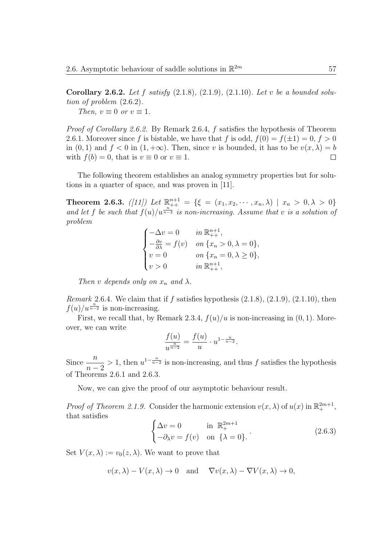**Corollary 2.6.2.** *Let f satisfy* (2.1.8)*,* (2.1.9)*,* (2.1.10)*. Let v be a bounded solution of problem* (2.6.2)*.*

*Then,*  $v \equiv 0$  *or*  $v \equiv 1$ *.* 

*Proof of Corollary 2.6.2.* By Remark 2.6.4, *f* satisfies the hypothesis of Theorem 2.6.1. Moreover since f is bistable, we have that f is odd,  $f(0) = f(\pm 1) = 0, f > 0$ in  $(0, 1)$  and  $f < 0$  in  $(1, +\infty)$ . Then, since *v* is bounded, it has to be  $v(x, \lambda) = b$ with  $f(b) = 0$ , that is  $v \equiv 0$  or  $v \equiv 1$ .  $\Box$ 

The following theorem establishes an analog symmetry properties but for solutions in a quarter of space, and was proven in [11].

**Theorem 2.6.3.** *([11])* Let  $\mathbb{R}^{n+1}_{++} = \{ \xi = (x_1, x_2, \dots, x_n, \lambda) \mid x_n > 0, \lambda > 0 \}$ and let f be such that  $f(u)/u^{\frac{n}{n-2}}$  is non-increasing. Assume that *v* is a solution of *problem*

$$
\begin{cases}\n-\Delta v = 0 & \text{in } \mathbb{R}^{n+1}_{++}, \\
-\frac{\partial v}{\partial \lambda} = f(v) & \text{on } \{x_n > 0, \lambda = 0\}, \\
v = 0 & \text{on } \{x_n = 0, \lambda \ge 0\}, \\
v > 0 & \text{in } \mathbb{R}^{n+1}_{++},\n\end{cases}
$$

*Then v depends only on*  $x_n$  *and*  $\lambda$ .

*Remark* 2.6.4*.* We claim that if *f* satisfies hypothesis (2.1.8), (2.1.9), (2.1.10), then  $f(u)/u^{\frac{n}{n-2}}$  is non-increasing.

First, we recall that, by Remark 2.3.4,  $f(u)/u$  is non-increasing in  $(0, 1)$ . Moreover, we can write

$$
\frac{f(u)}{u^{\frac{n}{n-2}}} = \frac{f(u)}{u} \cdot u^{1-\frac{n}{n-2}}.
$$

Since  $\frac{n}{n}$ *n −* 2 > 1, then  $u^{1-\frac{n}{n-2}}$  is non-increasing, and thus *f* satisfies the hypothesis of Theorems 2.6.1 and 2.6.3.

Now, we can give the proof of our asymptotic behaviour result.

*Proof of Theorem 2.1.9.* Consider the harmonic extension  $v(x, \lambda)$  of  $u(x)$  in  $\mathbb{R}^{2m+1}_+$ , that satisfies

$$
\begin{cases} \Delta v = 0 & \text{in } \mathbb{R}_+^{2m+1} \\ -\partial_\lambda v = f(v) & \text{on } \{\lambda = 0\}. \end{cases}
$$
 (2.6.3)

Set  $V(x, \lambda) := v_0(z, \lambda)$ . We want to prove that

 $v(x, \lambda) - V(x, \lambda) \to 0$  and  $\nabla v(x, \lambda) - \nabla V(x, \lambda) \to 0$ ,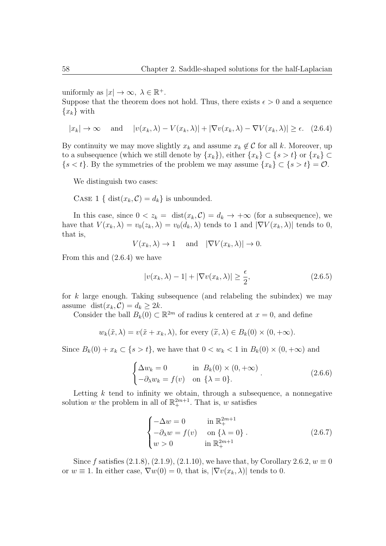uniformly as  $|x| \to \infty$ ,  $\lambda \in \mathbb{R}^+$ .

Suppose that the theorem does not hold. Thus, there exists  $\epsilon > 0$  and a sequence  ${x_k}$  with

$$
|x_k| \to \infty
$$
 and  $|v(x_k, \lambda) - V(x_k, \lambda)| + |\nabla v(x_k, \lambda) - \nabla V(x_k, \lambda)| \ge \epsilon$ . (2.6.4)

By continuity we may move slightly  $x_k$  and assume  $x_k \notin C$  for all k. Moreover, up to a subsequence (which we still denote by  $\{x_k\}$ ), either  $\{x_k\} \subset \{s > t\}$  or  $\{x_k\} \subset$ *{s < t}*. By the symmetries of the problem we may assume *{xk} ⊂ {s > t}* = *O*.

We distinguish two cases:

CASE 1 { dist $(x_k, C) = d_k$ } is unbounded.

In this case, since  $0 < z_k = \text{dist}(x_k, C) = d_k \to +\infty$  (for a subsequence), we have that  $V(x_k, \lambda) = v_0(z_k, \lambda) = v_0(d_k, \lambda)$  tends to 1 and  $|\nabla V(x_k, \lambda)|$  tends to 0, that is,

 $V(x_k, \lambda) \to 1$  and  $|\nabla V(x_k, \lambda)| \to 0$ .

From this and (2.6.4) we have

$$
|v(x_k, \lambda) - 1| + |\nabla v(x_k, \lambda)| \ge \frac{\epsilon}{2}, \tag{2.6.5}
$$

for *k* large enough. Taking subsequence (and relabeling the subindex) we may assume dist $(x_k, C) = d_k \geq 2k$ .

Consider the ball  $B_k(0) \subset \mathbb{R}^{2m}$  of radius k centered at  $x = 0$ , and define

 $w_k(\tilde{x}, \lambda) = v(\tilde{x} + x_k, \lambda)$ , for every  $(\tilde{x}, \lambda) \in B_k(0) \times (0, +\infty)$ .

Since  $B_k(0) + x_k \subset \{s > t\}$ , we have that  $0 < w_k < 1$  in  $B_k(0) \times (0, +\infty)$  and

$$
\begin{cases} \Delta w_k = 0 & \text{in } B_k(0) \times (0, +\infty) \\ -\partial_\lambda w_k = f(v) & \text{on } \{\lambda = 0\}. \end{cases}
$$
 (2.6.6)

Letting  $k$  tend to infinity we obtain, through a subsequence, a nonnegative solution *w* the problem in all of  $\mathbb{R}^{2m+1}_+$ . That is, *w* satisfies

$$
\begin{cases}\n-\Delta w = 0 & \text{in } \mathbb{R}_+^{2m+1} \\
-\partial_\lambda w = f(v) & \text{on } {\lambda = 0} \\
w > 0 & \text{in } \mathbb{R}_+^{2m+1}\n\end{cases}
$$
\n(2.6.7)

Since *f* satisfies  $(2.1.8), (2.1.9), (2.1.10),$  we have that, by Corollary  $2.6.2, w \equiv 0$ or  $w \equiv 1$ . In either case,  $\nabla w(0) = 0$ , that is,  $|\nabla v(x_k, \lambda)|$  tends to 0.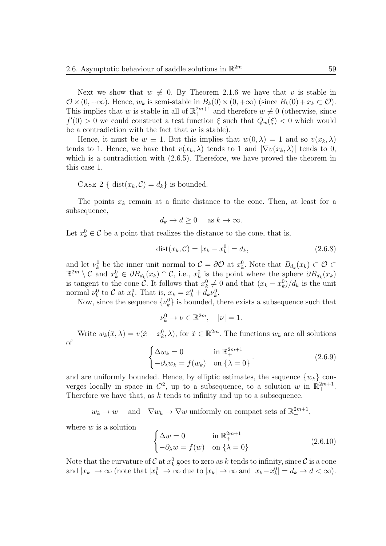Next we show that  $w \neq 0$ . By Theorem 2.1.6 we have that *v* is stable in  $\mathcal{O} \times (0, +\infty)$ . Hence,  $w_k$  is semi-stable in  $B_k(0) \times (0, +\infty)$  (since  $B_k(0) + x_k \subset \mathcal{O}$ ). This implies that *w* is stable in all of  $\mathbb{R}^{2m+1}$  and therefore  $w \neq 0$  (otherwise, since  $f'(0) > 0$  we could construct a test function  $\xi$  such that  $Q_w(\xi) < 0$  which would be a contradiction with the fact that *w* is stable).

Hence, it must be  $w \equiv 1$ . But this implies that  $w(0, \lambda) = 1$  and so  $v(x_k, \lambda)$ tends to 1. Hence, we have that  $v(x_k, \lambda)$  tends to 1 and  $|\nabla v(x_k, \lambda)|$  tends to 0, which is a contradiction with (2*.*6*.*5). Therefore, we have proved the theorem in this case 1.

CASE 2 { dist $(x_k, C) = d_k$ } is bounded.

The points  $x_k$  remain at a finite distance to the cone. Then, at least for a subsequence,

$$
d_k \to d \ge 0 \quad \text{ as } k \to \infty.
$$

Let  $x_k^0 \in \mathcal{C}$  be a point that realizes the distance to the cone, that is,

$$
dist(x_k, C) = |x_k - x_k^0| = d_k,
$$
\n(2.6.8)

and let  $\nu_k^0$  be the inner unit normal to  $\mathcal{C} = \partial \mathcal{O}$  at  $x_k^0$ . Note that  $B_{d_k}(x_k) \subset \mathcal{O} \subset$  $\mathbb{R}^{2m} \setminus \mathcal{C}$  and  $x_k^0 \in \partial B_{d_k}(x_k) \cap \mathcal{C}$ , i.e.,  $x_k^0$  is the point where the sphere  $\partial B_{d_k}(x_k)$ is tangent to the cone *C*. It follows that  $x_k^0 \neq 0$  and that  $(x_k - x_k^0)/d_k$  is the unit normal  $\nu_k^0$  to *C* at  $x_k^0$ . That is,  $x_k = x_k^0 + d_k \nu_k^0$ .

Now, since the sequence  $\{\nu_k^0\}$  is bounded, there exists a subsequence such that

$$
\nu_k^0 \to \nu \in \mathbb{R}^{2m}, \quad |\nu| = 1.
$$

Write  $w_k(\tilde{x}, \lambda) = v(\tilde{x} + x_k^0, \lambda)$ , for  $\tilde{x} \in \mathbb{R}^{2m}$ . The functions  $w_k$  are all solutions of

$$
\begin{cases} \Delta w_k = 0 & \text{in } \mathbb{R}_+^{2m+1} \\ -\partial_\lambda w_k = f(w_k) & \text{on } \{\lambda = 0\} \end{cases}.
$$
 (2.6.9)

and are uniformly bounded. Hence, by elliptic estimates, the sequence  $\{w_k\}$  converges locally in space in  $C^2$ , up to a subsequence, to a solution *w* in  $\mathbb{R}^{2m+1}_+$ . Therefore we have that, as *k* tends to infinity and up to a subsequence,

 $w_k \to w$  and  $\nabla w_k \to \nabla w$  uniformly on compact sets of  $\mathbb{R}^{2m+1}_+$ ,

where *w* is a solution

$$
\begin{cases} \Delta w = 0 & \text{in } \mathbb{R}_+^{2m+1} \\ -\partial_{\lambda} w = f(w) & \text{on } {\lambda = 0} \end{cases}
$$
 (2.6.10)

Note that the curvature of  $C$  at  $x_k^0$  goes to zero as  $k$  tends to infinity, since  $C$  is a cone and  $|x_k| \to \infty$  (note that  $|x_k^0| \to \infty$  due to  $|x_k| \to \infty$  and  $|x_k - x_k^0| = d_k \to d < \infty$ ).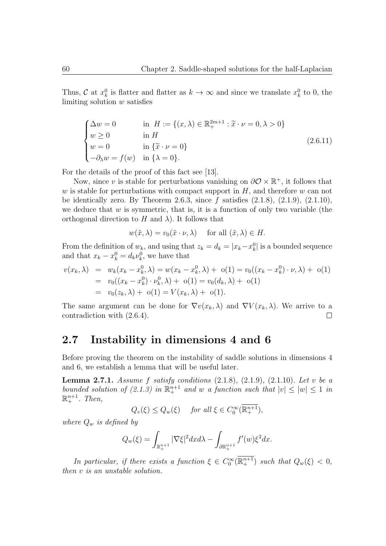Thus, *C* at  $x_k^0$  is flatter and flatter as  $k \to \infty$  and since we translate  $x_k^0$  to 0, the limiting solution *w* satisfies

$$
\begin{cases}\n\Delta w = 0 & \text{in } H := \{(x, \lambda) \in \mathbb{R}_+^{2m+1} : \tilde{x} \cdot \nu = 0, \lambda > 0\} \\
w \ge 0 & \text{in } H \\
w = 0 & \text{in } \{\tilde{x} \cdot \nu = 0\} \\
-\partial_{\lambda} w = f(w) & \text{in } \{\lambda = 0\}.\n\end{cases}
$$
\n(2.6.11)

For the details of the proof of this fact see [13].

Now, since *v* is stable for perturbations vanishing on  $\partial \mathcal{O} \times \mathbb{R}^+$ , it follows that *w* is stable for perturbations with compact support in *H*, and therefore *w* can not be identically zero. By Theorem 2.6.3, since *f* satisfies (2.1.8), (2.1.9), (2.1.10), we deduce that  $w$  is symmetric, that is, it is a function of only two variable (the orthogonal direction to  $H$  and  $\lambda$ ). It follows that

$$
w(\tilde{x}, \lambda) = v_0(\tilde{x} \cdot \nu, \lambda)
$$
 for all  $(\tilde{x}, \lambda) \in H$ .

From the definition of  $w_k$ , and using that  $z_k = d_k = |x_k - x_k^0|$  is a bounded sequence and that  $x_k - x_k^0 = d_k \nu_k^0$ , we have that

$$
v(x_k, \lambda) = w_k(x_k - x_k^0, \lambda) = w(x_k - x_k^0, \lambda) + o(1) = v_0((x_k - x_k^0) \cdot \nu, \lambda) + o(1)
$$
  
=  $v_0((x_k - x_k^0) \cdot \nu_k^0, \lambda) + o(1) = v_0(d_k, \lambda) + o(1)$   
=  $v_0(z_k, \lambda) + o(1) = V(x_k, \lambda) + o(1)$ .

The same argument can be done for  $\nabla v(x_k, \lambda)$  and  $\nabla V(x_k, \lambda)$ . We arrive to a contradiction with (2.6.4).  $\Box$ 

#### **2.7 Instability in dimensions 4 and 6**

Before proving the theorem on the instability of saddle solutions in dimensions 4 and 6, we establish a lemma that will be useful later.

**Lemma 2.7.1.** *Assume f satisfy conditions* (2.1.8)*,* (2.1.9)*,* (2.1.10)*. Let v be a bounded solution of (2.1.3) in*  $\mathbb{R}^{n+1}$  *and w a function such that*  $|v| \leq |w| \leq 1$  *in*  $\mathbb{R}^{n+1}_+$ *. Then,* 

 $Q_v(\xi) \leq Q_w(\xi)$  *for all*  $\xi \in C_0^{\infty}(\mathbb{R}^{n+1}_+),$ 

*where Q<sup>w</sup> is defined by*

$$
Q_w(\xi) = \int_{\mathbb{R}^{n+1}_+} |\nabla \xi|^2 dx d\lambda - \int_{\partial \mathbb{R}^{n+1}_+} f'(w) \xi^2 dx.
$$

*In particular, if there exists a function*  $\xi \in C_0^{\infty}(\mathbb{R}^{n+1}_+)$  *such that*  $Q_w(\xi) < 0$ *, then v is an unstable solution.*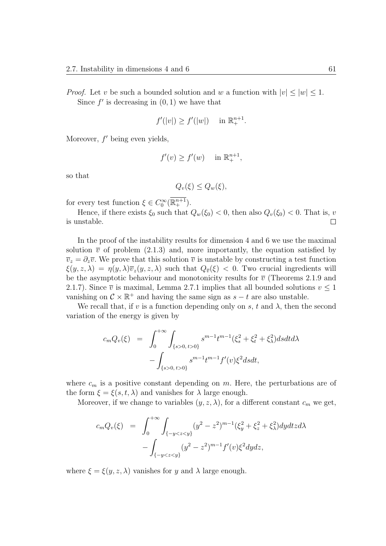*Proof.* Let *v* be such a bounded solution and *w* a function with  $|v| \le |w| \le 1$ . Since  $f'$  is decreasing in  $(0, 1)$  we have that

$$
f'(|v|) \ge f'(|w|) \quad \text{in } \mathbb{R}_+^{n+1}.
$$

Moreover,  $f'$  being even yields,

$$
f'(v) \ge f'(w) \quad \text{in } \mathbb{R}_+^{n+1},
$$

so that

$$
Q_v(\xi) \le Q_w(\xi),
$$

for every test function  $\xi \in C_0^{\infty}(\mathbb{R}^{n+1}_+).$ 

Hence, if there exists  $\xi_0$  such that  $Q_w(\xi_0) < 0$ , then also  $Q_v(\xi_0) < 0$ . That is, *v* is unstable.  $\Box$ 

In the proof of the instability results for dimension 4 and 6 we use the maximal solution  $\bar{v}$  of problem (2.1.3) and, more importantly, the equation satisfied by  $\overline{v}_z = \partial_z \overline{v}$ . We prove that this solution  $\overline{v}$  is unstable by constructing a test function  $\xi(y, z, \lambda) = \eta(y, \lambda) \overline{v}_z(y, z, \lambda)$  such that  $Q_{\overline{v}}(\xi) < 0$ . Two crucial ingredients will be the asymptotic behaviour and monotonicity results for  $\bar{v}$  (Theorems 2.1.9 and 2.1.7). Since  $\bar{v}$  is maximal, Lemma 2.7.1 implies that all bounded solutions  $v \leq 1$ vanishing on  $C \times \mathbb{R}^+$  and having the same sign as  $s - t$  are also unstable.

We recall that, if *v* is a function depending only on *s*, *t* and  $\lambda$ , then the second variation of the energy is given by

$$
c_m Q_v(\xi) = \int_0^{+\infty} \int_{\{s>0, t>0\}} s^{m-1} t^{m-1} (\xi_s^2 + \xi_t^2 + \xi_\lambda^2) ds dt d\lambda - \int_{\{s>0, t>0\}} s^{m-1} t^{m-1} f'(v) \xi^2 ds dt,
$$

where  $c_m$  is a positive constant depending on  $m$ . Here, the perturbations are of the form  $\xi = \xi(s, t, \lambda)$  and vanishes for  $\lambda$  large enough.

Moreover, if we change to variables  $(y, z, \lambda)$ , for a different constant  $c_m$  we get,

$$
c_m Q_v(\xi) = \int_0^{+\infty} \int_{\{-y < z < y\}} (y^2 - z^2)^{m-1} (\xi_y^2 + \xi_z^2 + \xi_\lambda^2) dy dt z d\lambda - \int_{\{-y < z < y\}} (y^2 - z^2)^{m-1} f'(v) \xi^2 dy dz,
$$

where  $\xi = \xi(y, z, \lambda)$  vanishes for *y* and  $\lambda$  large enough.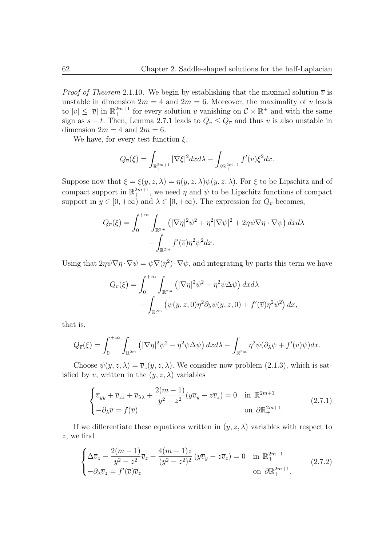*Proof of Theorem* 2.1.10. We begin by establishing that the maximal solution  $\overline{v}$  is unstable in dimension  $2m = 4$  and  $2m = 6$ . Moreover, the maximality of  $\overline{v}$  leads to  $|v| \leq |\overline{v}|$  in  $\mathbb{R}^{2m+1}$  for every solution *v* vanishing on  $C \times \mathbb{R}^+$  and with the same sign as  $s - t$ . Then, Lemma 2.7.1 leads to  $Q_v \leq Q_{\overline{v}}$  and thus *v* is also unstable in dimension  $2m = 4$  and  $2m = 6$ .

We have, for every test function  $\xi$ ,

$$
Q_{\overline{v}}(\xi) = \int_{\mathbb{R}^{2m+1}_+} |\nabla \xi|^2 dx d\lambda - \int_{\partial \mathbb{R}^{2m+1}_+} f'(\overline{v}) \xi^2 dx.
$$

Suppose now that  $\xi = \xi(y, z, \lambda) = \eta(y, z, \lambda) \psi(y, z, \lambda)$ . For  $\xi$  to be Lipschitz and of compact support in  $\mathbb{R}^{2m+1}_+$ , we need  $\eta$  and  $\psi$  to be Lipschitz functions of compact support in  $y \in [0, +\infty)$  and  $\lambda \in [0, +\infty)$ . The expression for  $Q_{\overline{v}}$  becomes,

$$
Q_{\overline{v}}(\xi) = \int_0^{+\infty} \int_{\mathbb{R}^{2m}} \left( |\nabla \eta|^2 \psi^2 + \eta^2 |\nabla \psi|^2 + 2\eta \psi \nabla \eta \cdot \nabla \psi \right) dx d\lambda - \int_{\mathbb{R}^{2m}} f'(\overline{v}) \eta^2 \psi^2 dx.
$$

Using that  $2\eta\psi\nabla\eta\cdot\nabla\psi = \psi\nabla(\eta^2)\cdot\nabla\psi$ , and integrating by parts this term we have

$$
Q_{\overline{v}}(\xi) = \int_0^{+\infty} \int_{\mathbb{R}^{2m}} \left( |\nabla \eta|^2 \psi^2 - \eta^2 \psi \Delta \psi \right) dx d\lambda - \int_{\mathbb{R}^{2m}} \left( \psi(y, z, 0) \eta^2 \partial_\lambda \psi(y, z, 0) + f'(\overline{v}) \eta^2 \psi^2 \right) dx,
$$

that is,

$$
Q_{\overline{v}}(\xi) = \int_0^{+\infty} \int_{\mathbb{R}^{2m}} \left( |\nabla \eta|^2 \psi^2 - \eta^2 \psi \Delta \psi \right) dx d\lambda - \int_{\mathbb{R}^{2m}} \eta^2 \psi (\partial_\lambda \psi + f'(\overline{v}) \psi) dx.
$$

Choose  $\psi(y, z, \lambda) = \overline{v}_z(y, z, \lambda)$ . We consider now problem (2.1.3), which is satisfied by  $\overline{v}$ , written in the  $(y, z, \lambda)$  variables

$$
\begin{cases} \overline{v}_{yy} + \overline{v}_{zz} + \overline{v}_{\lambda\lambda} + \frac{2(m-1)}{y^2 - z^2} (y\overline{v}_y - z\overline{v}_z) = 0 & \text{in } \mathbb{R}_+^{2m+1} \\ -\partial_\lambda \overline{v} = f(\overline{v}) & \text{on } \partial \mathbb{R}_+^{2m+1}. \end{cases}
$$
(2.7.1)

If we differentiate these equations written in  $(y, z, \lambda)$  variables with respect to *z*, we find

$$
\begin{cases}\n\Delta \overline{v}_z - \frac{2(m-1)}{y^2 - z^2} \overline{v}_z + \frac{4(m-1)z}{(y^2 - z^2)^2} (y \overline{v}_y - z \overline{v}_z) = 0 & \text{in } \mathbb{R}_+^{2m+1} \\
-\partial_\lambda \overline{v}_z = f'(\overline{v}) \overline{v}_z & \text{on } \partial \mathbb{R}_+^{2m+1}.\n\end{cases}
$$
\n(2.7.2)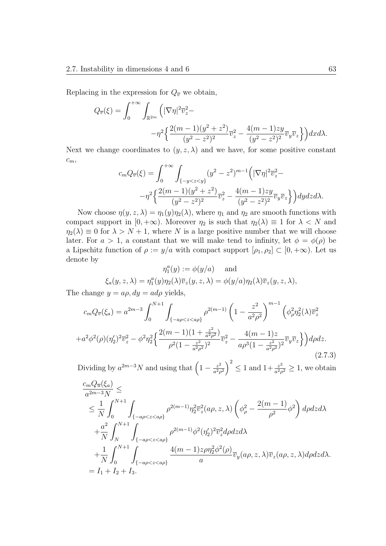Replacing in the expression for  $Q_{\overline{v}}$  we obtain,

$$
Q_{\overline{v}}(\xi) = \int_0^{+\infty} \int_{\mathbb{R}^{2m}} \left( |\nabla \eta|^2 \overline{v}_z^2 - \right. \\ \left. -\eta^2 \left\{ \frac{2(m-1)(y^2+z^2)}{(y^2-z^2)^2} \overline{v}_z^2 - \frac{4(m-1)zy}{(y^2-z^2)^2} \overline{v}_y \overline{v}_z \right\} \right) dx d\lambda.
$$

Next we change coordinates to  $(y, z, \lambda)$  and we have, for some positive constant *cm*,

$$
c_m Q_{\overline{v}}(\xi) = \int_0^{+\infty} \int_{\{-y < z < y\}} (y^2 - z^2)^{m-1} \left( |\nabla \eta|^2 \overline{v}_z^2 - \right. \\ -\eta^2 \left\{ \frac{2(m-1)(y^2 + z^2)}{(y^2 - z^2)^2} \overline{v}_z^2 - \frac{4(m-1)zy}{(y^2 - z^2)^2} \overline{v}_y \overline{v}_z \right\} \right) dy dz d\lambda.
$$

Now choose  $\eta(y, z, \lambda) = \eta_1(y)\eta_2(\lambda)$ , where  $\eta_1$  and  $\eta_2$  are smooth functions with compact support in  $[0, +\infty)$ . Moreover  $\eta_2$  is such that  $\eta_2(\lambda) \equiv 1$  for  $\lambda < N$  and  $\eta_2(\lambda) \equiv 0$  for  $\lambda > N + 1$ , where *N* is a large positive number that we will choose later. For  $a > 1$ , a constant that we will make tend to infinity, let  $\phi = \phi(\rho)$  be a Lipschitz function of  $\rho := y/a$  with compact support  $[\rho_1, \rho_2] \subset [0, +\infty)$ . Let us denote by

$$
\eta_1^a(y) := \phi(y/a) \quad \text{and}
$$

$$
\xi_a(y, z, \lambda) = \eta_1^a(y)\eta_2(\lambda)\overline{v}_z(y, z, \lambda) = \phi(y/a)\eta_2(\lambda)\overline{v}_z(y, z, \lambda),
$$

The change  $y = a\rho$ ,  $dy = ad\rho$  yields,

$$
c_m Q_{\overline{v}}(\xi_a) = a^{2m-3} \int_0^{N+1} \int_{\{-a\rho < z < a\rho\}} \rho^{2(m-1)} \left(1 - \frac{z^2}{a^2 \rho^2}\right)^{m-1} \left(\phi_\rho^2 \eta_2^2(\lambda) \overline{v}_z^2 + a^2 \phi^2(\rho) (\eta_2')^2 \overline{v}_z^2 - \phi^2 \eta_2^2 \left\{\frac{2(m-1)(1 + \frac{z^2}{a^2 \rho^2})}{\rho^2 (1 - \frac{z^2}{a^2 \rho^2})^2} \overline{v}_z^2 - \frac{4(m-1)z}{a \rho^3 (1 - \frac{z^2}{a^2 \rho^2})^2} \overline{v}_y \overline{v}_z\right\} d\rho dz. \tag{2.7.3}
$$

Dividing by  $a^{2m-3}N$  and using that  $\left(1-\frac{z^2}{a^2s}\right)$  $\left(\frac{z^2}{a^2\rho^2}\right)^2 \leq 1$  and  $1+\frac{z^2}{a^2\rho^2}$  $\frac{z^2}{a^2\rho^2} \geq 1$ , we obtain *cmQu*(*ξa*)

$$
\frac{c_m Q_{\overline{u}}(\xi_a)}{a^{2m-3}N} \le
$$
\n
$$
\leq \frac{1}{N} \int_0^{N+1} \int_{\{-a\rho < z < a\rho\}} \rho^{2(m-1)} \eta_2^2 \overline{v}_z^2(a\rho, z, \lambda) \left(\phi_\rho^2 - \frac{2(m-1)}{\rho^2} \phi^2\right) d\rho dz d\lambda
$$
\n
$$
+ \frac{a^2}{N} \int_N^{N+1} \int_{\{-a\rho < z < a\rho\}} \rho^{2(m-1)} \phi^2(\eta_2')^2 \overline{v}_z^2 d\rho dz d\lambda
$$
\n
$$
+ \frac{1}{N} \int_0^{N+1} \int_{\{-a\rho < z < a\rho\}} \frac{4(m-1)z \rho \eta_2^2 \phi^2(\rho)}{a} \overline{v}_y(a\rho, z, \lambda) \overline{v}_z(a\rho, z, \lambda) d\rho dz d\lambda.
$$
\n
$$
= I_1 + I_2 + I_3.
$$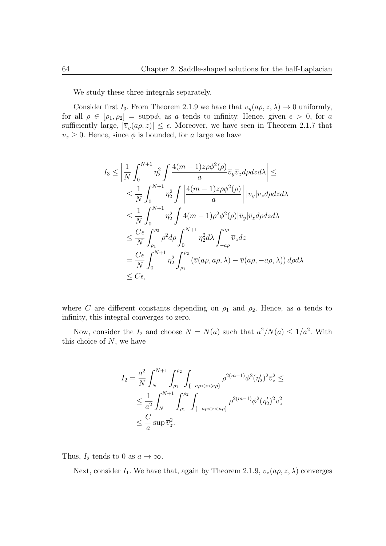We study these three integrals separately.

Consider first  $I_3$ . From Theorem 2.1.9 we have that  $\overline{v}_y(a\rho, z, \lambda) \to 0$  uniformly, for all  $\rho \in [\rho_1, \rho_2] = \text{supp}\phi$ , as *a* tends to infinity. Hence, given  $\epsilon > 0$ , for *a* sufficiently large,  $|\bar{v}_y(a\rho, z)| \leq \epsilon$ . Moreover, we have seen in Theorem 2.1.7 that  $\overline{v}_z \geq 0$ . Hence, since  $\phi$  is bounded, for *a* large we have

$$
I_3 \leq \left| \frac{1}{N} \int_0^{N+1} \eta_2^2 \int \frac{4(m-1)z \rho \phi^2(\rho)}{a} \overline{v}_y \overline{v}_z d\rho dz d\lambda \right| \leq
$$
  
\n
$$
\leq \frac{1}{N} \int_0^{N+1} \eta_2^2 \int \left| \frac{4(m-1)z \rho \phi^2(\rho)}{a} \right| |\overline{v}_y| \overline{v}_z d\rho dz d\lambda
$$
  
\n
$$
\leq \frac{1}{N} \int_0^{N+1} \eta_2^2 \int 4(m-1) \rho^2 \phi^2(\rho) |\overline{v}_y| \overline{v}_z d\rho dz d\lambda
$$
  
\n
$$
\leq \frac{C\epsilon}{N} \int_{\rho_1}^{\rho_2} \rho^2 d\rho \int_0^{N+1} \eta_2^2 d\lambda \int_{-a\rho}^{a\rho} \overline{v}_z dz
$$
  
\n
$$
= \frac{C\epsilon}{N} \int_0^{N+1} \eta_2^2 \int_{\rho_1}^{\rho_2} (\overline{v}(a\rho, a\rho, \lambda) - \overline{v}(a\rho, -a\rho, \lambda)) d\rho d\lambda
$$
  
\n
$$
\leq C\epsilon,
$$

where *C* are different constants depending on  $\rho_1$  and  $\rho_2$ . Hence, as *a* tends to infinity, this integral converges to zero.

Now, consider the  $I_2$  and choose  $N = N(a)$  such that  $a^2/N(a) \leq 1/a^2$ . With this choice of *N*, we have

$$
I_2 = \frac{a^2}{N} \int_N^{N+1} \int_{\rho_1}^{\rho_2} \int_{\{-a\rho < z < a\rho\}} \rho^{2(m-1)} \phi^2(\eta_2')^2 \overline{v}_z^2 \le
$$
  

$$
\leq \frac{1}{a^2} \int_N^{N+1} \int_{\rho_1}^{\rho_2} \int_{\{-a\rho < z < a\rho\}} \rho^{2(m-1)} \phi^2(\eta_2')^2 \overline{v}_z^2
$$
  

$$
\leq \frac{C}{a} \sup \overline{v}_z^2.
$$

Thus,  $I_2$  tends to 0 as  $a \to \infty$ .

Next, consider  $I_1$ . We have that, again by Theorem 2.1.9,  $\overline{v}_z(a\rho, z, \lambda)$  converges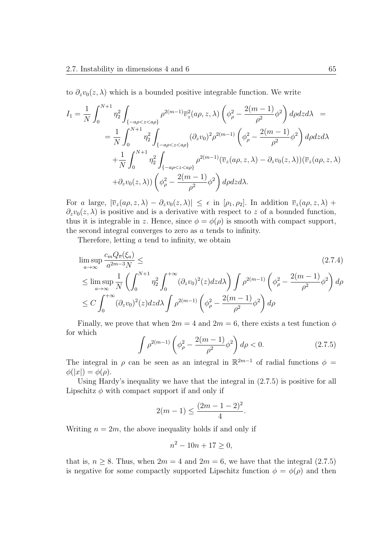to  $\partial_z v_0(z,\lambda)$  which is a bounded positive integrable function. We write

$$
I_1 = \frac{1}{N} \int_0^{N+1} \eta_2^2 \int_{\{-a\rho < z < a\rho\}} \rho^{2(m-1)} \overline{v}_z^2(a\rho, z, \lambda) \left(\phi_\rho^2 - \frac{2(m-1)}{\rho^2} \phi^2\right) d\rho dz d\lambda =
$$
\n
$$
= \frac{1}{N} \int_0^{N+1} \eta_2^2 \int_{\{-a\rho < z < a\rho\}} (\partial_z v_0)^2 \rho^{2(m-1)} \left(\phi_\rho^2 - \frac{2(m-1)}{\rho^2} \phi^2\right) d\rho dz d\lambda
$$
\n
$$
+ \frac{1}{N} \int_0^{N+1} \eta_2^2 \int_{\{-a\rho < z < a\rho\}} \rho^{2(m-1)} (\overline{v}_z(a\rho, z, \lambda) - \partial_z v_0(z, \lambda)) (\overline{v}_z(a\rho, z, \lambda)
$$
\n
$$
+ \partial_z v_0(z, \lambda)) \left(\phi_\rho^2 - \frac{2(m-1)}{\rho^2} \phi^2\right) d\rho dz d\lambda.
$$

For *a* large,  $|\bar{v}_z(a\rho, z, \lambda) - \partial_z v_0(z, \lambda)| \leq \epsilon$  in  $[\rho_1, \rho_2]$ . In addition  $\bar{v}_z(a\rho, z, \lambda)$  +  $\partial_z v_0(z,\lambda)$  is positive and is a derivative with respect to *z* of a bounded function, thus it is integrable in *z*. Hence, since  $\phi = \phi(\rho)$  is smooth with compact support, the second integral converges to zero as *a* tends to infinity.

Therefore, letting *a* tend to infinity, we obtain

$$
\limsup_{a \to \infty} \frac{c_m Q_{\overline{v}}(\xi_a)}{a^{2m-3} N} \leq \qquad (2.7.4)
$$
\n
$$
\leq \limsup_{a \to \infty} \frac{1}{N} \left( \int_0^{N+1} \eta_2^2 \int_0^{+\infty} (\partial_z v_0)^2 (z) dz d\lambda \right) \int \rho^{2(m-1)} \left( \phi_\rho^2 - \frac{2(m-1)}{\rho^2} \phi^2 \right) d\rho
$$
\n
$$
\leq C \int_0^{+\infty} (\partial_z v_0)^2 (z) dz d\lambda \int \rho^{2(m-1)} \left( \phi_\rho^2 - \frac{2(m-1)}{\rho^2} \phi^2 \right) d\rho
$$

Finally, we prove that when  $2m = 4$  and  $2m = 6$ , there exists a test function  $\phi$ for which

$$
\int \rho^{2(m-1)} \left( \phi_{\rho}^2 - \frac{2(m-1)}{\rho^2} \phi^2 \right) d\rho < 0. \tag{2.7.5}
$$

The integral in  $\rho$  can be seen as an integral in  $\mathbb{R}^{2m-1}$  of radial functions  $\phi$  =  $\phi(|x|) = \phi(\rho).$ 

Using Hardy's inequality we have that the integral in (2.7.5) is positive for all Lipschitz  $\phi$  with compact support if and only if

$$
2(m-1) \le \frac{(2m-1-2)^2}{4}.
$$

Writing  $n = 2m$ , the above inequality holds if and only if

$$
n^2 - 10n + 17 \ge 0,
$$

that is,  $n \geq 8$ . Thus, when  $2m = 4$  and  $2m = 6$ , we have that the integral (2.7.5) is negative for some compactly supported Lipschitz function  $\phi = \phi(\rho)$  and then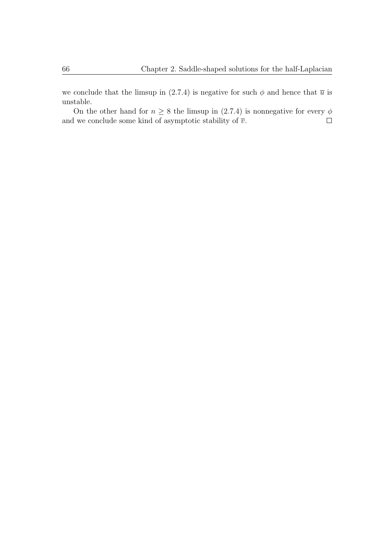we conclude that the limsup in (2.7.4) is negative for such  $\phi$  and hence that  $\bar{u}$  is unstable.

On the other hand for  $n \geq 8$  the limsup in (2.7.4) is nonnegative for every  $\phi$ and we conclude some kind of asymptotic stability of  $\overline{v}.$  $\Box$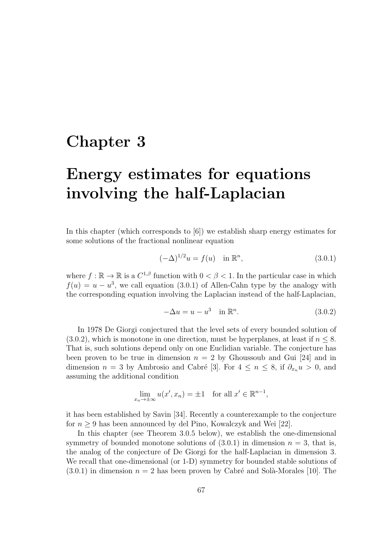## **Chapter 3**

# **Energy estimates for equations involving the half-Laplacian**

In this chapter (which corresponds to [6]) we establish sharp energy estimates for some solutions of the fractional nonlinear equation

$$
(-\Delta)^{1/2}u = f(u) \quad \text{in } \mathbb{R}^n,
$$
\n(3.0.1)

where  $f: \mathbb{R} \to \mathbb{R}$  is a  $C^{1,\beta}$  function with  $0 < \beta < 1$ . In the particular case in which  $f(u) = u - u^3$ , we call equation (3.0.1) of Allen-Cahn type by the analogy with the corresponding equation involving the Laplacian instead of the half-Laplacian,

$$
-\Delta u = u - u^3 \quad \text{in } \mathbb{R}^n. \tag{3.0.2}
$$

In 1978 De Giorgi conjectured that the level sets of every bounded solution of (3.0.2), which is monotone in one direction, must be hyperplanes, at least if  $n \leq 8$ . That is, such solutions depend only on one Euclidian variable. The conjecture has been proven to be true in dimension  $n = 2$  by Ghoussoub and Gui [24] and in dimension  $n = 3$  by Ambrosio and Cabré [3]. For  $4 \leq n \leq 8$ , if  $\partial_{x_n} u > 0$ , and assuming the additional condition

$$
\lim_{x_n \to \pm \infty} u(x', x_n) = \pm 1 \quad \text{for all } x' \in \mathbb{R}^{n-1},
$$

it has been established by Savin [34]. Recently a counterexample to the conjecture for  $n \geq 9$  has been announced by del Pino, Kowalczyk and Wei [22].

In this chapter (see Theorem 3.0.5 below), we establish the one-dimensional symmetry of bounded monotone solutions of  $(3.0.1)$  in dimension  $n = 3$ , that is, the analog of the conjecture of De Giorgi for the half-Laplacian in dimension 3. We recall that one-dimensional (or 1-D) symmetry for bounded stable solutions of  $(3.0.1)$  in dimension  $n = 2$  has been proven by Cabré and Solà-Morales [10]. The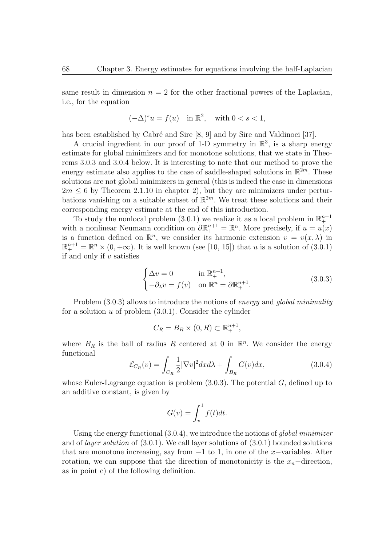same result in dimension  $n = 2$  for the other fractional powers of the Laplacian, i.e., for the equation

$$
(-\Delta)^s u = f(u) \quad \text{in } \mathbb{R}^2, \quad \text{with } 0 < s < 1,
$$

has been established by Cabré and Sire [8, 9] and by Sire and Valdinoci [37].

A crucial ingredient in our proof of 1-D symmetry in  $\mathbb{R}^3$ , is a sharp energy estimate for global minimizers and for monotone solutions, that we state in Theorems 3.0.3 and 3.0.4 below. It is interesting to note that our method to prove the energy estimate also applies to the case of saddle-shaped solutions in  $\mathbb{R}^{2m}$ . These solutions are not global minimizers in general (this is indeed the case in dimensions  $2m \leq 6$  by Theorem 2.1.10 in chapter 2), but they are minimizers under perturbations vanishing on a suitable subset of  $\mathbb{R}^{2m}$ . We treat these solutions and their corresponding energy estimate at the end of this introduction.

To study the nonlocal problem  $(3.0.1)$  we realize it as a local problem in  $\mathbb{R}^{n+1}_+$ with a nonlinear Neumann condition on  $\partial \mathbb{R}^{n+1}_+ = \mathbb{R}^n$ . More precisely, if  $u = u(x)$ is a function defined on  $\mathbb{R}^n$ , we consider its harmonic extension  $v = v(x, \lambda)$  in  $\mathbb{R}^{n+1}_+ = \mathbb{R}^n \times (0, +\infty)$ . It is well known (see [10, 15]) that *u* is a solution of (3.0.1) if and only if *v* satisfies

$$
\begin{cases} \Delta v = 0 & \text{in } \mathbb{R}^{n+1}_+, \\ -\partial_{\lambda} v = f(v) & \text{on } \mathbb{R}^n = \partial \mathbb{R}^{n+1}_+. \end{cases}
$$
 (3.0.3)

Problem (3.0.3) allows to introduce the notions of *energy* and *global minimality* for a solution *u* of problem (3.0.1). Consider the cylinder

$$
C_R = B_R \times (0, R) \subset \mathbb{R}^{n+1}_+,
$$

where  $B_R$  is the ball of radius R centered at 0 in  $\mathbb{R}^n$ . We consider the energy functional

$$
\mathcal{E}_{C_R}(v) = \int_{C_R} \frac{1}{2} |\nabla v|^2 dx d\lambda + \int_{B_R} G(v) dx,
$$
\n(3.0.4)

whose Euler-Lagrange equation is problem (3.0.3). The potential *G*, defined up to an additive constant, is given by

$$
G(v) = \int_v^1 f(t)dt.
$$

Using the energy functional (3.0.4), we introduce the notions of *global minimizer* and of *layer solution* of (3.0.1). We call layer solutions of (3.0.1) bounded solutions that are monotone increasing, say from *−*1 to 1, in one of the *x−*variables. After rotation, we can suppose that the direction of monotonicity is the *xn−*direction, as in point c) of the following definition.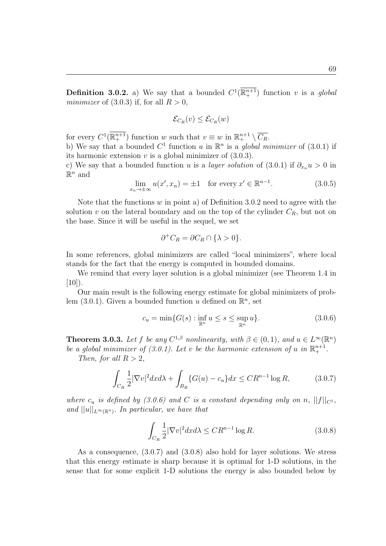**Definition 3.0.2.** a) We say that a bounded  $C^1(\mathbb{R}^{n+1})$  function *v* is a *global minimizer* of (3*.*0*.*3) if, for all *R >* 0,

$$
\mathcal{E}_{C_R}(v) \leq \mathcal{E}_{C_R}(w)
$$

for every  $C^1(\mathbb{R}^{n+1}_+)$  function *w* such that  $v \equiv w$  in  $\mathbb{R}^{n+1}_+ \setminus \overline{C_R}$ .

b) We say that a bounded  $C^1$  function *u* in  $\mathbb{R}^n$  is a *global minimizer* of (3.0.1) if its harmonic extension *v* is a global minimizer of (3.0.3).

c) We say that a bounded function *u* is a *layer solution* of  $(3.0.1)$  if  $\partial_{x_n} u > 0$  in  $\mathbb{R}^n$  and

$$
\lim_{x_n \to \pm \infty} u(x', x_n) = \pm 1 \quad \text{for every } x' \in \mathbb{R}^{n-1}.
$$
 (3.0.5)

Note that the functions *w* in point a) of Definition 3.0.2 need to agree with the solution *v* on the lateral boundary and on the top of the cylinder  $C_R$ , but not on the base. Since it will be useful in the sequel, we set

$$
\partial^+ C_R = \partial C_R \cap \{\lambda > 0\}.
$$

In some references, global minimizers are called "local minimizers", where local stands for the fact that the energy is computed in bounded domains.

We remind that every layer solution is a global minimizer (see Theorem 1.4 in  $[10]$ ).

Our main result is the following energy estimate for global minimizers of problem  $(3.0.1)$ . Given a bounded function *u* defined on  $\mathbb{R}^n$ , set

$$
c_u = \min\{G(s) : \inf_{\mathbb{R}^n} u \le s \le \sup_{\mathbb{R}^n} u\}.
$$
 (3.0.6)

**Theorem 3.0.3.** *Let f be any*  $C^{1,\beta}$  *nonlinearity, with*  $\beta \in (0,1)$ *, and*  $u \in L^{\infty}(\mathbb{R}^n)$ *be a global minimizer of (3.0.1). Let v be the harmonic extension of u in*  $\mathbb{R}^{n+1}_+$ .

*Then, for all*  $R > 2$ *,* 

$$
\int_{C_R} \frac{1}{2} |\nabla v|^2 dx d\lambda + \int_{B_R} \{ G(u) - c_u \} dx \leq C R^{n-1} \log R,
$$
\n(3.0.7)

*where*  $c_u$  *is defined by* (3.0.6) and *C is a constant depending only on n*,  $||f||_{C^1}$ , *and*  $||u||_{L^{\infty}(\mathbb{R}^n)}$ *. In particular, we have that* 

$$
\int_{C_R} \frac{1}{2} |\nabla v|^2 dx d\lambda \le C R^{n-1} \log R. \tag{3.0.8}
$$

As a consequence, (3.0.7) and (3.0.8) also hold for layer solutions. We stress that this energy estimate is sharp because it is optimal for 1-D solutions, in the sense that for some explicit 1-D solutions the energy is also bounded below by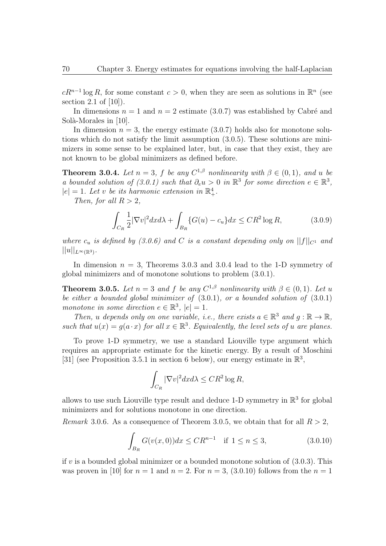$cR^{n-1}\log R$ , for some constant  $c>0$ , when they are seen as solutions in  $\mathbb{R}^n$  (see section 2.1 of [10]).

In dimensions  $n = 1$  and  $n = 2$  estimate (3.0.7) was established by Cabré and Solà-Morales in [10].

In dimension  $n = 3$ , the energy estimate  $(3.0.7)$  holds also for monotone solutions which do not satisfy the limit assumption (3.0.5). These solutions are minimizers in some sense to be explained later, but, in case that they exist, they are not known to be global minimizers as defined before.

**Theorem 3.0.4.** *Let*  $n = 3$ *, f be any*  $C^{1,\beta}$  *nonlinearity with*  $\beta \in (0,1)$ *, and u be a* bounded solution of (3.0.1) such that  $\partial_e u > 0$  in  $\mathbb{R}^3$  for some direction  $e \in \mathbb{R}^3$ ,  $|e| = 1$ *. Let v be its harmonic extension in*  $\mathbb{R}^4_+$ *.* 

*Then, for all*  $R > 2$ *,* 

$$
\int_{C_R} \frac{1}{2} |\nabla v|^2 dx d\lambda + \int_{B_R} \{G(u) - c_u\} dx \leq CR^2 \log R,
$$
\n(3.0.9)

*where*  $c_u$  *is defined by (3.0.6) and C is a constant depending only on*  $||f||_{C^1}$  *and*  $||u||_{L^{\infty}(\mathbb{R}^3)}$ .

In dimension  $n = 3$ , Theorems 3.0.3 and 3.0.4 lead to the 1-D symmetry of global minimizers and of monotone solutions to problem (3.0.1).

**Theorem 3.0.5.** *Let*  $n = 3$  *and*  $f$  *be any*  $C^{1,\beta}$  *nonlinearity with*  $\beta \in (0,1)$ *. Let u be either a bounded global minimizer of* (3.0.1)*, or a bounded solution of* (3.0.1) *monotone* in some direction  $e \in \mathbb{R}^3$ ,  $|e| = 1$ .

*Then, u depends* only on one variable, *i.e., there exists*  $a \in \mathbb{R}^3$  *and*  $g : \mathbb{R} \to \mathbb{R}$ *, such that*  $u(x) = g(a \cdot x)$  *for all*  $x \in \mathbb{R}^3$ *. Equivalently, the level sets of u are planes.* 

To prove 1-D symmetry, we use a standard Liouville type argument which requires an appropriate estimate for the kinetic energy. By a result of Moschini [31] (see Proposition 3.5.1 in section 6 below), our energy estimate in  $\mathbb{R}^3$ ,

$$
\int_{C_R} |\nabla v|^2 dx d\lambda \leq CR^2 \log R,
$$

allows to use such Liouville type result and deduce 1-D symmetry in  $\mathbb{R}^3$  for global minimizers and for solutions monotone in one direction.

*Remark* 3.0.6. As a consequence of Theorem 3.0.5, we obtain that for all  $R > 2$ ,

$$
\int_{B_R} G(v(x,0))dx \leq CR^{n-1} \quad \text{if } 1 \leq n \leq 3,
$$
\n(3.0.10)

if *v* is a bounded global minimizer or a bounded monotone solution of (3.0.3). This was proven in [10] for  $n = 1$  and  $n = 2$ . For  $n = 3$ , (3.0.10) follows from the  $n = 1$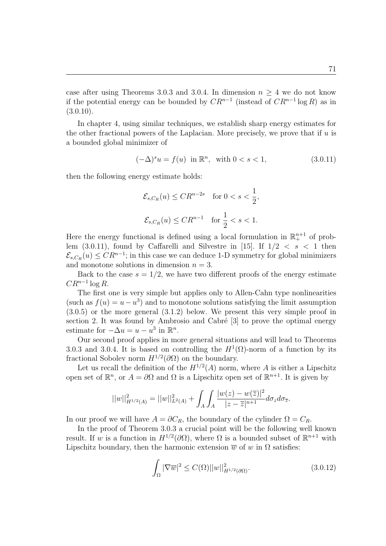case after using Theorems 3.0.3 and 3.0.4. In dimension  $n \geq 4$  we do not know if the potential energy can be bounded by  $CR^{n-1}$  (instead of  $CR^{n-1}$  log R) as in  $(3.0.10).$ 

In chapter 4, using similar techniques, we establish sharp energy estimates for the other fractional powers of the Laplacian. More precisely, we prove that if *u* is a bounded global minimizer of

$$
(-\Delta)^s u = f(u) \text{ in } \mathbb{R}^n, \text{ with } 0 < s < 1,\tag{3.0.11}
$$

then the following energy estimate holds:

$$
\mathcal{E}_{s,C_R}(u) \leq CR^{n-2s} \quad \text{for } 0 < s < \frac{1}{2},
$$
\n
$$
\mathcal{E}_{s,C_R}(u) \leq CR^{n-1} \quad \text{for } \frac{1}{2} < s < 1.
$$

Here the energy functional is defined using a local formulation in  $\mathbb{R}^{n+1}$  of problem  $(3.0.11)$ , found by Caffarelli and Silvestre in [15]. If  $1/2 < s < 1$  then  $\mathcal{E}_{s,C_R}(u) \leq C R^{n-1}$ ; in this case we can deduce 1-D symmetry for global minimizers and monotone solutions in dimension  $n = 3$ .

Back to the case  $s = 1/2$ , we have two different proofs of the energy estimate *CR<sup>n</sup>−*<sup>1</sup> log *R*.

The first one is very simple but applies only to Allen-Cahn type nonlinearities (such as  $f(u) = u - u^3$ ) and to monotone solutions satisfying the limit assumption (3.0.5) or the more general (3.1.2) below. We present this very simple proof in section 2. It was found by Ambrosio and Cabré  $[3]$  to prove the optimal energy estimate for  $-\Delta u = u - u^3$  in  $\mathbb{R}^n$ .

Our second proof applies in more general situations and will lead to Theorems 3.0.3 and 3.0.4. It is based on controlling the  $H^1(\Omega)$ -norm of a function by its fractional Sobolev norm  $H^{1/2}(\partial\Omega)$  on the boundary.

Let us recall the definition of the  $H^{1/2}(A)$  norm, where A is either a Lipschitz open set of  $\mathbb{R}^n$ , or  $A = \partial\Omega$  and  $\Omega$  is a Lipschitz open set of  $\mathbb{R}^{n+1}$ . It is given by

$$
||w||_{H^{1/2}(A)}^2 = ||w||_{L^2(A)}^2 + \int_A \int_A \frac{|w(z) - w(\overline{z})|^2}{|z - \overline{z}|^{n+1}} d\sigma_z d\sigma_{\overline{z}}.
$$

In our proof we will have  $A = \partial C_R$ , the boundary of the cylinder  $\Omega = C_R$ .

In the proof of Theorem 3.0.3 a crucial point will be the following well known result. If *w* is a function in  $H^{1/2}(\partial\Omega)$ , where  $\Omega$  is a bounded subset of  $\mathbb{R}^{n+1}$  with Lipschitz boundary, then the harmonic extension  $\overline{w}$  of  $w$  in  $\Omega$  satisfies:

$$
\int_{\Omega} |\nabla \overline{w}|^2 \le C(\Omega) ||w||_{H^{1/2}(\partial \Omega)}^2.
$$
\n(3.0.12)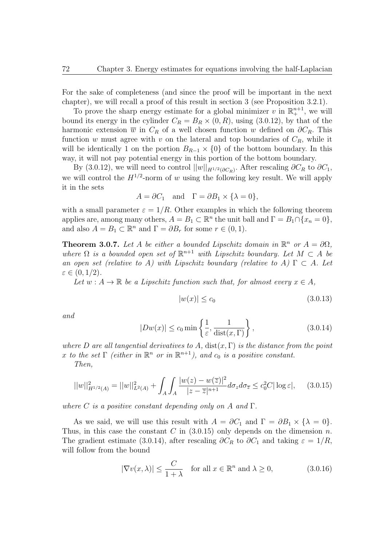For the sake of completeness (and since the proof will be important in the next chapter), we will recall a proof of this result in section 3 (see Proposition 3.2.1).

To prove the sharp energy estimate for a global minimizer  $v$  in  $\mathbb{R}^{n+1}_+$ , we will bound its energy in the cylinder  $C_R = B_R \times (0, R)$ , using (3.0.12), by that of the harmonic extension  $\overline{w}$  in  $C_R$  of a well chosen function  $w$  defined on  $\partial C_R$ . This function *w* must agree with *v* on the lateral and top boundaries of  $C_R$ , while it will be identically 1 on the portion  $B_{R-1} \times \{0\}$  of the bottom boundary. In this way, it will not pay potential energy in this portion of the bottom boundary.

By (3.0.12), we will need to control  $||w||_{H^{1/2}(\partial C_R)}$ . After rescaling  $\partial C_R$  to  $\partial C_1$ , we will control the  $H^{1/2}$ -norm of *w* using the following key result. We will apply it in the sets

$$
A = \partial C_1 \quad \text{and} \quad \Gamma = \partial B_1 \times \{\lambda = 0\},
$$

with a small parameter  $\varepsilon = 1/R$ . Other examples in which the following theorem applies are, among many others,  $A = B_1 \subset \mathbb{R}^n$  the unit ball and  $\Gamma = B_1 \cap \{x_n = 0\}$ , and also  $A = B_1 \subset \mathbb{R}^n$  and  $\Gamma = \partial B_r$  for some  $r \in (0, 1)$ .

**Theorem 3.0.7.** Let *A* be either a bounded Lipschitz domain in  $\mathbb{R}^n$  or  $A = \partial\Omega$ , *where*  $\Omega$  *is a bounded open set of*  $\mathbb{R}^{n+1}$  *with Lipschitz boundary. Let*  $M \subset A$  *be an open set (relative to A) with Lipschitz boundary (relative to A)*  $\Gamma \subset A$ *. Let ε ∈* (0*,* 1*/*2)*.*

*Let*  $w : A \to \mathbb{R}$  *be a Lipschitz function such that, for almost every*  $x \in A$ *,* 

$$
|w(x)| \le c_0 \tag{3.0.13}
$$

*and*

$$
|Dw(x)| \le c_0 \min\left\{\frac{1}{\varepsilon}, \frac{1}{\text{dist}(x, \Gamma)}\right\},\tag{3.0.14}
$$

*where D are all tangential derivatives to A,* dist(*x,* Γ) *is the distance from the point x to the set*  $\Gamma$  *(either in*  $\mathbb{R}^n$  *or in*  $\mathbb{R}^{n+1}$ *), and c*<sub>0</sub> *is a positive constant.* 

*Then,*

$$
||w||_{H^{1/2}(A)}^2 = ||w||_{L^2(A)}^2 + \int_A \int_A \frac{|w(z) - w(\overline{z})|^2}{|z - \overline{z}|^{n+1}} d\sigma_z d\sigma_{\overline{z}} \le c_0^2 C |\log \varepsilon|, \quad (3.0.15)
$$

*where C is a positive constant depending only on A and* Γ*.*

As we said, we will use this result with  $A = \partial C_1$  and  $\Gamma = \partial B_1 \times \{\lambda = 0\}.$ Thus, in this case the constant *C* in (3.0.15) only depends on the dimension *n*. The gradient estimate (3.0.14), after rescaling  $\partial C_R$  to  $\partial C_1$  and taking  $\varepsilon = 1/R$ , will follow from the bound

$$
|\nabla v(x,\lambda)| \le \frac{C}{1+\lambda} \quad \text{for all } x \in \mathbb{R}^n \text{ and } \lambda \ge 0,
$$
 (3.0.16)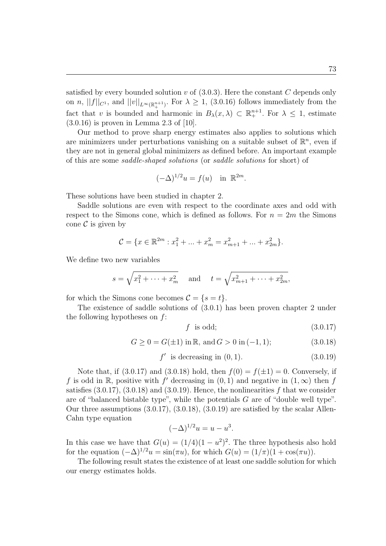satisfied by every bounded solution *v* of (3.0.3). Here the constant *C* depends only on *n*,  $||f||_{C^1}$ , and  $||v||_{L^{\infty}(\mathbb{R}^{n+1}_+)}$ . For  $\lambda \geq 1$ , (3.0.16) follows immediately from the fact that *v* is bounded and harmonic in  $B_\lambda(x,\lambda) \subset \mathbb{R}^{n+1}_+$ . For  $\lambda \leq 1$ , estimate (3.0.16) is proven in Lemma 2.3 of [10].

Our method to prove sharp energy estimates also applies to solutions which are minimizers under perturbations vanishing on a suitable subset of  $\mathbb{R}^n$ , even if they are not in general global minimizers as defined before. An important example of this are some *saddle-shaped solutions* (or *saddle solutions* for short) of

$$
(-\Delta)^{1/2}u = f(u) \quad \text{in } \mathbb{R}^{2m}.
$$

These solutions have been studied in chapter 2.

Saddle solutions are even with respect to the coordinate axes and odd with respect to the Simons cone, which is defined as follows. For  $n = 2m$  the Simons cone  $\mathcal C$  is given by

$$
\mathcal{C} = \{x \in \mathbb{R}^{2m} : x_1^2 + \dots + x_m^2 = x_{m+1}^2 + \dots + x_{2m}^2\}.
$$

We define two new variables

$$
s = \sqrt{x_1^2 + \dots + x_m^2}
$$
 and  $t = \sqrt{x_{m+1}^2 + \dots + x_{2m}^2}$ ,

for which the Simons cone becomes  $\mathcal{C} = \{s = t\}.$ 

The existence of saddle solutions of (3.0.1) has been proven chapter 2 under the following hypotheses on *f*:

$$
f \text{ is odd};\tag{3.0.17}
$$

$$
G \ge 0 = G(\pm 1) \text{ in } \mathbb{R}, \text{ and } G > 0 \text{ in } (-1, 1); \tag{3.0.18}
$$

$$
f' \text{ is decreasing in } (0, 1). \tag{3.0.19}
$$

Note that, if (3.0.17) and (3.0.18) hold, then  $f(0) = f(\pm 1) = 0$ . Conversely, if *f* is odd in R, positive with *f*' decreasing in  $(0, 1)$  and negative in  $(1, \infty)$  then *f* satisfies (3.0.17), (3.0.18) and (3.0.19). Hence, the nonlinearities *f* that we consider are of "balanced bistable type", while the potentials *G* are of "double well type". Our three assumptions  $(3.0.17), (3.0.18), (3.0.19)$  are satisfied by the scalar Allen-Cahn type equation

$$
(-\Delta)^{1/2}u = u - u^3.
$$

In this case we have that  $G(u) = (1/4)(1 - u^2)^2$ . The three hypothesis also hold for the equation  $(-\Delta)^{1/2}u = \sin(\pi u)$ , for which  $G(u) = (1/\pi)(1 + \cos(\pi u))$ .

The following result states the existence of at least one saddle solution for which our energy estimates holds.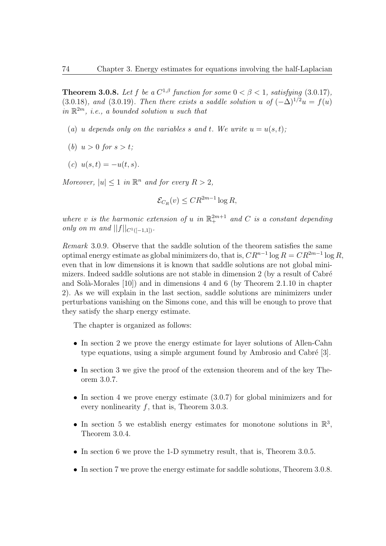**Theorem 3.0.8.** Let f be a  $C^{1,\beta}$  function for some  $0 < \beta < 1$ , satisfying (3.0.17), (3.0.18)*, and* (3.0.19)*. Then there exists a saddle solution u* of  $(-\Delta)^{1/2}u = f(u)$ *in* R <sup>2</sup>*<sup>m</sup>, i.e., a bounded solution u such that*

- (*a*) *u* depends only on the variables *s* and *t*. We write  $u = u(s,t)$ ;
- (*b*)  $u > 0$  *for*  $s > t$ ;
- $(c)$   $u(s,t) = -u(t,s)$ .

*Moreover,*  $|u| \leq 1$  *in*  $\mathbb{R}^n$  *and for every*  $R > 2$ *,* 

$$
\mathcal{E}_{C_R}(v) \le C R^{2m-1} \log R,
$$

where *v is the harmonic extension of u in*  $\mathbb{R}^{2m+1}$  *and C is a constant depending only on m and*  $||f||_{C^{1}([-1,1])}$ *.* 

*Remark* 3.0.9*.* Observe that the saddle solution of the theorem satisfies the same optimal energy estimate as global minimizers do, that is,  $CR^{n-1} \log R = CR^{2m-1} \log R$ , even that in low dimensions it is known that saddle solutions are not global minimizers. Indeed saddle solutions are not stable in dimension  $2$  (by a result of Cabré and Solà-Morales  $[10]$ ) and in dimensions 4 and 6 (by Theorem 2.1.10 in chapter 2). As we will explain in the last section, saddle solutions are minimizers under perturbations vanishing on the Simons cone, and this will be enough to prove that they satisfy the sharp energy estimate.

The chapter is organized as follows:

- In section 2 we prove the energy estimate for layer solutions of Allen-Cahn type equations, using a simple argument found by Ambrosio and Cabré  $[3]$ .
- *•* In section 3 we give the proof of the extension theorem and of the key Theorem 3.0.7.
- In section 4 we prove energy estimate  $(3.0.7)$  for global minimizers and for every nonlinearity *f*, that is, Theorem 3.0.3.
- In section 5 we establish energy estimates for monotone solutions in  $\mathbb{R}^3$ , Theorem 3.0.4.
- In section 6 we prove the 1-D symmetry result, that is, Theorem 3.0.5.
- In section 7 we prove the energy estimate for saddle solutions, Theorem 3.0.8.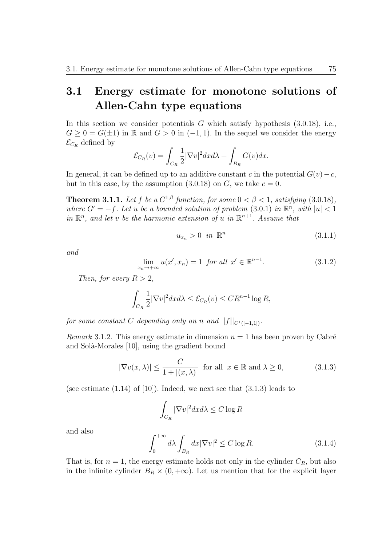## **3.1 Energy estimate for monotone solutions of Allen-Cahn type equations**

In this section we consider potentials *G* which satisfy hypothesis (3.0.18), i.e.,  $G \geq 0 = G(\pm 1)$  in R and  $G > 0$  in  $(-1, 1)$ . In the sequel we consider the energy  $\mathcal{E}_{C_R}$  defined by

$$
\mathcal{E}_{C_R}(v) = \int_{C_R} \frac{1}{2} |\nabla v|^2 dx d\lambda + \int_{B_R} G(v) dx.
$$

In general, it can be defined up to an additive constant *c* in the potential  $G(v) - c$ , but in this case, by the assumption  $(3.0.18)$  on *G*, we take  $c = 0$ .

**Theorem 3.1.1.** Let f be a  $C^{1,\beta}$  function, for some  $0 < \beta < 1$ , satisfying (3.0.18), *where*  $G' = -f$ *. Let u be a bounded solution of problem* (3.0.1) *in*  $\mathbb{R}^n$ *, with*  $|u| < 1$ *in*  $\mathbb{R}^n$ , and let *v be the harmonic extension of u in*  $\mathbb{R}^{n+1}$ . Assume that

$$
u_{x_n} > 0 \quad \text{in } \mathbb{R}^n \tag{3.1.1}
$$

*and*

$$
\lim_{x_n \to +\infty} u(x', x_n) = 1 \text{ for all } x' \in \mathbb{R}^{n-1}.
$$
\n(3.1.2)

*Then, for every*  $R > 2$ *,* 

$$
\int_{C_R} \frac{1}{2} |\nabla v|^2 dx d\lambda \leq \mathcal{E}_{C_R}(v) \leq C R^{n-1} \log R,
$$

*for some constant C depending only on n* and  $||f||_{C^1([-1,1])}$ .

*Remark* 3.1.2. This energy estimate in dimension  $n = 1$  has been proven by Cabré and Solà-Morales [10], using the gradient bound

$$
|\nabla v(x,\lambda)| \le \frac{C}{1+|(x,\lambda)|} \text{ for all } x \in \mathbb{R} \text{ and } \lambda \ge 0,
$$
 (3.1.3)

(see estimate  $(1.14)$  of  $[10]$ ). Indeed, we next see that  $(3.1.3)$  leads to

$$
\int_{C_R} |\nabla v|^2 dx d\lambda \le C \log R
$$

and also

$$
\int_0^{+\infty} d\lambda \int_{B_R} dx |\nabla v|^2 \le C \log R. \tag{3.1.4}
$$

That is, for  $n = 1$ , the energy estimate holds not only in the cylinder  $C_R$ , but also in the infinite cylinder  $B_R \times (0, +\infty)$ . Let us mention that for the explicit layer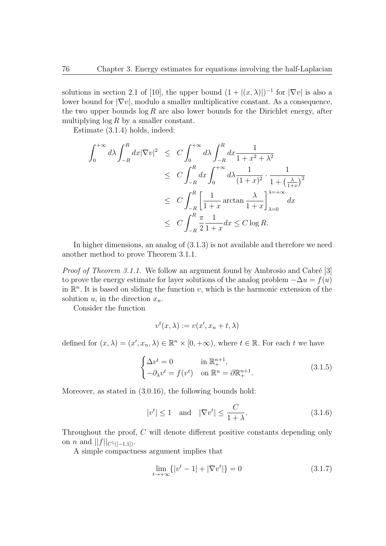solutions in section 2.1 of [10], the upper bound  $(1 + |(x, \lambda)|)^{-1}$  for  $|\nabla v|$  is also a lower bound for *|∇v|*, modulo a smaller multiplicative constant. As a consequence, the two upper bounds  $\log R$  are also lower bounds for the Dirichlet energy, after multiplying log *R* by a smaller constant.

Estimate (3.1.4) holds, indeed:

$$
\int_0^{+\infty} d\lambda \int_{-R}^R dx |\nabla v|^2 \le C \int_0^{+\infty} d\lambda \int_{-R}^R dx \frac{1}{1+x^2+\lambda^2}
$$
  
\n
$$
\le C \int_{-R}^R dx \int_0^{+\infty} d\lambda \frac{1}{(1+x)^2} \cdot \frac{1}{1+\left(\frac{\lambda}{1+x}\right)^2}
$$
  
\n
$$
\le C \int_{-R}^R \left[ \frac{1}{1+x} \arctan \frac{\lambda}{1+x} \right]_{\lambda=0}^{\lambda=-\infty} dx
$$
  
\n
$$
\le C \int_{-R}^R \frac{\pi}{2} \frac{1}{1+x} dx \le C \log R.
$$

In higher dimensions, an analog of (3.1.3) is not available and therefore we need another method to prove Theorem 3.1.1.

*Proof of Theorem 3.1.1.* We follow an argument found by Ambrosio and Cabré [3] to prove the energy estimate for layer solutions of the analog problem  $-\Delta u = f(u)$ in  $\mathbb{R}^n$ . It is based on sliding the function *v*, which is the harmonic extension of the solution  $u$ , in the direction  $x_n$ .

Consider the function

$$
v^t(x,\lambda) := v(x',x_n + t,\lambda)
$$

defined for  $(x, \lambda) = (x', x_n, \lambda) \in \mathbb{R}^n \times [0, +\infty)$ , where  $t \in \mathbb{R}$ . For each  $t$  we have

$$
\begin{cases}\n\Delta v^t = 0 & \text{in } \mathbb{R}^{n+1}_+, \\
-\partial_\lambda v^t = f(v^t) & \text{on } \mathbb{R}^n = \partial \mathbb{R}^{n+1}_+.\n\end{cases} \tag{3.1.5}
$$

Moreover, as stated in (3.0.16), the following bounds hold:

$$
|v^t| \le 1 \quad \text{and} \quad |\nabla v^t| \le \frac{C}{1+\lambda}.\tag{3.1.6}
$$

Throughout the proof, *C* will denote different positive constants depending only on *n* and  $||f||_{C^{1}([-1,1])}$ .

A simple compactness argument implies that

$$
\lim_{t \to +\infty} \{|v^t - 1| + |\nabla v^t|\} = 0
$$
\n(3.1.7)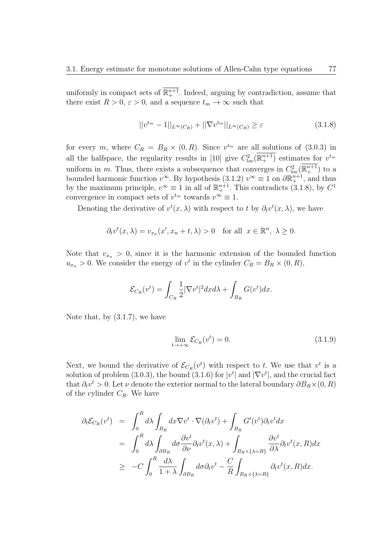uniformly in compact sets of  $\mathbb{R}^{n+1}$ . Indeed, arguing by contradiction, assume that there exist  $R > 0$ ,  $\varepsilon > 0$ , and a sequence  $t_m \to \infty$  such that

$$
||v^{t_m} - 1||_{L^{\infty}(C_R)} + ||\nabla v^{t_m}||_{L^{\infty}(C_R)} \ge \varepsilon
$$
\n(3.1.8)

for every *m*, where  $C_R = B_R \times (0, R)$ . Since  $v^{t_m}$  are all solutions of (3.0.3) in all the halfspace, the regularity results in [10] give  $C_{loc}^2(\mathbb{R}^{n+1}_+)$  estimates for  $v^{tm}$ uniform in *m*. Thus, there exists a subsequence that converges in  $C^2_{\text{loc}}(\mathbb{R}^{n+1}_+)$  to a bounded harmonic function  $v^{\infty}$ . By hypothesis (3.1.2)  $v^{\infty} \equiv 1$  on  $\partial \mathbb{R}^{n+1}_+$ , and thus by the maximum principle,  $v^{\infty} \equiv 1$  in all of  $\mathbb{R}^{n+1}_+$ . This contradicts (3.1.8), by  $C^1$ convergence in compact sets of  $v^{t_m}$  towards  $v^{\infty} \equiv 1$ .

Denoting the derivative of  $v^t(x, \lambda)$  with respect to *t* by  $\partial_t v^t(x, \lambda)$ , we have

$$
\partial_t v^t(x,\lambda) = v_{x_n}(x',x_n+t,\lambda) > 0 \quad \text{for all} \ \ x \in \mathbb{R}^n, \ \lambda \ge 0.
$$

Note that  $v_{x_n} > 0$ , since it is the harmonic extension of the bounded function  $u_{x_n} > 0$ . We consider the energy of  $v^t$  in the cylinder  $C_R = B_R \times (0, R)$ ,

$$
\mathcal{E}_{C_R}(v^t) = \int_{C_R} \frac{1}{2} |\nabla v^t|^2 dx d\lambda + \int_{B_R} G(v^t) dx.
$$

Note that, by (3.1.7), we have

$$
\lim_{t \to +\infty} \mathcal{E}_{C_R}(v^t) = 0. \tag{3.1.9}
$$

Next, we bound the derivative of  $\mathcal{E}_{C_R}(v^t)$  with respect to *t*. We use that  $v^t$  is a solution of problem (3.0.3), the bound (3.1.6) for  $|v^t|$  and  $|\nabla v^t|$ , and the crucial fact that  $\partial_t v^t > 0$ . Let *v* denote the exterior normal to the lateral boundary  $\partial B_R \times (0, R)$ of the cylinder *CR*. We have

$$
\partial_t \mathcal{E}_{C_R}(v^t) = \int_0^R d\lambda \int_{B_R} dx \nabla v^t \cdot \nabla (\partial_t v^t) + \int_{B_R} G'(v^t) \partial_t v^t dx
$$
  
\n
$$
= \int_0^R d\lambda \int_{\partial B_R} d\sigma \frac{\partial v^t}{\partial \nu} \partial_t v^t(x, \lambda) + \int_{B_R \times {\{\lambda = R\}}}\frac{\partial v^t}{\partial \lambda} \partial_t v^t(x, R) dx
$$
  
\n
$$
\geq -C \int_0^R \frac{d\lambda}{1+\lambda} \int_{\partial B_R} d\sigma \partial_t v^t - \frac{C}{R} \int_{B_R \times {\{\lambda = R\}}}\partial_t v^t(x, R) dx.
$$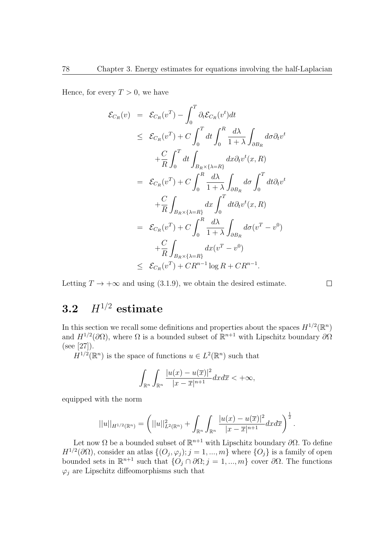Hence, for every  $T > 0$ , we have

$$
\mathcal{E}_{C_R}(v) = \mathcal{E}_{C_R}(v^T) - \int_0^T \partial_t \mathcal{E}_{C_R}(v^t) dt
$$
  
\n
$$
\leq \mathcal{E}_{C_R}(v^T) + C \int_0^T dt \int_0^R \frac{d\lambda}{1+\lambda} \int_{\partial B_R} d\sigma \partial_t v^t
$$
  
\n
$$
+ \frac{C}{R} \int_0^T dt \int_{B_R \times \{\lambda = R\}} dx \partial_t v^t(x, R)
$$
  
\n
$$
= \mathcal{E}_{C_R}(v^T) + C \int_0^R \frac{d\lambda}{1+\lambda} \int_{\partial B_R} d\sigma \int_0^T dt \partial_t v^t
$$
  
\n
$$
+ \frac{C}{R} \int_{B_R \times \{\lambda = R\}} dx \int_0^T dt \partial_t v^t(x, R)
$$
  
\n
$$
= \mathcal{E}_{C_R}(v^T) + C \int_0^R \frac{d\lambda}{1+\lambda} \int_{\partial B_R} d\sigma (v^T - v^0)
$$
  
\n
$$
+ \frac{C}{R} \int_{B_R \times \{\lambda = R\}} dx (v^T - v^0)
$$
  
\n
$$
\leq \mathcal{E}_{C_R}(v^T) + C R^{n-1} \log R + C R^{n-1}.
$$

Letting  $T \to +\infty$  and using (3.1.9), we obtain the desired estimate.

#### $\Box$

#### **3.2** *H*<sup>1</sup>*/*<sup>2</sup> **estimate**

In this section we recall some definitions and properties about the spaces  $H^{1/2}(\mathbb{R}^n)$ and  $H^{1/2}(\partial\Omega)$ , where  $\Omega$  is a bounded subset of  $\mathbb{R}^{n+1}$  with Lipschitz boundary  $\partial\Omega$ (see [27]).

 $H^{1/2}(\mathbb{R}^n)$  is the space of functions  $u \in L^2(\mathbb{R}^n)$  such that

$$
\int_{\mathbb{R}^n} \int_{\mathbb{R}^n} \frac{|u(x) - u(\overline{x})|^2}{|x - \overline{x}|^{n+1}} dx d\overline{x} < +\infty,
$$

equipped with the norm

$$
||u||_{H^{1/2}(\mathbb{R}^n)} = \left(||u||^2_{L^2(\mathbb{R}^n)} + \int_{\mathbb{R}^n} \int_{\mathbb{R}^n} \frac{|u(x) - u(\overline{x})|^2}{|x - \overline{x}|^{n+1}} dx d\overline{x}\right)^{\frac{1}{2}}.
$$

Let now Ω be a bounded subset of R *<sup>n</sup>*+1 with Lipschitz boundary *∂*Ω. To define  $H^{1/2}(\partial\Omega)$ , consider an atlas  $\{(O_j, \varphi_j); j = 1, ..., m\}$  where  $\{O_j\}$  is a family of open bounded sets in  $\mathbb{R}^{n+1}$  such that  $\{O_j ∩ ∂Ω; j = 1, ..., m\}$  cover  $∂Ω$ . The functions  $\varphi_i$  are Lipschitz diffeomorphisms such that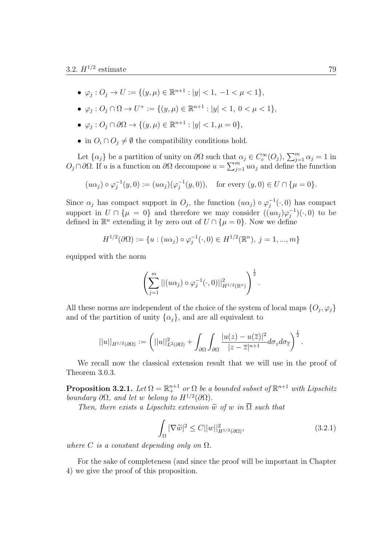- *•*  $\varphi_j$  :  $O_j$  →  $U := \{(y, \mu) \in \mathbb{R}^{n+1} : |y| < 1, -1 < \mu < 1\}$ ,
- $\bullet$   $\varphi_j$  :  $O_j \cap \Omega \to U^+ := \{(y, \mu) \in \mathbb{R}^{n+1} : |y| < 1, 0 < \mu < 1\},\$
- $\bullet$  *ϕ*<sub>*j*</sub> : *O*<sub>*j*</sub> ∩ ∂Ω → {(*y, µ*)  $\in \mathbb{R}^{n+1}$  : |*y*|  $< 1, \mu = 0$ },
- in  $O_i \cap O_j \neq \emptyset$  the compatibility conditions hold.

Let  $\{\alpha_j\}$  be a partition of unity on  $\partial\Omega$  such that  $\alpha_j \in C_c^{\infty}(O_j)$ ,  $\sum_{j=1}^m \alpha_j = 1$  in  $O_j ∩ ∂Ω$ . If *u* is a function on  $∂Ω$  decompose  $u = \sum_{j=1}^m u\alpha_j$  and define the function

$$
(u\alpha_j) \circ \varphi_j^{-1}(y,0) := (u\alpha_j)(\varphi_j^{-1}(y,0)),
$$
 for every  $(y,0) \in U \cap \{\mu = 0\}.$ 

Since  $\alpha_j$  has compact support in  $O_j$ , the function  $(u\alpha_j) \circ \varphi_j^{-1}(\cdot,0)$  has compact support in  $U \cap {\mu = 0}$  and therefore we may consider  $((u\alpha_j)\varphi_j^{-1})(\cdot,0)$  to be defined in  $\mathbb{R}^n$  extending it by zero out of  $U \cap {\mu = 0}$ . Now we define

$$
H^{1/2}(\partial\Omega) := \{ u : (u\alpha_j) \circ \varphi_j^{-1}(\cdot, 0) \in H^{1/2}(\mathbb{R}^n), j = 1, ..., m \}
$$

equipped with the norm

$$
\left(\sum_{j=1}^m||(u\alpha_j)\circ\varphi_j^{-1}(\cdot,0)||_{H^{1/2}(\mathbb{R}^n)}^2\right)^{\frac{1}{2}}.
$$

All these norms are independent of the choice of the system of local maps  $\{O_j, \varphi_j\}$ and of the partition of unity  $\{\alpha_i\}$ , and are all equivalent to

$$
||u||_{H^{1/2}(\partial\Omega)} := \left(||u||^2_{L^2(\partial\Omega)} + \int_{\partial\Omega} \int_{\partial\Omega} \frac{|u(z) - u(\overline{z})|^2}{|z - \overline{z}|^{n+1}} d\sigma_z d\sigma_{\overline{z}}\right)^{\frac{1}{2}}.
$$

We recall now the classical extension result that we will use in the proof of Theorem 3.0.3.

**Proposition 3.2.1.** Let  $\Omega = \mathbb{R}^{n+1}$  or  $\Omega$  be a bounded subset of  $\mathbb{R}^{n+1}$  with Lipschitz *boundary*  $\partial\Omega$ *, and let w belong to*  $H^{1/2}(\partial\Omega)$ *.* 

*Then, there exists a Lipschitz extension*  $\tilde{w}$  *of w in*  $\Omega$  *such that* 

$$
\int_{\Omega} |\nabla \tilde{w}|^2 \le C ||w||_{H^{1/2}(\partial \Omega)}^2,
$$
\n(3.2.1)

*where*  $C$  *is a constant depending only on*  $\Omega$ *.* 

For the sake of completeness (and since the proof will be important in Chapter 4) we give the proof of this proposition.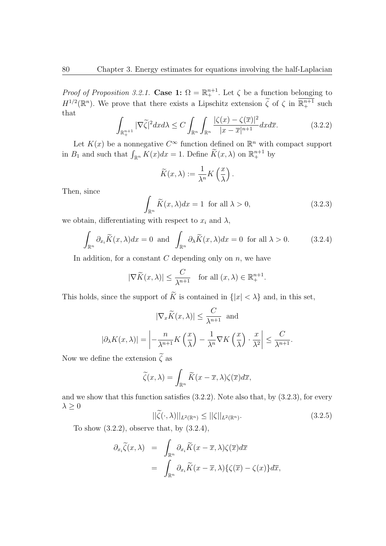*Proof of Proposition 3.2.1.* **Case 1:**  $\Omega = \mathbb{R}^{n+1}$ . Let  $\zeta$  be a function belonging to  $H^{1/2}(\mathbb{R}^n)$ . We prove that there exists a Lipschitz extension  $\tilde{\zeta}$  of  $\zeta$  in  $\mathbb{R}^{n+1}_+$  such that

$$
\int_{\mathbb{R}^{n+1}_+} |\nabla \widetilde{\zeta}|^2 dx d\lambda \le C \int_{\mathbb{R}^n} \int_{\mathbb{R}^n} \frac{|\zeta(x) - \zeta(\overline{x})|^2}{|x - \overline{x}|^{n+1}} dx d\overline{x}.\tag{3.2.2}
$$

Let  $K(x)$  be a nonnegative  $C^{\infty}$  function defined on  $\mathbb{R}^{n}$  with compact support in  $B_1$  and such that  $\int_{\mathbb{R}^n} K(x)dx = 1$ . Define  $\widetilde{K}(x,\lambda)$  on  $\mathbb{R}^{n+1}_+$  by

$$
\widetilde{K}(x,\lambda) := \frac{1}{\lambda^n} K\left(\frac{x}{\lambda}\right).
$$

Then, since

$$
\int_{\mathbb{R}^n} \widetilde{K}(x,\lambda)dx = 1 \text{ for all } \lambda > 0,
$$
\n(3.2.3)

we obtain, differentiating with respect to  $x_i$  and  $\lambda$ ,

$$
\int_{\mathbb{R}^n} \partial_{x_i} \widetilde{K}(x,\lambda) dx = 0 \text{ and } \int_{\mathbb{R}^n} \partial_{\lambda} \widetilde{K}(x,\lambda) dx = 0 \text{ for all } \lambda > 0.
$$
 (3.2.4)

In addition, for a constant *C* depending only on *n*, we have

$$
|\nabla \widetilde{K}(x,\lambda)| \le \frac{C}{\lambda^{n+1}} \quad \text{for all } (x,\lambda) \in \mathbb{R}^{n+1}_+.
$$

This holds, since the support of  $\widetilde{K}$  is contained in  $\{|x| < \lambda\}$  and, in this set,

$$
|\nabla_x \widetilde{K}(x,\lambda)| \le \frac{C}{\lambda^{n+1}} \text{ and}
$$

$$
|\partial_{\lambda} K(x,\lambda)| = \left| -\frac{n}{\lambda^{n+1}} K\left(\frac{x}{\lambda}\right) - \frac{1}{\lambda^n} \nabla K\left(\frac{x}{\lambda}\right) \cdot \frac{x}{\lambda^2} \right| \le \frac{C}{\lambda^{n+1}}.
$$

Now we define the extension  $\tilde{\zeta}$  as

$$
\widetilde{\zeta}(x,\lambda) = \int_{\mathbb{R}^n} \widetilde{K}(x-\overline{x},\lambda)\zeta(\overline{x})d\overline{x},
$$

and we show that this function satisfies (3.2.2). Note also that, by (3.2.3), for every *λ ≥* 0

$$
||\zeta(\cdot,\lambda)||_{L^2(\mathbb{R}^n)} \le ||\zeta||_{L^2(\mathbb{R}^n)}.\tag{3.2.5}
$$

To show (3.2.2), observe that, by (3.2.4),

$$
\partial_{x_i} \widetilde{\zeta}(x,\lambda) = \int_{\mathbb{R}^n} \partial_{x_i} \widetilde{K}(x-\overline{x},\lambda) \zeta(\overline{x}) d\overline{x} \n= \int_{\mathbb{R}^n} \partial_{x_i} \widetilde{K}(x-\overline{x},\lambda) \{ \zeta(\overline{x}) - \zeta(x) \} d\overline{x},
$$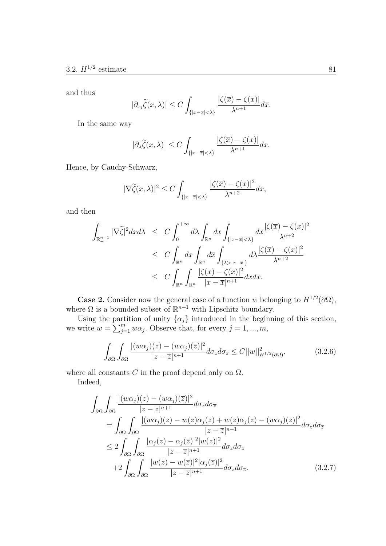and thus

$$
\partial_{x_i}\widetilde{\zeta}(x,\lambda)| \le C \int_{\{|x-\overline{x}|<\lambda\}} \frac{|\zeta(\overline{x}) - \zeta(x)|}{\lambda^{n+1}} d\overline{x}.
$$

In the same way

*|∂<sup>x</sup><sup>i</sup>*

$$
|\partial_{\lambda}\widetilde{\zeta}(x,\lambda)| \leq C \int_{\{|x-\overline{x}|<\lambda\}} \frac{|\zeta(\overline{x}) - \zeta(x)|}{\lambda^{n+1}} d\overline{x}.
$$

Hence, by Cauchy-Schwarz,

$$
|\nabla \widetilde{\zeta}(x,\lambda)|^2 \le C \int_{\{|x-\overline{x}|<\lambda\}} \frac{|\zeta(\overline{x}) - \zeta(x)|^2}{\lambda^{n+2}} d\overline{x},
$$

and then

$$
\int_{\mathbb{R}^{n+1}_+} |\nabla \tilde{\zeta}|^2 dx d\lambda \leq C \int_0^{+\infty} d\lambda \int_{\mathbb{R}^n} dx \int_{\{|x-\overline{x}|<\lambda\}} d\overline{x} \frac{|\zeta(\overline{x}) - \zeta(x)|^2}{\lambda^{n+2}} \n\leq C \int_{\mathbb{R}^n} dx \int_{\mathbb{R}^n} d\overline{x} \int_{\{\lambda > |x-\overline{x}|\}} d\lambda \frac{|\zeta(\overline{x}) - \zeta(x)|^2}{\lambda^{n+2}} \n\leq C \int_{\mathbb{R}^n} \int_{\mathbb{R}^n} \frac{|\zeta(x) - \zeta(\overline{x})|^2}{|x - \overline{x}|^{n+1}} dx d\overline{x}.
$$

**Case 2.** Consider now the general case of a function *w* belonging to  $H^{1/2}(\partial\Omega)$ , where  $\Omega$  is a bounded subset of  $\mathbb{R}^{n+1}$  with Lipschitz boundary.

Using the partition of unity  $\{\alpha_j\}$  introduced in the beginning of this section, we write  $w = \sum_{j=1}^{m} w\alpha_j$ . Observe that, for every  $j = 1, ..., m$ ,

$$
\int_{\partial\Omega} \int_{\partial\Omega} \frac{|(w\alpha_j)(z) - (w\alpha_j)(\overline{z})|^2}{|z - \overline{z}|^{n+1}} d\sigma_z d\sigma_{\overline{z}} \le C||w||_{H^{1/2}(\partial\Omega)}^2,
$$
\n(3.2.6)

where all constants  $C$  in the proof depend only on  $\Omega$ .

Indeed,

$$
\int_{\partial\Omega} \int_{\partial\Omega} \frac{|(w\alpha_j)(z) - (w\alpha_j)(\overline{z})|^2}{|z - \overline{z}|^{n+1}} d\sigma_z d\sigma_{\overline{z}} \n= \int_{\partial\Omega} \int_{\partial\Omega} \frac{|(w\alpha_j)(z) - w(z)\alpha_j(\overline{z}) + w(z)\alpha_j(\overline{z}) - (w\alpha_j)(\overline{z})|^2}{|z - \overline{z}|^{n+1}} d\sigma_z d\sigma_{\overline{z}} \n\leq 2 \int_{\partial\Omega} \int_{\partial\Omega} \frac{|\alpha_j(z) - \alpha_j(\overline{z})|^2 |w(z)|^2}{|z - \overline{z}|^{n+1}} d\sigma_z d\sigma_{\overline{z}} \n+2 \int_{\partial\Omega} \int_{\partial\Omega} \frac{|w(z) - w(\overline{z})|^2 |\alpha_j(\overline{z})|^2}{|z - \overline{z}|^{n+1}} d\sigma_z d\sigma_{\overline{z}}.
$$
\n(3.2.7)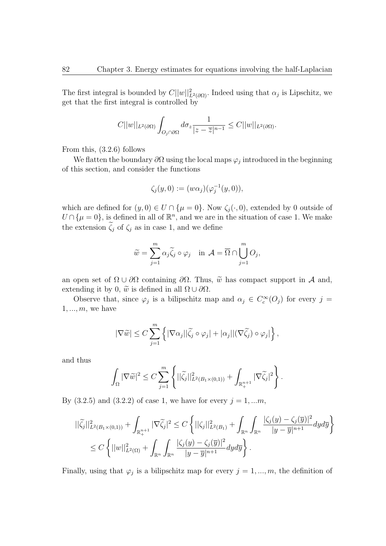The first integral is bounded by  $C||w||^2_{L^2(\partial\Omega)}$ . Indeed using that  $\alpha_j$  is Lipschitz, we get that the first integral is controlled by

$$
C||w||_{L^{2}(\partial\Omega)}\int_{O_{j}\cap\partial\Omega}d\sigma_{z}\frac{1}{|z-\overline{z}|^{n-1}}\leq C||w||_{L^{2}(\partial\Omega)}.
$$

From this, (3.2.6) follows

We flatten the boundary  $\partial\Omega$  using the local maps  $\varphi_j$  introduced in the beginning of this section, and consider the functions

$$
\zeta_j(y,0) := (w\alpha_j)(\varphi_j^{-1}(y,0)),
$$

which are defined for  $(y, 0) \in U \cap \{\mu = 0\}$ . Now  $\zeta_i(\cdot, 0)$ , extended by 0 outside of  $U \cap {\mu = 0}$ , is defined in all of  $\mathbb{R}^n$ , and we are in the situation of case 1. We make the extension  $\zeta_j$  of  $\zeta_j$  as in case 1, and we define

$$
\widetilde{w} = \sum_{j=1}^{m} \alpha_j \widetilde{\zeta}_j \circ \varphi_j \quad \text{in } \mathcal{A} = \overline{\Omega} \cap \bigcup_{j=1}^{m} O_j,
$$

an open set of  $\Omega \cup \partial \Omega$  containing  $\partial \Omega$ . Thus,  $\tilde{w}$  has compact support in *A* and, extending it by 0,  $\tilde{w}$  is defined in all  $\Omega \cup \partial \Omega$ .

Observe that, since  $\varphi_j$  is a bilipschitz map and  $\alpha_j \in C_c^{\infty}(O_j)$  for every  $j =$ 1*, ..., m*, we have

$$
|\nabla \widetilde{w}| \leq C \sum_{j=1}^m \left\{ |\nabla \alpha_j| |\widetilde{\zeta}_j \circ \varphi_j| + |\alpha_j| |(\nabla \widetilde{\zeta}_j) \circ \varphi_j| \right\},\,
$$

and thus

$$
\int_{\Omega} |\nabla \widetilde{w}|^2 \leq C \sum_{j=1}^m \left\{ ||\widetilde{\zeta}_j||^2_{L^2(B_1\times (0,1))} + \int_{\mathbb{R}^{n+1}_+} |\nabla \widetilde{\zeta}_j|^2 \right\}.
$$

By  $(3.2.5)$  and  $(3.2.2)$  of case 1, we have for every  $j = 1, ...m$ ,

$$
\begin{split} ||\widetilde{\zeta_{j}}||_{L^{2}(B_{1}\times(0,1))}^{2} + \int_{\mathbb{R}_{+}^{n+1}} |\nabla \widetilde{\zeta_{j}}|^{2} &\leq C \left\{ ||\zeta_{j}||_{L^{2}(B_{1})}^{2} + \int_{\mathbb{R}^{n}} \int_{\mathbb{R}^{n}} \frac{|\zeta_{j}(y) - \zeta_{j}(\overline{y})|^{2}}{|y - \overline{y}|^{n+1}} dy d\overline{y} \right\} \\ &\leq C \left\{ ||w||_{L^{2}(\Omega)}^{2} + \int_{\mathbb{R}^{n}} \int_{\mathbb{R}^{n}} \frac{|\zeta_{j}(y) - \zeta_{j}(\overline{y})|^{2}}{|y - \overline{y}|^{n+1}} dy d\overline{y} \right\} .\end{split}
$$

Finally, using that  $\varphi_j$  is a bilipschitz map for every  $j = 1, ..., m$ , the definition of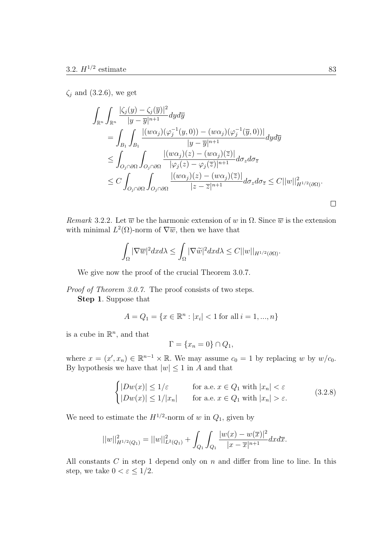*ζ<sup>j</sup>* and (3.2.6), we get

$$
\int_{\mathbb{R}^n} \int_{\mathbb{R}^n} \frac{|\zeta_j(y) - \zeta_j(\overline{y})|^2}{|y - \overline{y}|^{n+1}} dy d\overline{y} \n= \int_{B_1} \int_{B_1} \frac{|(w\alpha_j)(\varphi_j^{-1}(y,0)) - (w\alpha_j)(\varphi_j^{-1}(\overline{y},0))|}{|y - \overline{y}|^{n+1}} dy d\overline{y} \n\leq \int_{O_j \cap \partial \Omega} \int_{O_j \cap \partial \Omega} \frac{|(w\alpha_j)(z) - (w\alpha_j)(\overline{z})|}{|\varphi_j(z) - \varphi_j(\overline{z})|^{n+1}} d\sigma_z d\sigma_{\overline{z}} \n\leq C \int_{O_j \cap \partial \Omega} \int_{O_j \cap \partial \Omega} \frac{|(w\alpha_j)(z) - (w\alpha_j)(\overline{z})|}{|z - \overline{z}|^{n+1}} d\sigma_z d\sigma_{\overline{z}} \leq C ||w||_{H^{1/2}(\partial \Omega)}^2.
$$

*Remark* 3.2.2*.* Let  $\overline{w}$  be the harmonic extension of *w* in  $\Omega$ . Since  $\overline{w}$  is the extension with minimal  $L^2(\Omega)$ -norm of  $\nabla \overline{w}$ , then we have that

$$
\int_{\Omega} |\nabla \overline{w}|^2 dxd\lambda \leq \int_{\Omega} |\nabla \widetilde{w}|^2 dxd\lambda \leq C||w||_{H^{1/2}(\partial \Omega)}.
$$

We give now the proof of the crucial Theorem 3.0.7.

*Proof of Theorem 3.0.7.* The proof consists of two steps.

**Step 1**. Suppose that

$$
A = Q_1 = \{x \in \mathbb{R}^n : |x_i| < 1 \text{ for all } i = 1, \dots, n\}
$$

is a cube in  $\mathbb{R}^n$ , and that

$$
\Gamma = \{x_n = 0\} \cap Q_1,
$$

where  $x = (x', x_n) \in \mathbb{R}^{n-1} \times \mathbb{R}$ . We may assume  $c_0 = 1$  by replacing *w* by  $w/c_0$ . By hypothesis we have that  $|w| \leq 1$  in *A* and that

$$
\begin{cases} |Dw(x)| \le 1/\varepsilon & \text{for a.e. } x \in Q_1 \text{ with } |x_n| < \varepsilon \\ |Dw(x)| \le 1/|x_n| & \text{for a.e. } x \in Q_1 \text{ with } |x_n| > \varepsilon. \end{cases}
$$
(3.2.8)

We need to estimate the  $H^{1/2}$ -norm of *w* in  $Q_1$ , given by

$$
||w||_{H^{1/2}(Q_1)}^2 = ||w||_{L^2(Q_1)}^2 + \int_{Q_1} \int_{Q_1} \frac{|w(x) - w(\overline{x})|^2}{|x - \overline{x}|^{n+1}} dx d\overline{x}.
$$

All constants *C* in step 1 depend only on *n* and differ from line to line. In this step, we take  $0 < \varepsilon \leq 1/2$ .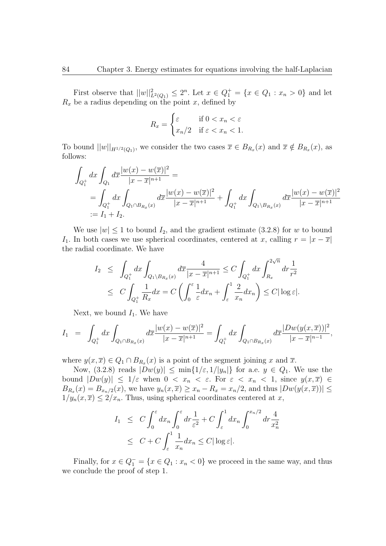First observe that  $||w||_{L^2(Q_1)}^2 \leq 2^n$ . Let  $x \in Q_1^+ = \{x \in Q_1 : x_n > 0\}$  and let  $R_x$  be a radius depending on the point *x*, defined by

$$
R_x = \begin{cases} \varepsilon & \text{if } 0 < x_n < \varepsilon \\ x_n/2 & \text{if } \varepsilon < x_n < 1. \end{cases}
$$

To bound  $||w||_{H^{1/2}(Q_1)}$ , we consider the two cases  $\overline{x} \in B_{R_x}(x)$  and  $\overline{x} \notin B_{R_x}(x)$ , as follows:

$$
\int_{Q_1^+} dx \int_{Q_1} d\overline{x} \frac{|w(x) - w(\overline{x})|^2}{|x - \overline{x}|^{n+1}} =
$$
\n
$$
= \int_{Q_1^+} dx \int_{Q_1 \cap B_{R_x}(x)} d\overline{x} \frac{|w(x) - w(\overline{x})|^2}{|x - \overline{x}|^{n+1}} + \int_{Q_1^+} dx \int_{Q_1 \setminus B_{R_x}(x)} d\overline{x} \frac{|w(x) - w(\overline{x})|^2}{|x - \overline{x}|^{n+1}}
$$
\n
$$
:= I_1 + I_2.
$$

We use  $|w| \leq 1$  to bound  $I_2$ , and the gradient estimate (3.2.8) for *w* to bound *I*<sub>1</sub>. In both cases we use spherical coordinates, centered at *x*, calling  $r = |x - \overline{x}|$ the radial coordinate. We have

$$
I_2 \leq \int_{Q_1^+} dx \int_{Q_1 \setminus B_{R_x}(x)} d\overline{x} \frac{4}{|x - \overline{x}|^{n+1}} \leq C \int_{Q_1^+} dx \int_{R_x}^{2\sqrt{n}} dr \frac{1}{r^2}
$$
  

$$
\leq C \int_{Q_1^+} \frac{1}{R_x} dx = C \left( \int_0^{\varepsilon} \frac{1}{\varepsilon} dx_n + \int_{\varepsilon}^1 \frac{2}{x_n} dx_n \right) \leq C |\log \varepsilon|.
$$

Next, we bound  $I_1$ . We have

$$
I_1 = \int_{Q_1^+} dx \int_{Q_1 \cap B_{R_x}(x)} d\overline{x} \frac{|w(x) - w(\overline{x})|^2}{|x - \overline{x}|^{n+1}} = \int_{Q_1^+} dx \int_{Q_1 \cap B_{R_x}(x)} d\overline{x} \frac{|Dw(y(x, \overline{x}))|^2}{|x - \overline{x}|^{n-1}},
$$

where  $y(x,\overline{x}) \in Q_1 \cap B_{R_x}(x)$  is a point of the segment joining x and  $\overline{x}$ .

Now, (3.2.8) reads  $|Dw(y)| \le \min\{1/\varepsilon, 1/|y_n|\}$  for a.e.  $y \in Q_1$ . We use the bound  $|Dw(y)| \leq 1/\varepsilon$  when  $0 < x_n < \varepsilon$ . For  $\varepsilon < x_n < 1$ , since  $y(x, \overline{x}) \in$  $B_{R_x}(x) = B_{x_n/2}(x)$ , we have  $y_n(x, \overline{x}) \ge x_n - R_x = x_n/2$ , and thus  $|Dw(y(x, \overline{x}))| \le$  $1/y_n(x, \overline{x}) \leq 2/x_n$ . Thus, using spherical coordinates centered at *x*,

$$
I_1 \leq C \int_0^{\varepsilon} dx_n \int_0^{\varepsilon} dr \frac{1}{\varepsilon^2} + C \int_{\varepsilon}^1 dx_n \int_0^{x_n/2} dr \frac{4}{x_n^2}
$$
  

$$
\leq C + C \int_{\varepsilon}^1 \frac{1}{x_n} dx_n \leq C |\log \varepsilon|.
$$

Finally, for  $x \in Q_1^- = \{x \in Q_1 : x_n < 0\}$  we proceed in the same way, and thus we conclude the proof of step 1.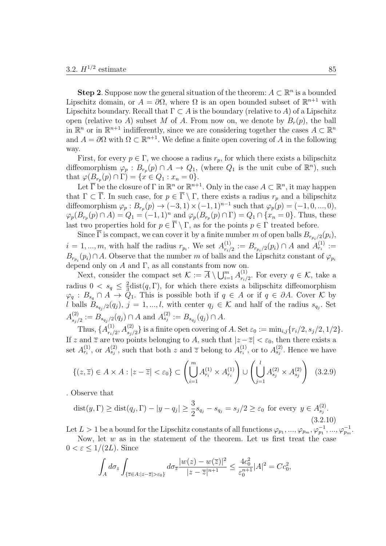**Step 2**. Suppose now the general situation of the theorem:  $A \subset \mathbb{R}^n$  is a bounded Lipschitz domain, or  $A = \partial \Omega$ , where  $\Omega$  is an open bounded subset of  $\mathbb{R}^{n+1}$  with Lipschitz boundary. Recall that  $\Gamma \subset A$  is the boundary (relative to *A*) of a Lipschitz open (relative to *A*) subset *M* of *A*. From now on, we denote by  $B_r(p)$ , the ball in  $\mathbb{R}^n$  or in  $\mathbb{R}^{n+1}$  indifferently, since we are considering together the cases  $A \subset \mathbb{R}^n$ and  $A = \partial \Omega$  with  $\Omega \subset \mathbb{R}^{n+1}$ . We define a finite open covering of A in the following way.

First, for every  $p \in \Gamma$ , we choose a radius  $r_p$ , for which there exists a bilipschitz diffeomorphism  $\varphi_p : B_{r_p}(p) \cap A \to Q_1$ , (where  $Q_1$  is the unit cube of  $\mathbb{R}^n$ ), such that  $\varphi(B_{r_p}(p) \cap \Gamma) = \{x \in Q_1 : x_n = 0\}.$ 

Let  $\overline{\Gamma}$  be the closure of  $\Gamma$  in  $\mathbb{R}^n$  or  $\mathbb{R}^{n+1}$ . Only in the case  $A \subset \mathbb{R}^n$ , it may happen that  $\Gamma \subset \overline{\Gamma}$ . In such case, for  $p \in \overline{\Gamma} \setminus \Gamma$ , there exists a radius  $r_p$  and a bilipschitz diffeomorphism  $\varphi_p : B_{r_p}(p) \to (-3, 1) \times (-1, 1)^{n-1}$  such that  $\varphi_p(p) = (-1, 0, ..., 0)$ ,  $\varphi_p(B_{r_p}(p) \cap A) = Q_1 = (-1,1)^n$  and  $\varphi_p(B_{r_p}(p) \cap \Gamma) = Q_1 \cap \{x_n = 0\}$ . Thus, these last two properties hold for  $p \in \overline{\Gamma} \setminus \Gamma$ , as for the points  $p \in \Gamma$  treated before.

Since  $\Gamma$  is compact, we can cover it by a finite number *m* of open balls  $B_{r_{p_i}/2}(p_i)$ ,  $i = 1, ..., m$ , with half the radius  $r_{p_i}$ . We set  $A_{r_i}^{(1)}$  $P_{r_i/2}$  :=  $B_{r_{p_i}/2}(p_i) \cap A$  and  $A_{r_i}^{(1)}$  :=  $B_{r_{p_i}}(p_i) \cap A$ . Observe that the number *m* of balls and the Lipschitz constant of  $\varphi_{p_i}$ depend only on *A* and Γ, as all constants from now on.

Next, consider the compact set  $\mathcal{K} := \overline{A} \setminus \bigcup_{i=1}^{m} A_{r_i}^{(1)}$ *ri/*2 *.* For every *q ∈ K*, take a radius  $0 < s_q \leq \frac{2}{3}$  $\frac{2}{3}$ dist(q, Γ), for which there exists a bilipschitz diffeomorphism  $\varphi_q : B_{s_q} \cap A \to \mathcal{Q}_1$ . This is possible both if  $q \in A$  or if  $q \in \partial A$ . Cover K by *l* balls  $B_{s_{q_j}/2}(q_j)$ ,  $j = 1, ..., l$ , with center  $q_j \in \mathcal{K}$  and half of the radius  $s_{q_j}$ . Set  $A^{(2)}_{\bullet}$  $s_j/2 := B_{s_{q_j}/2}(q_j) \cap A$  and  $A_{s_j}^{(2)} := B_{s_{q_j}}(q_j) \cap A$ .

Thus,  $\{A_{r_i}^{(1)}\}$  $\binom{(1)}{r_i/2}$ ,  $A_{s_j/2}^{(2)}$ } is a finite open covering of A. Set  $\varepsilon_0 := \min_{i,j} \{r_i/2, s_j/2, 1/2\}.$ If *z* and  $\overline{z}$  are two points belonging to *A*, such that  $|z-\overline{z}| < \varepsilon_0$ , then there exists a set  $A_{r_i}^{(1)}$ , or  $A_{s_j}^{(2)}$ , such that both *z* and  $\overline{z}$  belong to  $A_{r_i}^{(1)}$ , or to  $A_{s_j}^{(2)}$ . Hence we have

$$
\{(z,\overline{z}) \in A \times A : |z-\overline{z}| < \varepsilon_0\} \subset \left(\bigcup_{i=1}^m A_{r_i}^{(1)} \times A_{r_i}^{(1)}\right) \cup \left(\bigcup_{j=1}^l A_{s_j}^{(2)} \times A_{s_j}^{(2)}\right) (3.2.9)
$$

. Observe that

$$
\text{dist}(y, \Gamma) \ge \text{dist}(q_j, \Gamma) - |y - q_j| \ge \frac{3}{2}s_{q_j} - s_{q_j} = s_j/2 \ge \varepsilon_0 \text{ for every } y \in A_{s_j}^{(2)}.
$$
\n
$$
(3.2.10)
$$

Let  $L > 1$  be a bound for the Lipschitz constants of all functions  $\varphi_{p_1}, \ldots, \varphi_{p_m}, \varphi_{p_1}^{-1}, \ldots, \varphi_{p_m}^{-1}$ .

Now, let *w* as in the statement of the theorem. Let us first treat the case  $0 < \varepsilon \leq 1/(2L)$ . Since

$$
\int_A d\sigma_z \int_{\{\overline{z}\in A:|z-\overline{z}|>\varepsilon_0\}} d\sigma_{\overline{z}} \frac{|w(z)-w(\overline{z})|^2}{|z-\overline{z}|^{n+1}} \leq \frac{4c_0^2}{\varepsilon_0^{n+1}} |A|^2 = Cc_0^2,
$$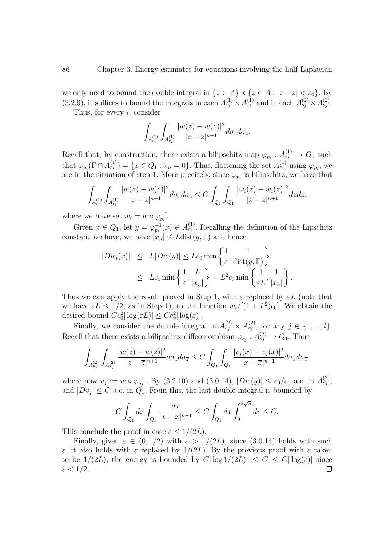we only need to bound the double integral in  $\{z \in A\} \times \{\overline{z} \in A : |z - \overline{z}| < \varepsilon_0\}$ . By (3.2.9), it suffices to bound the integrals in each  $A_{r_i}^{(1)} \times A_{r_i}^{(1)}$  and in each  $A_{s_j}^{(2)} \times A_{s_j}^{(2)}$ .

Thus, for every *i*, consider

$$
\int_{A_{r_i}^{(1)}}\int_{A_{r_i}^{(1)}}\frac{|w(z)-w(\overline{z})|^2}{|z-\overline{z}|^{n+1}}d\sigma_zd\sigma_{\overline{z}}.
$$

Recall that, by construction, there exists a bilipschitz map  $\varphi_{p_i}: A_{r_i}^{(1)} \to Q_1$  such that  $\varphi_{p_i}(\Gamma \cap A_{r_i}^{(1)}) = \{x \in Q_1 : x_n = 0\}.$  Thus, flattening the set  $A_{r_i}^{(1)}$  using  $\varphi_{p_i}$ , we are in the situation of step 1. More precisely, since  $\varphi_{p_i}$  is bilipschitz, we have that

$$
\int_{A_{r_i}^{(1)}} \int_{A_{r_i}^{(1)}} \frac{|w(z) - w(\overline{z})|^2}{|z - \overline{z}|^{n+1}} d\sigma_z d\sigma_{\overline{z}} \leq C \int_{Q_1} \int_{Q_1} \frac{|w_i(z) - w_i(\overline{z})|^2}{|z - \overline{z}|^{n+1}} dz d\overline{z},
$$

where we have set  $w_i = w \circ \varphi_{p_i}^{-1}$ .

Given  $x \in Q_1$ , let  $y = \varphi_{p_i}^{-1}(x) \in A_{r_i}^{(1)}$ . Recalling the definition of the Lipschitz constant *L* above, we have  $|x_n| \leq L \text{dist}(y, \Gamma)$  and hence

$$
|Dw_i(x)| \le L|Dw(y)| \le Lc_0 \min\left\{\frac{1}{\varepsilon}, \frac{1}{\text{dist}(y, \Gamma)}\right\}
$$
  

$$
\le Lc_0 \min\left\{\frac{1}{\varepsilon}, \frac{L}{|x_n|}\right\} = L^2c_0 \min\left\{\frac{1}{\varepsilon L}, \frac{1}{|x_n|}\right\}.
$$

Thus we can apply the result proved in Step 1, with  $\varepsilon$  replaced by  $\varepsilon L$  (note that we have  $\varepsilon L \leq 1/2$ , as in Step 1), to the function  $w_i/[(1+L^2)c_0]$ . We obtain the desired bound  $Cc_0^2 |\log(\varepsilon L)| \leq Cc_0^2 |\log(\varepsilon)|$ .

Finally, we consider the double integral in  $A_{s_j}^{(2)} \times A_{s_j}^{(2)}$ , for any  $j \in \{1, ..., l\}$ . Recall that there exists a bilipschitz diffeomorphism  $\varphi_{q_j}: A_{s_j}^{(2)} \to Q_1$ . Thus

$$
\int_{A_{s_j}^{(2)}}\int_{A_{s_j}^{(2)}}\frac{|w(z)-w(\overline{z})|^2}{|z-\overline{z}|^{n+1}}d\sigma_z d\sigma_{\overline{z}} \leq C\int_{Q_1}\int_{Q_1}\frac{|v_j(x)-v_j(\overline{x})|^2}{|x-\overline{x}|^{n+1}}d\sigma_x d\sigma_{\overline{x}},
$$

where now  $v_j := w \circ \varphi_{q_j}^{-1}$ . By (3.2.10) and (3.0.14),  $|Dw(y)| \le c_0/\varepsilon_0$  a.e. in  $A_{s_j}^{(2)}$ , and  $|Dv_j| \leq C$  a.e. in  $Q_1$ . From this, the last double integral is bounded by

$$
C\int_{Q_1}dx\int_{Q_1}\frac{d\overline{x}}{|x-\overline{x}|^{n-1}}\leq C\int_{Q_1}dx\int_0^{2\sqrt{n}}dr\leq C.
$$

This conclude the proof in case  $\varepsilon \leq 1/(2L)$ .

Finally, given  $\varepsilon \in (0,1/2)$  with  $\varepsilon > 1/(2L)$ , since (3.0.14) holds with such *ε*, it also holds with *ε* replaced by 1*/*(2*L*). By the previous proof with *ε* taken to be  $1/(2L)$ , the energy is bounded by  $C|\log 1/(2L)| \leq C \leq C|\log(\varepsilon)|$  since  $\varepsilon < 1/2$ .  $\Box$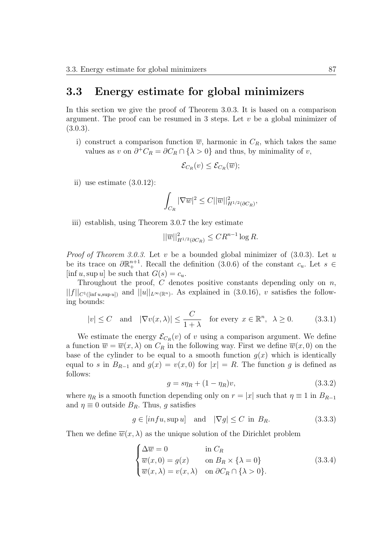#### **3.3 Energy estimate for global minimizers**

In this section we give the proof of Theorem 3.0.3. It is based on a comparison argument. The proof can be resumed in 3 steps. Let *v* be a global minimizer of  $(3.0.3).$ 

i) construct a comparison function  $\overline{w}$ , harmonic in  $C_R$ , which takes the same values as *v* on  $\partial^+ C_R = \partial C_R \cap {\{\lambda > 0\}}$  and thus, by minimality of *v*,

$$
\mathcal{E}_{C_R}(v) \leq \mathcal{E}_{C_R}(\overline{w});
$$

ii) use estimate  $(3.0.12)$ :

$$
\int_{C_R} |\nabla \overline{w}|^2 \leq C ||\overline{w}||^2_{H^{1/2}(\partial C_R)},
$$

iii) establish, using Theorem 3.0.7 the key estimate

$$
||\overline{w}||_{H^{1/2}(\partial C_R)}^2 \leq CR^{n-1}\log R.
$$

*Proof of Theorem 3.0.3.* Let *v* be a bounded global minimizer of (3.0.3). Let *u* be its trace on  $\partial \mathbb{R}^{n+1}_+$ . Recall the definition (3.0.6) of the constant  $c_u$ . Let  $s \in$  $[\inf u, \sup u]$  be such that  $G(s) = c_u$ .

Throughout the proof, *C* denotes positive constants depending only on *n*,  $||f||_{C^{1}([\text{inf } u, \text{sup } u])}$  and  $||u||_{L^{\infty}(\mathbb{R}^n)}$ . As explained in (3.0.16), *v* satisfies the following bounds:

$$
|v| \le C \quad \text{and} \quad |\nabla v(x,\lambda)| \le \frac{C}{1+\lambda} \quad \text{for every } x \in \mathbb{R}^n, \ \lambda \ge 0. \tag{3.3.1}
$$

We estimate the energy  $\mathcal{E}_{C_R}(v)$  of *v* using a comparison argument. We define a function  $\overline{w} = \overline{w}(x, \lambda)$  on  $C_R$  in the following way. First we define  $\overline{w}(x, 0)$  on the base of the cylinder to be equal to a smooth function  $g(x)$  which is identically equal to *s* in  $B_{R-1}$  and  $g(x) = v(x,0)$  for  $|x| = R$ . The function *g* is defined as follows:

$$
g = s\eta_R + (1 - \eta_R)v, \tag{3.3.2}
$$

where  $\eta_R$  is a smooth function depending only on  $r = |x|$  such that  $\eta \equiv 1$  in  $B_{R-1}$ and  $\eta \equiv 0$  outside  $B_R$ . Thus, g satisfies

$$
g \in [inf u, \sup u] \quad \text{and} \quad |\nabla g| \le C \text{ in } B_R. \tag{3.3.3}
$$

Then we define  $\overline{w}(x, \lambda)$  as the unique solution of the Dirichlet problem

$$
\begin{cases}\n\Delta \overline{w} = 0 & \text{in } C_R \\
\overline{w}(x, 0) = g(x) & \text{on } B_R \times \{\lambda = 0\} \\
\overline{w}(x, \lambda) = v(x, \lambda) & \text{on } \partial C_R \cap \{\lambda > 0\}.\n\end{cases}
$$
\n(3.3.4)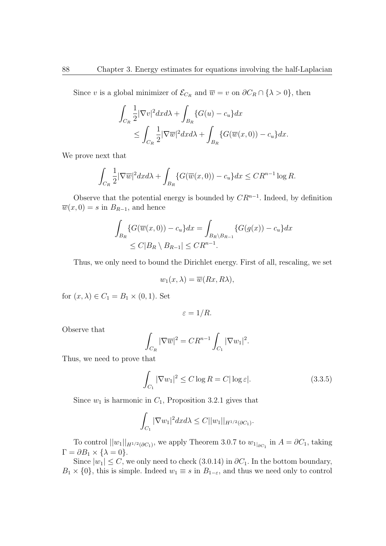Since *v* is a global minimizer of  $\mathcal{E}_{C_R}$  and  $\overline{w} = v$  on  $\partial C_R \cap {\{\lambda > 0\}}$ , then

$$
\int_{C_R} \frac{1}{2} |\nabla v|^2 dx d\lambda + \int_{B_R} \{G(u) - c_u\} dx
$$
  
\n
$$
\leq \int_{C_R} \frac{1}{2} |\nabla \overline{w}|^2 dx d\lambda + \int_{B_R} \{G(\overline{w}(x, 0)) - c_u\} dx.
$$

We prove next that

$$
\int_{C_R} \frac{1}{2} |\nabla \overline{w}|^2 dx d\lambda + \int_{B_R} \{ G(\overline{w}(x,0)) - c_u \} dx \leq C R^{n-1} \log R.
$$

Observe that the potential energy is bounded by *CR<sup>n</sup>−*<sup>1</sup> . Indeed, by definition  $\overline{w}(x,0) = s$  in  $B_{R-1}$ , and hence

$$
\int_{B_R} \{G(\overline{w}(x,0)) - c_u\} dx = \int_{B_R \backslash B_{R-1}} \{G(g(x)) - c_u\} dx
$$
  
\n
$$
\leq C|B_R \backslash B_{R-1}| \leq C R^{n-1}.
$$

Thus, we only need to bound the Dirichlet energy. First of all, rescaling, we set

$$
w_1(x,\lambda) = \overline{w}(Rx,R\lambda),
$$

for  $(x, \lambda) \in C_1 = B_1 \times (0, 1)$ . Set

$$
\varepsilon = 1/R.
$$

Observe that

$$
\int_{C_R} |\nabla \overline{w}|^2 = C R^{n-1} \int_{C_1} |\nabla w_1|^2.
$$

Thus, we need to prove that

$$
\int_{C_1} |\nabla w_1|^2 \le C \log R = C |\log \varepsilon|. \tag{3.3.5}
$$

Since  $w_1$  is harmonic in  $C_1$ , Proposition 3.2.1 gives that

$$
\int_{C_1} |\nabla w_1|^2 dx d\lambda \leq C ||w_1||_{H^{1/2}(\partial C_1)}.
$$

To control  $||w_1||_{H^{1/2}(\partial C_1)}$ , we apply Theorem 3.0.7 to  $w_1|_{\partial C_1}$  in  $A = \partial C_1$ , taking  $\Gamma = \partial B_1 \times \{ \lambda = 0 \}.$ 

Since  $|w_1| \leq C$ , we only need to check (3.0.14) in  $\partial C_1$ . In the bottom boundary,  $B_1 \times \{0\}$ , this is simple. Indeed  $w_1 \equiv s$  in  $B_{1-\varepsilon}$ , and thus we need only to control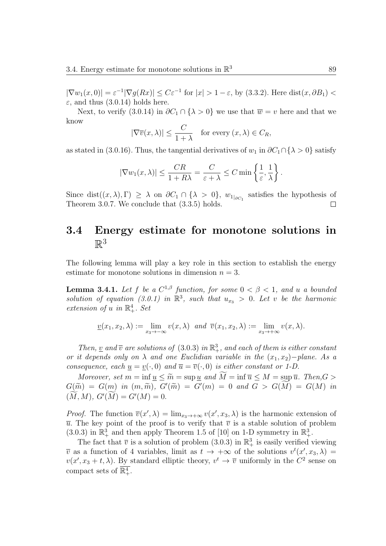*|∇w*<sub>1</sub>(*x,* 0)*|* =  $\varepsilon^{-1}$ | $∇g(Rx)$ | ≤  $C\varepsilon^{-1}$  for  $|x| > 1 - \varepsilon$ , by (3.3.2). Here dist(*x, ∂B*<sub>1</sub>) <  $\varepsilon$ , and thus (3.0.14) holds here.

Next, to verify (3.0.14) in  $\partial C_1 \cap {\{\lambda > 0\}}$  we use that  $\overline{w} = v$  here and that we know

$$
|\nabla \overline{v}(x,\lambda)| \le \frac{C}{1+\lambda} \quad \text{for every } (x,\lambda) \in C_R,
$$

as stated in (3.0.16). Thus, the tangential derivatives of  $w_1$  in  $\partial C_1 \cap {\lambda > 0}$  satisfy

$$
|\nabla w_1(x,\lambda)| \le \frac{CR}{1+R\lambda} = \frac{C}{\varepsilon + \lambda} \le C \min\left\{\frac{1}{\varepsilon},\frac{1}{\lambda}\right\}.
$$

Since dist $((x, \lambda), \Gamma) \geq \lambda$  on  $\partial C_1 \cap {\lambda > 0}$ ,  $w_1|_{\partial C_1}$  satisfies the hypothesis of Theorem 3.0.7. We conclude that (3.3.5) holds.  $\Box$ 

### **3.4 Energy estimate for monotone solutions in**  $\mathbb{R}^3$

The following lemma will play a key role in this section to establish the energy estimate for monotone solutions in dimension  $n = 3$ .

**Lemma 3.4.1.** *Let*  $f$  *be a*  $C^{1,\beta}$  *function, for some*  $0 < \beta < 1$ *, and u a bounded* solution of equation (3.0.1) in  $\mathbb{R}^3$ , such that  $u_{x_3} > 0$ . Let *v* be the harmonic *extension of u in*  $\mathbb{R}^4_+$ *. Set* 

$$
\underline{v}(x_1, x_2, \lambda) := \lim_{x_3 \to -\infty} v(x, \lambda) \text{ and } \overline{v}(x_1, x_2, \lambda) := \lim_{x_3 \to +\infty} v(x, \lambda).
$$

*Then,* <u>*v*</u> *and*  $\overline{v}$  *are solutions of* (3.0.3) *in*  $\mathbb{R}^3_+$ *, and each of them is either constant or it depends only on*  $\lambda$  *and one Euclidian variable in the*  $(x_1, x_2)$ *−plane. As a consequence, each*  $\underline{u} = \underline{v}(\cdot, 0)$  *and*  $\overline{u} = \overline{v}(\cdot, 0)$  *is either constant or 1-D.* 

*Moreover, set*  $m = \inf \underline{u} \leq \widetilde{m} = \sup \underline{u}$  and  $M = \inf \overline{u} \leq M = \sup \overline{u}$ . Then,  $G >$  $G(\widetilde{m}) = G(m)$  *in*  $(m, \widetilde{m})$ *,*  $G'(\widetilde{m}) = G'(m) = 0$  *and*  $G > G(M) = G(M)$  *in*  $(M, M), G'(M) = G'(M) = 0.$ 

*Proof.* The function  $\overline{v}(x', \lambda) = \lim_{x_3 \to +\infty} v(x', x_3, \lambda)$  is the harmonic extension of  $\overline{u}$ . The key point of the proof is to verify that  $\overline{v}$  is a stable solution of problem  $(3.0.3)$  in  $\mathbb{R}^3_+$  and then apply Theorem 1.5 of [10] on 1-D symmetry in  $\mathbb{R}^3_+$ .

The fact that  $\bar{v}$  is a solution of problem (3.0.3) in  $\mathbb{R}^3_+$  is easily verified viewing  $\overline{v}$  as a function of 4 variables, limit as  $t \to +\infty$  of the solutions  $v^t(x', x_3, \lambda) =$  $v(x', x_3 + t, \lambda)$ . By standard elliptic theory,  $v^t \to \overline{v}$  uniformly in the  $C^2$  sense on compact sets of  $\mathbb{R}^4_+$ .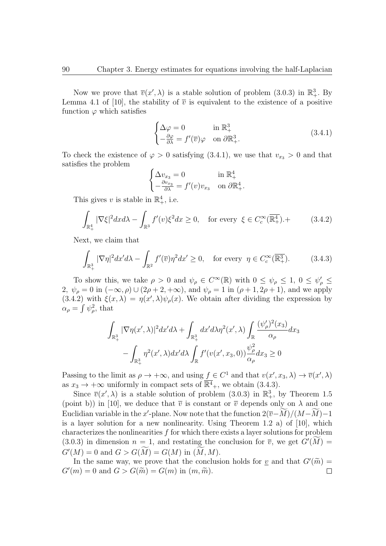Now we prove that  $\overline{v}(x', \lambda)$  is a stable solution of problem (3.0.3) in  $\mathbb{R}^3_+$ . By Lemma 4.1 of [10], the stability of  $\bar{v}$  is equivalent to the existence of a positive function  $\varphi$  which satisfies

$$
\begin{cases} \Delta \varphi = 0 & \text{in } \mathbb{R}^3_+ \\ -\frac{\partial \varphi}{\partial \lambda} = f'(\overline{v})\varphi & \text{on } \partial \mathbb{R}^3_+. \end{cases} \tag{3.4.1}
$$

To check the existence of  $\varphi > 0$  satisfying (3.4.1), we use that  $v_{x_3} > 0$  and that satisfies the problem

$$
\begin{cases} \Delta v_{x_3} = 0 & \text{in } \mathbb{R}_+^4 \\ -\frac{\partial v_{x_3}}{\partial \lambda} = f'(v)v_{x_3} & \text{on } \partial \mathbb{R}_+^4. \end{cases}
$$

This gives v is stable in  $\mathbb{R}^4_+$ , i.e.

$$
\int_{\mathbb{R}^4_+} |\nabla \xi|^2 dx d\lambda - \int_{\mathbb{R}^3} f'(v)\xi^2 dx \ge 0, \quad \text{for every } \xi \in C_c^\infty(\overline{\mathbb{R}^4_+}).\tag{3.4.2}
$$

Next, we claim that

$$
\int_{\mathbb{R}^3_+} |\nabla \eta|^2 dx' d\lambda - \int_{\mathbb{R}^2} f'(\overline{v}) \eta^2 dx' \ge 0, \quad \text{for every } \eta \in C_c^\infty(\overline{\mathbb{R}^3_+}).\tag{3.4.3}
$$

To show this, we take  $\rho > 0$  and  $\psi_{\rho} \in C^{\infty}(\mathbb{R})$  with  $0 \leq \psi_{\rho} \leq 1$ ,  $0 \leq \psi_{\rho}' \leq 1$ 2*,*  $\psi_{\rho} = 0$  in  $(-\infty, \rho) \cup (2\rho + 2, +\infty)$ , and  $\psi_{\rho} = 1$  in  $(\rho + 1, 2\rho + 1)$ , and we apply  $(3.4.2)$  with  $\xi(x,\lambda) = \eta(x',\lambda)\psi_{\rho}(x)$ . We obtain after dividing the expression by  $\alpha_{\rho} = \int \psi_{\rho}^2$ , that

$$
\int_{\mathbb{R}^3_+} |\nabla \eta(x', \lambda)|^2 dx' d\lambda + \int_{\mathbb{R}^3_+} dx' d\lambda \eta^2(x', \lambda) \int_{\mathbb{R}} \frac{(\psi_\rho')^2(x_3)}{\alpha_\rho} dx_3
$$

$$
- \int_{\mathbb{R}^3_+} \eta^2(x', \lambda) dx' d\lambda \int_{\mathbb{R}} f'(v(x', x_3, 0)) \frac{\psi_\rho^2}{\alpha_\rho} dx_3 \ge 0
$$

Passing to the limit as  $\rho \to +\infty$ , and using  $f \in C^1$  and that  $v(x', x_3, \lambda) \to \overline{v}(x', \lambda)$ as  $x_3 \to +\infty$  uniformly in compact sets of  $\mathbb{R}^4_+$ , we obtain (3.4.3).

Since  $\overline{v}(x', \lambda)$  is a stable solution of problem (3.0.3) in  $\mathbb{R}^3_+$ , by Theorem 1.5 (point b)) in [10], we deduce that  $\overline{v}$  is constant or  $\overline{v}$  depends only on  $\lambda$  and one Euclidian variable in the *x*'-plane. Now note that the function  $2(\overline{v} - M)/(M-M) - 1$ is a layer solution for a new nonlinearity. Using Theorem 1.2 a) of [10], which characterizes the nonlinearities *f* for which there exists a layer solutions for problem (3.0.3) in dimension  $n = 1$ , and restating the conclusion for  $\overline{v}$ , we get  $G'(M) =$  $G'(M) = 0$  and  $G > G(M) = G(M)$  in  $(M, M)$ .

In the same way, we prove that the conclusion holds for <u>*v*</u> and that  $G'(\tilde{m}) =$  $G'(m) = 0$  and  $G > G(\tilde{m}) = G(m)$  in  $(m, \tilde{m})$ .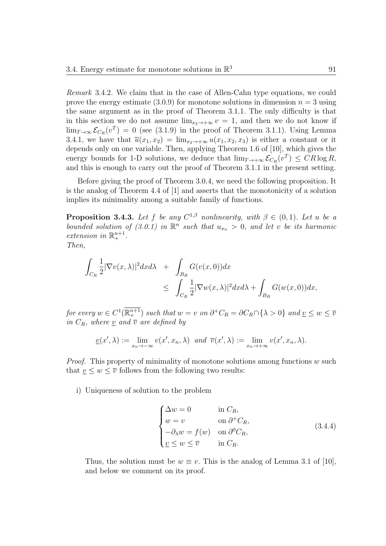*Remark* 3.4.2*.* We claim that in the case of Allen-Cahn type equations, we could prove the energy estimate  $(3.0.9)$  for monotone solutions in dimension  $n = 3$  using the same argument as in the proof of Theorem 3.1.1. The only difficulty is that in this section we do not assume  $\lim_{x \to +\infty} v = 1$ , and then we do not know if  $\lim_{T\to\infty} \mathcal{E}_{C_R}(v^T) = 0$  (see (3.1.9) in the proof of Theorem 3.1.1). Using Lemma 3.4.1, we have that  $\overrightarrow{u}(x_1, x_2) = \lim_{x_3 \to +\infty} u(x_1, x_2, x_3)$  is either a constant or it depends only on one variable. Then, applying Theorem 1.6 of [10], which gives the energy bounds for 1-D solutions, we deduce that  $\lim_{T \to +\infty} \mathcal{E}_{C_R}(v^T) \leq C_R \log R$ , and this is enough to carry out the proof of Theorem 3.1.1 in the present setting.

Before giving the proof of Theorem 3.0.4, we need the following proposition. It is the analog of Theorem 4.4 of [1] and asserts that the monotonicity of a solution implies its minimality among a suitable family of functions.

**Proposition 3.4.3.** Let f be any  $C^{1,\beta}$  nonlinearity, with  $\beta \in (0,1)$ . Let *u* be a *bounded solution of (3.0.1) in*  $\mathbb{R}^n$  *such that*  $u_{x_n} > 0$ *, and let v be its harmonic extension in*  $\mathbb{R}^{n+1}_+$ *.* 

*Then,*

$$
\int_{C_R} \frac{1}{2} |\nabla v(x,\lambda)|^2 dx d\lambda + \int_{B_R} G(v(x,0)) dx
$$
  
\n
$$
\leq \int_{C_R} \frac{1}{2} |\nabla w(x,\lambda)|^2 dx d\lambda + \int_{B_R} G(w(x,0)) dx,
$$

for every  $w \in C^1(\mathbb{R}^{n+1}_+)$  such that  $w = v$  on  $\partial^+ C_R = \partial C_R \cap \{\lambda > 0\}$  and  $\underline{v} \leq w \leq \overline{v}$ *in*  $C_R$ *, where v and*  $\overline{v}$  *are defined by* 

$$
\underline{v}(x',\lambda) := \lim_{x_n \to -\infty} v(x',x_n,\lambda) \text{ and } \overline{v}(x',\lambda) := \lim_{x_n \to +\infty} v(x',x_n,\lambda).
$$

*Proof.* This property of minimality of monotone solutions among functions *w* such that  $\underline{v} \leq w \leq \overline{v}$  follows from the following two results:

i) Uniqueness of solution to the problem

$$
\begin{cases}\n\Delta w = 0 & \text{in } C_R, \\
w = v & \text{on } \partial^+ C_R, \\
-\partial_\lambda w = f(w) & \text{on } \partial^0 C_R, \\
\underline{v} \le w \le \overline{v} & \text{in } C_R.\n\end{cases}
$$
\n(3.4.4)

Thus, the solution must be  $w \equiv v$ . This is the analog of Lemma 3.1 of [10], and below we comment on its proof.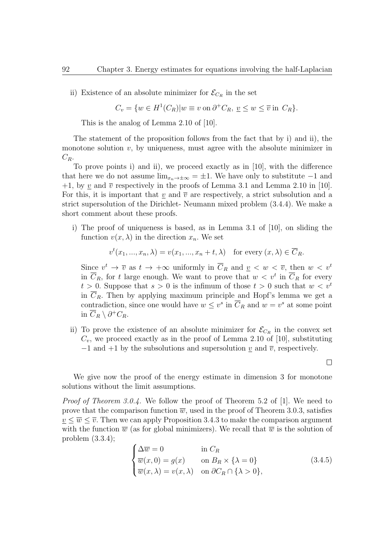ii) Existence of an absolute minimizer for  $\mathcal{E}_{C_R}$  in the set

$$
C_v = \{ w \in H^1(C_R) | w \equiv v \text{ on } \partial^+ C_R, \, \underline{v} \le w \le \overline{v} \text{ in } C_R \}.
$$

This is the analog of Lemma 2.10 of [10].

The statement of the proposition follows from the fact that by i) and ii), the monotone solution  $v$ , by uniqueness, must agree with the absolute minimizer in  $C_R$ .

To prove points i) and ii), we proceed exactly as in [10], with the difference that here we do not assume  $\lim_{x_n \to \pm \infty}$  =  $\pm 1$ . We have only to substitute  $-1$  and  $+1$ , by <u>*v*</u> and  $\overline{v}$  respectively in the proofs of Lemma 3.1 and Lemma 2.10 in [10]. For this, it is important that *v* and  $\overline{v}$  are respectively, a strict subsolution and a strict supersolution of the Dirichlet- Neumann mixed problem (3.4.4). We make a short comment about these proofs.

i) The proof of uniqueness is based, as in Lemma 3.1 of [10], on sliding the function  $v(x, \lambda)$  in the direction  $x_n$ . We set

$$
v^{t}(x_{1},...,x_{n},\lambda) = v(x_{1},...,x_{n}+t,\lambda) \text{ for every } (x,\lambda) \in \overline{C}_{R}.
$$

Since  $v^t \to \overline{v}$  as  $t \to +\infty$  uniformly in  $\overline{C}_R$  and  $\underline{v} < w < \overline{v}$ , then  $w < v^t$ in  $\overline{C}_R$ , for *t* large enough. We want to prove that  $w < v^t$  in  $\overline{C}_R$  for every  $t > 0$ . Suppose that  $s > 0$  is the infimum of those  $t > 0$  such that  $w < v<sup>t</sup>$ in  $\overline{C}_R$ . Then by applying maximum principle and Hopf's lemma we get a contradiction, since one would have  $w \leq v^s$  in  $\overline{C}_R$  and  $w = v^s$  at some point in  $\overline{C}_R$   $\setminus \partial^+ C_R$ .

ii) To prove the existence of an absolute minimizer for  $\mathcal{E}_{C_R}$  in the convex set  $C_v$ , we proceed exactly as in the proof of Lemma 2.10 of [10], substituting *−*1 and +1 by the subsolutions and supersolution *v* and  $\overline{v}$ , respectively.

We give now the proof of the energy estimate in dimension 3 for monotone solutions without the limit assumptions.

*Proof of Theorem 3.0.4.* We follow the proof of Theorem 5.2 of [1]. We need to prove that the comparison function  $\overline{w}$ , used in the proof of Theorem 3.0.3, satisfies  $v \leq \overline{w} \leq \overline{v}$ . Then we can apply Proposition 3.4.3 to make the comparison argument with the function  $\overline{w}$  (as for global minimizers). We recall that  $\overline{w}$  is the solution of problem (3.3.4);

$$
\begin{cases}\n\Delta \overline{w} = 0 & \text{in } C_R \\
\overline{w}(x, 0) = g(x) & \text{on } B_R \times \{\lambda = 0\} \\
\overline{w}(x, \lambda) = v(x, \lambda) & \text{on } \partial C_R \cap \{\lambda > 0\},\n\end{cases}
$$
\n(3.4.5)

 $\Box$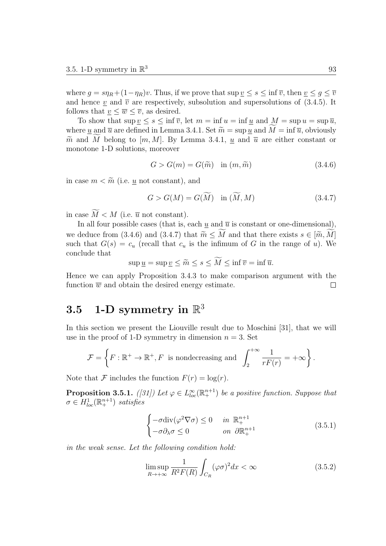where  $g = s\eta_R + (1 - \eta_R)v$ . Thus, if we prove that  $\sup v \leq s \leq \inf \overline{v}$ , then  $v \leq g \leq \overline{v}$ and hence  $\underline{v}$  and  $\overline{v}$  are respectively, subsolution and supersolutions of (3.4.5). It follows that  $v \leq \overline{w} \leq \overline{v}$ , as desired.

To show that  $\sup v \leq s \leq \inf \overline{v}$ , let  $m = \inf u = \inf u$  and  $M = \sup u = \sup \overline{u}$ , where *u* and  $\overline{u}$  are defined in Lemma 3.4.1. Set  $\widetilde{m} = \sup u$  and  $M = \inf \overline{u}$ , obviously  $\tilde{m}$  and *M* belong to [*m, M*]. By Lemma 3.4.1, *u* and  $\overline{u}$  are either constant or monotone 1-D solutions, moreover

$$
G > G(m) = G(\widetilde{m}) \quad \text{in } (m, \widetilde{m}) \tag{3.4.6}
$$

in case  $m < \widetilde{m}$  (i.e. *u* not constant), and

$$
G > G(M) = G(\widetilde{M}) \quad \text{in } (\widetilde{M}, M) \tag{3.4.7}
$$

in case  $\widetilde{M} < M$  (i.e.  $\overline{u}$  not constant).

In all four possible cases (that is, each  $u$  and  $\overline{u}$  is constant or one-dimensional), we deduce from (3.4.6) and (3.4.7) that  $\widetilde{m} \leq \widetilde{M}$  and that there exists  $s \in [\widetilde{m}, \widetilde{M}]$ such that  $G(s) = c_u$  (recall that  $c_u$  is the infimum of G in the range of *u*). We conclude that

 $\sup u = \sup v \leq \tilde{m} \leq s \leq \widetilde{M} \leq \inf \overline{v} = \inf \overline{u}.$ 

Hence we can apply Proposition 3.4.3 to make comparison argument with the function  $\overline{w}$  and obtain the desired energy estimate.  $\Box$ 

## $3.5$  1-D symmetry in  $\mathbb{R}^3$

In this section we present the Liouville result due to Moschini [31], that we will use in the proof of 1-D symmetry in dimension  $n = 3$ . Set

$$
\mathcal{F} = \left\{ F : \mathbb{R}^+ \to \mathbb{R}^+, F \text{ is nondecreasing and } \int_2^{+\infty} \frac{1}{rF(r)} = +\infty \right\}.
$$

Note that  $\mathcal F$  includes the function  $F(r) = \log(r)$ .

**Proposition 3.5.1.** *([31])* Let  $\varphi \in L^{\infty}_{loc}(\mathbb{R}^{n+1})$  be a positive function. Suppose that  $\sigma \in H_{loc}^1(\mathbb{R}^{n+1}_+)$  *satisfies* 

$$
\begin{cases}\n-\sigma \operatorname{div}(\varphi^2 \nabla \sigma) \le 0 & \text{in } \mathbb{R}^{n+1}_+ \\
-\sigma \partial_{\lambda} \sigma \le 0 & \text{on } \partial \mathbb{R}^{n+1}_+\n\end{cases} \tag{3.5.1}
$$

*in the weak sense. Let the following condition hold:*

$$
\limsup_{R \to +\infty} \frac{1}{R^2 F(R)} \int_{C_R} (\varphi \sigma)^2 dx < \infty \tag{3.5.2}
$$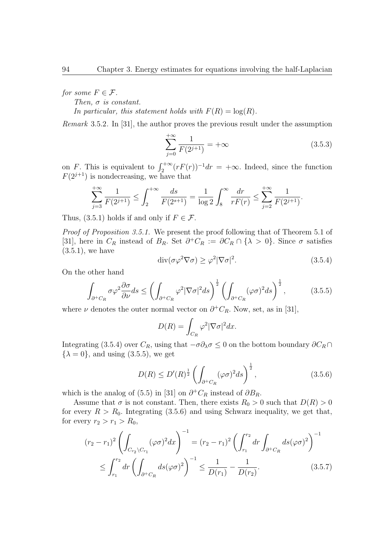*for some*  $F \in \mathcal{F}$ *.* 

*Then, σ is constant.*

In particular, this statement holds with  $F(R) = \log(R)$ .

*Remark* 3.5.2*.* In [31], the author proves the previous result under the assumption

$$
\sum_{j=0}^{+\infty} \frac{1}{F(2^{j+1})} = +\infty
$$
 (3.5.3)

on *F*. This is equivalent to  $\int_2^{+\infty} (rF(r))^{-1} dr = +\infty$ . Indeed, since the function  $F(2^{j+1})$  is nondecreasing, we have that

$$
\sum_{j=3}^{+\infty} \frac{1}{F(2^{j+1})} \le \int_2^{+\infty} \frac{ds}{F(2^{s+1})} = \frac{1}{\log 2} \int_8^{\infty} \frac{dr}{rF(r)} \le \sum_{j=2}^{+\infty} \frac{1}{F(2^{j+1})}.
$$

Thus,  $(3.5.1)$  holds if and only if  $F \in \mathcal{F}$ .

*Proof of Proposition 3.5.1.* We present the proof following that of Theorem 5.1 of [31], here in  $C_R$  instead of  $B_R$ . Set  $\partial^+ C_R := \partial C_R \cap {\{\lambda > 0\}}$ . Since  $\sigma$  satisfies  $(3.5.1)$ , we have

$$
\operatorname{div}(\sigma\varphi^2 \nabla \sigma) \ge \varphi^2 |\nabla \sigma|^2. \tag{3.5.4}
$$

On the other hand

$$
\int_{\partial^+ C_R} \sigma \varphi^2 \frac{\partial \sigma}{\partial \nu} ds \le \left( \int_{\partial^+ C_R} \varphi^2 |\nabla \sigma|^2 ds \right)^{\frac{1}{2}} \left( \int_{\partial^+ C_R} (\varphi \sigma)^2 ds \right)^{\frac{1}{2}},\tag{3.5.5}
$$

where  $\nu$  denotes the outer normal vector on  $\partial^{\dagger} C_R$ . Now, set, as in [31],

$$
D(R) = \int_{C_R} \varphi^2 |\nabla \sigma|^2 dx.
$$

Integrating (3.5.4) over  $C_R$ , using that  $-\sigma \partial_\lambda \sigma \leq 0$  on the bottom boundary  $\partial C_R \cap$  $\{\lambda = 0\}$ , and using (3.5.5), we get

$$
D(R) \le D'(R)^{\frac{1}{2}} \left( \int_{\partial^+ C_R} (\varphi \sigma)^2 ds \right)^{\frac{1}{2}},\tag{3.5.6}
$$

which is the analog of (5.5) in [31] on  $\partial^+ C_R$  instead of  $\partial B_R$ .

Assume that  $\sigma$  is not constant. Then, there exists  $R_0 > 0$  such that  $D(R) > 0$ for every  $R > R_0$ . Integrating (3.5.6) and using Schwarz inequality, we get that, for every  $r_2 > r_1 > R_0$ ,

$$
(r_2 - r_1)^2 \left( \int_{C_{r_2} \setminus C_{r_1}} (\varphi \sigma)^2 dx \right)^{-1} = (r_2 - r_1)^2 \left( \int_{r_1}^{r_2} dr \int_{\partial^+ C_R} ds (\varphi \sigma)^2 \right)^{-1}
$$
  

$$
\leq \int_{r_1}^{r_2} dr \left( \int_{\partial^+ C_R} ds (\varphi \sigma)^2 \right)^{-1} \leq \frac{1}{D(r_1)} - \frac{1}{D(r_2)}.
$$
 (3.5.7)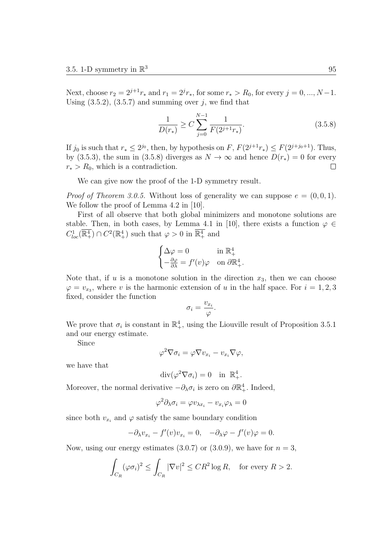Next, choose  $r_2 = 2^{j+1}r_*$  and  $r_1 = 2^jr_*$ , for some  $r_* > R_0$ , for every  $j = 0, ..., N-1$ . Using  $(3.5.2)$ ,  $(3.5.7)$  and summing over *j*, we find that

$$
\frac{1}{D(r_*)} \ge C \sum_{j=0}^{N-1} \frac{1}{F(2^{j+1}r_*)}.
$$
\n(3.5.8)

If  $j_0$  is such that  $r_* \leq 2^{j_0}$ , then, by hypothesis on  $F$ ,  $F(2^{j+1}r_*) \leq F(2^{j+j_0+1})$ . Thus, by (3.5.3), the sum in (3.5.8) diverges as  $N \to \infty$  and hence  $D(r_*) = 0$  for every  $r_*$  >  $R_0$ , which is a contradiction.  $\Box$ 

We can give now the proof of the 1-D symmetry result.

*Proof of Theorem 3.0.5.* Without loss of generality we can suppose  $e = (0, 0, 1)$ . We follow the proof of Lemma 4.2 in [10].

First of all observe that both global minimizers and monotone solutions are stable. Then, in both cases, by Lemma 4.1 in [10], there exists a function  $\varphi \in$  $C_{loc}^1(\mathbb{R}^4_+) \cap C^2(\mathbb{R}^4_+)$  such that  $\varphi > 0$  in  $\overline{\mathbb{R}^4_+}$  and

$$
\begin{cases} \Delta \varphi=0 & \text{in } \mathbb{R}^4_+ \\ -\frac{\partial \varphi}{\partial \lambda}=f'(v) \varphi & \text{on } \partial \mathbb{R}^4_+ . \end{cases}
$$

Note that, if  $u$  is a monotone solution in the direction  $x_3$ , then we can choose  $\varphi = v_{x_3}$ , where *v* is the harmonic extension of *u* in the half space. For  $i = 1, 2, 3$ fixed, consider the function

$$
\sigma_i = \frac{v_{x_i}}{\varphi}.
$$

We prove that  $\sigma_i$  is constant in  $\mathbb{R}^4_+$ , using the Liouville result of Proposition 3.5.1 and our energy estimate.

Since

$$
\varphi^2 \nabla \sigma_i = \varphi \nabla v_{x_i} - v_{x_i} \nabla \varphi,
$$

we have that

$$
\operatorname{div}(\varphi^2 \nabla \sigma_i) = 0 \quad \text{in } \mathbb{R}_+^4.
$$

Moreover, the normal derivative  $-\partial_{\lambda}\sigma_i$  is zero on  $\partial \mathbb{R}^4_+$ . Indeed,

$$
\varphi^2 \partial_{\lambda} \sigma_i = \varphi v_{\lambda x_i} - v_{x_i} \varphi_{\lambda} = 0
$$

since both  $v_{x_i}$  and  $\varphi$  satisfy the same boundary condition

$$
-\partial_{\lambda}v_{x_i} - f'(v)v_{x_i} = 0, \quad -\partial_{\lambda}\varphi - f'(v)\varphi = 0.
$$

Now, using our energy estimates  $(3.0.7)$  or  $(3.0.9)$ , we have for  $n = 3$ ,

$$
\int_{C_R} (\varphi \sigma_i)^2 \le \int_{C_R} |\nabla v|^2 \le CR^2 \log R, \quad \text{for every } R > 2.
$$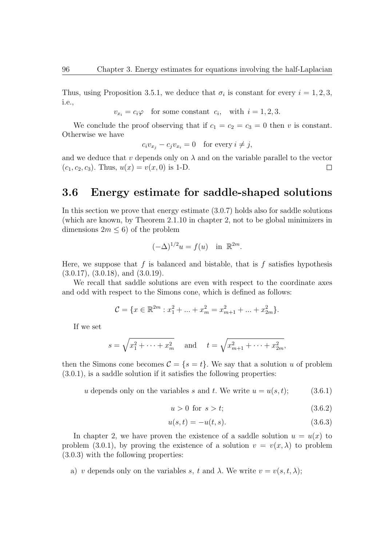Thus, using Proposition 3.5.1, we deduce that  $\sigma_i$  is constant for every  $i = 1, 2, 3$ , i.e.,

 $v_{x_i} = c_i \varphi$  for some constant  $c_i$ , with  $i = 1, 2, 3$ .

We conclude the proof observing that if  $c_1 = c_2 = c_3 = 0$  then *v* is constant. Otherwise we have

$$
c_i v_{x_j} - c_j v_{x_i} = 0 \quad \text{for every } i \neq j,
$$

and we deduce that  $v$  depends only on  $\lambda$  and on the variable parallel to the vector  $(c_1, c_2, c_3)$ . Thus,  $u(x) = v(x, 0)$  is 1-D.  $\Box$ 

#### **3.6 Energy estimate for saddle-shaped solutions**

In this section we prove that energy estimate (3.0.7) holds also for saddle solutions (which are known, by Theorem 2.1.10 in chapter 2, not to be global minimizers in dimensions  $2m \leq 6$ ) of the problem

$$
(-\Delta)^{1/2}u = f(u) \quad \text{in } \mathbb{R}^{2m}.
$$

Here, we suppose that  $f$  is balanced and bistable, that is  $f$  satisfies hypothesis  $(3.0.17), (3.0.18), \text{ and } (3.0.19).$ 

We recall that saddle solutions are even with respect to the coordinate axes and odd with respect to the Simons cone, which is defined as follows:

$$
\mathcal{C} = \{x \in \mathbb{R}^{2m} : x_1^2 + \dots + x_m^2 = x_{m+1}^2 + \dots + x_{2m}^2\}.
$$

If we set

$$
s = \sqrt{x_1^2 + \dots + x_m^2}
$$
 and  $t = \sqrt{x_{m+1}^2 + \dots + x_{2m}^2}$ ,

then the Simons cone becomes  $C = \{s = t\}$ . We say that a solution *u* of problem (3.0.1), is a saddle solution if it satisfies the following properties:

*u* depends only on the variables *s* and *t*. We write  $u = u(s, t)$ ; (3.6.1)

$$
u > 0 \text{ for } s > t; \tag{3.6.2}
$$

$$
u(s,t) = -u(t,s).
$$
\n(3.6.3)

In chapter 2, we have proven the existence of a saddle solution  $u = u(x)$  to problem (3.0.1), by proving the existence of a solution  $v = v(x, \lambda)$  to problem (3.0.3) with the following properties:

a) *v* depends only on the variables *s*, *t* and  $\lambda$ . We write  $v = v(s, t, \lambda)$ ;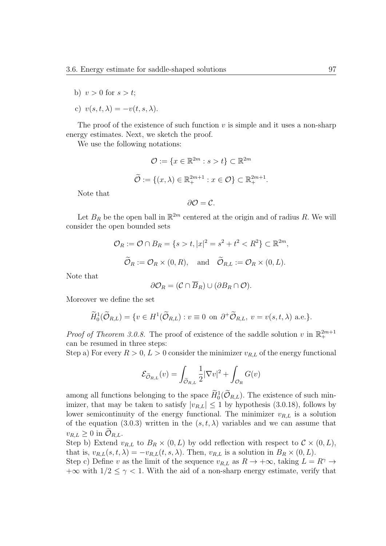- b)  $v > 0$  for  $s > t$ ;
- c)  $v(s, t, \lambda) = -v(t, s, \lambda).$

The proof of the existence of such function  $v$  is simple and it uses a non-sharp energy estimates. Next, we sketch the proof.

We use the following notations:

$$
\mathcal{O} := \{x \in \mathbb{R}^{2m} : s > t\} \subset \mathbb{R}^{2m}
$$

$$
\widetilde{\mathcal{O}} := \{(x, \lambda) \in \mathbb{R}_{+}^{2m+1} : x \in \mathcal{O}\} \subset \mathbb{R}_{+}^{2m+1}.
$$

Note that

$$
\partial\mathcal{O}=\mathcal{C}.
$$

Let  $B_R$  be the open ball in  $\mathbb{R}^{2m}$  centered at the origin and of radius R. We will consider the open bounded sets

$$
\mathcal{O}_R := \mathcal{O} \cap B_R = \{ s > t, |x|^2 = s^2 + t^2 < R^2 \} \subset \mathbb{R}^{2m},
$$
\n
$$
\widetilde{\mathcal{O}}_R := \mathcal{O}_R \times (0, R), \quad \text{and} \quad \widetilde{\mathcal{O}}_{R,L} := \mathcal{O}_R \times (0, L).
$$

Note that

$$
\partial \mathcal{O}_R = (\mathcal{C} \cap \overline{B}_R) \cup (\partial B_R \cap \mathcal{O}).
$$

Moreover we define the set

$$
\widetilde{H}_0^1(\widetilde{\mathcal{O}}_{R,L}) = \{ v \in H^1(\widetilde{\mathcal{O}}_{R,L}) : v \equiv 0 \text{ on } \partial^+ \widetilde{\mathcal{O}}_{R,L}, v = v(s, t, \lambda) \text{ a.e.} \}.
$$

*Proof of Theorem 3.0.8.* The proof of existence of the saddle solution *v* in  $\mathbb{R}^{2m+1}_+$ can be resumed in three steps:

Step a) For every  $R > 0, L > 0$  consider the minimizer  $v_{R,L}$  of the energy functional

$$
\mathcal{E}_{\widetilde{\mathcal{O}}_{R,L}}(v) = \int_{\widetilde{\mathcal{O}}_{R,L}} \frac{1}{2} |\nabla v|^2 + \int_{\mathcal{O}_R} G(v)
$$

among all functions belonging to the space  $H_0^1(\mathcal{O}_{R,L})$ . The existence of such minimizer, that may be taken to satisfy  $|v_{R,L}| \leq 1$  by hypothesis (3.0.18), follows by lower semicontinuity of the energy functional. The minimizer  $v_{R,L}$  is a solution of the equation (3.0.3) written in the  $(s, t, \lambda)$  variables and we can assume that  $v_{R,L} \geq 0$  in  $\mathcal{O}_{R,L}$ .

Step b) Extend  $v_{R,L}$  to  $B_R \times (0, L)$  by odd reflection with respect to  $C \times (0, L)$ , that is,  $v_{R,L}(s,t,\lambda) = -v_{R,L}(t,s,\lambda)$ . Then,  $v_{R,L}$  is a solution in  $B_R \times (0,L)$ .

Step c) Define *v* as the limit of the sequence  $v_{R,L}$  as  $R \to +\infty$ , taking  $L = R^{\gamma} \to$  $+\infty$  with  $1/2 \leq \gamma < 1$ . With the aid of a non-sharp energy estimate, verify that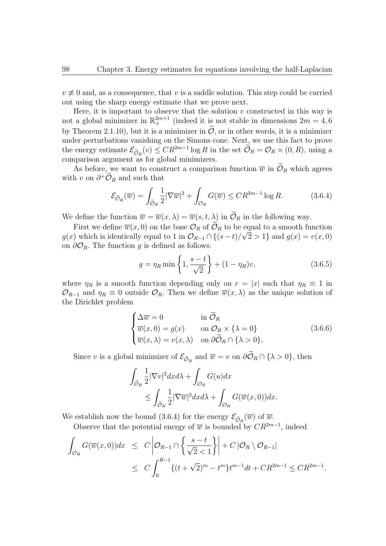$v \neq 0$  and, as a consequence, that *v* is a saddle solution. This step could be carried out using the sharp energy estimate that we prove next.

Here, it is important to observe that the solution  $v$  constructed in this way is not a global minimizer in  $\mathbb{R}^{2m+1}_+$  (indeed it is not stable in dimensions  $2m = 4, 6$ by Theorem 2.1.10), but it is a minimizer in  $\tilde{\mathcal{O}}$ , or in other words, it is a minimizer under perturbations vanishing on the Simons cone. Next, we use this fact to prove the energy estimate  $\mathcal{E}_{\tilde{\mathcal{O}}_R}(v) \leq CR^{2m-1}\log R$  in the set  $\tilde{\mathcal{O}}_R = \mathcal{O}_R \times (0, R)$ , using a comparison argument as for global minimizers.

As before, we want to construct a comparison function  $\overline{w}$  in  $\mathcal{O}_R$  which agrees with *v* on  $\partial^+ \mathcal{O}_R$  and such that

$$
\mathcal{E}_{\widetilde{\mathcal{O}}_R}(\overline{w}) = \int_{\widetilde{\mathcal{O}}_R} \frac{1}{2} |\nabla \overline{w}|^2 + \int_{\mathcal{O}_R} G(\overline{w}) \le C R^{2m-1} \log R. \tag{3.6.4}
$$

We define the function  $\overline{w} = \overline{w}(x, \lambda) = \overline{w}(s, t, \lambda)$  in  $\widetilde{\mathcal{O}}_R$  in the following way.

First we define  $\overline{w}(x,0)$  on the base  $\mathcal{O}_R$  of  $\mathcal{O}_R$  to be equal to a smooth function *g*(*x*) which is identically equal to 1 in  $\mathcal{O}_{R-1} \cap \{(s-t)/\sqrt{2} > 1\}$  and  $g(x) = v(x, 0)$ on  $\partial\mathcal{O}_R$ . The function *g* is defined as follows:

$$
g = \eta_R \min\left\{1, \frac{s-t}{\sqrt{2}}\right\} + (1 - \eta_R)v,\tag{3.6.5}
$$

where  $\eta_R$  is a smooth function depending only on  $r = |x|$  such that  $\eta_R \equiv 1$  in  $\mathcal{O}_{R-1}$  and  $\eta_R \equiv 0$  outside  $\mathcal{O}_R$ . Then we define  $\overline{w}(x,\lambda)$  as the unique solution of the Dirichlet problem

$$
\begin{cases}\n\Delta \overline{w} = 0 & \text{in } \widetilde{\mathcal{O}}_R \\
\overline{w}(x, 0) = g(x) & \text{on } \mathcal{O}_R \times \{\lambda = 0\} \\
\overline{w}(x, \lambda) = v(x, \lambda) & \text{on } \partial \widetilde{\mathcal{O}}_R \cap \{\lambda > 0\}.\n\end{cases}
$$
\n(3.6.6)

Since *v* is a global minimizer of  $\mathcal{E}_{\tilde{\mathcal{O}}_R}$  and  $\overline{w} = v$  on  $\partial \mathcal{O}_R \cap {\{\lambda > 0\}}$ , then

$$
\int_{\widetilde{\mathcal{O}}_R} \frac{1}{2} |\nabla v|^2 dx d\lambda + \int_{\mathcal{O}_R} G(u) dx
$$
  
\$\leq \int\_{\widetilde{\mathcal{O}}\_R} \frac{1}{2} |\nabla \overline{w}|^2 dx d\lambda + \int\_{\mathcal{O}\_R} G(\overline{w}(x, 0)) dx.\$

We establish now the bound (3.6.4) for the energy  $\mathcal{E}_{\tilde{\mathcal{O}}_R}(\overline{w})$  of  $\overline{w}$ .

Observe that the potential energy of  $\overline{w}$  is bounded by  $CR^{2m-1}$ , indeed

$$
\int_{\mathcal{O}_R} G(\overline{w}(x,0)) dx \leq C \left| \mathcal{O}_{R-1} \cap \left\{ \frac{s-t}{\sqrt{2} < 1} \right\} \right| + C \left| \mathcal{O}_R \setminus \mathcal{O}_{R-1} \right|
$$
\n
$$
\leq C \int_0^{R-1} \{ (t + \sqrt{2})^m - t^m \} t^{m-1} dt + C R^{2m-1} \leq C R^{2m-1}.
$$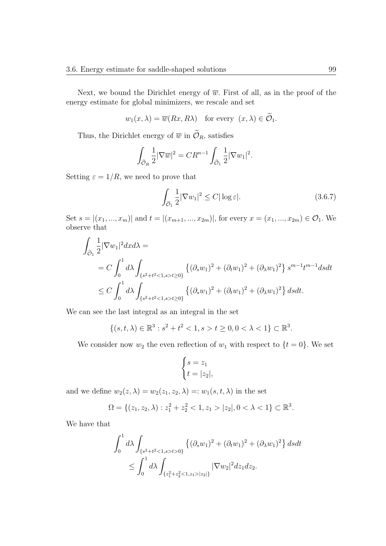Next, we bound the Dirichlet energy of  $\overline{w}$ . First of all, as in the proof of the energy estimate for global minimizers, we rescale and set

$$
w_1(x, \lambda) = \overline{w}(Rx, R\lambda)
$$
 for every  $(x, \lambda) \in \mathcal{O}_1$ .

Thus, the Dirichlet energy of  $\overline{w}$  in  $\widetilde{\mathcal{O}}_R$ , satisfies

$$
\int_{\widetilde{\mathcal{O}}_R} \frac{1}{2} |\nabla \overline{w}|^2 = CR^{n-1} \int_{\widetilde{\mathcal{O}}_1} \frac{1}{2} |\nabla w_1|^2.
$$

Setting  $\varepsilon = 1/R$ , we need to prove that

$$
\int_{\widetilde{\mathcal{O}}_1} \frac{1}{2} |\nabla w_1|^2 \le C |\log \varepsilon|. \tag{3.6.7}
$$

Set  $s = |(x_1, ..., x_m)|$  and  $t = |(x_{m+1}, ..., x_{2m})|$ , for every  $x = (x_1, ..., x_{2m}) \in \mathcal{O}_1$ . We observe that

$$
\int_{\tilde{O}_1} \frac{1}{2} |\nabla w_1|^2 dx d\lambda =
$$
\n
$$
= C \int_0^1 d\lambda \int_{\{s^2 + t^2 < 1, s > t \ge 0\}} \left\{ (\partial_s w_1)^2 + (\partial_t w_1)^2 + (\partial_\lambda w_1)^2 \right\} s^{m-1} t^{m-1} ds dt
$$
\n
$$
\le C \int_0^1 d\lambda \int_{\{s^2 + t^2 < 1, s > t \ge 0\}} \left\{ (\partial_s w_1)^2 + (\partial_t w_1)^2 + (\partial_\lambda w_1)^2 \right\} ds dt.
$$

We can see the last integral as an integral in the set

 $\{(s, t, \lambda) \in \mathbb{R}^3 : s^2 + t^2 < 1, s > t \geq 0, 0 < \lambda < 1\} \subset \mathbb{R}^3$ .

We consider now  $w_2$  the even reflection of  $w_1$  with respect to  $\{t = 0\}$ . We set

$$
\begin{cases} s = z_1 \\ t = |z_2|, \end{cases}
$$

and we define  $w_2(z, \lambda) = w_2(z_1, z_2, \lambda) =: w_1(s, t, \lambda)$  in the set

$$
\Omega = \{(z_1, z_2, \lambda) : z_1^2 + z_2^2 < 1, z_1 > |z_2|, 0 < \lambda < 1\} \subset \mathbb{R}^3.
$$

We have that

$$
\int_0^1 d\lambda \int_{\{s^2 + t^2 < 1, s > t > 0\}} \left\{ (\partial_s w_1)^2 + (\partial_t w_1)^2 + (\partial_\lambda w_1)^2 \right\} ds dt
$$
\n
$$
\leq \int_0^1 d\lambda \int_{\{z_1^2 + z_2^2 < 1, z_1 > |z_2|\}} |\nabla w_2|^2 dz_1 dz_2.
$$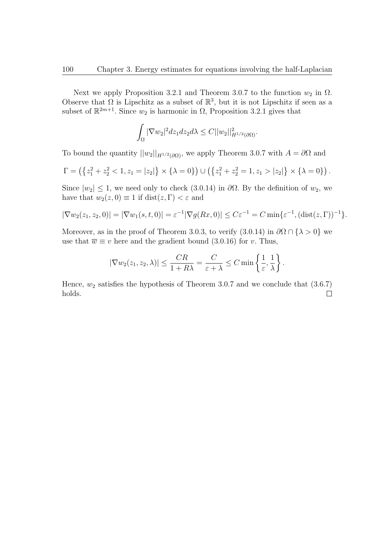Next we apply Proposition 3.2.1 and Theorem 3.0.7 to the function  $w_2$  in  $\Omega$ . Observe that  $\Omega$  is Lipschitz as a subset of  $\mathbb{R}^3$ , but it is not Lipschitz if seen as a subset of  $\mathbb{R}^{2m+1}$ . Since  $w_2$  is harmonic in  $\Omega$ , Proposition 3.2.1 gives that

$$
\int_{\Omega} |\nabla w_2|^2 dz_1 dz_2 d\lambda \leq C ||w_2||^2_{H^{1/2}(\partial \Omega)}.
$$

To bound the quantity  $||w_2||_{H^{1/2}(\partial\Omega)}$ , we apply Theorem 3.0.7 with  $A = \partial\Omega$  and

$$
\Gamma = \left( \left\{ z_1^2 + z_2^2 < 1, z_1 = |z_2| \right\} \times \left\{ \lambda = 0 \right\} \right) \cup \left( \left\{ z_1^2 + z_2^2 = 1, z_1 > |z_2| \right\} \times \left\{ \lambda = 0 \right\} \right).
$$

Since  $|w_2| \leq 1$ , we need only to check (3.0.14) in  $\partial \Omega$ . By the definition of  $w_2$ , we have that  $w_2(z, 0) \equiv 1$  if dist $(z, \Gamma) < \varepsilon$  and

$$
|\nabla w_2(z_1, z_2, 0)| = |\nabla w_1(s, t, 0)| = \varepsilon^{-1} |\nabla g(Rx, 0)| \le C\varepsilon^{-1} = C \min{\varepsilon^{-1}, (\text{dist}(z, \Gamma))^{-1}}.
$$

Moreover, as in the proof of Theorem 3.0.3, to verify  $(3.0.14)$  in  $\partial\Omega \cap {\lambda > 0}$  we use that  $\overline{w} \equiv v$  here and the gradient bound (3.0.16) for *v*. Thus,

$$
|\nabla w_2(z_1, z_2, \lambda)| \le \frac{CR}{1 + R\lambda} = \frac{C}{\varepsilon + \lambda} \le C \min\left\{\frac{1}{\varepsilon}, \frac{1}{\lambda}\right\}.
$$

Hence,  $w_2$  satisfies the hypothesis of Theorem 3.0.7 and we conclude that  $(3.6.7)$ holds. $\Box$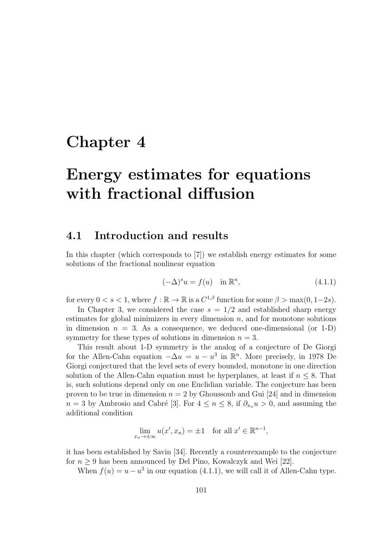## **Chapter 4**

# **Energy estimates for equations with fractional diffusion**

#### **4.1 Introduction and results**

In this chapter (which corresponds to [7]) we establish energy estimates for some solutions of the fractional nonlinear equation

$$
(-\Delta)^s u = f(u) \quad \text{in } \mathbb{R}^n,
$$
\n(4.1.1)

for every  $0 < s < 1$ , where  $f : \mathbb{R} \to \mathbb{R}$  is a  $C^{1,\beta}$  function for some  $\beta > \max(0, 1-2s)$ .

In Chapter 3, we considered the case  $s = 1/2$  and established sharp energy estimates for global minimizers in every dimension *n*, and for monotone solutions in dimension  $n = 3$ . As a consequence, we deduced one-dimensional (or 1-D) symmetry for these types of solutions in dimension  $n = 3$ .

This result about 1-D symmetry is the analog of a conjecture of De Giorgi for the Allen-Cahn equation  $-\Delta u = u - u^3$  in  $\mathbb{R}^n$ . More precisely, in 1978 De Giorgi conjectured that the level sets of every bounded, monotone in one direction solution of the Allen-Cahn equation must be hyperplanes, at least if  $n \leq 8$ . That is, such solutions depend only on one Euclidian variable. The conjecture has been proven to be true in dimension  $n = 2$  by Ghoussoub and Gui [24] and in dimension *n* = 3 by Ambrosio and Cabré [3]. For  $4 \le n \le 8$ , if  $\partial_{x_n} u > 0$ , and assuming the additional condition

$$
\lim_{x_n \to \pm \infty} u(x', x_n) = \pm 1 \quad \text{for all } x' \in \mathbb{R}^{n-1},
$$

it has been established by Savin [34]. Recently a counterexample to the conjecture for  $n \geq 9$  has been announced by Del Pino, Kowalczyk and Wei [22].

When  $f(u) = u - u^3$  in our equation (4.1.1), we will call it of Allen-Cahn type.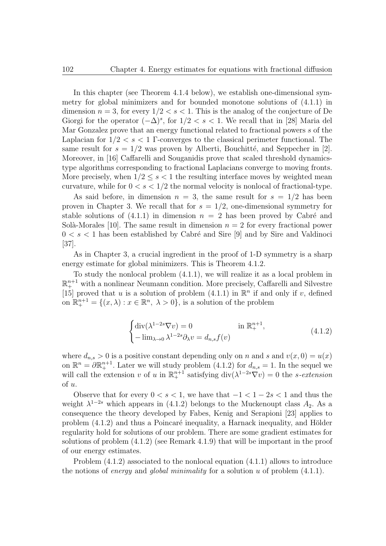In this chapter (see Theorem 4.1.4 below), we establish one-dimensional symmetry for global minimizers and for bounded monotone solutions of (4.1.1) in dimension  $n = 3$ , for every  $1/2 < s < 1$ . This is the analog of the conjecture of De Giorgi for the operator  $(-\Delta)^s$ , for  $1/2 < s < 1$ . We recall that in [28] Maria del Mar Gonzalez prove that an energy functional related to fractional powers *s* of the Laplacian for 1*/*2 *< s <* 1 Γ-converges to the classical perimeter functional. The same result for  $s = 1/2$  was proven by Alberti, Bouchitté, and Seppecher in [2]. Moreover, in [16] Caffarelli and Souganidis prove that scaled threshold dynamicstype algorithms corresponding to fractional Laplacians converge to moving fronts. More precisely, when  $1/2 \leq s < 1$  the resulting interface moves by weighted mean curvature, while for  $0 < s < 1/2$  the normal velocity is nonlocal of fractional-type.

As said before, in dimension  $n = 3$ , the same result for  $s = 1/2$  has been proven in Chapter 3. We recall that for  $s = 1/2$ , one-dimensional symmetry for stable solutions of  $(4.1.1)$  in dimension  $n = 2$  has been proved by Cabré and Solà-Morales [10]. The same result in dimension  $n = 2$  for every fractional power  $0 < s < 1$  has been established by Cabré and Sire [9] and by Sire and Valdinoci [37].

As in Chapter 3, a crucial ingredient in the proof of 1-D symmetry is a sharp energy estimate for global minimizers. This is Theorem 4.1.2.

To study the nonlocal problem (4.1.1), we will realize it as a local problem in  $\mathbb{R}^{n+1}_+$  with a nonlinear Neumann condition. More precisely, Caffarelli and Silvestre [15] proved that *u* is a solution of problem  $(4.1.1)$  in  $\mathbb{R}^n$  if and only if *v*, defined on  $\mathbb{R}^{n+1}_{+} = \{(x, \lambda) : x \in \mathbb{R}^n, \lambda > 0\}$ , is a solution of the problem

$$
\begin{cases} \operatorname{div}(\lambda^{1-2s}\nabla v) = 0 & \text{in } \mathbb{R}^{n+1}_+, \\ -\operatorname{lim}_{\lambda \to 0} \lambda^{1-2s}\partial_{\lambda}v = d_{n,s}f(v) \end{cases}
$$
 (4.1.2)

where  $d_{n,s} > 0$  is a positive constant depending only on *n* and *s* and  $v(x, 0) = u(x)$ on  $\mathbb{R}^n = \partial \mathbb{R}^{n+1}_+$ . Later we will study problem (4.1.2) for  $d_{n,s} = 1$ . In the sequel we will call the extension *v* of *u* in  $\mathbb{R}^{n+1}$  satisfying div $(\lambda^{1-2s}\nabla v) = 0$  the *s*-extension of *u*.

Observe that for every  $0 < s < 1$ , we have that  $-1 < 1 - 2s < 1$  and thus the weight  $\lambda^{1-2s}$  which appears in (4.1.2) belongs to the Muckenoupt class  $A_2$ . As a consequence the theory developed by Fabes, Kenig and Serapioni [23] applies to problem  $(4.1.2)$  and thus a Poincaré inequality, a Harnack inequality, and Hölder regularity hold for solutions of our problem. There are some gradient estimates for solutions of problem (4.1.2) (see Remark 4.1.9) that will be important in the proof of our energy estimates.

Problem (4.1.2) associated to the nonlocal equation (4.1.1) allows to introduce the notions of *energy* and *global minimality* for a solution *u* of problem (4.1.1).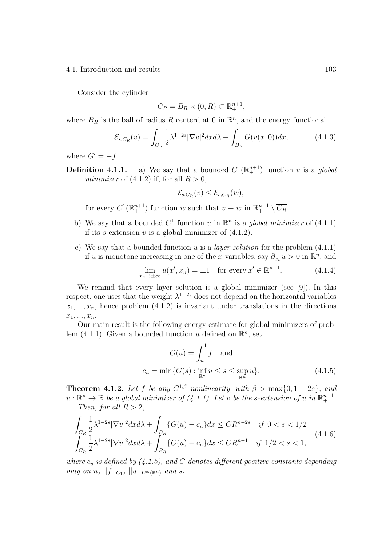Consider the cylinder

$$
C_R = B_R \times (0, R) \subset \mathbb{R}^{n+1}_+,
$$

where  $B_R$  is the ball of radius R centerd at 0 in  $\mathbb{R}^n$ , and the energy functional

$$
\mathcal{E}_{s,C_R}(v) = \int_{C_R} \frac{1}{2} \lambda^{1-2s} |\nabla v|^2 dx d\lambda + \int_{B_R} G(v(x,0)) dx, \tag{4.1.3}
$$

where  $G' = -f$ .

**Definition 4.1.1.** a) We say that a bounded  $C^1(\mathbb{R}^{n+1})$  function *v* is a *global minimizer* of  $(4.1.2)$  if, for all  $R > 0$ ,

$$
\mathcal{E}_{s,C_R}(v) \leq \mathcal{E}_{s,C_R}(w),
$$

for every  $C^1(\mathbb{R}^{n+1}_+)$  function *w* such that  $v \equiv w$  in  $\mathbb{R}^{n+1}_+ \setminus \overline{C_R}$ .

- b) We say that a bounded  $C^1$  function *u* in  $\mathbb{R}^n$  is a *global minimizer* of (4.1.1) if its *s*-extension  $v$  is a global minimizer of  $(4.1.2)$ .
- c) We say that a bounded function *u* is a *layer solution* for the problem (4.1.1) if *u* is monotone increasing in one of the *x*-variables, say  $\partial_{x_n} u > 0$  in  $\mathbb{R}^n$ , and

$$
\lim_{x_n \to \pm \infty} u(x', x_n) = \pm 1 \quad \text{for every } x' \in \mathbb{R}^{n-1}.
$$
 (4.1.4)

We remind that every layer solution is a global minimizer (see [9]). In this respect, one uses that the weight  $\lambda^{1-2s}$  does not depend on the horizontal variables  $x_1, \ldots, x_n$ , hence problem  $(4.1.2)$  is invariant under translations in the directions  $x_1, \ldots, x_n.$ 

Our main result is the following energy estimate for global minimizers of problem  $(4.1.1)$ . Given a bounded function *u* defined on  $\mathbb{R}^n$ , set

$$
G(u) = \int_{u}^{1} f \quad \text{and}
$$
  

$$
c_u = \min\{G(s) : \inf_{\mathbb{R}^n} u \le s \le \sup_{\mathbb{R}^n} u\}.
$$
 (4.1.5)

**Theorem 4.1.2.** *Let f be any*  $C^{1,\beta}$  *nonlinearity, with*  $\beta > \max\{0, 1-2s\}$ *, and*  $u: \mathbb{R}^n \to \mathbb{R}$  *be a global minimizer of* (4.1.1). Let *v be the s-extension of u in*  $\mathbb{R}^{n+1}_+$ . *Then, for all*  $R > 2$ *,* 

$$
\int_{C_R} \frac{1}{2} \lambda^{1-2s} |\nabla v|^2 dx d\lambda + \int_{B_R} \{G(u) - c_u\} dx \leq C R^{n-2s} \quad \text{if } 0 < s < 1/2
$$
\n
$$
\int_{C_R} \frac{1}{2} \lambda^{1-2s} |\nabla v|^2 dx d\lambda + \int_{B_R} \{G(u) - c_u\} dx \leq C R^{n-1} \quad \text{if } 1/2 < s < 1,
$$
\n(4.1.6)

*where*  $c_u$  *is defined by* (4.1.5), and *C* denotes different positive constants depending *only on n*,  $||f||_{C_1}$ ,  $||u||_{L^{\infty}(\mathbb{R}^n)}$  *and s.*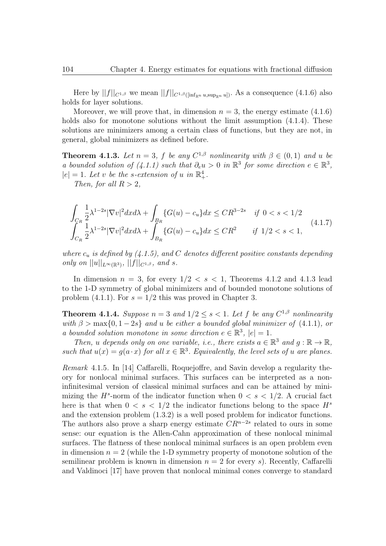Here by  $||f||_{C^{1,\beta}}$  we mean  $||f||_{C^{1,\beta}(\lim_{\mathbb{F}^n} u,\sup_{\mathbb{P}^n} u)}$ . As a consequence (4.1.6) also holds for layer solutions.

Moreover, we will prove that, in dimension  $n = 3$ , the energy estimate  $(4.1.6)$ holds also for monotone solutions without the limit assumption  $(4.1.4)$ . These solutions are minimizers among a certain class of functions, but they are not, in general, global minimizers as defined before.

**Theorem 4.1.3.** *Let*  $n = 3$ *, f be any*  $C^{1,\beta}$  *nonlinearity with*  $\beta \in (0,1)$  *and u be a* bounded solution of  $(4.1.1)$  such that  $\partial_e u > 0$  in  $\mathbb{R}^3$  for some direction  $e \in \mathbb{R}^3$ ,  $|e| = 1$ *. Let v be the s-extension of u in*  $\mathbb{R}^4_+$ *.* 

*Then, for all*  $R > 2$ *,* 

$$
\int_{C_R} \frac{1}{2} \lambda^{1-2s} |\nabla v|^2 dx d\lambda + \int_{B_R} \{G(u) - c_u\} dx \le C R^{3-2s} \quad \text{if } 0 < s < 1/2
$$
\n
$$
\int_{C_R} \frac{1}{2} \lambda^{1-2s} |\nabla v|^2 dx d\lambda + \int_{B_R} \{G(u) - c_u\} dx \le C R^2 \quad \text{if } 1/2 < s < 1,
$$
\n(4.1.7)

*where*  $c_u$  *is defined by* (4.1.5), and *C* denotes different positive constants depending  $\int$  *only on*  $||u||_{L^{\infty}(\mathbb{R}^3)}$ ,  $||f||_{C^{1,\beta}}$ , and *s*.

In dimension  $n = 3$ , for every  $1/2 < s < 1$ , Theorems 4.1.2 and 4.1.3 lead to the 1-D symmetry of global minimizers and of bounded monotone solutions of problem  $(4.1.1)$ . For  $s = 1/2$  this was proved in Chapter 3.

**Theorem 4.1.4.** *Suppose*  $n = 3$  *and*  $1/2 \leq s < 1$ *. Let*  $f$  *be any*  $C^{1,\beta}$  *nonlinearity with*  $\beta > \max\{0, 1-2s\}$  *and u be either a bounded global minimizer of* (4.1.1)*, or a* bounded solution monotone in some direction  $e \in \mathbb{R}^3$ ,  $|e| = 1$ .

*Then, u depends* only on one variable, *i.e., there exists*  $a \in \mathbb{R}^3$  *and*  $g : \mathbb{R} \to \mathbb{R}$ *, such that*  $u(x) = g(a \cdot x)$  *for all*  $x \in \mathbb{R}^3$ . *Equivalently, the level sets of u are planes.* 

*Remark* 4.1.5*.* In [14] Caffarelli, Roquejoffre, and Savin develop a regularity theory for nonlocal minimal surfaces. This surfaces can be interpreted as a noninfinitesimal version of classical minimal surfaces and can be attained by minimizing the  $H^s$ -norm of the indicator function when  $0 < s < 1/2$ . A crucial fact here is that when  $0 < s < 1/2$  the indicator functions belong to the space  $H^s$ and the extension problem (1.3.2) is a well posed problem for indicator functions. The authors also prove a sharp energy estimate *CR<sup>n</sup>−*2*<sup>s</sup>* related to ours in some sense: our equation is the Allen-Cahn approximation of these nonlocal minimal surfaces. The flatness of these nonlocal minimal surfaces is an open problem even in dimension  $n = 2$  (while the 1-D symmetry property of monotone solution of the semilinear problem is known in dimension  $n = 2$  for every *s*). Recently, Caffarelli and Valdinoci [17] have proven that nonlocal minimal cones converge to standard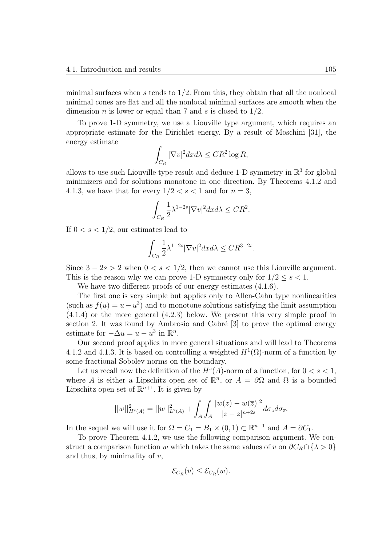minimal surfaces when *s* tends to 1*/*2. From this, they obtain that all the nonlocal minimal cones are flat and all the nonlocal minimal surfaces are smooth when the dimension *n* is lower or equal than 7 and *s* is closed to 1*/*2.

To prove 1-D symmetry, we use a Liouville type argument, which requires an appropriate estimate for the Dirichlet energy. By a result of Moschini [31], the energy estimate

$$
\int_{C_R} |\nabla v|^2 dx d\lambda \leq CR^2 \log R,
$$

allows to use such Liouville type result and deduce 1-D symmetry in  $\mathbb{R}^3$  for global minimizers and for solutions monotone in one direction. By Theorems 4.1.2 and 4.1.3, we have that for every  $1/2 < s < 1$  and for  $n = 3$ ,

$$
\int_{C_R} \frac{1}{2} \lambda^{1-2s} |\nabla v|^2 dx d\lambda \leq CR^2.
$$

If  $0 < s < 1/2$ , our estimates lead to

$$
\int_{C_R} \frac{1}{2} \lambda^{1-2s} |\nabla v|^2 dx d\lambda \leq C R^{3-2s}.
$$

Since  $3 - 2s > 2$  when  $0 < s < 1/2$ , then we cannot use this Liouville argument. This is the reason why we can prove 1-D symmetry only for  $1/2 \leq s < 1$ .

We have two different proofs of our energy estimates  $(4.1.6)$ .

The first one is very simple but applies only to Allen-Cahn type nonlinearities (such as  $f(u) = u - u^3$ ) and to monotone solutions satisfying the limit assumption (4.1.4) or the more general (4.2.3) below. We present this very simple proof in section 2. It was found by Ambrosio and Cabré  $[3]$  to prove the optimal energy estimate for  $-\Delta u = u - u^3$  in  $\mathbb{R}^n$ .

Our second proof applies in more general situations and will lead to Theorems 4.1.2 and 4.1.3. It is based on controlling a weighted  $H^1(\Omega)$ -norm of a function by some fractional Sobolev norms on the boundary.

Let us recall now the definition of the  $H^s(A)$ -norm of a function, for  $0 < s < 1$ , where *A* is either a Lipschitz open set of  $\mathbb{R}^n$ , or  $A = \partial\Omega$  and  $\Omega$  is a bounded Lipschitz open set of  $\mathbb{R}^{n+1}$ . It is given by

$$
||w||_{H^{s}(A)}^{2} = ||w||_{L^{2}(A)}^{2} + \int_{A} \int_{A} \frac{|w(z) - w(\overline{z})|^{2}}{|z - \overline{z}|^{n+2s}} d\sigma_{z} d\sigma_{\overline{z}}.
$$

In the sequel we will use it for  $\Omega = C_1 = B_1 \times (0, 1) \subset \mathbb{R}^{n+1}$  and  $A = \partial C_1$ .

To prove Theorem 4.1.2, we use the following comparison argument. We construct a comparison function  $\overline{w}$  which takes the same values of *v* on  $\partial C_R \cap {\lambda > 0}$ and thus, by minimality of *v*,

$$
\mathcal{E}_{C_R}(v) \leq \mathcal{E}_{C_R}(\overline{w}).
$$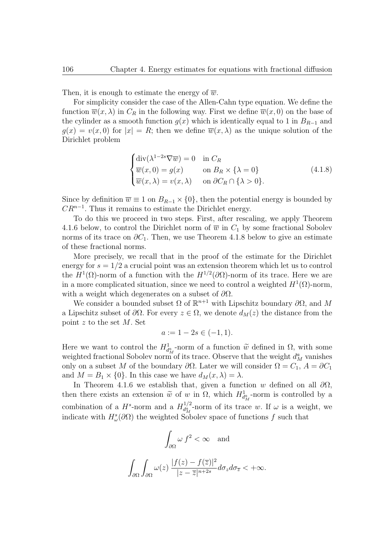Then, it is enough to estimate the energy of  $\overline{w}$ .

For simplicity consider the case of the Allen-Cahn type equation. We define the function  $\overline{w}(x, \lambda)$  in  $C_R$  in the following way. First we define  $\overline{w}(x, 0)$  on the base of the cylinder as a smooth function  $g(x)$  which is identically equal to 1 in  $B_{R-1}$  and  $g(x) = v(x,0)$  for  $|x| = R$ ; then we define  $\overline{w}(x,\lambda)$  as the unique solution of the Dirichlet problem

$$
\begin{cases}\n\text{div}(\lambda^{1-2s}\nabla\overline{w}) = 0 & \text{in } C_R \\
\overline{w}(x,0) = g(x) & \text{on } B_R \times \{\lambda = 0\} \\
\overline{w}(x,\lambda) = v(x,\lambda) & \text{on } \partial C_R \cap \{\lambda > 0\}.\n\end{cases}
$$
\n(4.1.8)

Since by definition  $\overline{w} \equiv 1$  on  $B_{R-1} \times \{0\}$ , then the potential energy is bounded by *CR<sup>n</sup>−*<sup>1</sup> . Thus it remains to estimate the Dirichlet energy.

To do this we proceed in two steps. First, after rescaling, we apply Theorem 4.1.6 below, to control the Dirichlet norm of  $\overline{w}$  in  $C_1$  by some fractional Sobolev norms of its trace on  $\partial C_1$ . Then, we use Theorem 4.1.8 below to give an estimate of these fractional norms.

More precisely, we recall that in the proof of the estimate for the Dirichlet energy for  $s = 1/2$  a crucial point was an extension theorem which let us to control the  $H^1(\Omega)$ -norm of a function with the  $H^{1/2}(\partial\Omega)$ -norm of its trace. Here we are in a more complicated situation, since we need to control a weighted  $H^1(\Omega)$ -norm, with a weight which degenerates on a subset of *∂*Ω.

We consider a bounded subset  $\Omega$  of  $\mathbb{R}^{n+1}$  with Lipschitz boundary  $\partial\Omega$ , and M a Lipschitz subset of  $\partial\Omega$ . For every  $z \in \Omega$ , we denote  $d_M(z)$  the distance from the point *z* to the set *M*. Set

$$
a := 1 - 2s \in (-1, 1).
$$

Here we want to control the  $H^1_{d_M^a}$ -norm of a function  $\widetilde{w}$  defined in  $\Omega$ , with some weighted fractional Sobolev norm of its trace. Observe that the weight  $d_M^a$  vanishes only on a subset *M* of the boundary  $\partial\Omega$ . Later we will consider  $\Omega = C_1$ ,  $A = \partial C_1$ and  $M = B_1 \times \{0\}$ . In this case we have  $d_M(x, \lambda) = \lambda$ .

In Theorem 4.1.6 we establish that, given a function *w* defined on all *∂*Ω, then there exists an extension  $\tilde{w}$  of *w* in  $\Omega$ , which  $H^1_{d^a_M}$ -norm is controlled by a combination of a  $H^s$ -norm and a  $H_{d^a}^{1/2}$ .  $d_{M}^{1/2}$ -norm of its trace *w*. If  $\omega$  is a weight, we indicate with  $H^s_\omega(\partial\Omega)$  the weighted Sobolev space of functions f such that

$$
\int_{\partial\Omega} \omega f^2 < \infty \quad \text{and}
$$
  

$$
\int_{\partial\Omega} \int_{\partial\Omega} \omega(z) \frac{|f(z) - f(\overline{z})|^2}{|z - \overline{z}|^{n+2s}} d\sigma_z d\sigma_{\overline{z}} < +\infty.
$$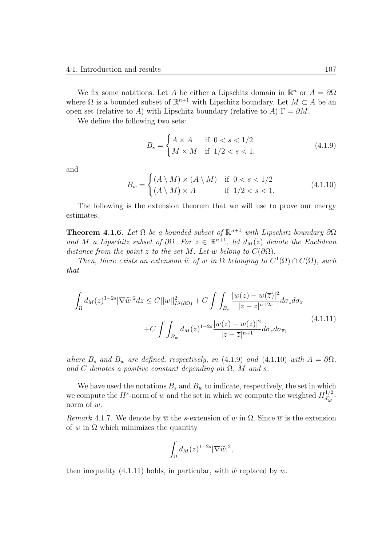We fix some notations. Let *A* be either a Lipschitz domain in  $\mathbb{R}^n$  or  $A = \partial\Omega$ where  $\Omega$  is a bounded subset of  $\mathbb{R}^{n+1}$  with Lipschitz boundary. Let  $M \subset A$  be an open set (relative to *A*) with Lipschitz boundary (relative to *A*)  $\Gamma = \partial M$ .

We define the following two sets:

$$
B_s = \begin{cases} A \times A & \text{if } 0 < s < 1/2 \\ M \times M & \text{if } 1/2 < s < 1, \end{cases}
$$
 (4.1.9)

and

$$
B_w = \begin{cases} (A \setminus M) \times (A \setminus M) & \text{if } 0 < s < 1/2 \\ (A \setminus M) \times A & \text{if } 1/2 < s < 1. \end{cases} \tag{4.1.10}
$$

The following is the extension theorem that we will use to prove our energy estimates.

**Theorem 4.1.6.** *Let*  $\Omega$  *be a bounded subset of*  $\mathbb{R}^{n+1}$  *with Lipschitz boundary*  $\partial\Omega$ *and M a Lipschitz subset of*  $\partial\Omega$ *. For*  $z \in \mathbb{R}^{n+1}$ *, let*  $d_M(z)$  *denote the Euclidean distance from the point*  $z$  *to the set*  $M$ *. Let*  $w$  *belong to*  $C(\partial\Omega)$ *.* 

*Then, there exists an extension*  $\widetilde{w}$  *of w in*  $\Omega$  *belonging to*  $C^1(\Omega) \cap C(\overline{\Omega})$ *, such that*

$$
\int_{\Omega} d_{M}(z)^{1-2s} |\nabla \widetilde{w}|^{2} dz \leq C ||w||_{L^{2}(\partial \Omega)}^{2} + C \int \int_{B_{s}} \frac{|w(z) - w(\overline{z})|^{2}}{|z - \overline{z}|^{n+2s}} d\sigma_{z} d\sigma_{\overline{z}} + C \int \int_{B_{w}} d_{M}(z)^{1-2s} \frac{|w(z) - w(\overline{z})|^{2}}{|z - \overline{z}|^{n+1}} d\sigma_{z} d\sigma_{\overline{z}},
$$
\n(4.1.11)

*where*  $B_s$  *and*  $B_w$  *are defined, respectively, in* (4.1.9) *and* (4.1.10) *with*  $A = \partial \Omega$ *,* and *C* denotes a positive constant depending on  $\Omega$ , *M* and *s*.

We have used the notations  $B_s$  and  $B_w$  to indicate, respectively, the set in which we compute the  $H^s$ -norm of *w* and the set in which we compute the weighted  $H_{d^2}^{1/2}$  $\frac{d^{a}_{M}}{d^{a}_{M}}$ norm of *w*.

*Remark* 4.1.7. We denote by  $\overline{w}$  the *s*-extension of *w* in  $\Omega$ . Since  $\overline{w}$  is the extension of *w* in  $\Omega$  which minimizes the quantity

$$
\int_{\Omega} d_{M}(z)^{1-2s}|\nabla \widetilde{w}|^{2},
$$

then inequality (4.1.11) holds, in particular, with  $\tilde{w}$  replaced by  $\overline{w}$ .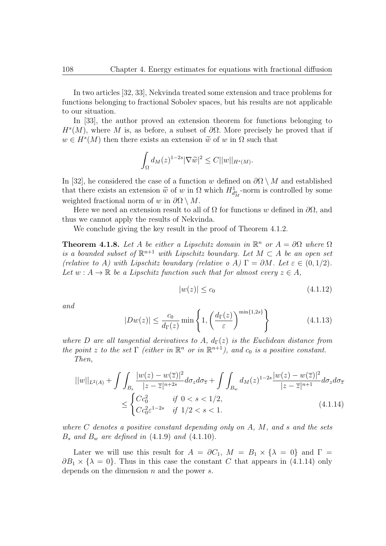In two articles [32, 33], Nekvinda treated some extension and trace problems for functions belonging to fractional Sobolev spaces, but his results are not applicable to our situation.

In [33], the author proved an extension theorem for functions belonging to  $H^s(M)$ , where *M* is, as before, a subset of  $\partial\Omega$ . More precisely he proved that if  $w \in H<sup>s</sup>(M)$  then there exists an extension  $\tilde{w}$  of *w* in  $\Omega$  such that

$$
\int_{\Omega} d_M(z)^{1-2s} |\nabla \widetilde{w}|^2 \leq C ||w||_{H^s(M)}.
$$

In [32], he considered the case of a function *w* defined on  $\partial\Omega \setminus M$  and established that there exists an extension  $\widetilde{w}$  of *w* in  $\Omega$  which  $H_{d_M}^1$ -norm is controlled by some weighted fractional norm of *w* in  $\partial\Omega \setminus M$ .

Here we need an extension result to all of  $\Omega$  for functions *w* defined in  $\partial\Omega$ , and thus we cannot apply the results of Nekvinda.

We conclude giving the key result in the proof of Theorem 4.1.2.

**Theorem 4.1.8.** Let *A* be either a Lipschitz domain in  $\mathbb{R}^n$  or  $A = \partial\Omega$  where  $\Omega$ *is a bounded subset of*  $\mathbb{R}^{n+1}$  *with Lipschitz boundary. Let*  $M \subset A$  *be an open set (relative to A)* with Lipschitz boundary (relative o A)  $\Gamma = \partial M$ *. Let*  $\varepsilon \in (0, 1/2)$ *.* Let  $w: A \to \mathbb{R}$  be a Lipschitz function such that for almost every  $z \in A$ ,

$$
|w(z)| \le c_0 \tag{4.1.12}
$$

*and*

$$
|Dw(z)| \le \frac{c_0}{d_{\Gamma}(z)} \min\left\{1, \left(\frac{d_{\Gamma}(z)}{\varepsilon}\right)^{\min\{1, 2s\}}\right\} \tag{4.1.13}
$$

*where D* are all tangential derivatives to A,  $d_{\Gamma}(z)$  is the Euclidean distance from *the point z to the set*  $\Gamma$  *(either in*  $\mathbb{R}^n$  *or in*  $\mathbb{R}^{n+1}$ *), and c*<sub>0</sub> *is a positive constant. Then,*

$$
||w||_{L^{2}(A)} + \int \int_{B_{s}} \frac{|w(z) - w(\overline{z})|^{2}}{|z - \overline{z}|^{n+2s}} d\sigma_{z} d\sigma_{\overline{z}} + \int \int_{B_{w}} d_{M}(z)^{1-2s} \frac{|w(z) - w(\overline{z})|^{2}}{|z - \overline{z}|^{n+1}} d\sigma_{z} d\sigma_{\overline{z}}
$$
  

$$
\leq \begin{cases} Cc_{0}^{2} & \text{if } 0 < s < 1/2, \\ Cc_{0}^{2} \varepsilon^{1-2s} & \text{if } 1/2 < s < 1. \end{cases}
$$
(4.1.14)

*where C denotes a positive constant depending only on A, M, and s and the sets B<sup>s</sup> and B<sup>w</sup> are defined in* (4.1.9) *and* (4.1.10)*.*

Later we will use this result for  $A = \partial C_1$ ,  $M = B_1 \times \{ \lambda = 0 \}$  and  $\Gamma =$  $\partial B_1 \times \{\lambda = 0\}$ . Thus in this case the constant *C* that appears in (4.1.14) only depends on the dimension *n* and the power *s*.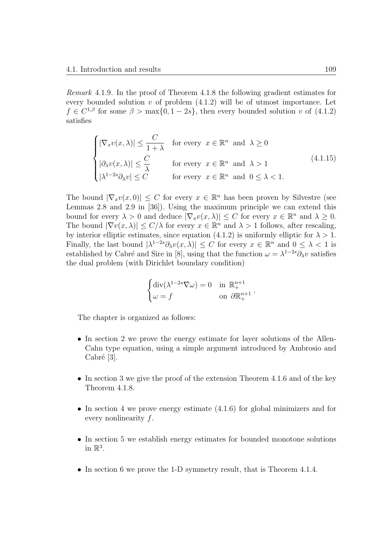*Remark* 4.1.9*.* In the proof of Theorem 4.1.8 the following gradient estimates for every bounded solution *v* of problem (4.1.2) will be of utmost importance. Let  $f \in C^{1,\beta}$  for some  $\beta > \max\{0, 1-2s\}$ , then every bounded solution *v* of (4.1.2) satisfies

$$
\begin{cases}\n|\nabla_x v(x,\lambda)| \leq \frac{C}{1+\lambda} & \text{for every } x \in \mathbb{R}^n \text{ and } \lambda \geq 0 \\
|\partial_\lambda v(x,\lambda)| \leq \frac{C}{\lambda} & \text{for every } x \in \mathbb{R}^n \text{ and } \lambda > 1 \\
|\lambda^{1-2s} \partial_\lambda v| \leq C & \text{for every } x \in \mathbb{R}^n \text{ and } 0 \leq \lambda < 1.\n\end{cases}
$$
\n(4.1.15)

The bound  $|\nabla_x v(x,0)| \leq C$  for every  $x \in \mathbb{R}^n$  has been proven by Silvestre (see Lemmas 2.8 and 2.9 in [36]). Using the maximum principle we can extend this bound for every  $\lambda > 0$  and deduce  $|\nabla_x v(x, \lambda)| \leq C$  for every  $x \in \mathbb{R}^n$  and  $\lambda \geq 0$ . The bound  $|\nabla v(x,\lambda)| \leq C/\lambda$  for every  $x \in \mathbb{R}^n$  and  $\lambda > 1$  follows, after rescaling, by interior elliptic estimates, since equation (4.1.2) is uniformly elliptic for  $\lambda > 1$ . Finally, the last bound  $|\lambda^{1-2s}\partial_\lambda v(x,\lambda)| \leq C$  for every  $x \in \mathbb{R}^n$  and  $0 \leq \lambda < 1$  is established by Cabré and Sire in [8], using that the function  $\omega = \lambda^{1-2s}\partial_\lambda v$  satisfies the dual problem (with Dirichlet boundary condition)

$$
\begin{cases} \operatorname{div}(\lambda^{1-2s}\nabla\omega) = 0 & \text{in } \mathbb{R}^{n+1}_+ \\ \omega = f & \text{on } \partial\mathbb{R}^{n+1}_+ \end{cases}.
$$

The chapter is organized as follows:

- In section 2 we prove the energy estimate for layer solutions of the Allen-Cahn type equation, using a simple argument introduced by Ambrosio and  $Cabré [3]$ .
- In section 3 we give the proof of the extension Theorem 4.1.6 and of the key Theorem 4.1.8.
- In section 4 we prove energy estimate  $(4.1.6)$  for global minimizers and for every nonlinearity *f*.
- In section 5 we establish energy estimates for bounded monotone solutions in  $\mathbb{R}^3$ .
- In section 6 we prove the 1-D symmetry result, that is Theorem 4.1.4.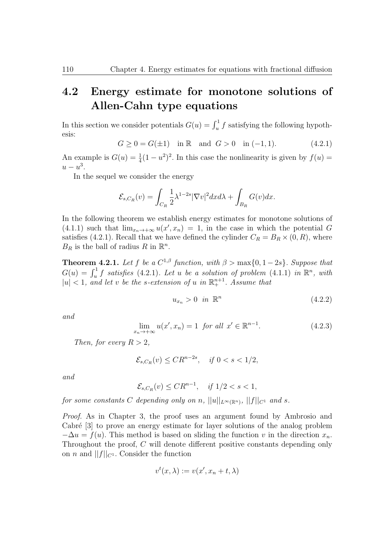#### **4.2 Energy estimate for monotone solutions of Allen-Cahn type equations**

In this section we consider potentials  $G(u) = \int_u^1 f$  satisfying the following hypothesis:

$$
G \ge 0 = G(\pm 1) \quad \text{in } \mathbb{R} \quad \text{and} \quad G > 0 \quad \text{in } (-1, 1). \tag{4.2.1}
$$

An example is  $G(u) = \frac{1}{4}(1 - u^2)^2$ . In this case the nonlinearity is given by  $f(u) =$  $u - u^3$ .

In the sequel we consider the energy

$$
\mathcal{E}_{s,C_R}(v) = \int_{C_R} \frac{1}{2} \lambda^{1-2s} |\nabla v|^2 dx d\lambda + \int_{B_R} G(v) dx.
$$

In the following theorem we establish energy estimates for monotone solutions of  $(4.1.1)$  such that  $\lim_{x_n \to +\infty} u(x', x_n) = 1$ , in the case in which the potential *G* satisfies (4.2.1). Recall that we have defined the cylinder  $C_R = B_R \times (0, R)$ , where  $B_R$  is the ball of radius  $R$  in  $\mathbb{R}^n$ .

**Theorem 4.2.1.** Let f be a  $C^{1,\beta}$  function, with  $\beta > \max\{0, 1-2s\}$ . Suppose that  $G(u) = \int_u^1 f$  satisfies (4.2.1)*.* Let *u* be a solution of problem (4.1.1) in  $\mathbb{R}^n$ , with  $|u| < 1$ , and let *v* be the *s*-extension of *u* in  $\mathbb{R}^{n+1}$ . Assume that

$$
u_{x_n} > 0 \quad \text{in } \mathbb{R}^n \tag{4.2.2}
$$

*and*

$$
\lim_{x_n \to +\infty} u(x', x_n) = 1 \quad \text{for all } x' \in \mathbb{R}^{n-1}.
$$
\n
$$
(4.2.3)
$$

*Then, for every*  $R > 2$ *,* 

$$
\mathcal{E}_{s,C_R}(v) \leq CR^{n-2s}, \quad \text{if } 0 < s < 1/2,
$$

*and*

 $\mathcal{E}_{s,C_R}(v) \leq CR^{n-1}, \quad \text{if } 1/2 < s < 1,$ 

 $f$ or some constants  $C$  depending only on  $n$ ,  $||u||_{L^{\infty}(\mathbb{R}^n)}$ ,  $||f||_{C^1}$  and  $s$ .

*Proof.* As in Chapter 3, the proof uses an argument found by Ambrosio and Cabré [3] to prove an energy estimate for layer solutions of the analog problem  $-\Delta u = f(u)$ . This method is based on sliding the function *v* in the direction  $x_n$ . Throughout the proof, *C* will denote different positive constants depending only on *n* and  $||f||_{C^1}$ . Consider the function

$$
v^t(x,\lambda) := v(x',x_n+t,\lambda)
$$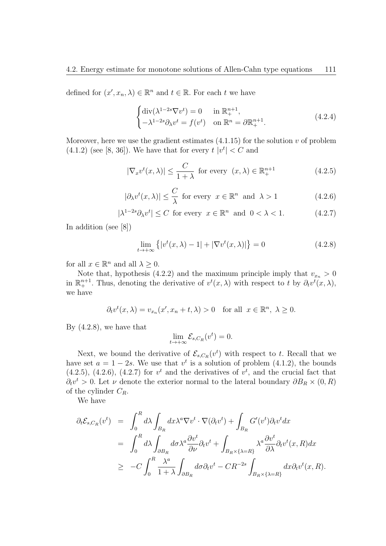defined for  $(x', x_n, \lambda) \in \mathbb{R}^n$  and  $t \in \mathbb{R}$ . For each  $t$  we have

$$
\begin{cases} \operatorname{div}(\lambda^{1-2s} \nabla v^t) = 0 & \text{in } \mathbb{R}^{n+1}_+, \\ -\lambda^{1-2s} \partial_\lambda v^t = f(v^t) & \text{on } \mathbb{R}^n = \partial \mathbb{R}^{n+1}_+. \end{cases} (4.2.4)
$$

Moreover, here we use the gradient estimates  $(4.1.15)$  for the solution  $v$  of problem  $(4.1.2)$  (see [8, 36]). We have that for every  $t |v^t| < C$  and

$$
|\nabla_x v^t(x,\lambda)| \le \frac{C}{1+\lambda} \text{ for every } (x,\lambda) \in \mathbb{R}^{n+1}_+
$$
 (4.2.5)

$$
|\partial_{\lambda}v^{t}(x,\lambda)| \leq \frac{C}{\lambda} \text{ for every } x \in \mathbb{R}^{n} \text{ and } \lambda > 1
$$
 (4.2.6)

$$
|\lambda^{1-2s}\partial_{\lambda}v^t| \le C \text{ for every } x \in \mathbb{R}^n \text{ and } 0 < \lambda < 1. \tag{4.2.7}
$$

In addition (see [8])

$$
\lim_{t \to +\infty} \left\{ \left| v^t(x,\lambda) - 1 \right| + \left| \nabla v^t(x,\lambda) \right| \right\} = 0 \tag{4.2.8}
$$

for all  $x \in \mathbb{R}^n$  and all  $\lambda \geq 0$ .

Note that, hypothesis (4.2.2) and the maximum principle imply that  $v_{x_n} > 0$ in  $\mathbb{R}^{n+1}_+$ . Thus, denoting the derivative of  $v^t(x,\lambda)$  with respect to *t* by  $\partial_t v^t(x,\lambda)$ , we have

$$
\partial_t v^t(x,\lambda) = v_{x_n}(x',x_n+t,\lambda) > 0 \quad \text{for all} \ \ x \in \mathbb{R}^n, \ \lambda \ge 0.
$$

By (4.2.8), we have that

$$
\lim_{t \to +\infty} \mathcal{E}_{s,C_R}(v^t) = 0.
$$

Next, we bound the derivative of  $\mathcal{E}_{s,C_R}(v^t)$  with respect to *t*. Recall that we have set  $a = 1 - 2s$ . We use that  $v^t$  is a solution of problem (4.1.2), the bounds  $(4.2.5)$ ,  $(4.2.6)$ ,  $(4.2.7)$  for  $v<sup>t</sup>$  and the derivatives of  $v<sup>t</sup>$ , and the crucial fact that  $\partial_t v^t > 0$ . Let *v* denote the exterior normal to the lateral boundary  $\partial B_R \times (0, R)$ of the cylinder *CR*.

We have

$$
\partial_t \mathcal{E}_{s,C_R}(v^t) = \int_0^R d\lambda \int_{B_R} dx \lambda^a \nabla v^t \cdot \nabla (\partial_t v^t) + \int_{B_R} G'(v^t) \partial_t v^t dx
$$
  
\n
$$
= \int_0^R d\lambda \int_{\partial B_R} d\sigma \lambda^a \frac{\partial v^t}{\partial \nu} \partial_t v^t + \int_{B_R \times {\{\lambda = R\}}} \lambda^a \frac{\partial v^t}{\partial \lambda} \partial_t v^t (x, R) dx
$$
  
\n
$$
\geq -C \int_0^R \frac{\lambda^a}{1 + \lambda} \int_{\partial B_R} d\sigma \partial_t v^t - CR^{-2s} \int_{B_R \times {\{\lambda = R\}}} dx \partial_t v^t (x, R).
$$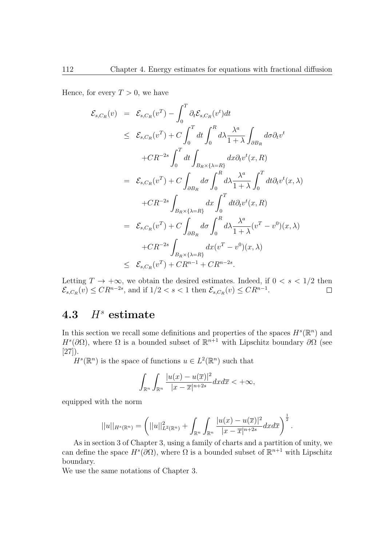Hence, for every  $T > 0$ , we have

$$
\mathcal{E}_{s,C_R}(v) = \mathcal{E}_{s,C_R}(v^T) - \int_0^T \partial_t \mathcal{E}_{s,C_R}(v^t) dt
$$
  
\n
$$
\leq \mathcal{E}_{s,C_R}(v^T) + C \int_0^T dt \int_0^R d\lambda \frac{\lambda^a}{1+\lambda} \int_{\partial B_R} d\sigma \partial_t v^t
$$
  
\n
$$
+ C R^{-2s} \int_0^T dt \int_{B_R \times \{\lambda = R\}} dx \partial_t v^t(x, R)
$$
  
\n
$$
= \mathcal{E}_{s,C_R}(v^T) + C \int_{\partial B_R} d\sigma \int_0^R d\lambda \frac{\lambda^a}{1+\lambda} \int_0^T dt \partial_t v^t(x, \lambda)
$$
  
\n
$$
+ C R^{-2s} \int_{B_R \times \{\lambda = R\}} dx \int_0^T dt \partial_t v^t(x, R)
$$
  
\n
$$
= \mathcal{E}_{s,C_R}(v^T) + C \int_{\partial B_R} d\sigma \int_0^R d\lambda \frac{\lambda^a}{1+\lambda} (v^T - v^0)(x, \lambda)
$$
  
\n
$$
+ C R^{-2s} \int_{B_R \times \{\lambda = R\}} dx (v^T - v^0)(x, \lambda)
$$
  
\n
$$
\leq \mathcal{E}_{s,C_R}(v^T) + C R^{n-1} + C R^{n-2s}.
$$

Letting  $T \to +\infty$ , we obtain the desired estimates. Indeed, if  $0 < s < 1/2$  then  $\mathcal{E}_{s,C_R}(v) \leq CR^{n-2s}$ , and if  $1/2 < s < 1$  then  $\mathcal{E}_{s,C_R}(v) \leq CR^{n-1}$ .

### **4.3** *H<sup>s</sup>* **estimate**

In this section we recall some definitions and properties of the spaces  $H^s(\mathbb{R}^n)$  and  $H^s(\partial\Omega)$ , where  $\Omega$  is a bounded subset of  $\mathbb{R}^{n+1}$  with Lipschitz boundary  $\partial\Omega$  (see [27]).

 $H^s(\mathbb{R}^n)$  is the space of functions  $u \in L^2(\mathbb{R}^n)$  such that

$$
\int_{\mathbb{R}^n} \int_{\mathbb{R}^n} \frac{|u(x) - u(\overline{x})|^2}{|x - \overline{x}|^{n+2s}} dx d\overline{x} < +\infty,
$$

equipped with the norm

$$
||u||_{H^{s}(\mathbb{R}^n)} = \left(||u||_{L^2(\mathbb{R}^n)}^2 + \int_{\mathbb{R}^n} \int_{\mathbb{R}^n} \frac{|u(x) - u(\overline{x})|^2}{|x - \overline{x}|^{n+2s}} dx d\overline{x}\right)^{\frac{1}{2}}.
$$

As in section 3 of Chapter 3, using a family of charts and a partition of unity, we can define the space  $H^s(\partial\Omega)$ , where  $\Omega$  is a bounded subset of  $\mathbb{R}^{n+1}$  with Lipschitz boundary.

We use the same notations of Chapter 3.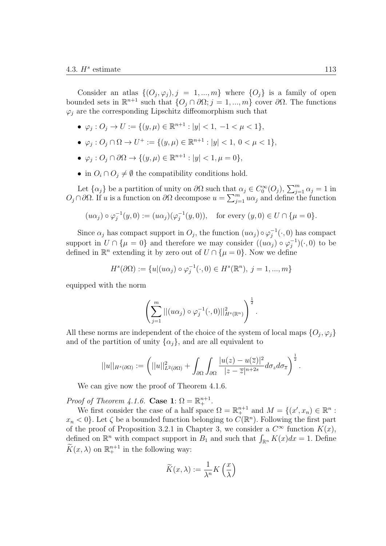Consider an atlas  $\{(O_j, \varphi_j), j = 1, ..., m\}$  where  $\{O_j\}$  is a family of open bounded sets in  $\mathbb{R}^{n+1}$  such that  $\{O_j ∩ ∂Ω; j = 1, ..., m\}$  cover  $∂Ω$ . The functions  $\varphi_i$  are the corresponding Lipschitz diffeomorphism such that

- *•*  $\varphi_j$  :  $O_j$  →  $U := \{(y, \mu) \in \mathbb{R}^{n+1} : |y| < 1, -1 < \mu < 1\}$ ,
- $\bullet$  *ϕ*<sub>*j*</sub> : *O*<sub>*j*</sub> ∩ Ω → *U*<sup>+</sup> := {(*y, µ*)  $\in \mathbb{R}^{n+1}$  : |*y*| < 1, 0 < *μ* < 1},
- $\bullet$  *ϕ*<sub>*j*</sub> : *O*<sub>*j*</sub> ∩ ∂Ω → {(*y, µ*)  $\in \mathbb{R}^{n+1}$  : |*y*|  $< 1, \mu = 0$ },
- in  $O_i \cap O_j \neq \emptyset$  the compatibility conditions hold.

Let  $\{\alpha_j\}$  be a partition of unity on  $\partial\Omega$  such that  $\alpha_j \in C_0^{\infty}(O_j)$ ,  $\sum_{j=1}^m \alpha_j = 1$  in  $O_j ∩ ∂Ω$ . If *u* is a function on  $∂Ω$  decompose  $u = \sum_{j=1}^m uα_j$  and define the function

$$
(u\alpha_j) \circ \varphi_j^{-1}(y,0) := (u\alpha_j)(\varphi_j^{-1}(y,0)),
$$
 for every  $(y,0) \in U \cap \{\mu = 0\}.$ 

Since  $\alpha_j$  has compact support in  $O_j$ , the function  $(u\alpha_j) \circ \varphi_j^{-1}(\cdot, 0)$  has compact support in  $U \cap {\mu = 0}$  and therefore we may consider  $((u\alpha_j) \circ \varphi_j^{-1})(\cdot, 0)$  to be defined in  $\mathbb{R}^n$  extending it by zero out of  $U \cap {\mu = 0}$ . Now we define

$$
Hs(\partial\Omega) := \{u | (u\alpha_j) \circ \varphi_j^{-1}(\cdot, 0) \in Hs(\mathbb{R}^n), j = 1, ..., m\}
$$

equipped with the norm

$$
\left(\sum_{j=1}^m||(u\alpha_j)\circ\varphi_j^{-1}(\cdot,0)||_{H^s(\mathbb{R}^n)}^2\right)^{\frac{1}{2}}.
$$

All these norms are independent of the choice of the system of local maps  $\{O_j, \varphi_j\}$ and of the partition of unity  $\{\alpha_j\}$ , and are all equivalent to

$$
||u||_{H^{s}(\partial\Omega)} := \left(||u||^{2}_{L^{2}(\partial\Omega)} + \int_{\partial\Omega}\int_{\partial\Omega}\frac{|u(z) - u(\overline{z})|^{2}}{|z - \overline{z}|^{n+2s}}d\sigma_{z}d\sigma_{\overline{z}}\right)^{\frac{1}{2}}.
$$

We can give now the proof of Theorem 4.1.6.

*Proof of Theorem 4.1.6.* **Case 1**:  $\Omega = \mathbb{R}^{n+1}_+$ .

We first consider the case of a half space  $\Omega = \mathbb{R}^{n+1}_+$  and  $M = \{(x', x_n) \in \mathbb{R}^n :$  $x_n < 0$ . Let  $\zeta$  be a bounded function belonging to  $C(\mathbb{R}^n)$ . Following the first part of the proof of Proposition 3.2.1 in Chapter 3, we consider a  $C^{\infty}$  function  $K(x)$ , defined on  $\mathbb{R}^n$  with compact support in  $B_1$  and such that  $\int_{\mathbb{R}^n} K(x)dx = 1$ . Define  $\widetilde{K}(x,\lambda)$  on  $\mathbb{R}^{n+1}_+$  in the following way:

$$
\widetilde{K}(x,\lambda) := \frac{1}{\lambda^n} K\left(\frac{x}{\lambda}\right)
$$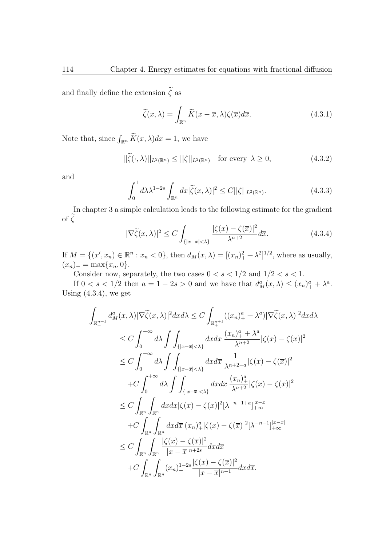and finally define the extension  $\widetilde{\zeta}$  as

$$
\widetilde{\zeta}(x,\lambda) = \int_{\mathbb{R}^n} \widetilde{K}(x-\overline{x},\lambda)\zeta(\overline{x})d\overline{x}.\tag{4.3.1}
$$

Note that, since  $\int_{\mathbb{R}^n} \widetilde{K}(x,\lambda)dx = 1$ , we have

$$
||\widetilde{\zeta}(\cdot,\lambda)||_{L^2(\mathbb{R}^n)} \le ||\zeta||_{L^2(\mathbb{R}^n)} \quad \text{for every } \lambda \ge 0,
$$
 (4.3.2)

and

$$
\int_0^1 d\lambda \lambda^{1-2s} \int_{\mathbb{R}^n} dx |\widetilde{\zeta}(x,\lambda)|^2 \le C ||\zeta||_{L^2(\mathbb{R}^n)}.
$$
\n(4.3.3)

In chapter 3 a simple calculation leads to the following estimate for the gradient of  $\widetilde{\zeta}$ 

$$
|\nabla \widetilde{\zeta}(x,\lambda)|^2 \le C \int_{\{|x-\overline{x}|<\lambda\}} \frac{|\zeta(x)-\zeta(\overline{x})|^2}{\lambda^{n+2}} d\overline{x}.\tag{4.3.4}
$$

If  $M = \{(x', x_n) \in \mathbb{R}^n : x_n < 0\}$ , then  $d_M(x, \lambda) = [(x_n)_+^2 + \lambda^2]^{1/2}$ , where as usually,  $(x_n)_+ = \max\{x_n, 0\}.$ 

Consider now, separately, the two cases  $0 < s < 1/2$  and  $1/2 < s < 1$ .

If  $0 < s < 1/2$  then  $a = 1 - 2s > 0$  and we have that  $d_M^a(x, \lambda) \le (x_n)_+^a + \lambda^a$ . Using  $(4.3.4)$ , we get

$$
\int_{\mathbb{R}_{+}^{n+1}} d_{M}^{a}(x,\lambda) |\nabla \tilde{\zeta}(x,\lambda)|^{2} dx d\lambda \leq C \int_{\mathbb{R}_{+}^{n+1}} ((x_{n})_{+}^{a} + \lambda^{a}) |\nabla \tilde{\zeta}(x,\lambda)|^{2} dx d\lambda
$$
\n
$$
\leq C \int_{0}^{+\infty} d\lambda \int \int_{\{|x-\overline{x}|<\lambda\}} dx d\overline{x} \frac{(x_{n})_{+}^{a} + \lambda^{a}}{\lambda^{n+2}} |\zeta(x)-\zeta(\overline{x})|^{2}
$$
\n
$$
\leq C \int_{0}^{+\infty} d\lambda \int \int_{\{|x-\overline{x}|<\lambda\}} dx d\overline{x} \frac{1}{\lambda^{n+2-a}} |\zeta(x)-\zeta(\overline{x})|^{2}
$$
\n
$$
+ C \int_{0}^{+\infty} d\lambda \int \int_{\{|x-\overline{x}|<\lambda\}} dx d\overline{x} \frac{(x_{n})_{+}^{a}}{\lambda^{n+2}} |\zeta(x)-\zeta(\overline{x})|^{2}
$$
\n
$$
\leq C \int_{\mathbb{R}^{n}} \int_{\mathbb{R}^{n}} dx d\overline{x} |\zeta(x)-\zeta(\overline{x})|^{2} [\lambda^{-n-1+a}]_{+\infty}^{1-x\overline{a}}
$$
\n
$$
+ C \int_{\mathbb{R}^{n}} \int_{\mathbb{R}^{n}} dx d\overline{x} (x_{n})_{+}^{a} |\zeta(x)-\zeta(\overline{x})|^{2} [\lambda^{-n-1}]_{+\infty}^{1-x\overline{a}}
$$
\n
$$
\leq C \int_{\mathbb{R}^{n}} \int_{\mathbb{R}^{n}} \frac{|\zeta(x)-\zeta(\overline{x})|^{2}}{|x-\overline{x}|^{n+2s}} dx d\overline{x}
$$
\n
$$
+ C \int_{\mathbb{R}^{n}} \int_{\mathbb{R}^{n}} (x_{n})_{+}^{1-2s} \frac{|\zeta(x)-\zeta(\overline{x})|^{2}}{|x-\overline{x}|^{n+1}} dx d\overline{x}.
$$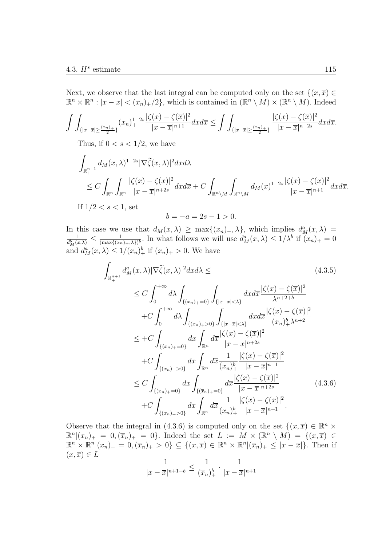Next, we observe that the last integral can be computed only on the set  $\{(x,\overline{x}) \in$  $\mathbb{R}^n \times \mathbb{R}^n : |x - \overline{x}| < (x_n)_+ / 2$ , which is contained in  $(\mathbb{R}^n \setminus M) \times (\mathbb{R}^n \setminus M)$ . Indeed

$$
\int \int_{\{|x-\overline{x}| \ge \frac{(x_n)}{2}\}} (x_n)_+^{1-2s} \frac{|\zeta(x) - \zeta(\overline{x})|^2}{|x-\overline{x}|^{n+1}} dx d\overline{x} \le \int \int_{\{|x-\overline{x}| \ge \frac{(x_n)_+}{2}\}} \frac{|\zeta(x) - \zeta(\overline{x})|^2}{|x-\overline{x}|^{n+2s}} dx d\overline{x}.
$$

Thus, if  $0 < s < 1/2$ , we have

$$
\int_{\mathbb{R}^{n+1}_+} d_M(x,\lambda)^{1-2s} |\nabla \widetilde{\zeta}(x,\lambda)|^2 dx d\lambda
$$
\n
$$
\leq C \int_{\mathbb{R}^n} \int_{\mathbb{R}^n} \frac{|\zeta(x) - \zeta(\overline{x})|^2}{|x - \overline{x}|^{n+2s}} dx d\overline{x} + C \int_{\mathbb{R}^n \backslash M} \int_{\mathbb{R}^n \backslash M} d_M(x)^{1-2s} \frac{|\zeta(x) - \zeta(\overline{x})|^2}{|x - \overline{x}|^{n+1}} dx d\overline{x}.
$$
\nIf  $1/2 < s < 1$ , set

$$
b = -a = 2s - 1 > 0.
$$

In this case we use that  $d_M(x, \lambda) \ge \max\{(x_n)_+, \lambda\}$ , which implies  $d_M^a(x, \lambda) =$ <br> $\frac{1}{\lambda} \le \frac{1}{\lambda}$  In what follows wo will use  $d_n^a(x, \lambda) \le 1/\lambda^b$  if  $(x, \lambda) = 0$  $\frac{1}{d_M^b(x,\lambda)} \leq \frac{1}{(\max\{(x,\lambda\}))}$  $\frac{1}{(\max\{(x_n)_+, \lambda\})^b}$ . In what follows we will use  $d_M^a(x, \lambda) \leq 1/\lambda^b$  if  $(x_n)_+ = 0$ and  $d_M^a(x, \lambda) \leq 1/(x_n)_+^b$  if  $(x_n)_+ > 0$ . We have

$$
\int_{\mathbb{R}_{+}^{n+1}} d_{M}^{a}(x,\lambda) |\nabla \widetilde{\zeta}(x,\lambda)|^{2} dx d\lambda \leq
$$
\n
$$
\leq C \int_{0}^{+\infty} d\lambda \int_{\{(x_{n})_{+}=0\}} \int_{\{|x-\overline{x}|<\lambda\}} dx d\overline{x} \frac{|\zeta(x)-\zeta(\overline{x})|^{2}}{\lambda^{n+2+b}}
$$
\n
$$
+ C \int_{0}^{+\infty} d\lambda \int_{\{(x_{n})_{+}>0\}} \int_{\{|x-\overline{x}|<\lambda\}} dx d\overline{x} \frac{|\zeta(x)-\zeta(\overline{x})|^{2}}{(x_{n})_{+}^{b}\lambda^{n+2}}
$$
\n
$$
\leq + C \int_{\{(x_{n})_{+}=0\}} dx \int_{\mathbb{R}^{n}} d\overline{x} \frac{|\zeta(x)-\zeta(\overline{x})|^{2}}{|x-\overline{x}|^{n+2s}}
$$
\n
$$
+ C \int_{\{(x_{n})_{+}>0\}} dx \int_{\mathbb{R}^{n}} d\overline{x} \frac{1}{(x_{n})_{+}^{b}} \frac{|\zeta(x)-\zeta(\overline{x})|^{2}}{|x-\overline{x}|^{n+1}}
$$
\n
$$
\leq C \int_{\{(x_{n})_{+}=0\}} dx \int_{\{(\overline{x}_{n})_{+}=0\}} d\overline{x} \frac{|\zeta(x)-\zeta(\overline{x})|^{2}}{|x-\overline{x}|^{n+2s}} \qquad (4.3.6)
$$
\n
$$
+ C \int_{\{(x_{n})_{+}>0\}} dx \int_{\mathbb{R}^{n}} d\overline{x} \frac{1}{(x_{n})_{+}^{b}} \frac{|\zeta(x)-\zeta(\overline{x})|^{2}}{|x-\overline{x}|^{n+1}}.
$$

Observe that the integral in (4.3.6) is computed only on the set  $\{(x,\overline{x}) \in \mathbb{R}^n \times$  $\mathbb{R}^n | (x_n)_+ = 0, (\overline{x}_n)_+ = 0$ . Indeed the set  $L := M \times (\mathbb{R}^n \setminus M) = \{ (x, \overline{x}) \in$  $\mathbb{R}^n \times \mathbb{R}^n | (x_n)_+ = 0, (\overline{x}_n)_+ > 0$   $\subseteq \{ (x, \overline{x}) \in \mathbb{R}^n \times \mathbb{R}^n | (\overline{x}_n)_+ \leq |x - \overline{x}| \}.$  Then if  $(x,\overline{x})\in L$ 

$$
\frac{1}{|x - \overline{x}|^{n+1+b}} \le \frac{1}{(\overline{x}_n)_+^b} \cdot \frac{1}{|x - \overline{x}|^{n+1}}
$$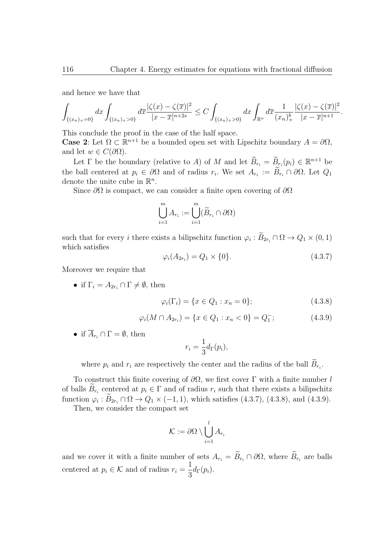and hence we have that

$$
\int_{\{(x_n)_{+}=0\}} dx \int_{\{(x_n)_{+}>0\}} d\overline{x} \frac{|\zeta(x) - \zeta(\overline{x})|^2}{|x - \overline{x}|^{n+2s}} \leq C \int_{\{(x_n)_{+}>0\}} dx \int_{\mathbb{R}^n} d\overline{x} \frac{1}{(x_n)^{\underline{b}}_{+}} \frac{|\zeta(x) - \zeta(\overline{x})|^2}{|x - \overline{x}|^{n+1}}.
$$

This conclude the proof in the case of the half space.

**Case 2**: Let  $\Omega \subset \mathbb{R}^{n+1}$  be a bounded open set with Lipschitz boundary  $A = \partial \Omega$ , and let  $w \in C(\partial\Omega)$ .

Let  $\Gamma$  be the boundary (relative to *A*) of *M* and let  $B_{r_i} = B_{r_i}(p_i) \in \mathbb{R}^{n+1}$  be the ball centered at  $p_i \in \partial\Omega$  and of radius  $r_i$ . We set  $A_{r_i} := B_{r_i} \cap \partial\Omega$ . Let  $Q_1$ denote the unite cube in R *n* .

Since *∂*Ω is compact, we can consider a finite open covering of *∂*Ω

$$
\bigcup_{i=1}^{m} A_{r_i} := \bigcup_{i=1}^{m} (\widetilde{B}_{r_i} \cap \partial \Omega)
$$

such that for every *i* there exists a bilipschitz function  $\varphi_i : B_{2r_i} \cap \Omega \to Q_1 \times (0,1)$ which satisfies

$$
\varphi_i(A_{2r_i}) = Q_1 \times \{0\}.\tag{4.3.7}
$$

Moreover we require that

• if  $\Gamma_i = A_{2r_i} \cap \Gamma \neq \emptyset$ , then

$$
\varphi_i(\Gamma_i) = \{ x \in Q_1 : x_n = 0 \};\tag{4.3.8}
$$

$$
\varphi_i(M \cap A_{2r_i}) = \{x \in Q_1 : x_n < 0\} = Q_1^-; \tag{4.3.9}
$$

• if  $\overline{A}_{r_i} \cap \Gamma = \emptyset$ , then

$$
r_i = \frac{1}{3} d_{\Gamma}(p_i),
$$

where  $p_i$  and  $r_i$  are respectively the center and the radius of the ball  $B_{r_i}$ .

To construct this finite covering of *∂*Ω, we first cover Γ with a finite number *l* of balls  $B_{r_i}$  centered at  $p_i \in \Gamma$  and of radius  $r_i$  such that there exists a bilipschitz function  $\varphi_i : B_{2r_i} \cap \Omega \to Q_1 \times (-1,1)$ , which satisfies (4.3.7), (4.3.8), and (4.3.9).

Then, we consider the compact set

$$
\mathcal{K}:=\partial\Omega\setminus\bigcup_{i=1}^lA_{r_i}
$$

and we cover it with a finite number of sets  $A_{r_i} = B_{r_i} \cap \partial \Omega$ , where  $B_{r_i}$  are balls centered at  $p_i \in \mathcal{K}$  and of radius  $r_i =$ 1  $rac{1}{3}d\Gamma(p_i).$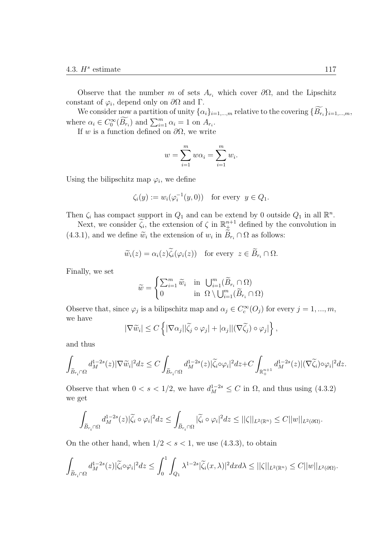Observe that the number *m* of sets  $A_{r_i}$  which cover  $\partial\Omega$ , and the Lipschitz constant of  $\varphi_i$ , depend only on  $\partial\Omega$  and  $\Gamma$ .

We consider now a partition of unity  $\{\alpha_i\}_{i=1,\dots,m}$  relative to the covering  $\{B_{r_i}\}_{i=1,\dots,m}$ , where  $\alpha_i \in C_0^{\infty}(\widetilde{B_{r_i}})$  and  $\sum_{i=1}^m \alpha_i = 1$  on  $A_{r_i}$ .

If *w* is a function defined on *∂*Ω, we write

$$
w = \sum_{i=1}^{m} w \alpha_i = \sum_{i=1}^{m} w_i.
$$

Using the bilipschitz map  $\varphi_i$ , we define

$$
\zeta_i(y) := w_i(\varphi_i^{-1}(y,0)) \text{ for every } y \in Q_1.
$$

Then  $\zeta_i$  has compact support in  $Q_1$  and can be extend by 0 outside  $Q_1$  in all  $\mathbb{R}^n$ .

Next, we consider  $\tilde{\zeta}_i$ , the extension of  $\zeta$  in  $\mathbb{R}^{n+1}_{\neq}$  defined by the convolution in  $(4.3.1)$ , and we define  $\widetilde{w}_i$  the extension of  $w_i$  in  $B_{r_i} \cap \Omega$  as follows:

$$
\widetilde{w}_i(z) = \alpha_i(z)\widetilde{\zeta}_i(\varphi_i(z))
$$
 for every  $z \in \widetilde{B}_{r_i} \cap \Omega$ .

Finally, we set

$$
\widetilde{w} = \begin{cases} \sum_{i=1}^{m} \widetilde{w}_i & \text{in } \bigcup_{i=1}^{m} (\widetilde{B}_{r_i} \cap \Omega) \\ 0 & \text{in } \Omega \setminus \bigcup_{i=1}^{m} (\widetilde{B}_{r_i} \cap \Omega) \end{cases}
$$

Observe that, since  $\varphi_j$  is a bilipschitz map and  $\alpha_j \in C_c^{\infty}(O_j)$  for every  $j = 1, ..., m$ , we have

$$
|\nabla \widetilde{w}_i| \le C \left\{ |\nabla \alpha_j| |\widetilde{\zeta}_j \circ \varphi_j| + |\alpha_j| |(\nabla \widetilde{\zeta}_j) \circ \varphi_j| \right\},\,
$$

and thus

$$
\int_{\widetilde{B}_{r_i}\cap \Omega} d_M^{1-2s}(z) |\nabla \widetilde{w}_i|^2 dz \leq C \int_{\widetilde{B}_{r_i}\cap \Omega} d_M^{1-2s}(z) |\widetilde{\zeta}_i \circ \varphi_i|^2 dz + C \int_{\mathbb{R}^{n+1}_+} d_M^{1-2s}(z) |(\nabla \widetilde{\zeta}_i) \circ \varphi_i|^2 dz.
$$

Observe that when  $0 < s < 1/2$ , we have  $d_M^{1-2s} \leq C$  in  $\Omega$ , and thus using (4.3.2) we get

$$
\int_{\widetilde{B}_{r_i}\cap\Omega}d_M^{1-2s}(z)|\widetilde{\zeta}_i\circ\varphi_i|^2dz\leq \int_{\widetilde{B}_{r_i}\cap\Omega}|\widetilde{\zeta}_i\circ\varphi_i|^2dz\leq ||\zeta||_{L^2(\mathbb{R}^n)}\leq C||w||_{L^2(\partial\Omega)}.
$$

On the other hand, when  $1/2 < s < 1$ , we use  $(4.3.3)$ , to obtain

$$
\int_{\widetilde{B}_{r_i}\cap\Omega}d_M^{1-2s}(z)|\widetilde{\zeta}_i\circ\varphi_i|^2dz\leq \int_0^1\int_{Q_1}\lambda^{1-2s}|\widetilde{\zeta}_i(x,\lambda)|^2dxd\lambda\leq ||\zeta||_{L^2(\mathbb{R}^n)}\leq C||w||_{L^2(\partial\Omega)}.
$$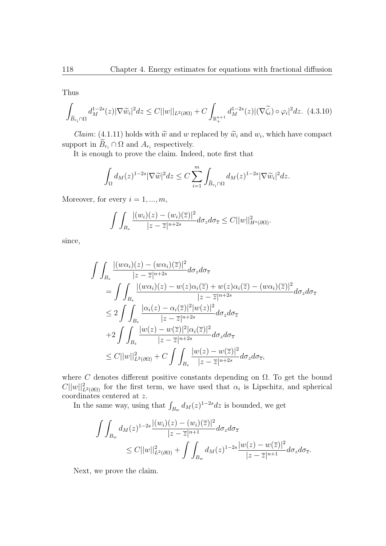Thus

$$
\int_{\widetilde{B}_{r_i}\cap\Omega}d_M^{1-2s}(z)|\nabla\widetilde{w}_i|^2dz \leq C||w||_{L^2(\partial\Omega)} + C\int_{\mathbb{R}^{n+1}_+}d_M^{1-2s}(z)|(\nabla\widetilde{\zeta}_i)\circ\varphi_i|^2dz. \tag{4.3.10}
$$

*Claim*: (4.1.11) holds with  $\widetilde{w}$  and *w* replaced by  $\widetilde{w}_i$  and  $w_i$ , which have compact support in  $B_{r_i} \cap \Omega$  and  $A_{r_i}$  respectively.

It is enough to prove the claim. Indeed, note first that

$$
\int_{\Omega} d_{M}(z)^{1-2s} |\nabla \widetilde{w}|^{2} dz \leq C \sum_{i=1}^{m} \int_{\widetilde{B}_{r_{i}} \cap \Omega} d_{M}(z)^{1-2s} |\nabla \widetilde{w}_{i}|^{2} dz.
$$

Moreover, for every  $i = 1, ..., m$ ,

$$
\int\int_{B_s} \frac{|(w_i)(z) - (w_i)(\overline{z})|^2}{|z - \overline{z}|^{n+2s}} d\sigma_z d\sigma_{\overline{z}} \leq C||w||_{H^s(\partial\Omega)}^2.
$$

since,

$$
\int \int_{B_s} \frac{|(w\alpha_i)(z) - (w\alpha_i)(\overline{z})|^2}{|z - \overline{z}|^{n+2s}} d\sigma_z d\sigma_{\overline{z}} \n= \int \int_{B_s} \frac{|(w\alpha_i)(z) - w(z)\alpha_i(\overline{z}) + w(z)\alpha_i(\overline{z}) - (w\alpha_i)(\overline{z})|^2}{|z - \overline{z}|^{n+2s}} d\sigma_z d\sigma_{\overline{z}} \n\leq 2 \int \int_{B_s} \frac{|\alpha_i(z) - \alpha_i(\overline{z})|^2 |w(z)|^2}{|z - \overline{z}|^{n+2s}} d\sigma_z d\sigma_{\overline{z}} \n+2 \int \int_{B_s} \frac{|w(z) - w(\overline{z})|^2 |\alpha_i(\overline{z})|^2}{|z - \overline{z}|^{n+2s}} d\sigma_z d\sigma_{\overline{z}} \n\leq C ||w||_{L^2(\partial\Omega)}^2 + C \int \int_{B_s} \frac{|w(z) - w(\overline{z})|^2}{|z - \overline{z}|^{n+2s}} d\sigma_z d\sigma_{\overline{z}},
$$

where  $C$  denotes different positive constants depending on  $\Omega$ . To get the bound  $C||w||_{L^2(\partial\Omega)}^2$  for the first term, we have used that  $\alpha_i$  is Lipschitz, and spherical coordinates centered at *z*.

In the same way, using that  $\int_{B_w} d_M(z)^{1-2s} dz$  is bounded, we get

$$
\int\int_{B_w} d_M(z)^{1-2s} \frac{|(w_i)(z) - (w_i)(\overline{z})|^2}{|z - \overline{z}|^{n+1}} d\sigma_z d\sigma_{\overline{z}}\n\leq C||w||_{L^2(\partial\Omega)}^2 + \int\int_{B_w} d_M(z)^{1-2s} \frac{|w(z) - w(\overline{z})|^2}{|z - \overline{z}|^{n+1}} d\sigma_z d\sigma_{\overline{z}}.
$$

Next, we prove the claim.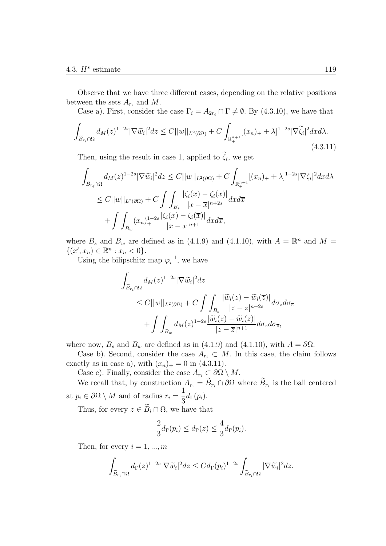Observe that we have three different cases, depending on the relative positions between the sets  $A_{r_i}$  and  $M$ .

Case a). First, consider the case  $\Gamma_i = A_{2r_i} \cap \Gamma \neq \emptyset$ . By (4.3.10), we have that

$$
\int_{\widetilde{B}_{r_i}\cap\Omega} d_M(z)^{1-2s} |\nabla \widetilde{w}_i|^2 dz \le C||w||_{L^2(\partial\Omega)} + C \int_{\mathbb{R}^{n+1}_+} [(x_n)_+ + \lambda]^{1-2s} |\nabla \widetilde{\zeta}_i|^2 dx d\lambda.
$$
\n(4.3.11)

Then, using the result in case 1, applied to  $\zeta_i$ , we get

$$
\int_{\widetilde{B}_{r_i}\cap\Omega} d_M(z)^{1-2s} |\nabla \widetilde{w}_i|^2 dz \le C||w||_{L^2(\partial\Omega)} + C \int_{\mathbb{R}^{n+1}_+} [(x_n)_+ + \lambda]^{1-2s} |\nabla \zeta_i|^2 dx d\lambda
$$
  
\n
$$
\le C||w||_{L^2(\partial\Omega)} + C \int_{B_s} \int_{|x-\overline{x}|^{n+2s}}^{\int_{\Omega} |\zeta_i(x) - \zeta_i(\overline{x})|} dx d\overline{x}
$$
  
\n
$$
+ \int_{B_w} (x_n)_+^{1-2s} \frac{|\zeta_i(x) - \zeta_i(\overline{x})|}{|x-\overline{x}|^{n+1}} dx d\overline{x},
$$

where  $B_s$  and  $B_w$  are defined as in (4.1.9) and (4.1.10), with  $A = \mathbb{R}^n$  and  $M =$  $\{(x', x_n) \in \mathbb{R}^n : x_n < 0\}.$ 

Using the bilipschitz map  $\varphi_i^{-1}$ , we have

$$
\int_{\widetilde{B}_{r_i}\cap\Omega} d_M(z)^{1-2s} |\nabla \widetilde{w}_i|^2 dz
$$
\n
$$
\leq C||w||_{L^2(\partial\Omega)} + C \int \int_{B_s} \frac{|\widetilde{w}_i(z) - \widetilde{w}_i(\overline{z})|}{|z - \overline{z}|^{n+2s}} d\sigma_z d\sigma_{\overline{z}} + \int \int_{B_w} d_M(z)^{1-2s} \frac{|\widetilde{w}_i(z) - \widetilde{w}_i(\overline{z})|}{|z - \overline{z}|^{n+1}} d\sigma_z d\sigma_{\overline{z}},
$$

where now,  $B_s$  and  $B_w$  are defined as in (4.1.9) and (4.1.10), with  $A = \partial \Omega$ .

Case b). Second, consider the case  $A_{r_i} \subset M$ . In this case, the claim follows exactly as in case a), with  $(x_n)_+ = 0$  in (4.3.11).

Case c). Finally, consider the case  $A_{r_i} \subset \partial\Omega \setminus M$ .

We recall that, by construction  $A_{r_i} = B_{r_i} \cap \partial \Omega$  where  $B_{r_i}$  is the ball centered at  $p_i \in \partial\Omega \setminus M$  and of radius  $r_i =$ 1  $rac{1}{3}d_{\Gamma}(p_i)$ .

Thus, for every  $z \in \widetilde{B}_i \cap \Omega$ , we have that

$$
\frac{2}{3}d_{\Gamma}(p_i) \leq d_{\Gamma}(z) \leq \frac{4}{3}d_{\Gamma}(p_i).
$$

Then, for every  $i = 1, ..., m$ 

$$
\int_{\widetilde{B}_{r_i}\cap\Omega}d_{\Gamma}(z)^{1-2s}|\nabla \widetilde{w}_i|^2dz\leq Cd_{\Gamma}(p_i)^{1-2s}\int_{\widetilde{B}_{r_i}\cap\Omega}|\nabla \widetilde{w}_i|^2dz.
$$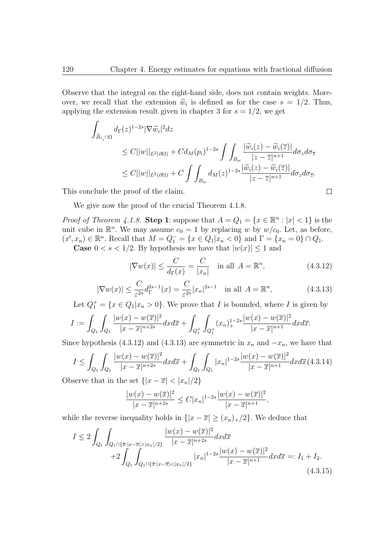Observe that the integral on the right-hand side, does not contain weights. Moreover, we recall that the extension  $\tilde{w}_i$  is defined as for the case  $s = 1/2$ . Thus, applying the extension result given in chapter 3 for  $s = 1/2$ , we get

$$
\int_{\widetilde{B}_{r_i}\cap\Omega} d_{\Gamma}(z)^{1-2s} |\nabla \widetilde{w}_i|^2 dz
$$
\n
$$
\leq C||w||_{L^2(\partial\Omega)} + C d_M(p_i)^{1-2s} \int \int_{B_w} \frac{|\widetilde{w}_i(z) - \widetilde{w}_i(\overline{z})|}{|z - \overline{z}|^{n+1}} d\sigma_z d\sigma_{\overline{z}}
$$
\n
$$
\leq C||w||_{L^2(\partial\Omega)} + C \int \int_{B_w} d_M(z)^{1-2s} \frac{|\widetilde{w}_i(z) - \widetilde{w}_i(\overline{z})|}{|z - \overline{z}|^{n+1}} d\sigma_z d\sigma_{\overline{z}}.
$$

This conclude the proof of the claim.

We give now the proof of the crucial Theorem 4.1.8.

*Proof of Theorem 4.1.8.* **Step 1**: suppose that  $A = Q_1 = \{x \in \mathbb{R}^n : |x| < 1\}$  is the unit cube in  $\mathbb{R}^n$ . We may assume  $c_0 = 1$  by replacing *w* by  $w/c_0$ . Let, as before,  $(x', x_n) \in \mathbb{R}^n$ . Recall that  $M = Q_1^- = \{x \in Q_1 | x_n < 0\}$  and  $\Gamma = \{x_n = 0\} \cap Q_1$ . **Case**  $0 < s < 1/2$ . By hypothesis we have that  $|w(x)| \leq 1$  and

$$
|\nabla w(x)| \le \frac{C}{d_{\Gamma}(x)} = \frac{C}{|x_n|} \quad \text{in all } A = \mathbb{R}^n,
$$
\n(4.3.12)

 $\Box$ 

$$
|\nabla w(x)| \le \frac{C}{\varepsilon^{2s}} d_{\Gamma}^{2s-1}(x) = \frac{C}{\varepsilon^{2s}} |x_n|^{2s-1} \quad \text{in all } A = \mathbb{R}^n,
$$
 (4.3.13)

Let  $Q_1^+ = \{x \in Q_1 | x_n > 0\}$ . We prove that *I* is bounded, where *I* is given by

$$
I := \int_{Q_1} \int_{Q_1} \frac{|w(x) - w(\overline{x})|^2}{|x - \overline{x}|^{n+2s}} dx d\overline{x} + \int_{Q_1^+} \int_{Q_1^+} (x_n)^{1-2s} \frac{|w(x) - w(\overline{x})|^2}{|x - \overline{x}|^{n+1}} dx d\overline{x}.
$$

Since hypothesis (4.3.12) and (4.3.13) are symmetric in  $x_n$  and  $-x_n$ , we have that

$$
I \leq \int_{Q_1} \int_{Q_1} \frac{|w(x) - w(\overline{x})|^2}{|x - \overline{x}|^{n+2s}} dx d\overline{x} + \int_{Q_1} \int_{Q_1} |x_n|^{1-2s} \frac{|w(x) - w(\overline{x})|^2}{|x - \overline{x}|^{n+1}} dx d\overline{x} (4.3.14)
$$

Observe that in the set  $\{|x-\overline{x}| < |x_n|/2\}$ 

$$
\frac{|w(x) - w(\overline{x})|^2}{|x - \overline{x}|^{n+2s}} \le C|x_n|^{1-2s} \frac{|w(x) - w(\overline{x})|^2}{|x - \overline{x}|^{n+1}},
$$

while the reverse inequality holds in  $\{|x-\overline{x}| \geq (x_n)_+/2\}$ . We deduce that

$$
I \le 2 \int_{Q_1} \int_{Q_1 \cap {\overline{x}}: |x - \overline{x}| > |x_n|/2} \frac{|w(x) - w(\overline{x})|^2}{|x - \overline{x}|^{n+2s}} dx d\overline{x} + 2 \int_{Q_1} \int_{Q_1 \cap {\overline{x}}: |x - \overline{x}| < |x_n|/2} |x_n|^{1-2s} \frac{|w(x) - w(\overline{x})|^2}{|x - \overline{x}|^{n+1}} dx d\overline{x} =: I_1 + I_2.
$$
\n(4.3.15)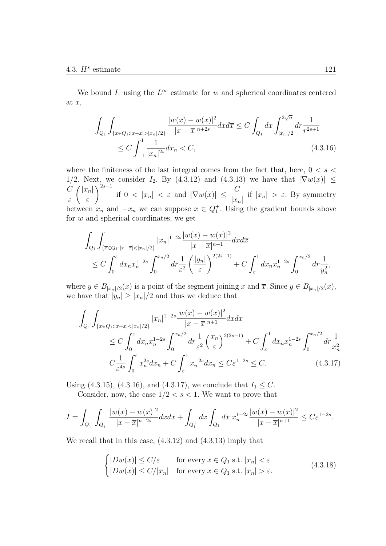We bound  $I_1$  using the  $L^\infty$  estimate for *w* and spherical coordinates centered at *x*,

$$
\int_{Q_1} \int_{\{\overline{x} \in Q_1 : |x - \overline{x}| > |x_n|/2\}} \frac{|w(x) - w(\overline{x})|^2}{|x - \overline{x}|^{n+2s}} dx d\overline{x} \le C \int_{Q_1} dx \int_{|x_n|/2}^{2\sqrt{n}} dr \frac{1}{r^{2s+1}} \le C \int_{-1}^{1} \frac{1}{|x_n|^{2s}} dx_n < C,
$$
\n(4.3.16)

where the finiteness of the last integral comes from the fact that, here, 0 *< s <* 1/2. Next, we consider *I*<sub>2</sub>. By (4.3.12) and (4.3.13) we have that  $|\nabla w(x)| \le$ *C ε |xn| ε*  $\int^{2s-1}$  if  $0 < |x_n| < \varepsilon$  and  $|\nabla w(x)| \leq \frac{C}{\ln n}$ *|xn|* if  $|x_n| > \varepsilon$ . By symmetry between  $x_n$  and  $-x_n$  we can suppose  $x \in Q_1^+$ . Using the gradient bounds above for *w* and spherical coordinates, we get

$$
\int_{Q_1} \int_{\{\overline{x} \in Q_1: |x-\overline{x}| < |x_n|/2\}} |x_n|^{1-2s} \frac{|w(x) - w(\overline{x})|^2}{|x-\overline{x}|^{n+1}} dx d\overline{x}
$$
\n
$$
\leq C \int_0^{\varepsilon} dx_n x_n^{1-2s} \int_0^{x_n/2} dr \frac{1}{\varepsilon^2} \left(\frac{|y_n|}{\varepsilon}\right)^{2(2s-1)} + C \int_{\varepsilon}^1 dx_n x_n^{1-2s} \int_0^{x_n/2} dr \frac{1}{y_n^2},
$$

where  $y \in B_{|x_n|/2}(x)$  is a point of the segment joining x and  $\overline{x}$ . Since  $y \in B_{|x_n|/2}(x)$ , we have that  $|y_n| \geq |x_n|/2$  and thus we deduce that

$$
\int_{Q_1} \int_{\{\overline{x} \in Q_1 : |x - \overline{x}| < |x_n|/2\}} |x_n|^{1-2s} \frac{|w(x) - w(\overline{x})|^2}{|x - \overline{x}|^{n+1}} dx d\overline{x} \n\leq C \int_0^{\varepsilon} dx_n x_n^{1-2s} \int_0^{x_n/2} dr \frac{1}{\varepsilon^2} \left(\frac{x_n}{\varepsilon}\right)^{2(2s-1)} + C \int_{\varepsilon}^1 dx_n x_n^{1-2s} \int_0^{x_n/2} dr \frac{1}{x_n^2} \nC \frac{1}{\varepsilon^{4s}} \int_0^{\varepsilon} x_n^{2s} dx_n + C \int_{\varepsilon}^1 x_n^{-2s} dx_n \leq C \varepsilon^{1-2s} \leq C.
$$
\n(4.3.17)

Using (4.3.15), (4.3.16), and (4.3.17), we conclude that  $I_1 \leq C$ .

Consider, now, the case  $1/2 < s < 1$ . We want to prove that

$$
I = \int_{Q_1^-} \int_{Q_1^-} \frac{|w(x) - w(\overline{x})|^2}{|x - \overline{x}|^{n+2s}} dx d\overline{x} + \int_{Q_1^+} dx \int_{Q_1} d\overline{x} \ x_n^{1-2s} \frac{|w(x) - w(\overline{x})|^2}{|x - \overline{x}|^{n+1}} \leq C\varepsilon^{1-2s}.
$$

We recall that in this case, (4.3.12) and (4.3.13) imply that

$$
\begin{cases} |Dw(x)| \le C/\varepsilon & \text{for every } x \in Q_1 \text{ s.t. } |x_n| < \varepsilon \\ |Dw(x)| \le C/|x_n| & \text{for every } x \in Q_1 \text{ s.t. } |x_n| > \varepsilon. \end{cases}
$$
(4.3.18)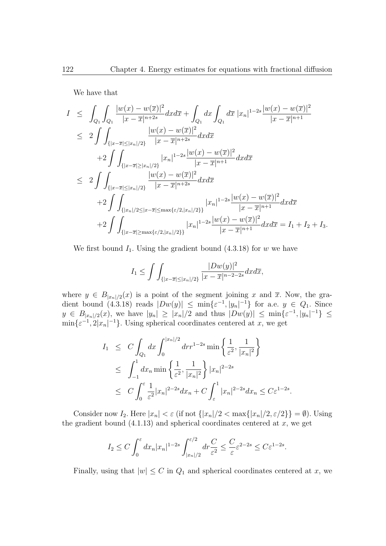We have that

$$
I \leq \int_{Q_1} \int_{Q_1} \frac{|w(x) - w(\overline{x})|^2}{|x - \overline{x}|^{n+2s}} dx d\overline{x} + \int_{Q_1} dx \int_{Q_1} d\overline{x} |x_n|^{1-2s} \frac{|w(x) - w(\overline{x})|^2}{|x - \overline{x}|^{n+1}} \n\leq 2 \int \int_{\{|x - \overline{x}| \leq |x_n|/2\}} \frac{|w(x) - w(\overline{x})|^2}{|x - \overline{x}|^{n+2s}} dx d\overline{x} \n+2 \int \int_{\{|x - \overline{x}| \geq |x_n|/2\}} |x_n|^{1-2s} \frac{|w(x) - w(\overline{x})|^2}{|x - \overline{x}|^{n+1}} dx d\overline{x} \n\leq 2 \int \int_{\{|x - \overline{x}| \leq |x_n|/2\}} \frac{|w(x) - w(\overline{x})|^2}{|x - \overline{x}|^{n+2s}} dx d\overline{x} \n+2 \int \int_{\{|x_n|/2 \leq |x - \overline{x}| \leq \max\{\varepsilon/2, |x_n|/2\}\}} |x_n|^{1-2s} \frac{|w(x) - w(\overline{x})|^2}{|x - \overline{x}|^{n+1}} dx d\overline{x} \n+2 \int \int_{\{|x - \overline{x}| \geq \max\{\varepsilon/2, |x_n|/2\}\}} |x_n|^{1-2s} \frac{|w(x) - w(\overline{x})|^2}{|x - \overline{x}|^{n+1}} dx d\overline{x} = I_1 + I_2 + I_3.
$$

We first bound  $I_1$ . Using the gradient bound  $(4.3.18)$  for *w* we have

$$
I_1 \leq \int \int_{\{|x-\overline{x}| \leq |x_n|/2\}} \frac{|Dw(y)|^2}{|x-\overline{x}|^{n-2-2s}} dx d\overline{x},
$$

where  $y \in B_{|x_n|/2}(x)$  is a point of the segment joining x and  $\overline{x}$ . Now, the gradient bound  $(4.3.18)$  reads  $|Dw(y)| \le \min\{\varepsilon^{-1}, |y_n|^{-1}\}$  for a.e.  $y \in Q_1$ . Since  $y \in B_{|x_n|/2}(x)$ , we have  $|y_n| \geq |x_n|/2$  and thus  $|Dw(y)| \leq \min\{\varepsilon^{-1}, |y_n|^{-1}\} \leq$  $\min\{\varepsilon^{-1}, 2|x_n|^{-1}\}$ . Using spherical coordinates centered at *x*, we get

$$
I_1 \leq C \int_{Q_1} dx \int_0^{|x_n|/2} dr r^{1-2s} \min \left\{ \frac{1}{\varepsilon^2}, \frac{1}{|x_n|^2} \right\}
$$
  

$$
\leq \int_{-1}^1 dx_n \min \left\{ \frac{1}{\varepsilon^2}, \frac{1}{|x_n|^2} \right\} |x_n|^{2-2s}
$$
  

$$
\leq C \int_0^{\varepsilon} \frac{1}{\varepsilon^2} |x_n|^{2-2s} dx_n + C \int_{\varepsilon}^1 |x_n|^{2-2s} dx_n \leq C \varepsilon^{1-2s}
$$

Consider now  $I_2$ . Here  $|x_n| < \varepsilon$  (if not  $\{|x_n|/2 < \max\{|x_n|/2, \varepsilon/2\}\} = \emptyset$ ). Using the gradient bound  $(4.1.13)$  and spherical coordinates centered at  $x$ , we get

*.*

$$
I_2 \le C \int_0^{\varepsilon} dx_n |x_n|^{1-2s} \int_{|x_n|/2}^{\varepsilon/2} dr \frac{C}{\varepsilon^2} \le \frac{C}{\varepsilon} \varepsilon^{2-2s} \le C \varepsilon^{1-2s}.
$$

Finally, using that  $|w| \leq C$  in  $Q_1$  and spherical coordinates centered at *x*, we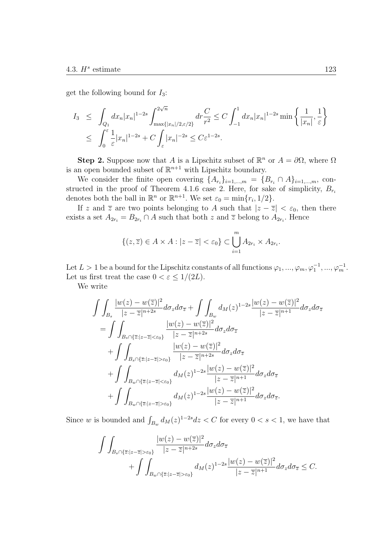get the following bound for *I*3:

$$
I_3 \leq \int_{Q_1} dx_n |x_n|^{1-2s} \int_{\max\{|x_n|/2, \varepsilon/2\}}^{2\sqrt{n}} dr \frac{C}{r^2} \leq C \int_{-1}^1 dx_n |x_n|^{1-2s} \min\left\{ \frac{1}{|x_n|}, \frac{1}{\varepsilon} \right\}
$$
  

$$
\leq \int_0^{\varepsilon} \frac{1}{\varepsilon} |x_n|^{1-2s} + C \int_{\varepsilon} |x_n|^{-2s} \leq C \varepsilon^{1-2s}.
$$

**Step 2.** Suppose now that *A* is a Lipschitz subset of  $\mathbb{R}^n$  or  $A = \partial\Omega$ , where  $\Omega$ is an open bounded subset of  $\mathbb{R}^{n+1}$  with Lipschitz boundary.

We consider the finite open covering  $\{A_{r_i}\}_{i=1,\dots,m} = \{B_{r_i} \cap A\}_{i=1,\dots,m}$ , constructed in the proof of Theorem 4.1.6 case 2. Here, for sake of simplicity,  $B_{r_i}$ denotes both the ball in  $\mathbb{R}^n$  or  $\mathbb{R}^{n+1}$ . We set  $\varepsilon_0 = \min\{r_i, 1/2\}$ .

If *z* and  $\overline{z}$  are two points belonging to *A* such that  $|z - \overline{z}| < \varepsilon_0$ , then there exists a set  $A_{2r_i} = B_{2r_i} \cap A$  such that both *z* and  $\overline{z}$  belong to  $A_{2r_i}$ . Hence

$$
\{(z,\overline{z})\in A\times A:|z-\overline{z}|<\varepsilon_0\}\subset\bigcup_{i=1}^m A_{2r_i}\times A_{2r_i}.
$$

Let  $L > 1$  be a bound for the Lipschitz constants of all functions  $\varphi_1, ..., \varphi_m, \varphi_1^{-1}, ..., \varphi_m^{-1}$ . Let us first treat the case  $0 < \varepsilon \leq 1/(2L)$ .

We write

$$
\int \int_{B_s} \frac{|w(z) - w(\overline{z})|^2}{|z - \overline{z}|^{n+2s}} d\sigma_z d\sigma_{\overline{z}} + \int \int_{B_w} d_M(z)^{1-2s} \frac{|w(z) - w(\overline{z})|^2}{|z - \overline{z}|^{n+1}} d\sigma_z d\sigma_{\overline{z}} \n= \int \int_{B_s \cap {\overline{z}} : |z - \overline{z}| < \varepsilon_0} \frac{|w(z) - w(\overline{z})|^2}{|z - \overline{z}|^{n+2s}} d\sigma_z d\sigma_{\overline{z}} \n+ \int \int_{B_s \cap {\overline{z}} : |z - \overline{z}| > \varepsilon_0} \frac{|w(z) - w(\overline{z})|^2}{|z - \overline{z}|^{n+2s}} d\sigma_z d\sigma_{\overline{z}} \n+ \int \int_{B_w \cap {\overline{z}} : |z - \overline{z}| < \varepsilon_0} d_M(z)^{1-2s} \frac{|w(z) - w(\overline{z})|^2}{|z - \overline{z}|^{n+1}} d\sigma_z d\sigma_{\overline{z}} \n+ \int \int_{B_w \cap {\overline{z}} : |z - \overline{z}| > \varepsilon_0} d_M(z)^{1-2s} \frac{|w(z) - w(\overline{z})|^2}{|z - \overline{z}|^{n+1}} d\sigma_z d\sigma_{\overline{z}}.
$$

Since *w* is bounded and  $\int_{B_w} d_M(z)^{1-2s} dz < C$  for every  $0 < s < 1$ , we have that

$$
\int\int_{B_s \cap \{\overline{z}: |z-\overline{z}| > \varepsilon_0\}} \frac{|w(z) - w(\overline{z})|^2}{|z-\overline{z}|^{n+2s}} d\sigma_z d\sigma_{\overline{z}} + \int\int_{B_w \cap \{\overline{z}: |z-\overline{z}| > \varepsilon_0\}} d_M(z)^{1-2s} \frac{|w(z) - w(\overline{z})|^2}{|z-\overline{z}|^{n+1}} d\sigma_z d\sigma_{\overline{z}} \leq C.
$$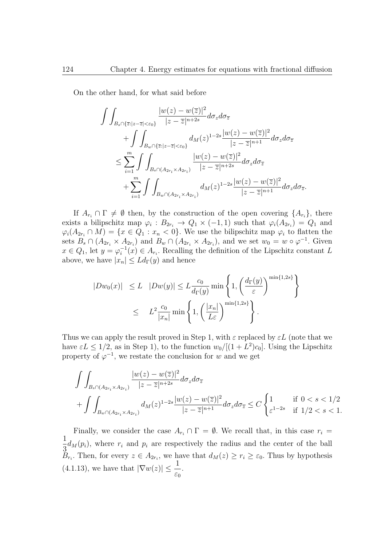On the other hand, for what said before

$$
\begin{split} \int\int_{B_s\cap\{\overline{z}:|z-\overline{z}|<\varepsilon_0\}}\frac{|w(z)-w(\overline{z})|^2}{|z-\overline{z}|^{n+2s}}d\sigma_zd\sigma_{\overline{z}} \\ +&\int\int_{B_w\cap\{\overline{z}:|z-\overline{z}|<\varepsilon_0\}}d_M(z)^{1-2s}\frac{|w(z)-w(\overline{z})|^2}{|z-\overline{z}|^{n+1}}d\sigma_zd\sigma_{\overline{z}} \\ \leq&\sum_{i=1}^m\int\int_{B_s\cap(A_{2r_i}\times A_{2r_i})}\frac{|w(z)-w(\overline{z})|^2}{|z-\overline{z}|^{n+2s}}d\sigma_zd\sigma_{\overline{z}} \\ +&\sum_{i=1}^m\int\int_{B_w\cap(A_{2r_i}\times A_{2r_i})}d_M(z)^{1-2s}\frac{|w(z)-w(\overline{z})|^2}{|z-\overline{z}|^{n+1}}d\sigma_zd\sigma_{\overline{z}}. \end{split}
$$

If  $A_{r_i} \cap \Gamma \neq \emptyset$  then, by the construction of the open covering  $\{A_{r_i}\}\text{, there}$ exists a bilipschitz map  $\varphi_i : B_{2r_i} \to Q_1 \times (-1,1)$  such that  $\varphi_i(A_{2r_i}) = Q_1$  and  $\varphi_i(A_{2r_i} \cap M) = \{x \in Q_1 : x_n < 0\}.$  We use the bilipschitz map  $\varphi_i$  to flatten the sets  $B_s \cap (A_{2r_i} \times A_{2r_i})$  and  $B_w \cap (A_{2r_i} \times A_{2r_i})$ , and we set  $w_0 = w \circ \varphi^{-1}$ . Given  $x \in Q_1$ , let  $y = \varphi_i^{-1}(x) \in A_{r_i}$ . Recalling the definition of the Lipschitz constant *L* above, we have  $|x_n| \leq L d_{\Gamma}(y)$  and hence

$$
|Dw_0(x)| \le L |Dw(y)| \le L \frac{c_0}{d_{\Gamma}(y)} \min \left\{ 1, \left( \frac{d_{\Gamma}(y)}{\varepsilon} \right)^{\min\{1,2s\}} \right\}
$$
  

$$
\le L^2 \frac{c_0}{|x_n|} \min \left\{ 1, \left( \frac{|x_n|}{L\varepsilon} \right)^{\min\{1,2s\}} \right\}.
$$

Thus we can apply the result proved in Step 1, with  $\varepsilon$  replaced by  $\varepsilon L$  (note that we have  $\varepsilon L \leq 1/2$ , as in Step 1), to the function  $w_0/[(1 + L^2)c_0]$ . Using the Lipschitz property of  $\varphi^{-1}$ , we restate the conclusion for *w* and we get

$$
\int\int_{B_s \cap (A_{2r_i} \times A_{2r_i})} \frac{|w(z) - w(\overline{z})|^2}{|z - \overline{z}|^{n+2s}} d\sigma_z d\sigma_{\overline{z}}\n+ \int\int_{B_w \cap (A_{2r_i} \times A_{2r_i})} d_M(z)^{1-2s} \frac{|w(z) - w(\overline{z})|^2}{|z - \overline{z}|^{n+1}} d\sigma_z d\sigma_{\overline{z}} \leq C \begin{cases} 1 & \text{if } 0 < s < 1/2 \\ \varepsilon^{1-2s} & \text{if } 1/2 < s < 1. \end{cases}
$$

Finally, we consider the case  $A_{r_i} \cap \Gamma = \emptyset$ . We recall that, in this case  $r_i =$ 1  $\frac{1}{3}d_M(p_i)$ , where  $r_i$  and  $p_i$  are respectively the radius and the center of the ball *B*<sub>*r*</sub><sup>*i*</sup>. Then, for every  $z \in A_{2r_i}$ , we have that  $d_M(z) \geq r_i \geq \varepsilon_0$ . Thus by hypothesis  $(4.1.13)$ , we have that  $|\nabla w(z)| \leq \frac{1}{\epsilon}$ *ε*0 *.*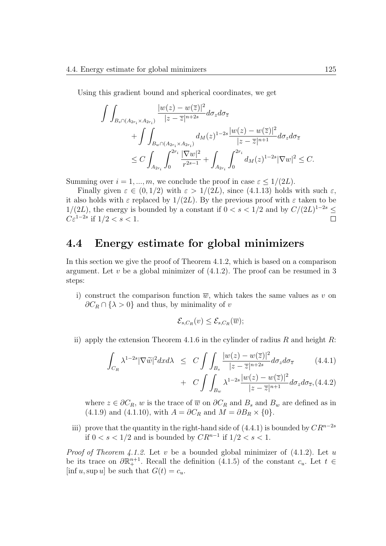Using this gradient bound and spherical coordinates, we get

$$
\int \int_{B_{s} \cap (A_{2r_{i}} \times A_{2r_{i}})} \frac{|w(z) - w(\overline{z})|^{2}}{|z - \overline{z}|^{n+2s}} d\sigma_{z} d\sigma_{\overline{z}} \n+ \int \int_{B_{w} \cap (A_{2r_{i}} \times A_{2r_{i}})} d_{M}(z)^{1-2s} \frac{|w(z) - w(\overline{z})|^{2}}{|z - \overline{z}|^{n+1}} d\sigma_{z} d\sigma_{\overline{z}} \n\leq C \int_{A_{2r_{i}}} \int_{0}^{2r_{i}} \frac{|\nabla w|^{2}}{r^{2s-1}} + \int_{A_{2r_{i}}} \int_{0}^{2r_{i}} d_{M}(z)^{1-2s} |\nabla w|^{2} \leq C.
$$

Summing over  $i = 1, ..., m$ , we conclude the proof in case  $\varepsilon \leq 1/(2L)$ .

Finally given  $\varepsilon \in (0, 1/2)$  with  $\varepsilon > 1/(2L)$ , since (4.1.13) holds with such  $\varepsilon$ , it also holds with  $\varepsilon$  replaced by  $1/(2L)$ . By the previous proof with  $\varepsilon$  taken to be 1/(2*L*), the energy is bounded by a constant if  $0 < s < 1/2$  and by  $C/(2L)^{1-2s}$  ≤ *Cε*<sup>1−2*s*</sup> if  $1/2 < s < 1$ .  $\Box$ 

#### **4.4 Energy estimate for global minimizers**

In this section we give the proof of Theorem 4.1.2, which is based on a comparison argument. Let  $v$  be a global minimizer of  $(4.1.2)$ . The proof can be resumed in 3 steps:

i) construct the comparison function  $\overline{w}$ , which takes the same values as *v* on  $\partial C_R \cap {\lambda > 0}$  and thus, by minimality of *v* 

$$
\mathcal{E}_{s,C_R}(v) \leq \mathcal{E}_{s,C_R}(\overline{w});
$$

ii) apply the extension Theorem 4.1.6 in the cylinder of radius *R* and height *R*:

$$
\int_{C_R} \lambda^{1-2s} |\nabla \widetilde{w}|^2 dx d\lambda \le C \int \int_{B_s} \frac{|w(z) - w(\overline{z})|^2}{|z - \overline{z}|^{n+2s}} d\sigma_z d\sigma_{\overline{z}} \qquad (4.4.1)
$$

+ 
$$
C \int \int_{B_w} \lambda^{1-2s} \frac{|w(z) - w(\overline{z})|^2}{|z - \overline{z}|^{n+1}} d\sigma_z d\sigma_{\overline{z}},
$$
 (4.4.2)

where  $z \in \partial C_R$ , *w* is the trace of  $\overline{w}$  on  $\partial C_R$  and  $B_s$  and  $B_w$  are defined as in  $(4.1.9)$  and  $(4.1.10)$ , with  $A = \partial C_R$  and  $M = \partial B_R \times \{0\}$ .

iii) prove that the quantity in the right-hand side of  $(4.4.1)$  is bounded by  $CR^{n-2s}$ if 0 *< s <* 1*/*2 and is bounded by *CR<sup>n</sup>−*<sup>1</sup> if 1*/*2 *< s <* 1.

*Proof of Theorem 4.1.2.* Let *v* be a bounded global minimizer of (4.1.2). Let *u* be its trace on  $\partial \mathbb{R}^{n+1}_+$ . Recall the definition (4.1.5) of the constant  $c_u$ . Let  $t \in$  $[\inf u, \sup u]$  be such that  $G(t) = c_u$ .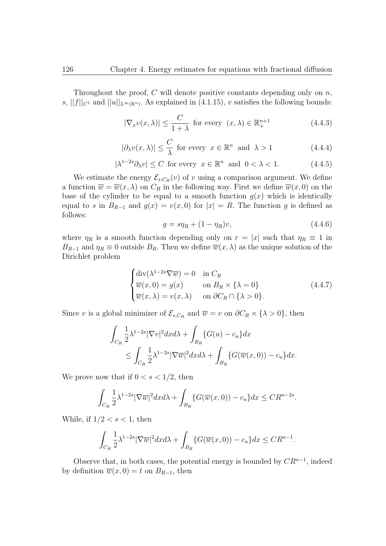Throughout the proof, *C* will denote positive constants depending only on *n*,  $s, ||f||_{C^1}$  and  $||u||_{L^{\infty}(\mathbb{R}^n)}$ . As explained in (4.1.15), *v* satisfies the following bounds:

$$
|\nabla_x v(x,\lambda)| \le \frac{C}{1+\lambda} \text{ for every } (x,\lambda) \in \mathbb{R}^{n+1}_+
$$
 (4.4.3)

$$
|\partial_{\lambda}v(x,\lambda)| \leq \frac{C}{\lambda} \text{ for every } x \in \mathbb{R}^n \text{ and } \lambda > 1
$$
 (4.4.4)

$$
|\lambda^{1-2s}\partial_\lambda v| \le C \text{ for every } x \in \mathbb{R}^n \text{ and } 0 < \lambda < 1. \tag{4.4.5}
$$

We estimate the energy  $\mathcal{E}_{s,C_R}(v)$  of *v* using a comparison argument. We define a function  $\overline{w} = \overline{w}(x, \lambda)$  on  $C_R$  in the following way. First we define  $\overline{w}(x, 0)$  on the base of the cylinder to be equal to a smooth function  $g(x)$  which is identically equal to *s* in  $B_{R-1}$  and  $g(x) = v(x,0)$  for  $|x| = R$ . The function *g* is defined as follows:

$$
g = s\eta_R + (1 - \eta_R)v, \tag{4.4.6}
$$

*.*

where  $\eta_R$  is a smooth function depending only on  $r = |x|$  such that  $\eta_R \equiv 1$  in *B*<sub>*R*<sup>−1</sup></sub> and  $\eta$ <sup>*R*</sup>  $\equiv$  0 outside *B*<sup>*R*</sup>. Then we define  $\overline{w}(x, \lambda)$  as the unique solution of the Dirichlet problem

$$
\begin{cases}\n\text{div}(\lambda^{1-2s}\nabla\overline{w}) = 0 & \text{in } C_R \\
\overline{w}(x,0) = g(x) & \text{on } B_R \times \{\lambda = 0\} \\
\overline{w}(x,\lambda) = v(x,\lambda) & \text{on } \partial C_R \cap \{\lambda > 0\}.\n\end{cases}
$$
\n(4.4.7)

Since *v* is a global minimizer of  $\mathcal{E}_{s,C_R}$  and  $\overline{w} = v$  on  $\partial C_R \times \{\lambda > 0\}$ , then

$$
\int_{C_R} \frac{1}{2} \lambda^{1-2s} |\nabla v|^2 dx d\lambda + \int_{B_R} \{G(u) - c_u\} dx
$$
  
\n
$$
\leq \int_{C_R} \frac{1}{2} \lambda^{1-2s} |\nabla \overline{w}|^2 dx d\lambda + \int_{B_R} \{G(\overline{w}(x,0)) - c_u\} dx.
$$

We prove now that if  $0 < s < 1/2$ , then

$$
\int_{C_R} \frac{1}{2} \lambda^{1-2s} |\nabla \overline{w}|^2 dx d\lambda + \int_{B_R} \{ G(\overline{w}(x,0)) - c_u \} dx \leq C R^{n-2s}
$$

While, if  $1/2 < s < 1$ , then

$$
\int_{C_R} \frac{1}{2} \lambda^{1-2s} |\nabla \overline{w}|^2 dx d\lambda + \int_{B_R} \{ G(\overline{w}(x,0)) - c_u \} dx \leq C R^{n-1}.
$$

Observe that, in both cases, the potential energy is bounded by *CR<sup>n</sup>−*<sup>1</sup> , indeed by definition  $\overline{w}(x,0) = t$  on  $B_{R-1}$ , then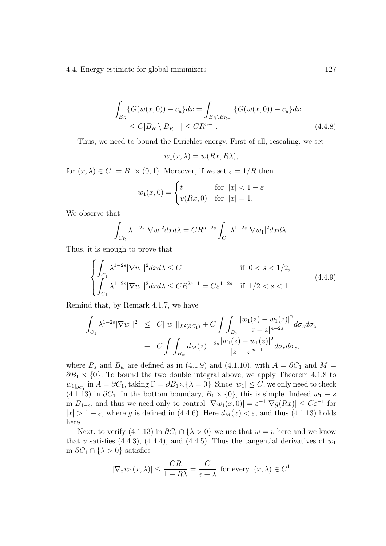$$
\int_{B_R} \{ G(\overline{w}(x,0)) - c_u \} dx = \int_{B_R \setminus B_{R-1}} \{ G(\overline{w}(x,0)) - c_u \} dx
$$
\n
$$
\leq C|B_R \setminus B_{R-1}| \leq C R^{n-1}.
$$
\n(4.4.8)

Thus, we need to bound the Dirichlet energy. First of all, rescaling, we set

 $w_1(x, \lambda) = \overline{w}(Rx, R\lambda),$ 

for  $(x, \lambda) \in C_1 = B_1 \times (0, 1)$ . Moreover, if we set  $\varepsilon = 1/R$  then

$$
w_1(x,0) = \begin{cases} t & \text{for } |x| < 1 - \varepsilon \\ v(Rx,0) & \text{for } |x| = 1. \end{cases}
$$

We observe that

$$
\int_{C_R} \lambda^{1-2s} |\nabla \overline{w}|^2 dx d\lambda = C R^{n-2s} \int_{C_1} \lambda^{1-2s} |\nabla w_1|^2 dx d\lambda.
$$

Thus, it is enough to prove that

$$
\begin{cases}\n\int_{C_1} \lambda^{1-2s} |\nabla w_1|^2 dx d\lambda \le C & \text{if } 0 < s < 1/2, \\
\int_{C_1} \lambda^{1-2s} |\nabla w_1|^2 dx d\lambda \le CR^{2s-1} = C \varepsilon^{1-2s} & \text{if } 1/2 < s < 1.\n\end{cases}
$$
\n(4.4.9)

Remind that, by Remark 4.1.7, we have

$$
\int_{C_1} \lambda^{1-2s} |\nabla w_1|^2 \leq C ||w_1||_{L^2(\partial C_1)} + C \int \int_{B_s} \frac{|w_1(z) - w_1(\overline{z})|^2}{|z - \overline{z}|^{n+2s}} d\sigma_z d\sigma_{\overline{z}} \n+ C \int \int_{B_w} d_M(z)^{1-2s} \frac{|w_1(z) - w_1(\overline{z})|^2}{|z - \overline{z}|^{n+1}} d\sigma_z d\sigma_{\overline{z}},
$$

where  $B_s$  and  $B_w$  are defined as in (4.1.9) and (4.1.10), with  $A = \partial C_1$  and  $M =$  $\partial B_1 \times \{0\}$ . To bound the two double integral above, we apply Theorem 4.1.8 to  $w_{1|oC_1}$  in  $A = \partial C_1$ , taking  $\Gamma = \partial B_1 \times \{\lambda = 0\}$ . Since  $|w_1| \le C$ , we only need to check  $(4.1.13)$  in  $\partial C_1$ . In the bottom boundary,  $B_1 \times \{0\}$ , this is simple. Indeed  $w_1 \equiv s$ in  $B_{1-\varepsilon}$ , and thus we need only to control  $|\nabla w_1(x,0)| = \varepsilon^{-1} |\nabla g(Rx)| \leq C \varepsilon^{-1}$  for  $|x| > 1 - \varepsilon$ , where *g* is defined in (4.4.6). Here  $d_M(x) < \varepsilon$ , and thus (4.1.13) holds here.

Next, to verify (4.1.13) in  $\partial C_1 \cap {\lambda > 0}$  we use that  $\overline{w} = v$  here and we know that *v* satisfies  $(4.4.3)$ ,  $(4.4.4)$ , and  $(4.4.5)$ . Thus the tangential derivatives of  $w_1$ in  $\partial C_1$  ∩ { $\lambda > 0$ } satisfies

$$
|\nabla_x w_1(x,\lambda)| \le \frac{CR}{1+R\lambda} = \frac{C}{\varepsilon+\lambda}
$$
 for every  $(x,\lambda) \in C^1$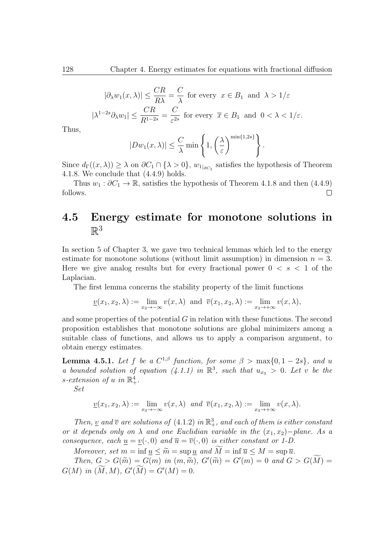$$
|\partial_{\lambda}w_{1}(x,\lambda)| \leq \frac{CR}{R\lambda} = \frac{C}{\lambda} \text{ for every } x \in B_{1} \text{ and } \lambda > 1/\varepsilon
$$
  

$$
|\lambda^{1-2s}\partial_{\lambda}w_{1}| \leq \frac{CR}{R^{1-2s}} = \frac{C}{\varepsilon^{2s}} \text{ for every } \overline{x} \in B_{1} \text{ and } 0 < \lambda < 1/\varepsilon.
$$

Thus,

$$
|Dw_1(x,\lambda)| \leq \frac{C}{\lambda} \min \left\{ 1, \left(\frac{\lambda}{\varepsilon}\right)^{\min\{1,2s\}} \right\}.
$$

Since  $d_{\Gamma}((x,\lambda)) \geq \lambda$  on  $\partial C_1 \cap {\{\lambda > 0\}}$ ,  $w_{1|\partial C_1}$  satisfies the hypothesis of Theorem 4.1.8. We conclude that (4.4.9) holds.

Thus  $w_1 : \partial C_1 \to \mathbb{R}$ , satisfies the hypothesis of Theorem 4.1.8 and then (4.4.9) follows.  $\Box$ 

#### **4.5 Energy estimate for monotone solutions in**  $\mathbb{R}^3$

In section 5 of Chapter 3, we gave two technical lemmas which led to the energy estimate for monotone solutions (without limit assumption) in dimension  $n = 3$ . Here we give analog results but for every fractional power  $0 \lt s \lt 1$  of the Laplacian.

The first lemma concerns the stability property of the limit functions

$$
\underline{v}(x_1, x_2, \lambda) := \lim_{x_3 \to -\infty} v(x, \lambda) \text{ and } \overline{v}(x_1, x_2, \lambda) := \lim_{x_3 \to +\infty} v(x, \lambda),
$$

and some properties of the potential *G* in relation with these functions. The second proposition establishes that monotone solutions are global minimizers among a suitable class of functions, and allows us to apply a comparison argument, to obtain energy estimates.

**Lemma 4.5.1.** *Let*  $f$  *be a*  $C^{1,\beta}$  *function, for some*  $\beta > \max\{0, 1-2s\}$ *, and u a* bounded solution of equation (4.1.1) in  $\mathbb{R}^3$ , such that  $u_{x_3} > 0$ . Let *v* be the *s*-extension of *u* in  $\mathbb{R}^4_+$ .

*Set*

$$
\underline{v}(x_1, x_2, \lambda) := \lim_{x_3 \to -\infty} v(x, \lambda) \text{ and } \overline{v}(x_1, x_2, \lambda) := \lim_{x_3 \to +\infty} v(x, \lambda).
$$

*Then,* <u>*v*</u> *and*  $\overline{v}$  *are solutions of* (4.1.2) *in*  $\mathbb{R}^3_+$ *, and each of them is either constant or it depends only on*  $\lambda$  *and one Euclidian variable in the*  $(x_1, x_2)$ *−plane. As a consequence, each*  $\underline{u} = \underline{v}(\cdot, 0)$  *and*  $\overline{u} = \overline{v}(\cdot, 0)$  *is either constant or 1-D.* 

*Moreover, set*  $m = \inf u \leq \tilde{m} = \sup u$  and  $\tilde{M} = \inf \overline{u} \leq M = \sup \overline{u}$ .

*Then,*  $G > G(\tilde{m}) = G(m)$  *in*  $(m, \tilde{m})$ *,*  $G'(\tilde{m}) = G'(m) = 0$  *and*  $G > G(M) =$  $G(M)$  *in*  $(M, M)$ *,*  $G'(M) = G'(M) = 0$ *.*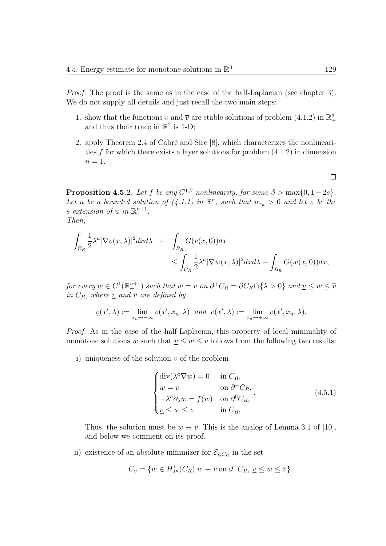*Proof.* The proof is the same as in the case of the half-Laplacian (see chapter 3). We do not supply all details and just recall the two main steps:

- 1. show that the functions  $\underline{v}$  and  $\overline{v}$  are stable solutions of problem (4.1.2) in  $\mathbb{R}^3_+$ and thus their trace in  $\mathbb{R}^2$  is 1-D;
- 2. apply Theorem 2.4 of Cabré and Sire [8], which characterizes the nonlinearities *f* for which there exists a layer solutions for problem (4.1.2) in dimension  $n=1$ .

**Proposition 4.5.2.** *Let f be any*  $C^{1,\beta}$  *nonlinearity, for some*  $\beta > \max\{0, 1-2s\}$ *.* Let *u* be a bounded solution of  $(4.1.1)$  in  $\mathbb{R}^n$ , such that  $u_{x_n} > 0$  and let *v* be the *s*-extension of *u* in  $\mathbb{R}^{n+1}_+$ .

*Then,*

$$
\int_{C_R} \frac{1}{2} \lambda^a |\nabla v(x, \lambda)|^2 dx d\lambda + \int_{B_R} G(v(x, 0)) dx
$$
  

$$
\leq \int_{C_R} \frac{1}{2} \lambda^a |\nabla w(x, \lambda)|^2 dx d\lambda + \int_{B_R} G(w(x, 0)) dx,
$$

for every  $w \in C^1(\mathbb{R}^{n+1}_+)$  such that  $w = v$  on  $\partial^+ C_R = \partial C_R \cap \{\lambda > 0\}$  and  $\underline{v} \leq w \leq \overline{v}$ *in*  $C_R$ *, where v and*  $\overline{v}$  *are defined by* 

$$
\underline{v}(x',\lambda) := \lim_{x_n \to -\infty} v(x',x_n,\lambda) \text{ and } \overline{v}(x',\lambda) := \lim_{x_n \to +\infty} v(x',x_n,\lambda).
$$

*Proof.* As in the case of the half-Laplacian, this property of local minimality of monotone solutions *w* such that  $\underline{v} \leq w \leq \overline{v}$  follows from the following two results:

i) uniqueness of the solution *v* of the problem

$$
\begin{cases}\n\text{div}(\lambda^a \nabla w) = 0 & \text{in } C_R, \\
w = v & \text{on } \partial^+ C_R, \\
-\lambda^a \partial_\lambda w = f(w) & \text{on } \partial^0 C_R, \\
\underline{v} \le w \le \overline{v} & \text{in } C_R,\n\end{cases}
$$
\n(4.5.1)

Thus, the solution must be  $w \equiv v$ . This is the analog of Lemma 3.1 of [10], and below we comment on its proof.

ii) existence of an absolute minimizer for  $\mathcal{E}_{s,C_R}$  in the set

$$
C_v = \{ w \in H^1_{\lambda^a}(C_R) | w \equiv v \text{ on } \partial^+ C_R, \ \underline{v} \le w \le \overline{v} \}.
$$

 $\Box$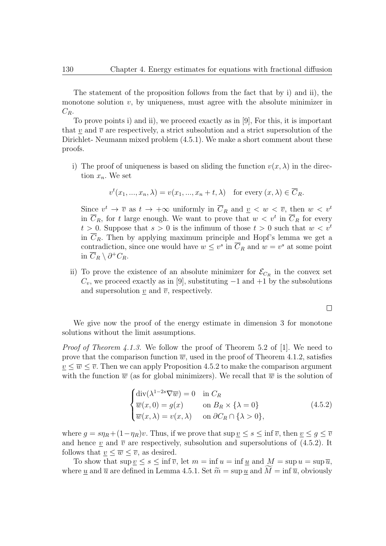The statement of the proposition follows from the fact that by i) and ii), the monotone solution *v*, by uniqueness, must agree with the absolute minimizer in *CR*.

To prove points i) and ii), we proceed exactly as in [9], For this, it is important that *v* and  $\bar{v}$  are respectively, a strict subsolution and a strict supersolution of the Dirichlet- Neumann mixed problem (4.5.1). We make a short comment about these proofs.

i) The proof of uniqueness is based on sliding the function  $v(x, \lambda)$  in the direction  $x_n$ . We set

$$
v^{t}(x_{1},...,x_{n},\lambda) = v(x_{1},...,x_{n}+t,\lambda) \text{ for every } (x,\lambda) \in \overline{C}_{R}.
$$

Since  $v^t \to \overline{v}$  as  $t \to +\infty$  uniformly in  $\overline{C}_R$  and  $\underline{v} < w < \overline{v}$ , then  $w < v^t$ in  $\overline{C}_R$ , for *t* large enough. We want to prove that  $w < v^t$  in  $\overline{C}_R$  for every  $t > 0$ . Suppose that  $s > 0$  is the infimum of those  $t > 0$  such that  $w < v<sup>t</sup>$ in  $\overline{C}_R$ . Then by applying maximum principle and Hopf's lemma we get a contradiction, since one would have  $w \leq v^s$  in  $\overline{C}_R$  and  $w = v^s$  at some point in  $\overline{C}_R$   $\setminus \partial^+ C_R$ .

ii) To prove the existence of an absolute minimizer for  $\mathcal{E}_{C_R}$  in the convex set  $C_v$ , we proceed exactly as in [9], substituting  $-1$  and  $+1$  by the subsolutions and supersolution  $\underline{v}$  and  $\overline{v}$ , respectively.

 $\Box$ 

We give now the proof of the energy estimate in dimension 3 for monotone solutions without the limit assumptions.

*Proof of Theorem 4.1.3.* We follow the proof of Theorem 5.2 of [1]. We need to prove that the comparison function  $\overline{w}$ , used in the proof of Theorem 4.1.2, satisfies  $v \leq \overline{w} \leq \overline{v}$ . Then we can apply Proposition 4.5.2 to make the comparison argument with the function  $\overline{w}$  (as for global minimizers). We recall that  $\overline{w}$  is the solution of

$$
\begin{cases}\n\text{div}(\lambda^{1-2s}\nabla\overline{w}) = 0 & \text{in } C_R \\
\overline{w}(x,0) = g(x) & \text{on } B_R \times \{\lambda = 0\} \\
\overline{w}(x,\lambda) = v(x,\lambda) & \text{on } \partial C_R \cap \{\lambda > 0\},\n\end{cases}
$$
\n(4.5.2)

where  $g = s\eta_R + (1 - \eta_R)v$ . Thus, if we prove that  $\sup \underline{v} \leq s \leq \inf \overline{v}$ , then  $\underline{v} \leq g \leq \overline{v}$ and hence *v* and  $\bar{v}$  are respectively, subsolution and supersolutions of (4.5.2). It follows that  $v \leq \overline{w} \leq \overline{v}$ , as desired.

To show that  $\sup v \leq s \leq \inf \overline{v}$ , let  $m = \inf u = \inf u$  and  $M = \sup u = \sup \overline{u}$ , where <u>u</u> and  $\overline{u}$  are defined in Lemma 4.5.1. Set  $\widetilde{m} = \sup u$  and  $M = \inf \overline{u}$ , obviously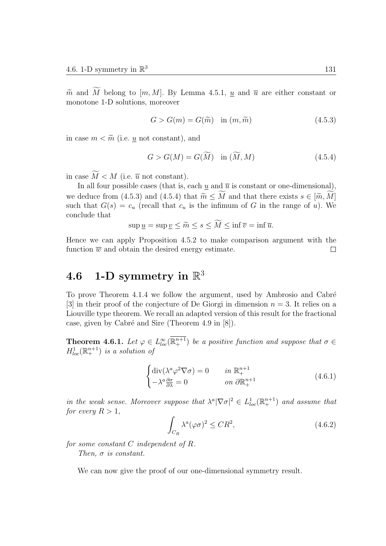$\widetilde{m}$  and  $\widetilde{M}$  belong to  $[m, M]$ . By Lemma 4.5.1, *u* and  $\overline{u}$  are either constant or monotone 1-D solutions, moreover

$$
G > G(m) = G(\widetilde{m}) \quad \text{in } (m, \widetilde{m}) \tag{4.5.3}
$$

in case  $m < \widetilde{m}$  (i.e. *u* not constant), and

$$
G > G(M) = G(\widetilde{M}) \quad \text{in } (\widetilde{M}, M) \tag{4.5.4}
$$

in case  $\widetilde{M} < M$  (i.e.  $\overline{u}$  not constant).

In all four possible cases (that is, each  $\underline{u}$  and  $\overline{u}$  is constant or one-dimensional), we deduce from (4.5.3) and (4.5.4) that  $\widetilde{m} \leq \widetilde{M}$  and that there exists  $s \in [\widetilde{m}, \widetilde{M}]$ such that  $G(s) = c_u$  (recall that  $c_u$  is the infimum of *G* in the range of *u*). We conclude that

$$
\sup \underline{u} = \sup \underline{v} \le \widetilde{m} \le s \le M \le \inf \overline{v} = \inf \overline{u}.
$$

Hence we can apply Proposition 4.5.2 to make comparison argument with the function  $\overline{w}$  and obtain the desired energy estimate.  $\Box$ 

### $4.6 \quad 1\text{-}D \text{ symmetry in } \mathbb{R}^3$

To prove Theorem 4.1.4 we follow the argument, used by Ambrosio and Cabré [3] in their proof of the conjecture of De Giorgi in dimension *n* = 3. It relies on a Liouville type theorem. We recall an adapted version of this result for the fractional case, given by Cabré and Sire (Theorem 4.9 in  $[8]$ ).

**Theorem 4.6.1.** *Let*  $\varphi \in L^{\infty}_{loc}(\mathbb{R}^{n+1})$  *be a positive function and suppose that*  $\sigma \in$  $H_{loc}^1(\mathbb{R}^{n+1}_+)$  *is a solution of* 

$$
\begin{cases} \operatorname{div}(\lambda^a \varphi^2 \nabla \sigma) = 0 & \text{in } \mathbb{R}^{n+1}_+ \\ -\lambda^a \frac{\partial \sigma}{\partial \lambda} = 0 & \text{on } \partial \mathbb{R}^{n+1}_+ \end{cases} \tag{4.6.1}
$$

*in the weak sense. Moreover suppose that*  $\lambda^a |\nabla \sigma|^2 \in L^1_{loc}(\mathbb{R}^{n+1}_+)$  *and assume that for every*  $R > 1$ *,* 

$$
\int_{C_R} \lambda^a (\varphi \sigma)^2 \le C R^2,\tag{4.6.2}
$$

*for some constant C independent of R. Then, σ is constant.*

We can now give the proof of our one-dimensional symmetry result.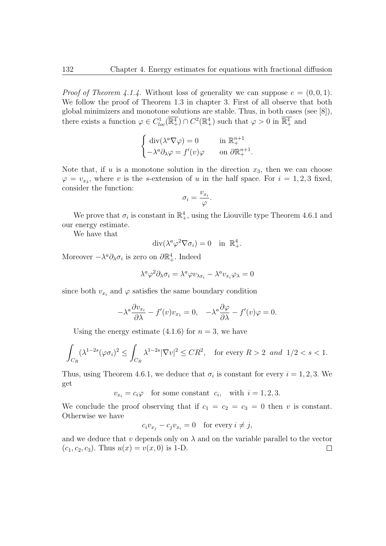*Proof of Theorem 4.1.4.* Without loss of generality we can suppose  $e = (0, 0, 1)$ . We follow the proof of Theorem 1.3 in chapter 3. First of all observe that both global minimizers and monotone solutions are stable. Thus, in both cases (see [8]), there exists a function  $\varphi \in C^1_{loc}(\mathbb{R}^4_+) \cap C^2(\mathbb{R}^4_+)$  such that  $\varphi > 0$  in  $\mathbb{R}^4_+$  and

$$
\begin{cases} \operatorname{div}(\lambda^a \nabla \varphi) = 0 & \text{in } \mathbb{R}^{n+1}_+ \\ -\lambda^a \partial_\lambda \varphi = f'(v) \varphi & \text{on } \partial \mathbb{R}^{n+1}_+ . \end{cases}
$$

Note that, if  $u$  is a monotone solution in the direction  $x_3$ , then we can choose  $\varphi = v_{x_3}$ , where *v* is the *s*-extension of *u* in the half space. For  $i = 1, 2, 3$  fixed, consider the function:

$$
\sigma_i = \frac{v_{x_i}}{\varphi}.
$$

We prove that  $\sigma_i$  is constant in  $\mathbb{R}^4_+$ , using the Liouville type Theorem 4.6.1 and our energy estimate.

We have that

$$
\operatorname{div}(\lambda^a \varphi^2 \nabla \sigma_i) = 0 \quad \text{in } \mathbb{R}^4_+.
$$

Moreover  $-\lambda^a \partial_\lambda \sigma_i$  is zero on  $\partial \mathbb{R}^4_+$ . Indeed

$$
\lambda^a \varphi^2 \partial_{\lambda} \sigma_i = \lambda^a \varphi v_{\lambda x_i} - \lambda^a v_{x_i} \varphi_{\lambda} = 0
$$

since both  $v_{x_i}$  and  $\varphi$  satisfies the same boundary condition

$$
-\lambda^{a}\frac{\partial v_{x_{i}}}{\partial \lambda} - f'(v)v_{x_{1}} = 0, \quad -\lambda^{a}\frac{\partial \varphi}{\partial \lambda} - f'(v)\varphi = 0.
$$

Using the energy estimate  $(4.1.6)$  for  $n = 3$ , we have

$$
\int_{C_R} (\lambda^{1-2s} (\varphi \sigma_i)^2 \le \int_{C_R} \lambda^{1-2s} |\nabla v|^2 \le CR^2, \quad \text{for every } R > 2 \text{ and } 1/2 < s < 1.
$$

Thus, using Theorem 4.6.1, we deduce that  $\sigma_i$  is constant for every  $i = 1, 2, 3$ . We get

 $v_{x_i} = c_i \varphi$  for some constant  $c_i$ , with  $i = 1, 2, 3$ .

We conclude the proof observing that if  $c_1 = c_2 = c_3 = 0$  then *v* is constant. Otherwise we have

$$
c_i v_{x_j} - c_j v_{x_i} = 0 \quad \text{for every } i \neq j,
$$

and we deduce that  $v$  depends only on  $\lambda$  and on the variable parallel to the vector  $(c_1, c_2, c_3)$ . Thus  $u(x) = v(x, 0)$  is 1-D.  $\Box$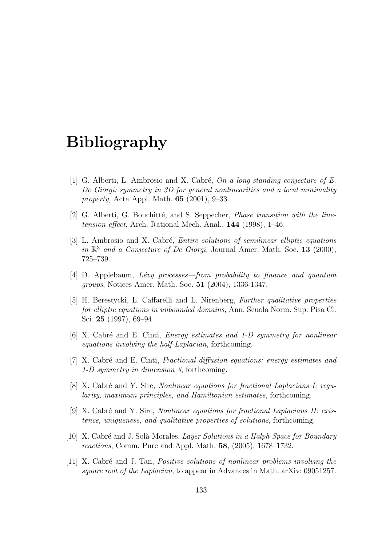## **Bibliography**

- [1] G. Alberti, L. Ambrosio and X. Cabr´e, *On a long-standing conjecture of E. De Giorgi: symmetry in 3D for general nonlinearities and a local minimality property,* Acta Appl. Math. **65** (2001), 9–33.
- [2] G. Alberti, G. Bouchitté, and S. Seppecher, *Phase transition with the linetension effect*, Arch. Rational Mech. Anal., **144** (1998), 1–46.
- [3] L. Ambrosio and X. Cabr´e, *Entire solutions of semilinear elliptic equations in* R <sup>3</sup> *and a Conjecture of De Giorgi,* Journal Amer. Math. Soc. **13** (2000), 725–739.
- [4] D. Applebaum, *L´evy processes—from probability to finance and quantum groups*, Notices Amer. Math. Soc. **51** (2004), 1336-1347.
- [5] H. Berestycki, L. Caffarelli and L. Nirenberg, *Further qualitative properties for elliptic equations in unbounded domains,* Ann. Scuola Norm. Sup. Pisa Cl. Sci. **25** (1997), 69–94.
- [6] X. Cabr´e and E. Cinti, *Energy estimates and 1-D symmetry for nonlinear equations involving the half-Laplacian*, forthcoming.
- [7] X. Cabr´e and E. Cinti, *Fractional diffusion equations: energy estimates and 1-D symmetry in dimension 3*, forthcoming.
- [8] X. Cabré and Y. Sire, *Nonlinear equations for fractional Laplacians I: reqularity, maximum principles, and Hamiltonian estimates*, forthcoming.
- [9] X. Cabr´e and Y. Sire, *Nonlinear equations for fractional Laplacians II: existence, uniqueness, and qualitative properties of solutions*, forthcoming.
- [10] X. Cabr´e and J. Sol`a-Morales, *Layer Solutions in a Halph-Space for Boundary reactions*, Comm. Pure and Appl. Math. **58**, (2005), 1678–1732.
- [11] X. Cabr´e and J. Tan, *Positive solutions of nonlinear problems involving the square root of the Laplacian*, to appear in Advances in Math. arXiv: 09051257.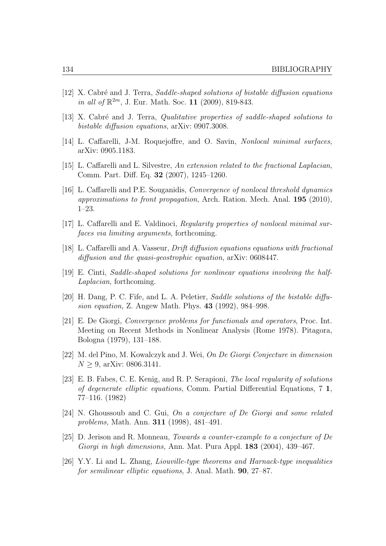- [12] X. Cabr´e and J. Terra, *Saddle-shaped solutions of bistable diffusion equations in all of* R <sup>2</sup>*<sup>m</sup>*, J. Eur. Math. Soc. **11** (2009), 819-843.
- [13] X. Cabré and J. Terra, *Qualitative properties of saddle-shaped solutions to bistable diffusion equations*, arXiv: 0907.3008.
- [14] L. Caffarelli, J-M. Roquejoffre, and O. Savin, *Nonlocal minimal surfaces*, arXiv: 0905.1183.
- [15] L. Caffarelli and L. Silvestre, *An extension related to the fractional Laplacian*, Comm. Part. Diff. Eq. **32** (2007), 1245–1260.
- [16] L. Caffarelli and P.E. Souganidis, *Convergence of nonlocal threshold dynamics approximations to front propagation*, Arch. Ration. Mech. Anal. **195** (2010), 1–23.
- [17] L. Caffarelli and E. Valdinoci, *Regularity properties of nonlocal minimal surfaces via limiting arguments*, forthcoming.
- [18] L. Caffarelli and A. Vasseur, *Drift diffusion equations equations with fractional diffusion and the quasi-geostrophic equation*, arXiv: 0608447.
- [19] E. Cinti, *Saddle-shaped solutions for nonlinear equations involving the half-Laplacian*, forthcoming.
- [20] H. Dang, P. C. Fife, and L. A. Peletier, *Saddle solutions of the bistable diffusion equation,* Z. Angew Math. Phys. **43** (1992), 984–998.
- [21] E. De Giorgi, *Convergence problems for functionals and operators*, Proc. Int. Meeting on Recent Methods in Nonlinear Analysis (Rome 1978). Pitagora, Bologna (1979), 131–188.
- [22] M. del Pino, M. Kowalczyk and J. Wei, *On De Giorgi Conjecture in dimension*  $N \geq 9$ , arXiv: 0806.3141.
- [23] E. B. Fabes, C. E. Kenig, and R. P. Serapioni, *The local regularity of solutions of degenerate elliptic equations*, Comm. Partial Differential Equations, 7 **1**, 77–116. (1982)
- [24] N. Ghoussoub and C. Gui, *On a conjecture of De Giorgi and some related problems,* Math. Ann. **311** (1998), 481–491.
- [25] D. Jerison and R. Monneau, *Towards a counter-example to a conjecture of De Giorgi in high dimensions,* Ann. Mat. Pura Appl. **183** (2004), 439–467.
- [26] Y.Y. Li and L. Zhang, *Liouville-type theorems and Harnack-type inequalities for semilinear elliptic equations*, J. Anal. Math. **90**, 27–87.